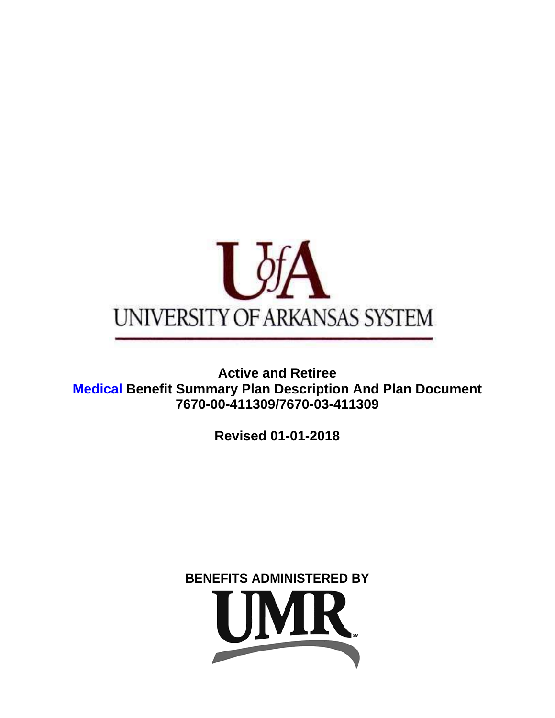

**Active and Retiree Medical Benefit Summary Plan Description And Plan Document 7670-00-411309/7670-03-411309** 

**Revised 01-01-2018** 

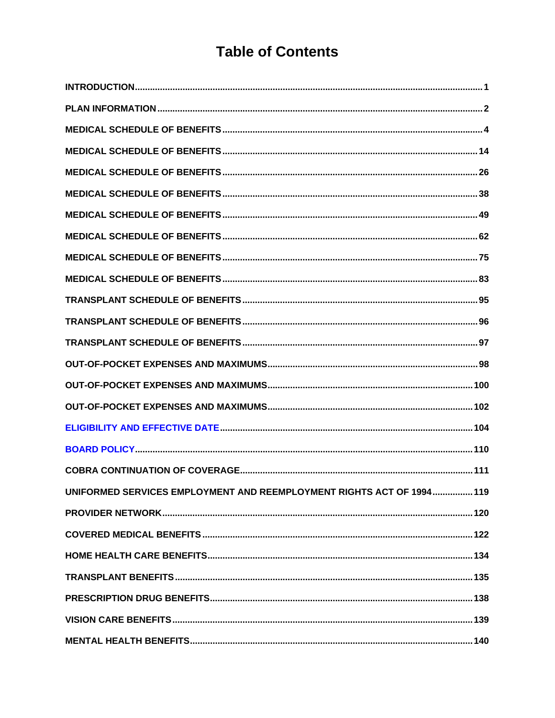# **Table of Contents**

| UNIFORMED SERVICES EMPLOYMENT AND REEMPLOYMENT RIGHTS ACT OF 1994 119 |  |
|-----------------------------------------------------------------------|--|
|                                                                       |  |
|                                                                       |  |
|                                                                       |  |
|                                                                       |  |
|                                                                       |  |
|                                                                       |  |
|                                                                       |  |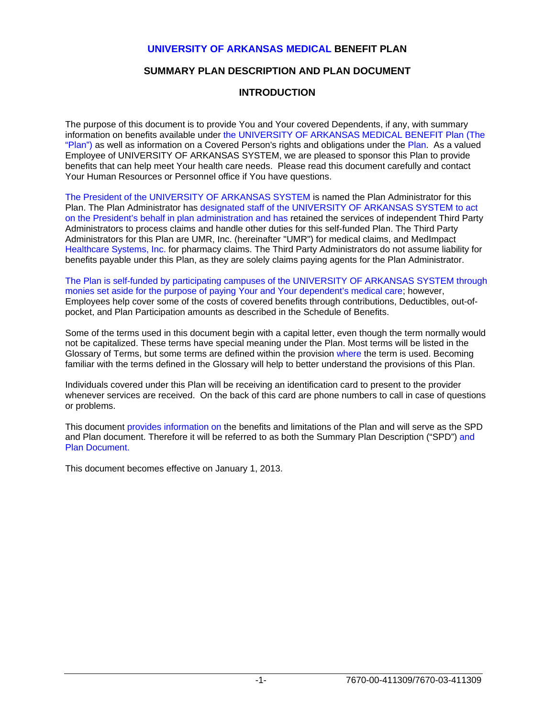# **UNIVERSITY OF ARKANSAS MEDICAL BENEFIT PLAN**

# **SUMMARY PLAN DESCRIPTION AND PLAN DOCUMENT**

# **INTRODUCTION**

The purpose of this document is to provide You and Your covered Dependents, if any, with summary information on benefits available under the UNIVERSITY OF ARKANSAS MEDICAL BENEFIT Plan (The "Plan") as well as information on a Covered Person's rights and obligations under the Plan. As a valued Employee of UNIVERSITY OF ARKANSAS SYSTEM, we are pleased to sponsor this Plan to provide benefits that can help meet Your health care needs. Please read this document carefully and contact Your Human Resources or Personnel office if You have questions.

The President of the UNIVERSITY OF ARKANSAS SYSTEM is named the Plan Administrator for this Plan. The Plan Administrator has designated staff of the UNIVERSITY OF ARKANSAS SYSTEM to act on the President's behalf in plan administration and has retained the services of independent Third Party Administrators to process claims and handle other duties for this self-funded Plan. The Third Party Administrators for this Plan are UMR, Inc. (hereinafter "UMR") for medical claims, and MedImpact Healthcare Systems, Inc. for pharmacy claims. The Third Party Administrators do not assume liability for benefits payable under this Plan, as they are solely claims paying agents for the Plan Administrator.

The Plan is self-funded by participating campuses of the UNIVERSITY OF ARKANSAS SYSTEM through monies set aside for the purpose of paying Your and Your dependent's medical care; however, Employees help cover some of the costs of covered benefits through contributions, Deductibles, out-ofpocket, and Plan Participation amounts as described in the Schedule of Benefits.

Some of the terms used in this document begin with a capital letter, even though the term normally would not be capitalized. These terms have special meaning under the Plan. Most terms will be listed in the Glossary of Terms, but some terms are defined within the provision where the term is used. Becoming familiar with the terms defined in the Glossary will help to better understand the provisions of this Plan.

Individuals covered under this Plan will be receiving an identification card to present to the provider whenever services are received. On the back of this card are phone numbers to call in case of questions or problems.

This document provides information on the benefits and limitations of the Plan and will serve as the SPD and Plan document. Therefore it will be referred to as both the Summary Plan Description ("SPD") and Plan Document.

This document becomes effective on January 1, 2013.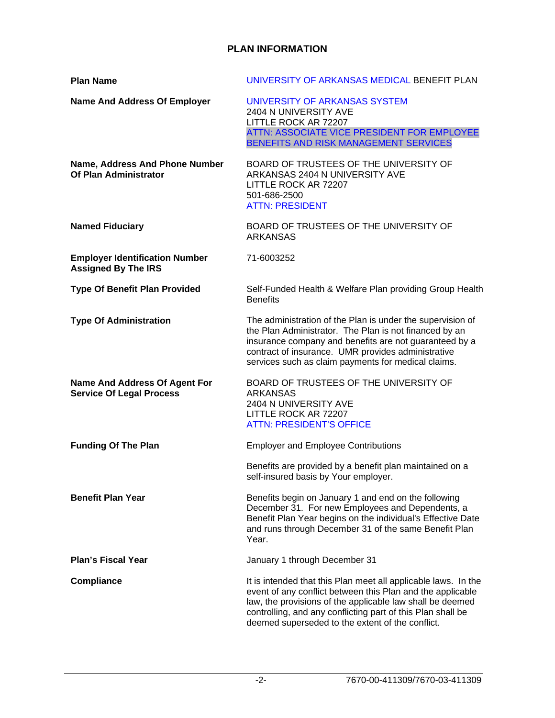#### **PLAN INFORMATION**

| <b>Plan Name</b>                                                        | UNIVERSITY OF ARKANSAS MEDICAL BENEFIT PLAN                                                                                                                                                                                                                                                                  |
|-------------------------------------------------------------------------|--------------------------------------------------------------------------------------------------------------------------------------------------------------------------------------------------------------------------------------------------------------------------------------------------------------|
| <b>Name And Address Of Employer</b>                                     | UNIVERSITY OF ARKANSAS SYSTEM<br>2404 N UNIVERSITY AVE<br>LITTLE ROCK AR 72207<br>ATTN: ASSOCIATE VICE PRESIDENT FOR EMPLOYEE<br>BENEFITS AND RISK MANAGEMENT SERVICES                                                                                                                                       |
| Name, Address And Phone Number<br><b>Of Plan Administrator</b>          | BOARD OF TRUSTEES OF THE UNIVERSITY OF<br>ARKANSAS 2404 N UNIVERSITY AVE<br>LITTLE ROCK AR 72207<br>501-686-2500<br><b>ATTN: PRESIDENT</b>                                                                                                                                                                   |
| <b>Named Fiduciary</b>                                                  | BOARD OF TRUSTEES OF THE UNIVERSITY OF<br><b>ARKANSAS</b>                                                                                                                                                                                                                                                    |
| <b>Employer Identification Number</b><br><b>Assigned By The IRS</b>     | 71-6003252                                                                                                                                                                                                                                                                                                   |
| <b>Type Of Benefit Plan Provided</b>                                    | Self-Funded Health & Welfare Plan providing Group Health<br><b>Benefits</b>                                                                                                                                                                                                                                  |
| <b>Type Of Administration</b>                                           | The administration of the Plan is under the supervision of<br>the Plan Administrator. The Plan is not financed by an<br>insurance company and benefits are not guaranteed by a<br>contract of insurance. UMR provides administrative<br>services such as claim payments for medical claims.                  |
| <b>Name And Address Of Agent For</b><br><b>Service Of Legal Process</b> | BOARD OF TRUSTEES OF THE UNIVERSITY OF<br><b>ARKANSAS</b><br>2404 N UNIVERSITY AVE<br>LITTLE ROCK AR 72207<br><b>ATTN: PRESIDENT'S OFFICE</b>                                                                                                                                                                |
| <b>Funding Of The Plan</b>                                              | <b>Employer and Employee Contributions</b>                                                                                                                                                                                                                                                                   |
|                                                                         | Benefits are provided by a benefit plan maintained on a<br>self-insured basis by Your employer.                                                                                                                                                                                                              |
| <b>Benefit Plan Year</b>                                                | Benefits begin on January 1 and end on the following<br>December 31. For new Employees and Dependents, a<br>Benefit Plan Year begins on the individual's Effective Date<br>and runs through December 31 of the same Benefit Plan<br>Year.                                                                    |
| <b>Plan's Fiscal Year</b>                                               | January 1 through December 31                                                                                                                                                                                                                                                                                |
| <b>Compliance</b>                                                       | It is intended that this Plan meet all applicable laws. In the<br>event of any conflict between this Plan and the applicable<br>law, the provisions of the applicable law shall be deemed<br>controlling, and any conflicting part of this Plan shall be<br>deemed superseded to the extent of the conflict. |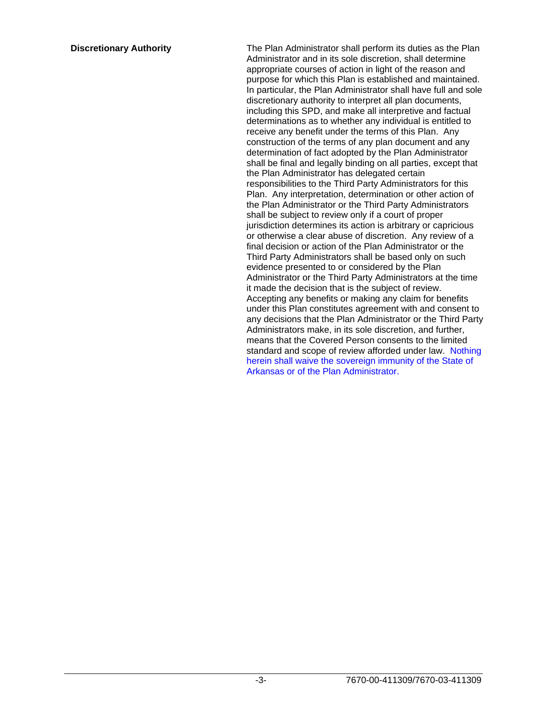**Discretionary Authority** The Plan Administrator shall perform its duties as the Plan Administrator and in its sole discretion, shall determine appropriate courses of action in light of the reason and purpose for which this Plan is established and maintained. In particular, the Plan Administrator shall have full and sole discretionary authority to interpret all plan documents, including this SPD, and make all interpretive and factual determinations as to whether any individual is entitled to receive any benefit under the terms of this Plan. Any construction of the terms of any plan document and any determination of fact adopted by the Plan Administrator shall be final and legally binding on all parties, except that the Plan Administrator has delegated certain responsibilities to the Third Party Administrators for this Plan. Any interpretation, determination or other action of the Plan Administrator or the Third Party Administrators shall be subject to review only if a court of proper jurisdiction determines its action is arbitrary or capricious or otherwise a clear abuse of discretion. Any review of a final decision or action of the Plan Administrator or the Third Party Administrators shall be based only on such evidence presented to or considered by the Plan Administrator or the Third Party Administrators at the time it made the decision that is the subject of review. Accepting any benefits or making any claim for benefits under this Plan constitutes agreement with and consent to any decisions that the Plan Administrator or the Third Party Administrators make, in its sole discretion, and further, means that the Covered Person consents to the limited standard and scope of review afforded under law. Nothing herein shall waive the sovereign immunity of the State of Arkansas or of the Plan Administrator.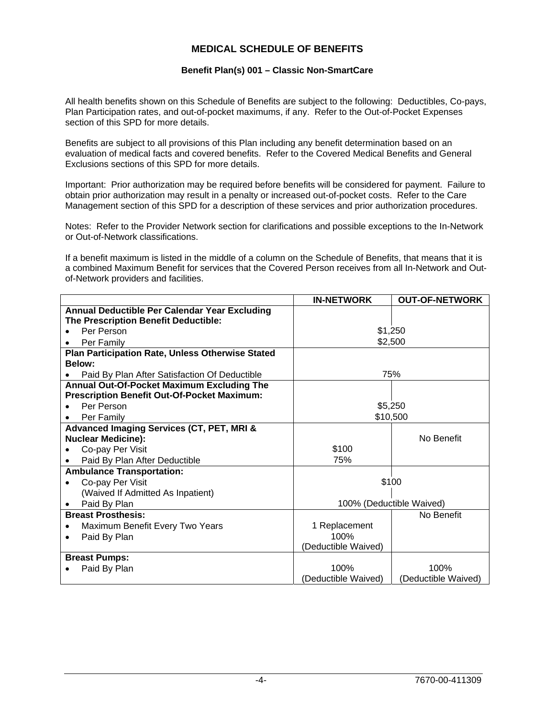# **MEDICAL SCHEDULE OF BENEFITS**

#### **Benefit Plan(s) 001 – Classic Non-SmartCare**

All health benefits shown on this Schedule of Benefits are subject to the following: Deductibles, Co-pays, Plan Participation rates, and out-of-pocket maximums, if any. Refer to the Out-of-Pocket Expenses section of this SPD for more details.

Benefits are subject to all provisions of this Plan including any benefit determination based on an evaluation of medical facts and covered benefits. Refer to the Covered Medical Benefits and General Exclusions sections of this SPD for more details.

Important: Prior authorization may be required before benefits will be considered for payment. Failure to obtain prior authorization may result in a penalty or increased out-of-pocket costs. Refer to the Care Management section of this SPD for a description of these services and prior authorization procedures.

Notes: Refer to the Provider Network section for clarifications and possible exceptions to the In-Network or Out-of-Network classifications.

If a benefit maximum is listed in the middle of a column on the Schedule of Benefits, that means that it is a combined Maximum Benefit for services that the Covered Person receives from all In-Network and Outof-Network providers and facilities.

|   |                                                    | <b>IN-NETWORK</b>   | <b>OUT-OF-NETWORK</b>    |
|---|----------------------------------------------------|---------------------|--------------------------|
|   | Annual Deductible Per Calendar Year Excluding      |                     |                          |
|   | The Prescription Benefit Deductible:               |                     |                          |
|   | Per Person                                         |                     | \$1,250                  |
|   | Per Family                                         |                     | \$2,500                  |
|   | Plan Participation Rate, Unless Otherwise Stated   |                     |                          |
|   | <b>Below:</b>                                      |                     |                          |
|   | Paid By Plan After Satisfaction Of Deductible      |                     | 75%                      |
|   | <b>Annual Out-Of-Pocket Maximum Excluding The</b>  |                     |                          |
|   | <b>Prescription Benefit Out-Of-Pocket Maximum:</b> |                     |                          |
|   | Per Person                                         |                     | \$5,250                  |
|   | Per Family                                         | \$10,500            |                          |
|   | Advanced Imaging Services (CT, PET, MRI &          |                     |                          |
|   | <b>Nuclear Medicine):</b>                          |                     | No Benefit               |
|   | Co-pay Per Visit                                   | \$100               |                          |
|   | Paid By Plan After Deductible                      | 75%                 |                          |
|   | <b>Ambulance Transportation:</b>                   |                     |                          |
|   | Co-pay Per Visit                                   |                     | \$100                    |
|   | (Waived If Admitted As Inpatient)                  |                     |                          |
|   | Paid By Plan                                       |                     | 100% (Deductible Waived) |
|   | <b>Breast Prosthesis:</b>                          |                     | No Benefit               |
|   | Maximum Benefit Every Two Years                    | 1 Replacement       |                          |
| ٠ | Paid By Plan                                       | 100%                |                          |
|   |                                                    | (Deductible Waived) |                          |
|   | <b>Breast Pumps:</b>                               |                     |                          |
|   | Paid By Plan                                       | 100%                | 100%                     |
|   |                                                    | (Deductible Waived) | (Deductible Waived)      |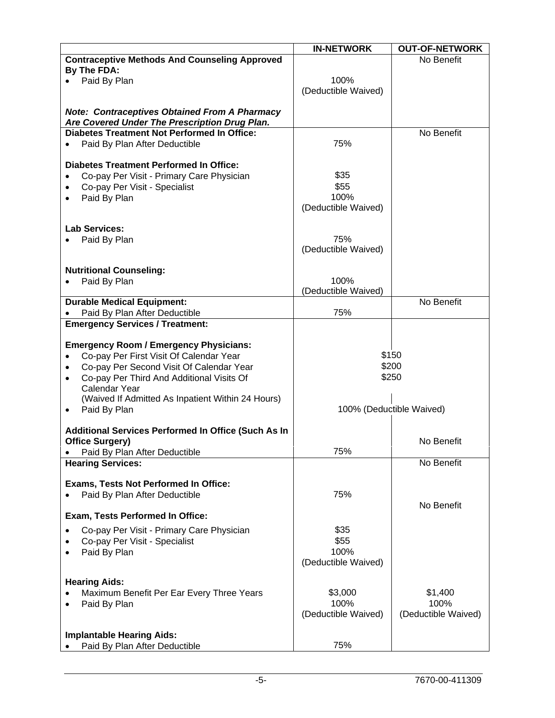|                                                                                                                                                                                                                                                                              | <b>IN-NETWORK</b>                                   | <b>OUT-OF-NETWORK</b>                  |
|------------------------------------------------------------------------------------------------------------------------------------------------------------------------------------------------------------------------------------------------------------------------------|-----------------------------------------------------|----------------------------------------|
| <b>Contraceptive Methods And Counseling Approved</b><br>By The FDA:                                                                                                                                                                                                          |                                                     | No Benefit                             |
| Paid By Plan                                                                                                                                                                                                                                                                 | 100%<br>(Deductible Waived)                         |                                        |
| <b>Note: Contraceptives Obtained From A Pharmacy</b><br>Are Covered Under The Prescription Drug Plan.                                                                                                                                                                        |                                                     |                                        |
| <b>Diabetes Treatment Not Performed In Office:</b><br>Paid By Plan After Deductible                                                                                                                                                                                          | 75%                                                 | No Benefit                             |
| <b>Diabetes Treatment Performed In Office:</b><br>Co-pay Per Visit - Primary Care Physician<br>Co-pay Per Visit - Specialist<br>Paid By Plan<br>٠                                                                                                                            | \$35<br>\$55<br>100%<br>(Deductible Waived)         |                                        |
| <b>Lab Services:</b><br>Paid By Plan                                                                                                                                                                                                                                         | 75%<br>(Deductible Waived)                          |                                        |
| <b>Nutritional Counseling:</b><br>Paid By Plan                                                                                                                                                                                                                               | 100%<br>(Deductible Waived)                         |                                        |
| <b>Durable Medical Equipment:</b><br>Paid By Plan After Deductible                                                                                                                                                                                                           | 75%                                                 | No Benefit                             |
| <b>Emergency Services / Treatment:</b>                                                                                                                                                                                                                                       |                                                     |                                        |
| <b>Emergency Room / Emergency Physicians:</b><br>Co-pay Per First Visit Of Calendar Year<br>Co-pay Per Second Visit Of Calendar Year<br>Co-pay Per Third And Additional Visits Of<br>٠<br>Calendar Year<br>(Waived If Admitted As Inpatient Within 24 Hours)<br>Paid By Plan | \$150<br>\$200<br>\$250<br>100% (Deductible Waived) |                                        |
| Additional Services Performed In Office (Such As In<br><b>Office Surgery)</b><br>Paid By Plan After Deductible                                                                                                                                                               | 75%                                                 | No Benefit                             |
| <b>Hearing Services:</b>                                                                                                                                                                                                                                                     |                                                     | No Benefit                             |
| <b>Exams, Tests Not Performed In Office:</b><br>Paid By Plan After Deductible<br>Exam, Tests Performed In Office:                                                                                                                                                            | 75%                                                 | No Benefit                             |
| Co-pay Per Visit - Primary Care Physician                                                                                                                                                                                                                                    | \$35                                                |                                        |
| Co-pay Per Visit - Specialist<br>Paid By Plan                                                                                                                                                                                                                                | \$55<br>100%<br>(Deductible Waived)                 |                                        |
| <b>Hearing Aids:</b><br>Maximum Benefit Per Ear Every Three Years<br>Paid By Plan<br><b>Implantable Hearing Aids:</b>                                                                                                                                                        | \$3,000<br>100%<br>(Deductible Waived)              | \$1,400<br>100%<br>(Deductible Waived) |
| Paid By Plan After Deductible                                                                                                                                                                                                                                                | 75%                                                 |                                        |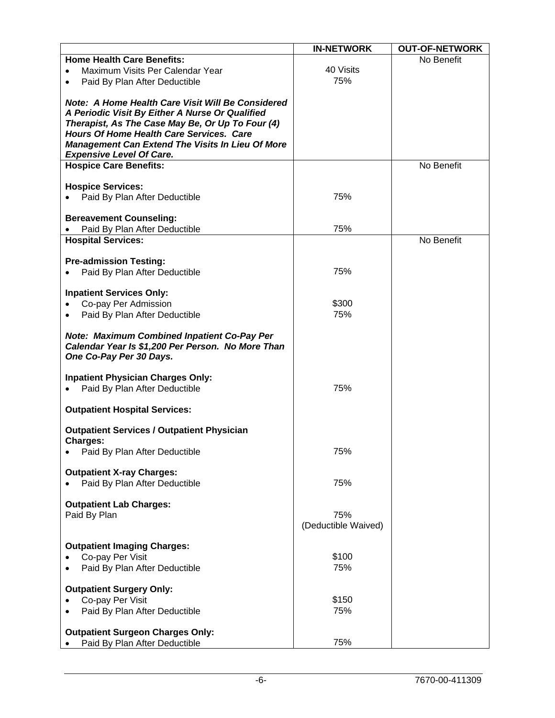|                                                                                                                                                                                                                                                                                                           | <b>IN-NETWORK</b>   | <b>OUT-OF-NETWORK</b> |
|-----------------------------------------------------------------------------------------------------------------------------------------------------------------------------------------------------------------------------------------------------------------------------------------------------------|---------------------|-----------------------|
| <b>Home Health Care Benefits:</b>                                                                                                                                                                                                                                                                         |                     | No Benefit            |
| Maximum Visits Per Calendar Year                                                                                                                                                                                                                                                                          | 40 Visits           |                       |
| Paid By Plan After Deductible                                                                                                                                                                                                                                                                             | 75%                 |                       |
| <b>Note: A Home Health Care Visit Will Be Considered</b><br>A Periodic Visit By Either A Nurse Or Qualified<br>Therapist, As The Case May Be, Or Up To Four (4)<br>Hours Of Home Health Care Services. Care<br><b>Management Can Extend The Visits In Lieu Of More</b><br><b>Expensive Level Of Care.</b> |                     |                       |
| <b>Hospice Care Benefits:</b>                                                                                                                                                                                                                                                                             |                     | No Benefit            |
|                                                                                                                                                                                                                                                                                                           |                     |                       |
| <b>Hospice Services:</b>                                                                                                                                                                                                                                                                                  |                     |                       |
| Paid By Plan After Deductible                                                                                                                                                                                                                                                                             | 75%                 |                       |
|                                                                                                                                                                                                                                                                                                           |                     |                       |
| <b>Bereavement Counseling:</b>                                                                                                                                                                                                                                                                            |                     |                       |
| Paid By Plan After Deductible                                                                                                                                                                                                                                                                             | 75%                 |                       |
| <b>Hospital Services:</b>                                                                                                                                                                                                                                                                                 |                     | No Benefit            |
|                                                                                                                                                                                                                                                                                                           |                     |                       |
| <b>Pre-admission Testing:</b>                                                                                                                                                                                                                                                                             |                     |                       |
| Paid By Plan After Deductible                                                                                                                                                                                                                                                                             | 75%                 |                       |
|                                                                                                                                                                                                                                                                                                           |                     |                       |
| <b>Inpatient Services Only:</b>                                                                                                                                                                                                                                                                           |                     |                       |
| Co-pay Per Admission                                                                                                                                                                                                                                                                                      | \$300               |                       |
| Paid By Plan After Deductible                                                                                                                                                                                                                                                                             | 75%                 |                       |
| <b>Note: Maximum Combined Inpatient Co-Pay Per</b><br>Calendar Year Is \$1,200 Per Person. No More Than<br>One Co-Pay Per 30 Days.                                                                                                                                                                        |                     |                       |
| <b>Inpatient Physician Charges Only:</b>                                                                                                                                                                                                                                                                  |                     |                       |
| Paid By Plan After Deductible                                                                                                                                                                                                                                                                             | 75%                 |                       |
| <b>Outpatient Hospital Services:</b>                                                                                                                                                                                                                                                                      |                     |                       |
| <b>Outpatient Services / Outpatient Physician</b>                                                                                                                                                                                                                                                         |                     |                       |
| Charges:                                                                                                                                                                                                                                                                                                  |                     |                       |
| Paid By Plan After Deductible                                                                                                                                                                                                                                                                             | 75%                 |                       |
|                                                                                                                                                                                                                                                                                                           |                     |                       |
| <b>Outpatient X-ray Charges:</b>                                                                                                                                                                                                                                                                          |                     |                       |
| Paid By Plan After Deductible                                                                                                                                                                                                                                                                             | 75%                 |                       |
|                                                                                                                                                                                                                                                                                                           |                     |                       |
| <b>Outpatient Lab Charges:</b>                                                                                                                                                                                                                                                                            |                     |                       |
| Paid By Plan                                                                                                                                                                                                                                                                                              | 75%                 |                       |
|                                                                                                                                                                                                                                                                                                           | (Deductible Waived) |                       |
|                                                                                                                                                                                                                                                                                                           |                     |                       |
| <b>Outpatient Imaging Charges:</b>                                                                                                                                                                                                                                                                        | \$100               |                       |
| Co-pay Per Visit                                                                                                                                                                                                                                                                                          |                     |                       |
| Paid By Plan After Deductible                                                                                                                                                                                                                                                                             | 75%                 |                       |
| <b>Outpatient Surgery Only:</b>                                                                                                                                                                                                                                                                           |                     |                       |
| Co-pay Per Visit                                                                                                                                                                                                                                                                                          | \$150               |                       |
| Paid By Plan After Deductible                                                                                                                                                                                                                                                                             | 75%                 |                       |
|                                                                                                                                                                                                                                                                                                           |                     |                       |
| <b>Outpatient Surgeon Charges Only:</b>                                                                                                                                                                                                                                                                   |                     |                       |
| Paid By Plan After Deductible                                                                                                                                                                                                                                                                             | 75%                 |                       |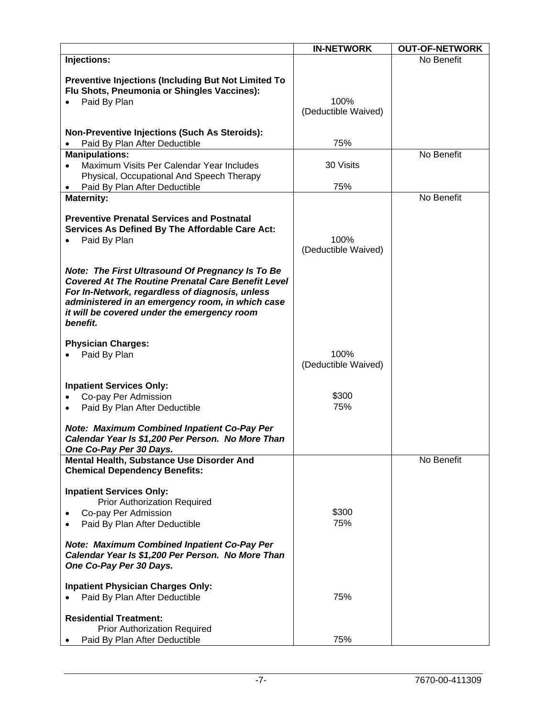|                                                                                                                                                                                                                                                                                 | <b>IN-NETWORK</b>           | <b>OUT-OF-NETWORK</b> |
|---------------------------------------------------------------------------------------------------------------------------------------------------------------------------------------------------------------------------------------------------------------------------------|-----------------------------|-----------------------|
| Injections:                                                                                                                                                                                                                                                                     |                             | No Benefit            |
| <b>Preventive Injections (Including But Not Limited To</b><br>Flu Shots, Pneumonia or Shingles Vaccines):                                                                                                                                                                       |                             |                       |
| Paid By Plan                                                                                                                                                                                                                                                                    | 100%<br>(Deductible Waived) |                       |
| <b>Non-Preventive Injections (Such As Steroids):</b><br>Paid By Plan After Deductible                                                                                                                                                                                           | 75%                         |                       |
| <b>Manipulations:</b><br>Maximum Visits Per Calendar Year Includes<br>Physical, Occupational And Speech Therapy<br>Paid By Plan After Deductible                                                                                                                                | 30 Visits<br>75%            | No Benefit            |
| <b>Maternity:</b>                                                                                                                                                                                                                                                               |                             | No Benefit            |
| <b>Preventive Prenatal Services and Postnatal</b><br>Services As Defined By The Affordable Care Act:<br>Paid By Plan                                                                                                                                                            | 100%<br>(Deductible Waived) |                       |
| Note: The First Ultrasound Of Pregnancy Is To Be<br><b>Covered At The Routine Prenatal Care Benefit Level</b><br>For In-Network, regardless of diagnosis, unless<br>administered in an emergency room, in which case<br>it will be covered under the emergency room<br>benefit. |                             |                       |
| <b>Physician Charges:</b><br>Paid By Plan                                                                                                                                                                                                                                       | 100%<br>(Deductible Waived) |                       |
| <b>Inpatient Services Only:</b><br>Co-pay Per Admission<br>Paid By Plan After Deductible                                                                                                                                                                                        | \$300<br>75%                |                       |
| <b>Note: Maximum Combined Inpatient Co-Pay Per</b><br>Calendar Year Is \$1,200 Per Person. No More Than<br>One Co-Pay Per 30 Days.                                                                                                                                              |                             |                       |
| Mental Health, Substance Use Disorder And<br><b>Chemical Dependency Benefits:</b>                                                                                                                                                                                               |                             | No Benefit            |
| <b>Inpatient Services Only:</b><br><b>Prior Authorization Required</b><br>Co-pay Per Admission<br>Paid By Plan After Deductible                                                                                                                                                 | \$300<br>75%                |                       |
| <b>Note: Maximum Combined Inpatient Co-Pay Per</b><br>Calendar Year Is \$1,200 Per Person. No More Than<br>One Co-Pay Per 30 Days.                                                                                                                                              |                             |                       |
| <b>Inpatient Physician Charges Only:</b><br>Paid By Plan After Deductible                                                                                                                                                                                                       | 75%                         |                       |
| <b>Residential Treatment:</b><br><b>Prior Authorization Required</b><br>Paid By Plan After Deductible                                                                                                                                                                           | 75%                         |                       |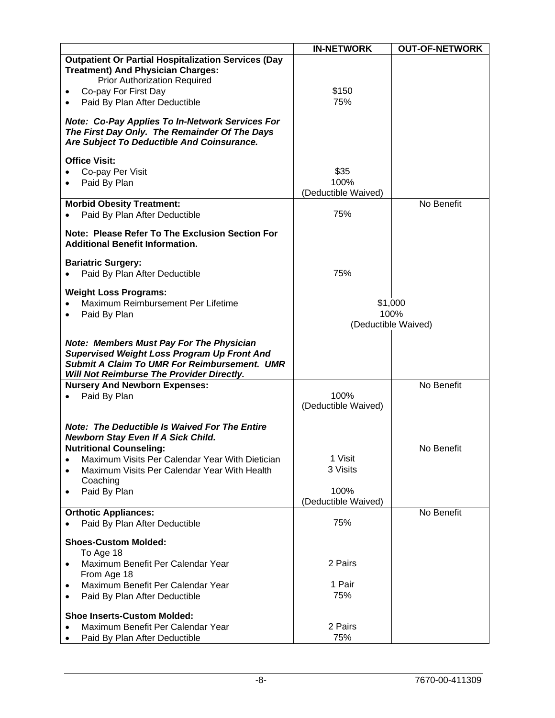|                                                                                                                                                       | <b>IN-NETWORK</b>           | <b>OUT-OF-NETWORK</b> |
|-------------------------------------------------------------------------------------------------------------------------------------------------------|-----------------------------|-----------------------|
| <b>Outpatient Or Partial Hospitalization Services (Day</b>                                                                                            |                             |                       |
| <b>Treatment) And Physician Charges:</b>                                                                                                              |                             |                       |
| <b>Prior Authorization Required</b>                                                                                                                   |                             |                       |
| Co-pay For First Day                                                                                                                                  | \$150                       |                       |
| Paid By Plan After Deductible                                                                                                                         | 75%                         |                       |
| <b>Note: Co-Pay Applies To In-Network Services For</b><br>The First Day Only. The Remainder Of The Days<br>Are Subject To Deductible And Coinsurance. |                             |                       |
| <b>Office Visit:</b>                                                                                                                                  |                             |                       |
| Co-pay Per Visit                                                                                                                                      | \$35                        |                       |
| Paid By Plan                                                                                                                                          | 100%                        |                       |
|                                                                                                                                                       | (Deductible Waived)         |                       |
| <b>Morbid Obesity Treatment:</b>                                                                                                                      |                             | No Benefit            |
| Paid By Plan After Deductible                                                                                                                         | 75%                         |                       |
| Note: Please Refer To The Exclusion Section For<br><b>Additional Benefit Information.</b>                                                             |                             |                       |
| <b>Bariatric Surgery:</b>                                                                                                                             |                             |                       |
| Paid By Plan After Deductible                                                                                                                         | 75%                         |                       |
|                                                                                                                                                       |                             |                       |
| <b>Weight Loss Programs:</b>                                                                                                                          |                             |                       |
| Maximum Reimbursement Per Lifetime                                                                                                                    |                             | \$1,000               |
| Paid By Plan                                                                                                                                          | 100%<br>(Deductible Waived) |                       |
|                                                                                                                                                       |                             |                       |
| <b>Note: Members Must Pay For The Physician</b>                                                                                                       |                             |                       |
| <b>Supervised Weight Loss Program Up Front And</b>                                                                                                    |                             |                       |
| <b>Submit A Claim To UMR For Reimbursement. UMR</b>                                                                                                   |                             |                       |
| Will Not Reimburse The Provider Directly.                                                                                                             |                             |                       |
| <b>Nursery And Newborn Expenses:</b>                                                                                                                  | 100%                        | No Benefit            |
| Paid By Plan                                                                                                                                          | (Deductible Waived)         |                       |
|                                                                                                                                                       |                             |                       |
| <b>Note: The Deductible Is Waived For The Entire</b><br><b>Newborn Stay Even If A Sick Child.</b>                                                     |                             |                       |
| <b>Nutritional Counseling:</b>                                                                                                                        |                             | No Benefit            |
| Maximum Visits Per Calendar Year With Dietician<br>$\bullet$                                                                                          | 1 Visit                     |                       |
| Maximum Visits Per Calendar Year With Health                                                                                                          | 3 Visits                    |                       |
| Coaching<br>Paid By Plan                                                                                                                              | 100%                        |                       |
|                                                                                                                                                       | (Deductible Waived)         |                       |
| <b>Orthotic Appliances:</b>                                                                                                                           |                             | No Benefit            |
| Paid By Plan After Deductible                                                                                                                         | 75%                         |                       |
|                                                                                                                                                       |                             |                       |
| <b>Shoes-Custom Molded:</b>                                                                                                                           |                             |                       |
| To Age 18                                                                                                                                             | 2 Pairs                     |                       |
| Maximum Benefit Per Calendar Year<br>From Age 18                                                                                                      |                             |                       |
| Maximum Benefit Per Calendar Year                                                                                                                     | 1 Pair                      |                       |
| Paid By Plan After Deductible                                                                                                                         | 75%                         |                       |
|                                                                                                                                                       |                             |                       |
| <b>Shoe Inserts-Custom Molded:</b>                                                                                                                    |                             |                       |
| Maximum Benefit Per Calendar Year                                                                                                                     | 2 Pairs                     |                       |
| Paid By Plan After Deductible                                                                                                                         | 75%                         |                       |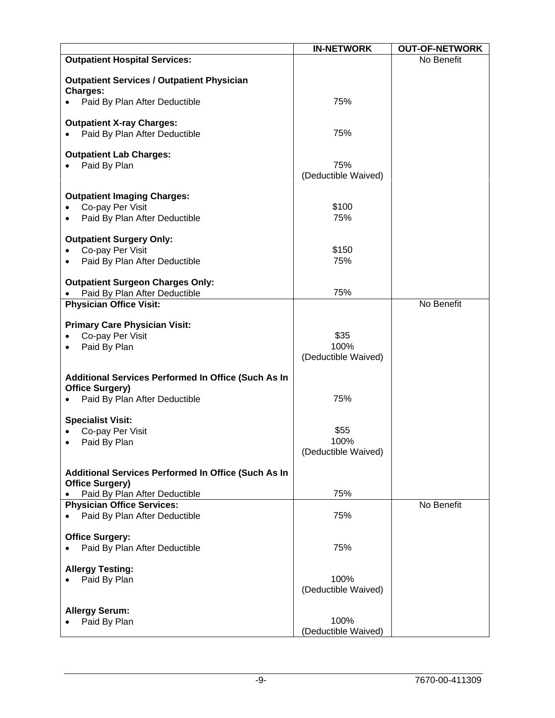|                                                                                                                | <b>IN-NETWORK</b>                   | <b>OUT-OF-NETWORK</b> |
|----------------------------------------------------------------------------------------------------------------|-------------------------------------|-----------------------|
| <b>Outpatient Hospital Services:</b>                                                                           |                                     | No Benefit            |
| <b>Outpatient Services / Outpatient Physician</b>                                                              |                                     |                       |
| Charges:<br>Paid By Plan After Deductible                                                                      | 75%                                 |                       |
| <b>Outpatient X-ray Charges:</b><br>Paid By Plan After Deductible                                              | 75%                                 |                       |
| <b>Outpatient Lab Charges:</b><br>Paid By Plan                                                                 | 75%<br>(Deductible Waived)          |                       |
| <b>Outpatient Imaging Charges:</b><br>Co-pay Per Visit<br>Paid By Plan After Deductible                        | \$100<br>75%                        |                       |
| <b>Outpatient Surgery Only:</b><br>Co-pay Per Visit<br>Paid By Plan After Deductible                           | \$150<br>75%                        |                       |
| <b>Outpatient Surgeon Charges Only:</b><br>Paid By Plan After Deductible                                       | 75%                                 |                       |
| <b>Physician Office Visit:</b>                                                                                 |                                     | No Benefit            |
| <b>Primary Care Physician Visit:</b><br>Co-pay Per Visit<br>Paid By Plan                                       | \$35<br>100%<br>(Deductible Waived) |                       |
| Additional Services Performed In Office (Such As In<br><b>Office Surgery)</b><br>Paid By Plan After Deductible | 75%                                 |                       |
| <b>Specialist Visit:</b><br>Co-pay Per Visit<br>Paid By Plan                                                   | \$55<br>100%<br>(Deductible Waived) |                       |
| Additional Services Performed In Office (Such As In<br><b>Office Surgery)</b><br>Paid By Plan After Deductible | 75%                                 |                       |
| <b>Physician Office Services:</b><br>Paid By Plan After Deductible                                             | 75%                                 | No Benefit            |
| <b>Office Surgery:</b><br>Paid By Plan After Deductible                                                        | 75%                                 |                       |
| <b>Allergy Testing:</b><br>Paid By Plan                                                                        | 100%<br>(Deductible Waived)         |                       |
| <b>Allergy Serum:</b><br>Paid By Plan                                                                          | 100%<br>(Deductible Waived)         |                       |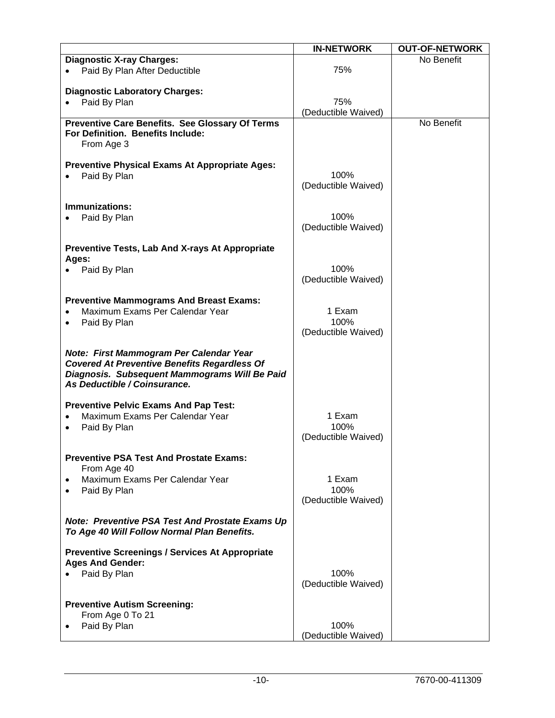|                                                                                                                                                                                 | <b>IN-NETWORK</b>                     | <b>OUT-OF-NETWORK</b> |
|---------------------------------------------------------------------------------------------------------------------------------------------------------------------------------|---------------------------------------|-----------------------|
| <b>Diagnostic X-ray Charges:</b><br>Paid By Plan After Deductible                                                                                                               | 75%                                   | No Benefit            |
| <b>Diagnostic Laboratory Charges:</b><br>Paid By Plan                                                                                                                           | 75%<br>(Deductible Waived)            |                       |
| Preventive Care Benefits. See Glossary Of Terms<br>For Definition. Benefits Include:<br>From Age 3                                                                              |                                       | No Benefit            |
| <b>Preventive Physical Exams At Appropriate Ages:</b><br>Paid By Plan                                                                                                           | 100%<br>(Deductible Waived)           |                       |
| Immunizations:<br>Paid By Plan                                                                                                                                                  | 100%<br>(Deductible Waived)           |                       |
| Preventive Tests, Lab And X-rays At Appropriate<br>Ages:<br>Paid By Plan                                                                                                        | 100%<br>(Deductible Waived)           |                       |
| <b>Preventive Mammograms And Breast Exams:</b><br>Maximum Exams Per Calendar Year<br>Paid By Plan                                                                               | 1 Exam<br>100%<br>(Deductible Waived) |                       |
| Note: First Mammogram Per Calendar Year<br><b>Covered At Preventive Benefits Regardless Of</b><br>Diagnosis. Subsequent Mammograms Will Be Paid<br>As Deductible / Coinsurance. |                                       |                       |
| <b>Preventive Pelvic Exams And Pap Test:</b><br>Maximum Exams Per Calendar Year<br>Paid By Plan<br>$\bullet$                                                                    | 1 Exam<br>100%<br>(Deductible Waived) |                       |
| <b>Preventive PSA Test And Prostate Exams:</b><br>From Age 40<br>Maximum Exams Per Calendar Year<br>Paid By Plan                                                                | 1 Exam<br>100%<br>(Deductible Waived) |                       |
| <b>Note: Preventive PSA Test And Prostate Exams Up</b><br>To Age 40 Will Follow Normal Plan Benefits.                                                                           |                                       |                       |
| <b>Preventive Screenings / Services At Appropriate</b><br><b>Ages And Gender:</b><br>Paid By Plan                                                                               | 100%<br>(Deductible Waived)           |                       |
| <b>Preventive Autism Screening:</b><br>From Age 0 To 21<br>Paid By Plan                                                                                                         | 100%<br>(Deductible Waived)           |                       |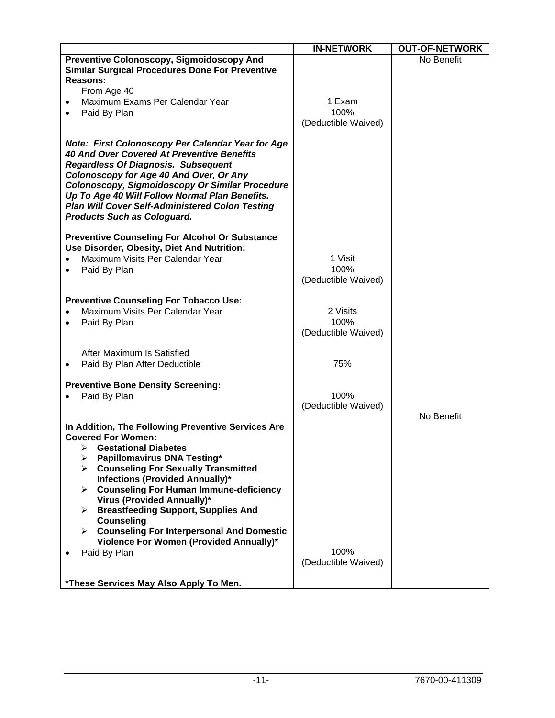|                                                                                                                                                                                                                                                                                                                                                                                                                                                                                                                                    | <b>IN-NETWORK</b>                       | <b>OUT-OF-NETWORK</b> |
|------------------------------------------------------------------------------------------------------------------------------------------------------------------------------------------------------------------------------------------------------------------------------------------------------------------------------------------------------------------------------------------------------------------------------------------------------------------------------------------------------------------------------------|-----------------------------------------|-----------------------|
| <b>Preventive Colonoscopy, Sigmoidoscopy And</b><br><b>Similar Surgical Procedures Done For Preventive</b><br><b>Reasons:</b><br>From Age 40<br>Maximum Exams Per Calendar Year<br>Paid By Plan                                                                                                                                                                                                                                                                                                                                    | 1 Exam<br>100%<br>(Deductible Waived)   | No Benefit            |
| Note: First Colonoscopy Per Calendar Year for Age<br><b>40 And Over Covered At Preventive Benefits</b><br><b>Regardless Of Diagnosis. Subsequent</b><br>Colonoscopy for Age 40 And Over, Or Any<br>Colonoscopy, Sigmoidoscopy Or Similar Procedure<br>Up To Age 40 Will Follow Normal Plan Benefits.<br><b>Plan Will Cover Self-Administered Colon Testing</b><br><b>Products Such as Cologuard.</b>                                                                                                                               |                                         |                       |
| <b>Preventive Counseling For Alcohol Or Substance</b><br>Use Disorder, Obesity, Diet And Nutrition:<br>Maximum Visits Per Calendar Year<br>Paid By Plan                                                                                                                                                                                                                                                                                                                                                                            | 1 Visit<br>100%<br>(Deductible Waived)  |                       |
| <b>Preventive Counseling For Tobacco Use:</b><br>Maximum Visits Per Calendar Year<br>Paid By Plan                                                                                                                                                                                                                                                                                                                                                                                                                                  | 2 Visits<br>100%<br>(Deductible Waived) |                       |
| After Maximum Is Satisfied<br>Paid By Plan After Deductible                                                                                                                                                                                                                                                                                                                                                                                                                                                                        | 75%                                     |                       |
| <b>Preventive Bone Density Screening:</b><br>Paid By Plan                                                                                                                                                                                                                                                                                                                                                                                                                                                                          | 100%<br>(Deductible Waived)             | No Benefit            |
| In Addition, The Following Preventive Services Are<br><b>Covered For Women:</b><br>$\triangleright$ Gestational Diabetes<br>Papillomavirus DNA Testing*<br>⋗<br><b>Counseling For Sexually Transmitted</b><br>⋗<br>Infections (Provided Annually)*<br><b>Counseling For Human Immune-deficiency</b><br>⋗<br>Virus (Provided Annually)*<br><b>Breastfeeding Support, Supplies And</b><br>⋗<br><b>Counseling</b><br><b>Counseling For Interpersonal And Domestic</b><br>➤<br>Violence For Women (Provided Annually)*<br>Paid By Plan | 100%                                    |                       |
|                                                                                                                                                                                                                                                                                                                                                                                                                                                                                                                                    | (Deductible Waived)                     |                       |
| *These Services May Also Apply To Men.                                                                                                                                                                                                                                                                                                                                                                                                                                                                                             |                                         |                       |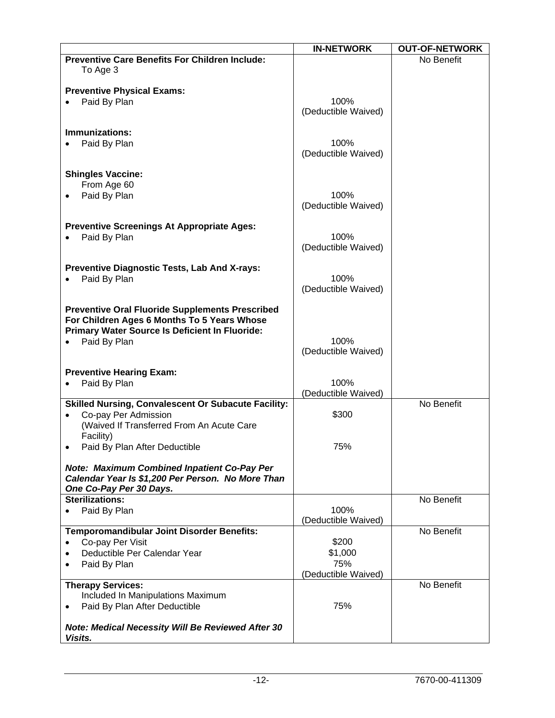|                                                                                | <b>IN-NETWORK</b>           | <b>OUT-OF-NETWORK</b> |
|--------------------------------------------------------------------------------|-----------------------------|-----------------------|
| <b>Preventive Care Benefits For Children Include:</b><br>To Age 3              |                             | No Benefit            |
| <b>Preventive Physical Exams:</b><br>Paid By Plan                              | 100%                        |                       |
|                                                                                | (Deductible Waived)         |                       |
| Immunizations:                                                                 |                             |                       |
| Paid By Plan                                                                   | 100%                        |                       |
|                                                                                | (Deductible Waived)         |                       |
| <b>Shingles Vaccine:</b>                                                       |                             |                       |
| From Age 60                                                                    | 100%                        |                       |
| Paid By Plan<br>$\bullet$                                                      | (Deductible Waived)         |                       |
|                                                                                |                             |                       |
| <b>Preventive Screenings At Appropriate Ages:</b><br>Paid By Plan              | 100%                        |                       |
|                                                                                | (Deductible Waived)         |                       |
|                                                                                |                             |                       |
| Preventive Diagnostic Tests, Lab And X-rays:<br>Paid By Plan                   | 100%                        |                       |
|                                                                                | (Deductible Waived)         |                       |
| <b>Preventive Oral Fluoride Supplements Prescribed</b>                         |                             |                       |
| For Children Ages 6 Months To 5 Years Whose                                    |                             |                       |
| <b>Primary Water Source Is Deficient In Fluoride:</b>                          |                             |                       |
| Paid By Plan                                                                   | 100%<br>(Deductible Waived) |                       |
|                                                                                |                             |                       |
| <b>Preventive Hearing Exam:</b>                                                |                             |                       |
| Paid By Plan<br>$\bullet$                                                      | 100%<br>(Deductible Waived) |                       |
| <b>Skilled Nursing, Convalescent Or Subacute Facility:</b>                     |                             | No Benefit            |
| Co-pay Per Admission<br>$\bullet$<br>(Waived If Transferred From An Acute Care | \$300                       |                       |
| Facility)                                                                      |                             |                       |
| Paid By Plan After Deductible                                                  | 75%                         |                       |
| <b>Note: Maximum Combined Inpatient Co-Pay Per</b>                             |                             |                       |
| Calendar Year Is \$1,200 Per Person. No More Than                              |                             |                       |
| One Co-Pay Per 30 Days.<br><b>Sterilizations:</b>                              |                             | No Benefit            |
| Paid By Plan                                                                   | 100%                        |                       |
| Temporomandibular Joint Disorder Benefits:                                     | (Deductible Waived)         | No Benefit            |
| Co-pay Per Visit                                                               | \$200                       |                       |
| Deductible Per Calendar Year                                                   | \$1,000                     |                       |
| Paid By Plan                                                                   | 75%                         |                       |
| <b>Therapy Services:</b>                                                       | (Deductible Waived)         | No Benefit            |
| Included In Manipulations Maximum                                              |                             |                       |
| Paid By Plan After Deductible<br>$\bullet$                                     | 75%                         |                       |
| Note: Medical Necessity Will Be Reviewed After 30                              |                             |                       |
| Visits.                                                                        |                             |                       |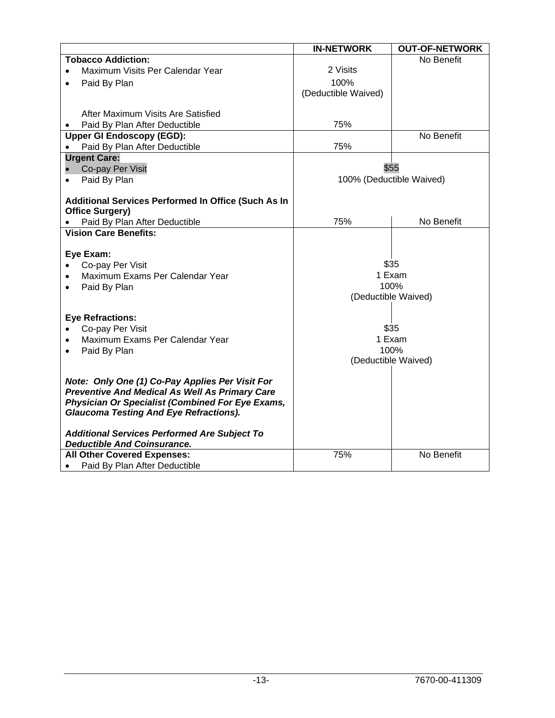| <b>Tobacco Addiction:</b><br>No Benefit<br>2 Visits<br>Maximum Visits Per Calendar Year<br>100%<br>Paid By Plan<br>(Deductible Waived)<br>After Maximum Visits Are Satisfied<br>75%<br>Paid By Plan After Deductible<br><b>Upper GI Endoscopy (EGD):</b><br>No Benefit<br>Paid By Plan After Deductible<br>75% |
|----------------------------------------------------------------------------------------------------------------------------------------------------------------------------------------------------------------------------------------------------------------------------------------------------------------|
|                                                                                                                                                                                                                                                                                                                |
|                                                                                                                                                                                                                                                                                                                |
|                                                                                                                                                                                                                                                                                                                |
|                                                                                                                                                                                                                                                                                                                |
|                                                                                                                                                                                                                                                                                                                |
|                                                                                                                                                                                                                                                                                                                |
|                                                                                                                                                                                                                                                                                                                |
|                                                                                                                                                                                                                                                                                                                |
|                                                                                                                                                                                                                                                                                                                |
| <b>Urgent Care:</b>                                                                                                                                                                                                                                                                                            |
| \$55<br>Co-pay Per Visit                                                                                                                                                                                                                                                                                       |
| 100% (Deductible Waived)<br>Paid By Plan                                                                                                                                                                                                                                                                       |
|                                                                                                                                                                                                                                                                                                                |
| Additional Services Performed In Office (Such As In                                                                                                                                                                                                                                                            |
| <b>Office Surgery)</b>                                                                                                                                                                                                                                                                                         |
| 75%<br>No Benefit<br>Paid By Plan After Deductible                                                                                                                                                                                                                                                             |
| <b>Vision Care Benefits:</b>                                                                                                                                                                                                                                                                                   |
| Eye Exam:                                                                                                                                                                                                                                                                                                      |
| \$35<br>Co-pay Per Visit                                                                                                                                                                                                                                                                                       |
| 1 Exam<br>Maximum Exams Per Calendar Year                                                                                                                                                                                                                                                                      |
| 100%<br>Paid By Plan                                                                                                                                                                                                                                                                                           |
| (Deductible Waived)                                                                                                                                                                                                                                                                                            |
|                                                                                                                                                                                                                                                                                                                |
| <b>Eye Refractions:</b>                                                                                                                                                                                                                                                                                        |
| \$35<br>Co-pay Per Visit                                                                                                                                                                                                                                                                                       |
| 1 Exam<br>Maximum Exams Per Calendar Year                                                                                                                                                                                                                                                                      |
| 100%<br>Paid By Plan                                                                                                                                                                                                                                                                                           |
| (Deductible Waived)                                                                                                                                                                                                                                                                                            |
|                                                                                                                                                                                                                                                                                                                |
| Note: Only One (1) Co-Pay Applies Per Visit For                                                                                                                                                                                                                                                                |
| <b>Preventive And Medical As Well As Primary Care</b>                                                                                                                                                                                                                                                          |
| Physician Or Specialist (Combined For Eye Exams,                                                                                                                                                                                                                                                               |
| <b>Glaucoma Testing And Eye Refractions).</b>                                                                                                                                                                                                                                                                  |
|                                                                                                                                                                                                                                                                                                                |
| <b>Additional Services Performed Are Subject To</b>                                                                                                                                                                                                                                                            |
| <b>Deductible And Coinsurance.</b><br><b>All Other Covered Expenses:</b><br>75%<br>No Benefit                                                                                                                                                                                                                  |
| Paid By Plan After Deductible                                                                                                                                                                                                                                                                                  |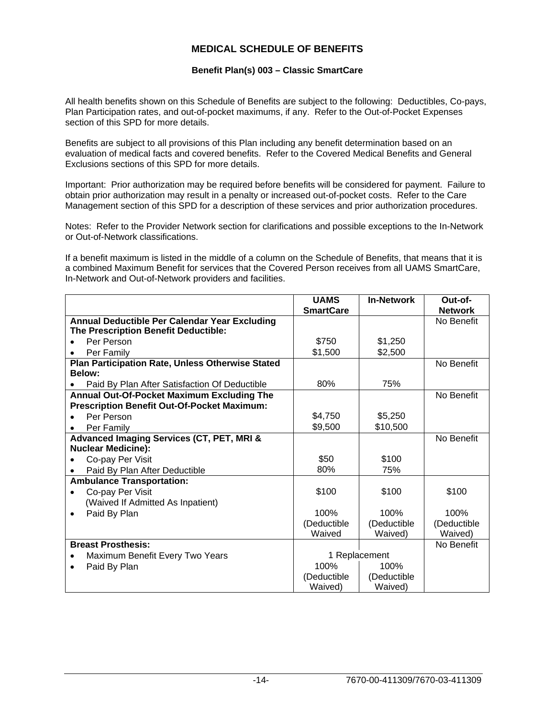#### **MEDICAL SCHEDULE OF BENEFITS**

#### **Benefit Plan(s) 003 – Classic SmartCare**

All health benefits shown on this Schedule of Benefits are subject to the following: Deductibles, Co-pays, Plan Participation rates, and out-of-pocket maximums, if any. Refer to the Out-of-Pocket Expenses section of this SPD for more details.

Benefits are subject to all provisions of this Plan including any benefit determination based on an evaluation of medical facts and covered benefits. Refer to the Covered Medical Benefits and General Exclusions sections of this SPD for more details.

Important: Prior authorization may be required before benefits will be considered for payment. Failure to obtain prior authorization may result in a penalty or increased out-of-pocket costs. Refer to the Care Management section of this SPD for a description of these services and prior authorization procedures.

Notes: Refer to the Provider Network section for clarifications and possible exceptions to the In-Network or Out-of-Network classifications.

If a benefit maximum is listed in the middle of a column on the Schedule of Benefits, that means that it is a combined Maximum Benefit for services that the Covered Person receives from all UAMS SmartCare, In-Network and Out-of-Network providers and facilities.

|                                                      | <b>UAMS</b>      | <b>In-Network</b> | Out-of-        |
|------------------------------------------------------|------------------|-------------------|----------------|
|                                                      | <b>SmartCare</b> |                   | <b>Network</b> |
| <b>Annual Deductible Per Calendar Year Excluding</b> |                  |                   | No Benefit     |
| The Prescription Benefit Deductible:                 |                  |                   |                |
| Per Person                                           | \$750            | \$1,250           |                |
| Per Family                                           | \$1,500          | \$2,500           |                |
| Plan Participation Rate, Unless Otherwise Stated     |                  |                   | No Benefit     |
| <b>Below:</b>                                        |                  |                   |                |
| Paid By Plan After Satisfaction Of Deductible        | 80%              | 75%               |                |
| Annual Out-Of-Pocket Maximum Excluding The           |                  |                   | No Benefit     |
| <b>Prescription Benefit Out-Of-Pocket Maximum:</b>   |                  |                   |                |
| Per Person                                           | \$4,750          | \$5,250           |                |
| Per Family                                           | \$9,500          | \$10,500          |                |
| Advanced Imaging Services (CT, PET, MRI &            |                  |                   | No Benefit     |
| <b>Nuclear Medicine):</b>                            |                  |                   |                |
| Co-pay Per Visit                                     | \$50             | \$100             |                |
| Paid By Plan After Deductible<br>$\bullet$           | 80%              | 75%               |                |
| <b>Ambulance Transportation:</b>                     |                  |                   |                |
| Co-pay Per Visit                                     | \$100            | \$100             | \$100          |
| (Waived If Admitted As Inpatient)                    |                  |                   |                |
| Paid By Plan<br>$\bullet$                            | 100%             | 100%              | 100%           |
|                                                      | (Deductible      | (Deductible       | (Deductible    |
|                                                      | Waived           | Waived)           | Waived)        |
| <b>Breast Prosthesis:</b>                            |                  |                   | No Benefit     |
| Maximum Benefit Every Two Years<br>$\bullet$         |                  | 1 Replacement     |                |
| Paid By Plan<br>$\bullet$                            | 100%             | 100%              |                |
|                                                      | (Deductible      | (Deductible       |                |
|                                                      | Waived)          | Waived)           |                |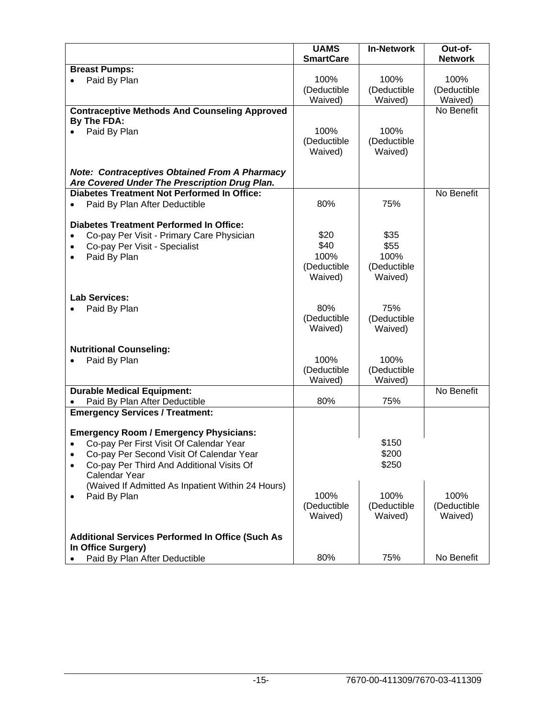|                                                                                       | <b>UAMS</b>            | <b>In-Network</b>      | Out-of-                |
|---------------------------------------------------------------------------------------|------------------------|------------------------|------------------------|
|                                                                                       | <b>SmartCare</b>       |                        | <b>Network</b>         |
| <b>Breast Pumps:</b>                                                                  |                        |                        |                        |
| Paid By Plan                                                                          | 100%                   | 100%                   | 100%                   |
|                                                                                       | (Deductible<br>Waived) | (Deductible<br>Waived) | (Deductible<br>Waived) |
| <b>Contraceptive Methods And Counseling Approved</b>                                  |                        |                        | No Benefit             |
| By The FDA:                                                                           |                        |                        |                        |
| Paid By Plan                                                                          | 100%                   | 100%                   |                        |
|                                                                                       | (Deductible            | (Deductible            |                        |
|                                                                                       | Waived)                | Waived)                |                        |
| <b>Note: Contraceptives Obtained From A Pharmacy</b>                                  |                        |                        |                        |
| Are Covered Under The Prescription Drug Plan.                                         |                        |                        |                        |
| <b>Diabetes Treatment Not Performed In Office:</b>                                    |                        |                        | No Benefit             |
| Paid By Plan After Deductible                                                         | 80%                    | 75%                    |                        |
|                                                                                       |                        |                        |                        |
| <b>Diabetes Treatment Performed In Office:</b>                                        |                        |                        |                        |
| Co-pay Per Visit - Primary Care Physician                                             | \$20<br>\$40           | \$35<br>\$55           |                        |
| Co-pay Per Visit - Specialist<br>Paid By Plan                                         | 100%                   | 100%                   |                        |
| $\bullet$                                                                             | (Deductible            | (Deductible            |                        |
|                                                                                       | Waived)                | Waived)                |                        |
|                                                                                       |                        |                        |                        |
| <b>Lab Services:</b>                                                                  |                        |                        |                        |
| Paid By Plan                                                                          | 80%<br>(Deductible     | 75%                    |                        |
|                                                                                       | Waived)                | (Deductible<br>Waived) |                        |
|                                                                                       |                        |                        |                        |
| <b>Nutritional Counseling:</b>                                                        |                        |                        |                        |
| Paid By Plan                                                                          | 100%                   | 100%                   |                        |
|                                                                                       | (Deductible            | (Deductible            |                        |
|                                                                                       | Waived)                | Waived)                | No Benefit             |
| <b>Durable Medical Equipment:</b><br>Paid By Plan After Deductible                    | 80%                    | 75%                    |                        |
| <b>Emergency Services / Treatment:</b>                                                |                        |                        |                        |
|                                                                                       |                        |                        |                        |
| <b>Emergency Room / Emergency Physicians:</b>                                         |                        |                        |                        |
| Co-pay Per First Visit Of Calendar Year                                               |                        | \$150                  |                        |
| Co-pay Per Second Visit Of Calendar Year<br>Co-pay Per Third And Additional Visits Of |                        | \$200<br>\$250         |                        |
| Calendar Year                                                                         |                        |                        |                        |
| (Waived If Admitted As Inpatient Within 24 Hours)                                     |                        |                        |                        |
| Paid By Plan<br>$\bullet$                                                             | 100%                   | 100%                   | 100%                   |
|                                                                                       | (Deductible            | (Deductible            | (Deductible            |
|                                                                                       | Waived)                | Waived)                | Waived)                |
| <b>Additional Services Performed In Office (Such As</b>                               |                        |                        |                        |
| In Office Surgery)                                                                    |                        |                        |                        |
| Paid By Plan After Deductible                                                         | 80%                    | 75%                    | No Benefit             |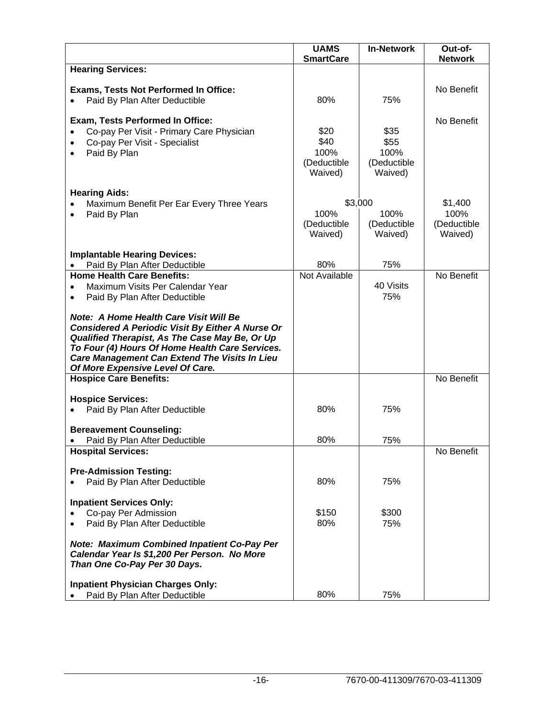|                                                                                                           | <b>UAMS</b><br><b>SmartCare</b> | <b>In-Network</b> | Out-of-<br><b>Network</b> |
|-----------------------------------------------------------------------------------------------------------|---------------------------------|-------------------|---------------------------|
| <b>Hearing Services:</b>                                                                                  |                                 |                   |                           |
|                                                                                                           |                                 |                   |                           |
| <b>Exams, Tests Not Performed In Office:</b><br>Paid By Plan After Deductible                             | 80%                             | 75%               | No Benefit                |
|                                                                                                           |                                 |                   |                           |
| Exam, Tests Performed In Office:                                                                          |                                 |                   | No Benefit                |
| Co-pay Per Visit - Primary Care Physician                                                                 | \$20                            | \$35              |                           |
| Co-pay Per Visit - Specialist                                                                             | \$40<br>100%                    | \$55<br>100%      |                           |
| Paid By Plan<br>$\bullet$                                                                                 | (Deductible                     | (Deductible       |                           |
|                                                                                                           | Waived)                         | Waived)           |                           |
|                                                                                                           |                                 |                   |                           |
| <b>Hearing Aids:</b><br>Maximum Benefit Per Ear Every Three Years                                         | \$3,000                         |                   | \$1,400                   |
| Paid By Plan                                                                                              | 100%                            | 100%              | 100%                      |
|                                                                                                           | (Deductible                     | (Deductible       | (Deductible               |
|                                                                                                           | Waived)                         | Waived)           | Waived)                   |
| <b>Implantable Hearing Devices:</b>                                                                       |                                 |                   |                           |
| Paid By Plan After Deductible                                                                             | 80%                             | 75%               |                           |
| <b>Home Health Care Benefits:</b>                                                                         | Not Available                   |                   | No Benefit                |
| Maximum Visits Per Calendar Year<br>Paid By Plan After Deductible                                         |                                 | 40 Visits<br>75%  |                           |
|                                                                                                           |                                 |                   |                           |
| <b>Note: A Home Health Care Visit Will Be</b>                                                             |                                 |                   |                           |
| <b>Considered A Periodic Visit By Either A Nurse Or</b><br>Qualified Therapist, As The Case May Be, Or Up |                                 |                   |                           |
| To Four (4) Hours Of Home Health Care Services.                                                           |                                 |                   |                           |
| <b>Care Management Can Extend The Visits In Lieu</b>                                                      |                                 |                   |                           |
| Of More Expensive Level Of Care.                                                                          |                                 |                   |                           |
| <b>Hospice Care Benefits:</b>                                                                             |                                 |                   | No Benefit                |
| <b>Hospice Services:</b>                                                                                  |                                 |                   |                           |
| Paid By Plan After Deductible                                                                             | 80%                             | 75%               |                           |
| <b>Bereavement Counseling:</b>                                                                            |                                 |                   |                           |
| Paid By Plan After Deductible<br>$\bullet$                                                                | 80%                             | 75%               |                           |
| <b>Hospital Services:</b>                                                                                 |                                 |                   | No Benefit                |
| <b>Pre-Admission Testing:</b>                                                                             |                                 |                   |                           |
| Paid By Plan After Deductible                                                                             | 80%                             | 75%               |                           |
|                                                                                                           |                                 |                   |                           |
| <b>Inpatient Services Only:</b>                                                                           |                                 |                   |                           |
| Co-pay Per Admission                                                                                      | \$150<br>80%                    | \$300<br>75%      |                           |
| Paid By Plan After Deductible                                                                             |                                 |                   |                           |
| <b>Note: Maximum Combined Inpatient Co-Pay Per</b>                                                        |                                 |                   |                           |
| Calendar Year Is \$1,200 Per Person. No More                                                              |                                 |                   |                           |
| Than One Co-Pay Per 30 Days.                                                                              |                                 |                   |                           |
| <b>Inpatient Physician Charges Only:</b>                                                                  |                                 |                   |                           |
| Paid By Plan After Deductible                                                                             | 80%                             | 75%               |                           |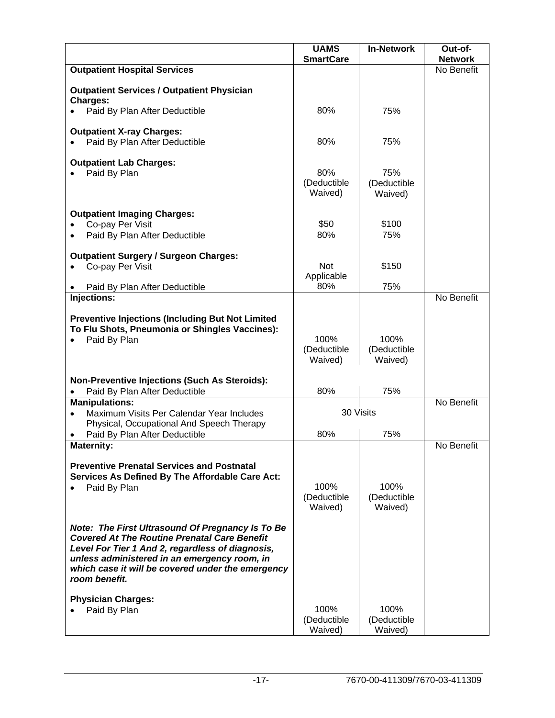|                                                                                                                                                                                                                               | <b>UAMS</b>                    | <b>In-Network</b>              | Out-of-        |
|-------------------------------------------------------------------------------------------------------------------------------------------------------------------------------------------------------------------------------|--------------------------------|--------------------------------|----------------|
|                                                                                                                                                                                                                               | <b>SmartCare</b>               |                                | <b>Network</b> |
| <b>Outpatient Hospital Services</b>                                                                                                                                                                                           |                                |                                | No Benefit     |
| <b>Outpatient Services / Outpatient Physician</b><br><b>Charges:</b>                                                                                                                                                          |                                |                                |                |
| Paid By Plan After Deductible                                                                                                                                                                                                 | 80%                            | 75%                            |                |
| <b>Outpatient X-ray Charges:</b><br>Paid By Plan After Deductible                                                                                                                                                             | 80%                            | 75%                            |                |
| <b>Outpatient Lab Charges:</b><br>Paid By Plan                                                                                                                                                                                | 80%<br>(Deductible<br>Waived)  | 75%<br>(Deductible<br>Waived)  |                |
| <b>Outpatient Imaging Charges:</b><br>Co-pay Per Visit<br>Paid By Plan After Deductible                                                                                                                                       | \$50<br>80%                    | \$100<br>75%                   |                |
| <b>Outpatient Surgery / Surgeon Charges:</b><br>Co-pay Per Visit                                                                                                                                                              | <b>Not</b><br>Applicable       | \$150                          |                |
| Paid By Plan After Deductible<br>٠<br>Injections:                                                                                                                                                                             | 80%                            | 75%                            | No Benefit     |
| <b>Preventive Injections (Including But Not Limited</b><br>To Flu Shots, Pneumonia or Shingles Vaccines):<br>Paid By Plan                                                                                                     | 100%<br>(Deductible<br>Waived) | 100%<br>(Deductible<br>Waived) |                |
| <b>Non-Preventive Injections (Such As Steroids):</b><br>Paid By Plan After Deductible                                                                                                                                         | 80%                            | 75%                            |                |
| <b>Manipulations:</b><br>Maximum Visits Per Calendar Year Includes<br>$\bullet$<br>Physical, Occupational And Speech Therapy                                                                                                  |                                | 30 Visits                      | No Benefit     |
| Paid By Plan After Deductible                                                                                                                                                                                                 | 80%                            | 75%                            |                |
| <b>Maternity:</b><br><b>Preventive Prenatal Services and Postnatal</b><br>Services As Defined By The Affordable Care Act:<br>Paid By Plan<br>Note: The First Ultrasound Of Pregnancy Is To Be                                 | 100%<br>(Deductible<br>Waived) | 100%<br>(Deductible<br>Waived) | No Benefit     |
| <b>Covered At The Routine Prenatal Care Benefit</b><br>Level For Tier 1 And 2, regardless of diagnosis,<br>unless administered in an emergency room, in<br>which case it will be covered under the emergency<br>room benefit. |                                |                                |                |
| <b>Physician Charges:</b><br>Paid By Plan                                                                                                                                                                                     | 100%<br>(Deductible<br>Waived) | 100%<br>(Deductible<br>Waived) |                |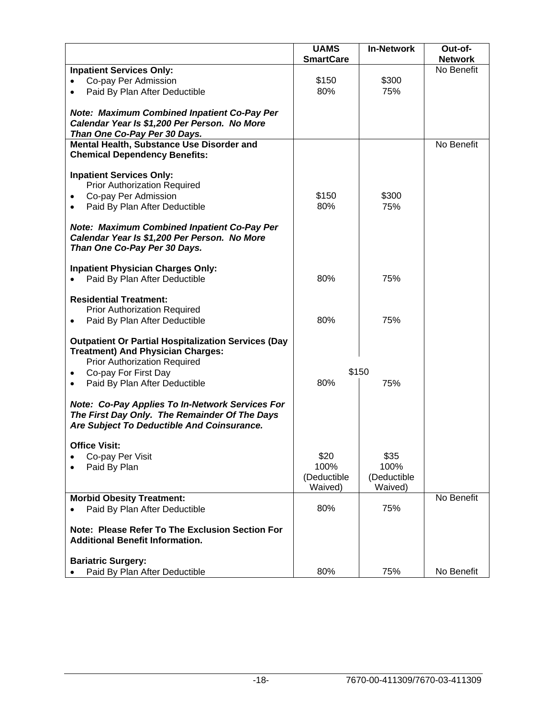|                                                                                                                                                                       | <b>UAMS</b>                    | <b>In-Network</b>              | Out-of-        |
|-----------------------------------------------------------------------------------------------------------------------------------------------------------------------|--------------------------------|--------------------------------|----------------|
|                                                                                                                                                                       | <b>SmartCare</b>               |                                | <b>Network</b> |
| <b>Inpatient Services Only:</b>                                                                                                                                       |                                |                                | No Benefit     |
| Co-pay Per Admission                                                                                                                                                  | \$150                          | \$300                          |                |
| Paid By Plan After Deductible                                                                                                                                         | 80%                            | 75%                            |                |
| <b>Note: Maximum Combined Inpatient Co-Pay Per</b><br>Calendar Year Is \$1,200 Per Person. No More<br>Than One Co-Pay Per 30 Days.                                    |                                |                                |                |
| Mental Health, Substance Use Disorder and                                                                                                                             |                                |                                | No Benefit     |
| <b>Chemical Dependency Benefits:</b>                                                                                                                                  |                                |                                |                |
| <b>Inpatient Services Only:</b>                                                                                                                                       |                                |                                |                |
| <b>Prior Authorization Required</b>                                                                                                                                   |                                |                                |                |
| Co-pay Per Admission                                                                                                                                                  | \$150                          | \$300                          |                |
| Paid By Plan After Deductible                                                                                                                                         | 80%                            | 75%                            |                |
| <b>Note: Maximum Combined Inpatient Co-Pay Per</b><br>Calendar Year Is \$1,200 Per Person. No More<br>Than One Co-Pay Per 30 Days.                                    |                                |                                |                |
| <b>Inpatient Physician Charges Only:</b>                                                                                                                              |                                |                                |                |
| Paid By Plan After Deductible                                                                                                                                         | 80%                            | 75%                            |                |
| <b>Residential Treatment:</b><br><b>Prior Authorization Required</b>                                                                                                  |                                |                                |                |
| Paid By Plan After Deductible                                                                                                                                         | 80%                            | 75%                            |                |
| <b>Outpatient Or Partial Hospitalization Services (Day</b><br><b>Treatment) And Physician Charges:</b><br><b>Prior Authorization Required</b><br>Co-pay For First Day | 80%                            | \$150<br>75%                   |                |
| Paid By Plan After Deductible                                                                                                                                         |                                |                                |                |
| <b>Note: Co-Pay Applies To In-Network Services For</b><br>The First Day Only. The Remainder Of The Days<br>Are Subject To Deductible And Coinsurance.                 |                                |                                |                |
| <b>Office Visit:</b>                                                                                                                                                  |                                |                                |                |
| Co-pay Per Visit                                                                                                                                                      | \$20                           | \$35                           |                |
| Paid By Plan                                                                                                                                                          | 100%<br>(Deductible<br>Waived) | 100%<br>(Deductible<br>Waived) |                |
| <b>Morbid Obesity Treatment:</b>                                                                                                                                      |                                |                                | No Benefit     |
| Paid By Plan After Deductible                                                                                                                                         | 80%                            | 75%                            |                |
|                                                                                                                                                                       |                                |                                |                |
| Note: Please Refer To The Exclusion Section For<br><b>Additional Benefit Information.</b>                                                                             |                                |                                |                |
| <b>Bariatric Surgery:</b>                                                                                                                                             |                                |                                |                |
| Paid By Plan After Deductible                                                                                                                                         | 80%                            | 75%                            | No Benefit     |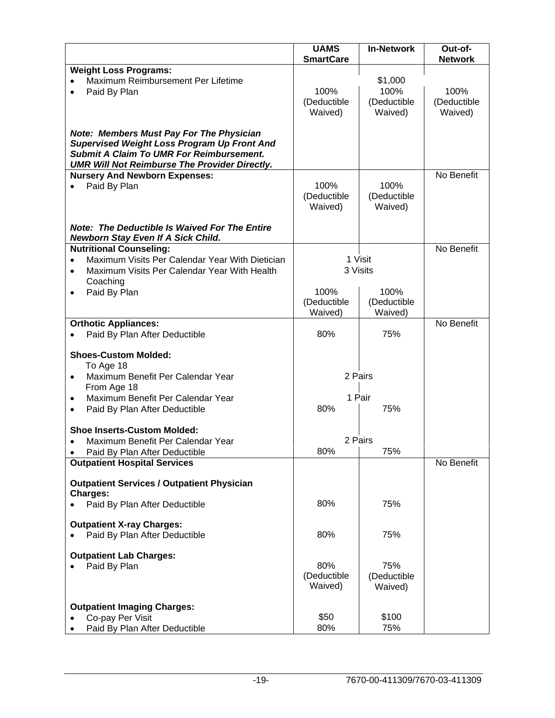|                                                                                                                                                                                                                  | <b>UAMS</b>                    | <b>In-Network</b>                         | Out-of-                        |
|------------------------------------------------------------------------------------------------------------------------------------------------------------------------------------------------------------------|--------------------------------|-------------------------------------------|--------------------------------|
|                                                                                                                                                                                                                  | <b>SmartCare</b>               |                                           | <b>Network</b>                 |
| <b>Weight Loss Programs:</b><br>Maximum Reimbursement Per Lifetime<br>Paid By Plan                                                                                                                               | 100%<br>(Deductible<br>Waived) | \$1,000<br>100%<br>(Deductible<br>Waived) | 100%<br>(Deductible<br>Waived) |
| <b>Note: Members Must Pay For The Physician</b><br><b>Supervised Weight Loss Program Up Front And</b><br><b>Submit A Claim To UMR For Reimbursement.</b><br><b>UMR Will Not Reimburse The Provider Directly.</b> |                                |                                           |                                |
| <b>Nursery And Newborn Expenses:</b><br>Paid By Plan                                                                                                                                                             | 100%<br>(Deductible<br>Waived) | 100%<br>(Deductible<br>Waived)            | No Benefit                     |
| <b>Note: The Deductible Is Waived For The Entire</b><br>Newborn Stay Even If A Sick Child.                                                                                                                       |                                |                                           |                                |
| <b>Nutritional Counseling:</b><br>Maximum Visits Per Calendar Year With Dietician<br>$\bullet$<br>Maximum Visits Per Calendar Year With Health<br>$\bullet$<br>Coaching                                          |                                | 1 Visit<br>3 Visits                       | No Benefit                     |
| Paid By Plan<br>$\bullet$                                                                                                                                                                                        | 100%<br>(Deductible<br>Waived) | 100%<br>(Deductible<br>Waived)            |                                |
| <b>Orthotic Appliances:</b><br>Paid By Plan After Deductible                                                                                                                                                     | 80%                            | 75%                                       | No Benefit                     |
| <b>Shoes-Custom Molded:</b><br>To Age 18                                                                                                                                                                         |                                |                                           |                                |
| Maximum Benefit Per Calendar Year<br>$\bullet$<br>From Age 18                                                                                                                                                    |                                | 2 Pairs                                   |                                |
| Maximum Benefit Per Calendar Year<br>$\bullet$<br>Paid By Plan After Deductible<br>$\bullet$                                                                                                                     | 80%                            | 1 Pair<br>75%                             |                                |
| <b>Shoe Inserts-Custom Molded:</b><br>Maximum Benefit Per Calendar Year                                                                                                                                          |                                | 2 Pairs                                   |                                |
| Paid By Plan After Deductible                                                                                                                                                                                    | 80%                            | 75%                                       |                                |
| <b>Outpatient Hospital Services</b><br><b>Outpatient Services / Outpatient Physician</b>                                                                                                                         |                                |                                           | No Benefit                     |
| <b>Charges:</b>                                                                                                                                                                                                  |                                |                                           |                                |
| Paid By Plan After Deductible                                                                                                                                                                                    | 80%                            | 75%                                       |                                |
| <b>Outpatient X-ray Charges:</b><br>Paid By Plan After Deductible                                                                                                                                                | 80%                            | 75%                                       |                                |
| <b>Outpatient Lab Charges:</b><br>Paid By Plan                                                                                                                                                                   | 80%<br>(Deductible<br>Waived)  | 75%<br>(Deductible<br>Waived)             |                                |
| <b>Outpatient Imaging Charges:</b>                                                                                                                                                                               |                                |                                           |                                |
| Co-pay Per Visit<br>Paid By Plan After Deductible                                                                                                                                                                | \$50<br>80%                    | \$100<br>75%                              |                                |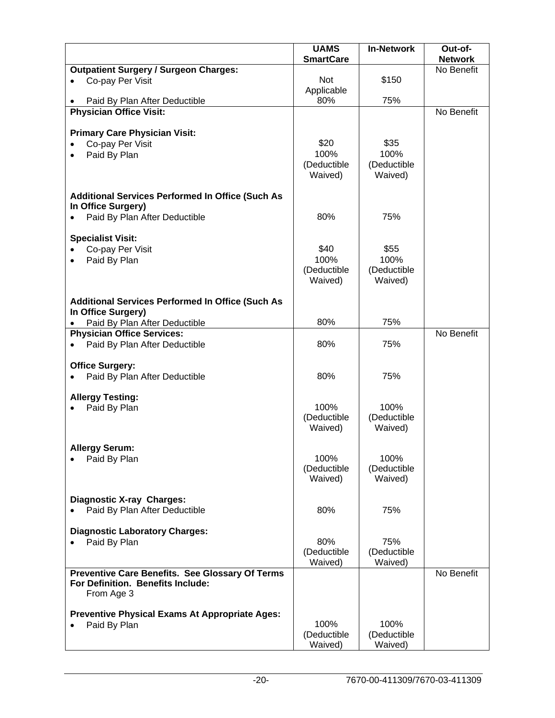|                                                                               | <b>UAMS</b>              | <b>In-Network</b> | Out-of-        |
|-------------------------------------------------------------------------------|--------------------------|-------------------|----------------|
|                                                                               | <b>SmartCare</b>         |                   | <b>Network</b> |
| <b>Outpatient Surgery / Surgeon Charges:</b>                                  |                          |                   | No Benefit     |
| Co-pay Per Visit                                                              | <b>Not</b><br>Applicable | \$150             |                |
| Paid By Plan After Deductible                                                 | 80%                      | 75%               |                |
| <b>Physician Office Visit:</b>                                                |                          |                   | No Benefit     |
|                                                                               |                          |                   |                |
| <b>Primary Care Physician Visit:</b>                                          |                          |                   |                |
| Co-pay Per Visit                                                              | \$20                     | \$35              |                |
| Paid By Plan                                                                  | 100%                     | 100%              |                |
|                                                                               | (Deductible              | (Deductible       |                |
|                                                                               | Waived)                  | Waived)           |                |
| <b>Additional Services Performed In Office (Such As</b><br>In Office Surgery) |                          |                   |                |
| Paid By Plan After Deductible                                                 | 80%                      | 75%               |                |
|                                                                               |                          |                   |                |
| <b>Specialist Visit:</b>                                                      |                          |                   |                |
| Co-pay Per Visit                                                              | \$40                     | \$55              |                |
| Paid By Plan                                                                  | 100%                     | 100%              |                |
|                                                                               | (Deductible              | (Deductible       |                |
|                                                                               | Waived)                  | Waived)           |                |
| <b>Additional Services Performed In Office (Such As</b>                       |                          |                   |                |
| In Office Surgery)                                                            |                          |                   |                |
| Paid By Plan After Deductible                                                 | 80%                      | 75%               |                |
| <b>Physician Office Services:</b>                                             |                          |                   | No Benefit     |
| Paid By Plan After Deductible                                                 | 80%                      | 75%               |                |
|                                                                               |                          |                   |                |
| <b>Office Surgery:</b>                                                        |                          |                   |                |
| Paid By Plan After Deductible                                                 | 80%                      | 75%               |                |
| <b>Allergy Testing:</b>                                                       |                          |                   |                |
| Paid By Plan                                                                  | 100%                     | 100%              |                |
|                                                                               | (Deductible              | (Deductible       |                |
|                                                                               | Waived)                  | Waived)           |                |
|                                                                               |                          |                   |                |
| <b>Allergy Serum:</b><br>Paid By Plan                                         | 100%                     | 100%              |                |
|                                                                               | (Deductible              | (Deductible       |                |
|                                                                               | Waived)                  | Waived)           |                |
|                                                                               |                          |                   |                |
| <b>Diagnostic X-ray Charges:</b>                                              |                          |                   |                |
| Paid By Plan After Deductible                                                 | 80%                      | 75%               |                |
| <b>Diagnostic Laboratory Charges:</b>                                         |                          |                   |                |
| Paid By Plan                                                                  | 80%                      | 75%               |                |
|                                                                               | (Deductible              | (Deductible       |                |
|                                                                               | Waived)                  | Waived)           |                |
| Preventive Care Benefits. See Glossary Of Terms                               |                          |                   | No Benefit     |
| For Definition. Benefits Include:                                             |                          |                   |                |
| From Age 3                                                                    |                          |                   |                |
| <b>Preventive Physical Exams At Appropriate Ages:</b>                         |                          |                   |                |
| Paid By Plan                                                                  | 100%                     | 100%              |                |
|                                                                               | (Deductible              | (Deductible       |                |
|                                                                               | Waived)                  | Waived)           |                |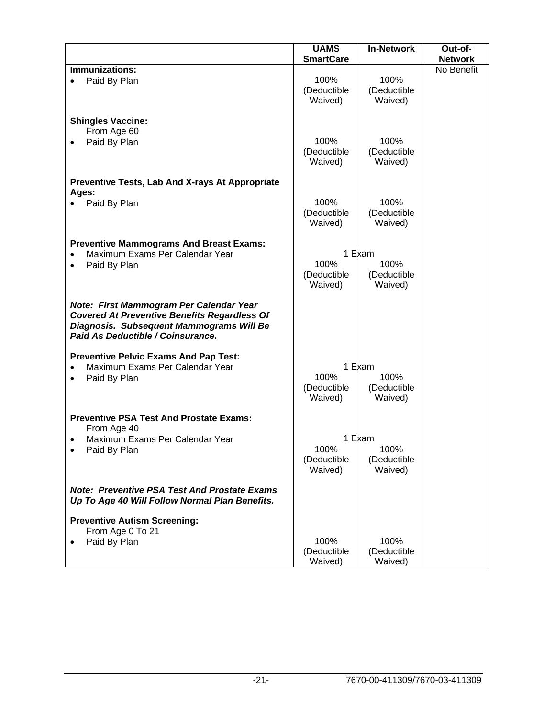|                                                                                                                                                                                 | <b>UAMS</b>                    | <b>In-Network</b>                              | Out-of-        |
|---------------------------------------------------------------------------------------------------------------------------------------------------------------------------------|--------------------------------|------------------------------------------------|----------------|
|                                                                                                                                                                                 | <b>SmartCare</b>               |                                                | <b>Network</b> |
| <b>Immunizations:</b>                                                                                                                                                           |                                |                                                | No Benefit     |
| Paid By Plan<br>$\bullet$                                                                                                                                                       | 100%<br>(Deductible<br>Waived) | 100%<br>(Deductible<br>Waived)                 |                |
| <b>Shingles Vaccine:</b>                                                                                                                                                        |                                |                                                |                |
| From Age 60                                                                                                                                                                     |                                |                                                |                |
| Paid By Plan<br>$\bullet$                                                                                                                                                       | 100%<br>(Deductible<br>Waived) | 100%<br>(Deductible<br>Waived)                 |                |
| Preventive Tests, Lab And X-rays At Appropriate<br>Ages:                                                                                                                        |                                |                                                |                |
| Paid By Plan<br>$\bullet$                                                                                                                                                       | 100%<br>(Deductible<br>Waived) | 100%<br>(Deductible<br>Waived)                 |                |
| <b>Preventive Mammograms And Breast Exams:</b>                                                                                                                                  |                                |                                                |                |
| Maximum Exams Per Calendar Year                                                                                                                                                 |                                | 1 Exam                                         |                |
| Paid By Plan                                                                                                                                                                    | 100%<br>(Deductible<br>Waived) | 100%<br>(Deductible<br>Waived)                 |                |
| Note: First Mammogram Per Calendar Year<br><b>Covered At Preventive Benefits Regardless Of</b><br>Diagnosis. Subsequent Mammograms Will Be<br>Paid As Deductible / Coinsurance. |                                |                                                |                |
| <b>Preventive Pelvic Exams And Pap Test:</b>                                                                                                                                    |                                |                                                |                |
| Maximum Exams Per Calendar Year                                                                                                                                                 |                                | 1 Exam                                         |                |
| Paid By Plan<br>$\bullet$                                                                                                                                                       | 100%<br>(Deductible<br>Waived) | 100%<br>(Deductible<br>Waived)                 |                |
| <b>Preventive PSA Test And Prostate Exams:</b><br>From Age 40                                                                                                                   |                                |                                                |                |
| Maximum Exams Per Calendar Year                                                                                                                                                 |                                | 1 Exam                                         |                |
| Paid By Plan                                                                                                                                                                    | 100%<br>(Deductible<br>Waived) | $\mathbf{I}$<br>100%<br>(Deductible<br>Waived) |                |
| <b>Note: Preventive PSA Test And Prostate Exams</b><br>Up To Age 40 Will Follow Normal Plan Benefits.                                                                           |                                |                                                |                |
| <b>Preventive Autism Screening:</b>                                                                                                                                             |                                |                                                |                |
| From Age 0 To 21<br>Paid By Plan                                                                                                                                                | 100%                           | 100%                                           |                |
|                                                                                                                                                                                 | (Deductible<br>Waived)         | (Deductible<br>Waived)                         |                |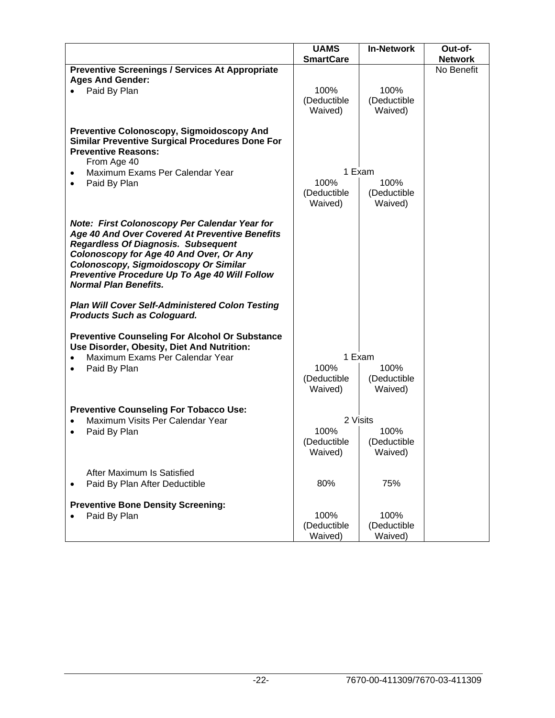|                                                                                                                                                                                                                                                                                                                    | <b>UAMS</b>                    | <b>In-Network</b>              | Out-of-        |
|--------------------------------------------------------------------------------------------------------------------------------------------------------------------------------------------------------------------------------------------------------------------------------------------------------------------|--------------------------------|--------------------------------|----------------|
|                                                                                                                                                                                                                                                                                                                    | <b>SmartCare</b>               |                                | <b>Network</b> |
| <b>Preventive Screenings / Services At Appropriate</b><br><b>Ages And Gender:</b>                                                                                                                                                                                                                                  |                                |                                | No Benefit     |
| Paid By Plan                                                                                                                                                                                                                                                                                                       | 100%<br>(Deductible<br>Waived) | 100%<br>(Deductible<br>Waived) |                |
| <b>Preventive Colonoscopy, Sigmoidoscopy And</b><br><b>Similar Preventive Surgical Procedures Done For</b><br><b>Preventive Reasons:</b><br>From Age 40                                                                                                                                                            |                                |                                |                |
| Maximum Exams Per Calendar Year<br>$\bullet$                                                                                                                                                                                                                                                                       |                                | 1 Exam                         |                |
| Paid By Plan                                                                                                                                                                                                                                                                                                       | 100%<br>(Deductible<br>Waived) | 100%<br>(Deductible<br>Waived) |                |
| Note: First Colonoscopy Per Calendar Year for<br>Age 40 And Over Covered At Preventive Benefits<br><b>Regardless Of Diagnosis. Subsequent</b><br>Colonoscopy for Age 40 And Over, Or Any<br>Colonoscopy, Sigmoidoscopy Or Similar<br>Preventive Procedure Up To Age 40 Will Follow<br><b>Normal Plan Benefits.</b> |                                |                                |                |
| <b>Plan Will Cover Self-Administered Colon Testing</b><br><b>Products Such as Cologuard.</b>                                                                                                                                                                                                                       |                                |                                |                |
| <b>Preventive Counseling For Alcohol Or Substance</b><br>Use Disorder, Obesity, Diet And Nutrition:                                                                                                                                                                                                                |                                |                                |                |
| Maximum Exams Per Calendar Year                                                                                                                                                                                                                                                                                    |                                | 1 Exam                         |                |
| Paid By Plan                                                                                                                                                                                                                                                                                                       | 100%<br>(Deductible<br>Waived) | 100%<br>(Deductible<br>Waived) |                |
| <b>Preventive Counseling For Tobacco Use:</b><br>Maximum Visits Per Calendar Year                                                                                                                                                                                                                                  | 2 Visits                       |                                |                |
|                                                                                                                                                                                                                                                                                                                    | 100%                           | 100%                           |                |
| Paid By Plan                                                                                                                                                                                                                                                                                                       | (Deductible<br>Waived)         | (Deductible<br>Waived)         |                |
| After Maximum Is Satisfied<br>Paid By Plan After Deductible<br>$\bullet$                                                                                                                                                                                                                                           | 80%                            | 75%                            |                |
| <b>Preventive Bone Density Screening:</b>                                                                                                                                                                                                                                                                          |                                |                                |                |
| Paid By Plan                                                                                                                                                                                                                                                                                                       | 100%<br>(Deductible<br>Waived) | 100%<br>(Deductible<br>Waived) |                |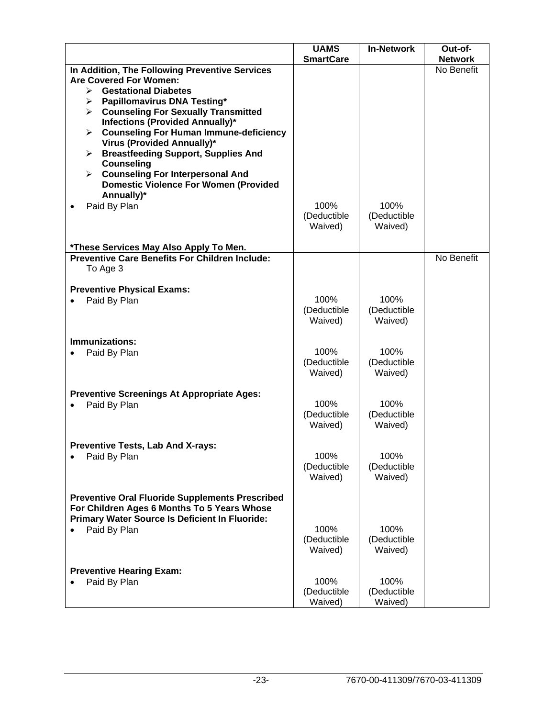|                                                                                                                                                                                                                                                                                                                                                                                                                                                                                                                                                                    | <b>UAMS</b>                    | <b>In-Network</b>              | Out-of-        |
|--------------------------------------------------------------------------------------------------------------------------------------------------------------------------------------------------------------------------------------------------------------------------------------------------------------------------------------------------------------------------------------------------------------------------------------------------------------------------------------------------------------------------------------------------------------------|--------------------------------|--------------------------------|----------------|
|                                                                                                                                                                                                                                                                                                                                                                                                                                                                                                                                                                    | <b>SmartCare</b>               |                                | <b>Network</b> |
| In Addition, The Following Preventive Services<br><b>Are Covered For Women:</b><br>$\triangleright$ Gestational Diabetes<br>$\triangleright$ Papillomavirus DNA Testing*<br>> Counseling For Sexually Transmitted<br><b>Infections (Provided Annually)*</b><br>$\triangleright$ Counseling For Human Immune-deficiency<br>Virus (Provided Annually)*<br>$\triangleright$ Breastfeeding Support, Supplies And<br><b>Counseling</b><br>> Counseling For Interpersonal And<br><b>Domestic Violence For Women (Provided</b><br>Annually)*<br>Paid By Plan<br>$\bullet$ | 100%<br>(Deductible            | 100%<br>(Deductible            | No Benefit     |
|                                                                                                                                                                                                                                                                                                                                                                                                                                                                                                                                                                    | Waived)                        | Waived)                        |                |
| *These Services May Also Apply To Men.                                                                                                                                                                                                                                                                                                                                                                                                                                                                                                                             |                                |                                |                |
| <b>Preventive Care Benefits For Children Include:</b><br>To Age 3                                                                                                                                                                                                                                                                                                                                                                                                                                                                                                  |                                |                                | No Benefit     |
| <b>Preventive Physical Exams:</b>                                                                                                                                                                                                                                                                                                                                                                                                                                                                                                                                  |                                |                                |                |
| Paid By Plan                                                                                                                                                                                                                                                                                                                                                                                                                                                                                                                                                       | 100%<br>(Deductible<br>Waived) | 100%<br>(Deductible<br>Waived) |                |
| Immunizations:                                                                                                                                                                                                                                                                                                                                                                                                                                                                                                                                                     |                                |                                |                |
| Paid By Plan                                                                                                                                                                                                                                                                                                                                                                                                                                                                                                                                                       | 100%<br>(Deductible<br>Waived) | 100%<br>(Deductible<br>Waived) |                |
| <b>Preventive Screenings At Appropriate Ages:</b><br>Paid By Plan                                                                                                                                                                                                                                                                                                                                                                                                                                                                                                  | 100%<br>(Deductible<br>Waived) | 100%<br>(Deductible<br>Waived) |                |
| Preventive Tests, Lab And X-rays:<br>Paid By Plan                                                                                                                                                                                                                                                                                                                                                                                                                                                                                                                  | 100%<br>(Deductible<br>Waived) | 100%<br>(Deductible<br>Waived) |                |
| <b>Preventive Oral Fluoride Supplements Prescribed</b><br>For Children Ages 6 Months To 5 Years Whose<br><b>Primary Water Source Is Deficient In Fluoride:</b><br>Paid By Plan                                                                                                                                                                                                                                                                                                                                                                                     | 100%<br>(Deductible<br>Waived) | 100%<br>(Deductible<br>Waived) |                |
| <b>Preventive Hearing Exam:</b><br>Paid By Plan                                                                                                                                                                                                                                                                                                                                                                                                                                                                                                                    | 100%<br>(Deductible<br>Waived) | 100%<br>(Deductible<br>Waived) |                |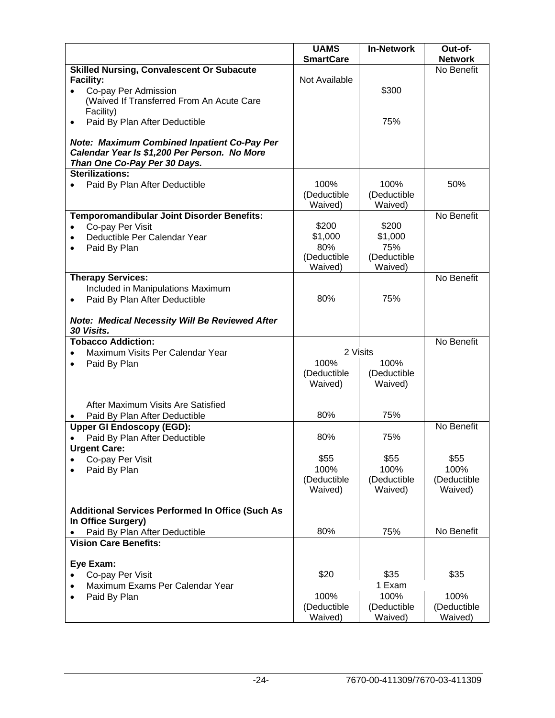|                                                                                                                                           | <b>UAMS</b>                                       | <b>In-Network</b>                                 | Out-of-                                |
|-------------------------------------------------------------------------------------------------------------------------------------------|---------------------------------------------------|---------------------------------------------------|----------------------------------------|
|                                                                                                                                           | <b>SmartCare</b>                                  |                                                   | <b>Network</b>                         |
| <b>Skilled Nursing, Convalescent Or Subacute</b><br><b>Facility:</b><br>Co-pay Per Admission<br>(Waived If Transferred From An Acute Care | Not Available                                     | \$300                                             | No Benefit                             |
| Facility)<br>Paid By Plan After Deductible<br>٠                                                                                           |                                                   | 75%                                               |                                        |
| <b>Note: Maximum Combined Inpatient Co-Pay Per</b><br>Calendar Year Is \$1,200 Per Person. No More<br>Than One Co-Pay Per 30 Days.        |                                                   |                                                   |                                        |
| <b>Sterilizations:</b><br>Paid By Plan After Deductible                                                                                   | 100%<br>(Deductible<br>Waived)                    | 100%<br>(Deductible<br>Waived)                    | 50%                                    |
| Temporomandibular Joint Disorder Benefits:<br>Co-pay Per Visit<br>Deductible Per Calendar Year<br>Paid By Plan                            | \$200<br>\$1,000<br>80%<br>(Deductible<br>Waived) | \$200<br>\$1,000<br>75%<br>(Deductible<br>Waived) | No Benefit                             |
| <b>Therapy Services:</b><br>Included in Manipulations Maximum<br>Paid By Plan After Deductible                                            | 80%                                               | 75%                                               | No Benefit                             |
| <b>Note: Medical Necessity Will Be Reviewed After</b><br>30 Visits.                                                                       |                                                   |                                                   |                                        |
| <b>Tobacco Addiction:</b>                                                                                                                 |                                                   | 2 Visits                                          | No Benefit                             |
| Maximum Visits Per Calendar Year<br>Paid By Plan                                                                                          | 100%<br>(Deductible<br>Waived)                    | 100%<br>(Deductible<br>Waived)                    |                                        |
| After Maximum Visits Are Satisfied<br>Paid By Plan After Deductible                                                                       | 80%                                               | 75%                                               |                                        |
| <b>Upper GI Endoscopy (EGD):</b>                                                                                                          |                                                   |                                                   | No Benefit                             |
| Paid By Plan After Deductible                                                                                                             | 80%                                               | 75%                                               |                                        |
| <b>Urgent Care:</b><br>Co-pay Per Visit<br>Paid By Plan                                                                                   | \$55<br>100%<br>(Deductible<br>Waived)            | \$55<br>100%<br>(Deductible<br>Waived)            | \$55<br>100%<br>(Deductible<br>Waived) |
| <b>Additional Services Performed In Office (Such As</b><br>In Office Surgery)<br>Paid By Plan After Deductible                            | 80%                                               | 75%                                               | No Benefit                             |
| <b>Vision Care Benefits:</b>                                                                                                              |                                                   |                                                   |                                        |
| Eye Exam:<br>Co-pay Per Visit<br>Maximum Exams Per Calendar Year                                                                          | \$20                                              | \$35<br>1 Exam                                    | \$35                                   |
| Paid By Plan                                                                                                                              | 100%<br>(Deductible<br>Waived)                    | 100%<br>(Deductible<br>Waived)                    | 100%<br>(Deductible<br>Waived)         |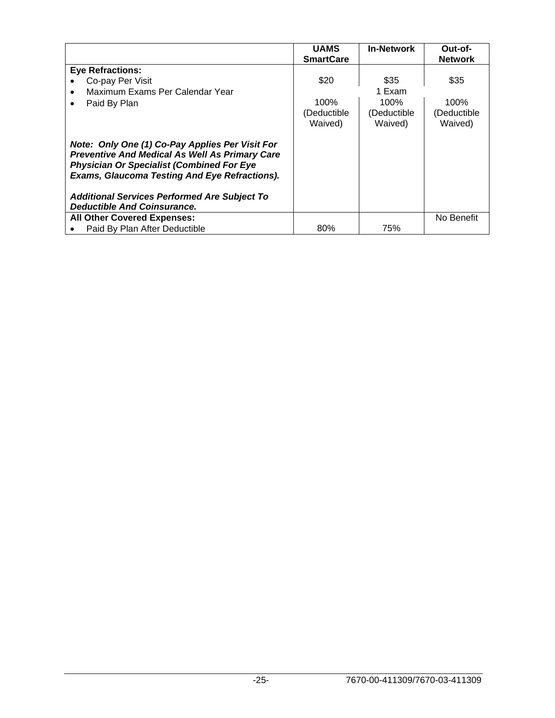|                                                                                                                                                                                                                      | <b>UAMS</b><br><b>SmartCare</b> | <b>In-Network</b>      | Out-of-<br><b>Network</b> |
|----------------------------------------------------------------------------------------------------------------------------------------------------------------------------------------------------------------------|---------------------------------|------------------------|---------------------------|
| <b>Eye Refractions:</b>                                                                                                                                                                                              |                                 |                        |                           |
| Co-pay Per Visit                                                                                                                                                                                                     | \$20                            | \$35                   | \$35                      |
| Maximum Exams Per Calendar Year<br>$\bullet$                                                                                                                                                                         |                                 | 1 Exam                 |                           |
| Paid By Plan<br>$\bullet$                                                                                                                                                                                            | 100%                            | 100%                   | 100%                      |
|                                                                                                                                                                                                                      | (Deductible<br>Waived)          | (Deductible<br>Waived) | (Deductible<br>Waived)    |
|                                                                                                                                                                                                                      |                                 |                        |                           |
| Note: Only One (1) Co-Pay Applies Per Visit For<br><b>Preventive And Medical As Well As Primary Care</b><br><b>Physician Or Specialist (Combined For Eye</b><br><b>Exams, Glaucoma Testing And Eye Refractions).</b> |                                 |                        |                           |
| <b>Additional Services Performed Are Subject To</b>                                                                                                                                                                  |                                 |                        |                           |
| Deductible And Coinsurance.                                                                                                                                                                                          |                                 |                        |                           |
| <b>All Other Covered Expenses:</b>                                                                                                                                                                                   |                                 |                        | No Benefit                |
| Paid By Plan After Deductible<br>$\bullet$                                                                                                                                                                           | 80%                             | 75%                    |                           |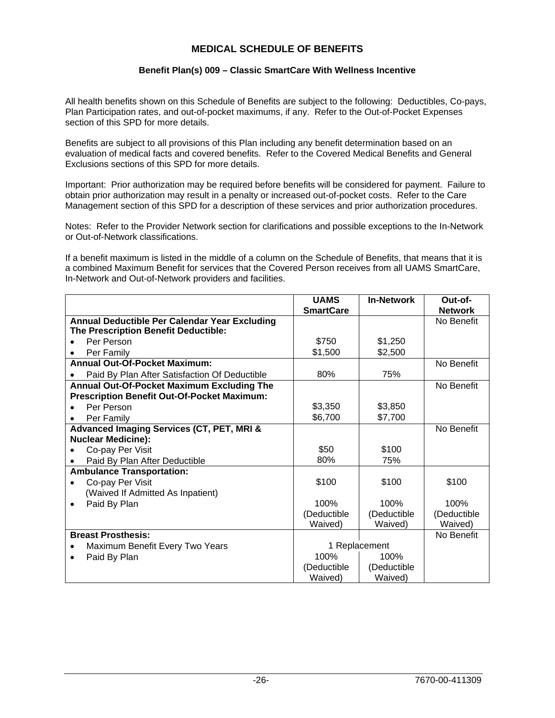#### **MEDICAL SCHEDULE OF BENEFITS**

#### **Benefit Plan(s) 009 – Classic SmartCare With Wellness Incentive**

All health benefits shown on this Schedule of Benefits are subject to the following: Deductibles, Co-pays, Plan Participation rates, and out-of-pocket maximums, if any. Refer to the Out-of-Pocket Expenses section of this SPD for more details.

Benefits are subject to all provisions of this Plan including any benefit determination based on an evaluation of medical facts and covered benefits. Refer to the Covered Medical Benefits and General Exclusions sections of this SPD for more details.

Important: Prior authorization may be required before benefits will be considered for payment. Failure to obtain prior authorization may result in a penalty or increased out-of-pocket costs. Refer to the Care Management section of this SPD for a description of these services and prior authorization procedures.

Notes: Refer to the Provider Network section for clarifications and possible exceptions to the In-Network or Out-of-Network classifications.

If a benefit maximum is listed in the middle of a column on the Schedule of Benefits, that means that it is a combined Maximum Benefit for services that the Covered Person receives from all UAMS SmartCare, In-Network and Out-of-Network providers and facilities.

|                                                      | <b>UAMS</b>      | <b>In-Network</b> | Out-of-        |
|------------------------------------------------------|------------------|-------------------|----------------|
|                                                      | <b>SmartCare</b> |                   | <b>Network</b> |
| <b>Annual Deductible Per Calendar Year Excluding</b> |                  |                   | No Benefit     |
| The Prescription Benefit Deductible:                 |                  |                   |                |
| Per Person<br>$\bullet$                              | \$750            | \$1,250           |                |
| Per Family                                           | \$1,500          | \$2,500           |                |
| <b>Annual Out-Of-Pocket Maximum:</b>                 |                  |                   | No Benefit     |
| Paid By Plan After Satisfaction Of Deductible        | 80%              | 75%               |                |
| Annual Out-Of-Pocket Maximum Excluding The           |                  |                   | No Benefit     |
| <b>Prescription Benefit Out-Of-Pocket Maximum:</b>   |                  |                   |                |
| Per Person                                           | \$3,350          | \$3,850           |                |
| Per Family                                           | \$6,700          | \$7,700           |                |
| Advanced Imaging Services (CT, PET, MRI &            |                  |                   | No Benefit     |
| <b>Nuclear Medicine):</b>                            |                  |                   |                |
| Co-pay Per Visit                                     | \$50             | \$100             |                |
| Paid By Plan After Deductible                        | 80%              | 75%               |                |
| <b>Ambulance Transportation:</b>                     |                  |                   |                |
| Co-pay Per Visit                                     | \$100            | \$100             | \$100          |
| (Waived If Admitted As Inpatient)                    |                  |                   |                |
| Paid By Plan<br>$\bullet$                            | 100%             | 100%              | 100%           |
|                                                      | (Deductible      | (Deductible       | (Deductible    |
|                                                      | Waived)          | Waived)           | Waived)        |
| <b>Breast Prosthesis:</b>                            |                  |                   | No Benefit     |
| Maximum Benefit Every Two Years<br>$\bullet$         |                  | 1 Replacement     |                |
| Paid By Plan<br>$\bullet$                            | 100%             | 100%              |                |
|                                                      | (Deductible      | (Deductible       |                |
|                                                      | Waived)          | Waived)           |                |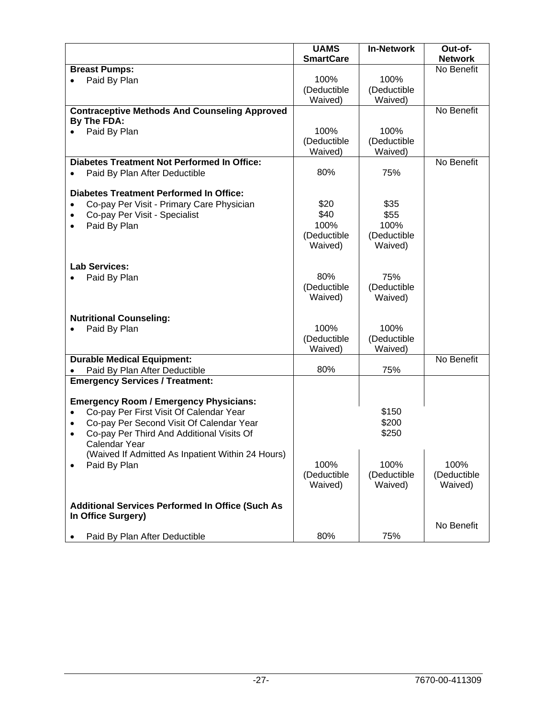|                                                                     | <b>UAMS</b><br><b>SmartCare</b> | <b>In-Network</b>      | Out-of-<br><b>Network</b> |
|---------------------------------------------------------------------|---------------------------------|------------------------|---------------------------|
| <b>Breast Pumps:</b>                                                |                                 |                        | No Benefit                |
| Paid By Plan                                                        | 100%                            | 100%                   |                           |
|                                                                     | (Deductible                     | (Deductible            |                           |
|                                                                     | Waived)                         | Waived)                |                           |
| <b>Contraceptive Methods And Counseling Approved</b><br>By The FDA: |                                 |                        | No Benefit                |
| Paid By Plan                                                        | 100%                            | 100%                   |                           |
|                                                                     | (Deductible                     | (Deductible            |                           |
|                                                                     | Waived)                         | Waived)                |                           |
| Diabetes Treatment Not Performed In Office:                         |                                 |                        | No Benefit                |
| Paid By Plan After Deductible                                       | 80%                             | 75%                    |                           |
| <b>Diabetes Treatment Performed In Office:</b>                      |                                 |                        |                           |
| Co-pay Per Visit - Primary Care Physician                           | \$20                            | \$35                   |                           |
| Co-pay Per Visit - Specialist                                       | \$40                            | \$55                   |                           |
| Paid By Plan                                                        | 100%                            | 100%                   |                           |
|                                                                     | (Deductible                     | (Deductible            |                           |
|                                                                     | Waived)                         | Waived)                |                           |
|                                                                     |                                 |                        |                           |
| <b>Lab Services:</b>                                                | 80%                             |                        |                           |
| Paid By Plan                                                        | (Deductible                     | 75%<br>(Deductible     |                           |
|                                                                     | Waived)                         | Waived)                |                           |
|                                                                     |                                 |                        |                           |
| <b>Nutritional Counseling:</b>                                      |                                 |                        |                           |
| Paid By Plan                                                        | 100%                            | 100%                   |                           |
|                                                                     | (Deductible                     | (Deductible            |                           |
|                                                                     | Waived)                         | Waived)                |                           |
| <b>Durable Medical Equipment:</b>                                   |                                 |                        | No Benefit                |
| Paid By Plan After Deductible                                       | 80%                             | 75%                    |                           |
| <b>Emergency Services / Treatment:</b>                              |                                 |                        |                           |
| <b>Emergency Room / Emergency Physicians:</b>                       |                                 |                        |                           |
| Co-pay Per First Visit Of Calendar Year<br>$\bullet$                |                                 | \$150                  |                           |
| Co-pay Per Second Visit Of Calendar Year                            |                                 | \$200                  |                           |
| Co-pay Per Third And Additional Visits Of<br>$\bullet$              |                                 | \$250                  |                           |
| Calendar Year                                                       |                                 |                        |                           |
| (Waived If Admitted As Inpatient Within 24 Hours)                   |                                 |                        |                           |
| Paid By Plan                                                        | 100%                            | 100%                   | 100%                      |
|                                                                     | (Deductible<br>Waived)          | (Deductible<br>Waived) | (Deductible<br>Waived)    |
|                                                                     |                                 |                        |                           |
| <b>Additional Services Performed In Office (Such As</b>             |                                 |                        |                           |
| In Office Surgery)                                                  |                                 |                        |                           |
|                                                                     |                                 |                        | No Benefit                |
| Paid By Plan After Deductible                                       | 80%                             | 75%                    |                           |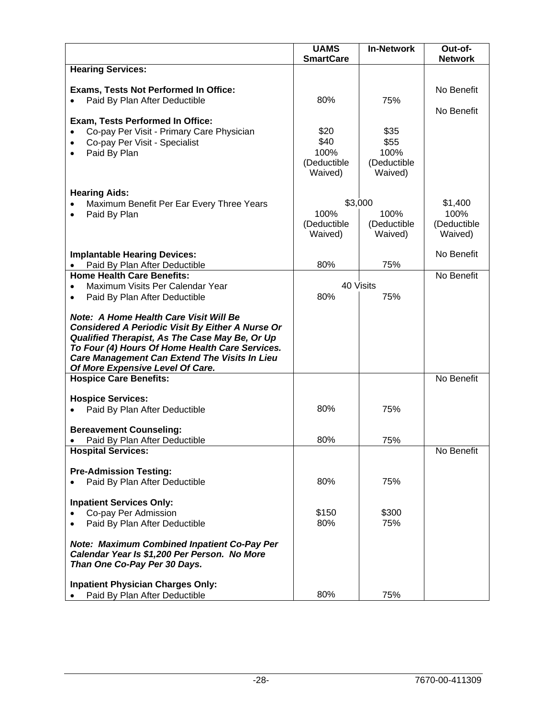|                                                                                                                                                                                                                                                                                                           | <b>UAMS</b><br><b>SmartCare</b> | <b>In-Network</b>   | Out-of-<br><b>Network</b> |
|-----------------------------------------------------------------------------------------------------------------------------------------------------------------------------------------------------------------------------------------------------------------------------------------------------------|---------------------------------|---------------------|---------------------------|
| <b>Hearing Services:</b>                                                                                                                                                                                                                                                                                  |                                 |                     |                           |
|                                                                                                                                                                                                                                                                                                           |                                 |                     |                           |
| <b>Exams, Tests Not Performed In Office:</b>                                                                                                                                                                                                                                                              | 80%                             | 75%                 | No Benefit                |
| Paid By Plan After Deductible                                                                                                                                                                                                                                                                             |                                 |                     | No Benefit                |
| Exam, Tests Performed In Office:                                                                                                                                                                                                                                                                          |                                 |                     |                           |
| Co-pay Per Visit - Primary Care Physician                                                                                                                                                                                                                                                                 | \$20                            | \$35                |                           |
| Co-pay Per Visit - Specialist                                                                                                                                                                                                                                                                             | \$40                            | \$55                |                           |
| Paid By Plan<br>$\bullet$                                                                                                                                                                                                                                                                                 | 100%<br>(Deductible             | 100%<br>(Deductible |                           |
|                                                                                                                                                                                                                                                                                                           | Waived)                         | Waived)             |                           |
|                                                                                                                                                                                                                                                                                                           |                                 |                     |                           |
| <b>Hearing Aids:</b>                                                                                                                                                                                                                                                                                      |                                 |                     |                           |
| Maximum Benefit Per Ear Every Three Years<br>Paid By Plan                                                                                                                                                                                                                                                 | 100%                            | \$3,000<br>100%     | \$1,400<br>100%           |
|                                                                                                                                                                                                                                                                                                           | (Deductible                     | (Deductible         | (Deductible               |
|                                                                                                                                                                                                                                                                                                           | Waived)                         | Waived)             | Waived)                   |
|                                                                                                                                                                                                                                                                                                           |                                 |                     |                           |
| <b>Implantable Hearing Devices:</b><br>Paid By Plan After Deductible                                                                                                                                                                                                                                      | 80%                             | 75%                 | No Benefit                |
| <b>Home Health Care Benefits:</b>                                                                                                                                                                                                                                                                         |                                 |                     | No Benefit                |
| Maximum Visits Per Calendar Year                                                                                                                                                                                                                                                                          |                                 | 40 Visits           |                           |
| Paid By Plan After Deductible                                                                                                                                                                                                                                                                             | 80%                             | 75%                 |                           |
| <b>Note: A Home Health Care Visit Will Be</b><br><b>Considered A Periodic Visit By Either A Nurse Or</b><br>Qualified Therapist, As The Case May Be, Or Up<br>To Four (4) Hours Of Home Health Care Services.<br><b>Care Management Can Extend The Visits In Lieu</b><br>Of More Expensive Level Of Care. |                                 |                     |                           |
| <b>Hospice Care Benefits:</b>                                                                                                                                                                                                                                                                             |                                 |                     | No Benefit                |
|                                                                                                                                                                                                                                                                                                           |                                 |                     |                           |
| <b>Hospice Services:</b><br>Paid By Plan After Deductible                                                                                                                                                                                                                                                 | 80%                             | 75%                 |                           |
|                                                                                                                                                                                                                                                                                                           |                                 |                     |                           |
| <b>Bereavement Counseling:</b>                                                                                                                                                                                                                                                                            |                                 |                     |                           |
| Paid By Plan After Deductible<br>$\bullet$                                                                                                                                                                                                                                                                | 80%                             | 75%                 | No Benefit                |
| <b>Hospital Services:</b>                                                                                                                                                                                                                                                                                 |                                 |                     |                           |
| <b>Pre-Admission Testing:</b>                                                                                                                                                                                                                                                                             |                                 |                     |                           |
| Paid By Plan After Deductible                                                                                                                                                                                                                                                                             | 80%                             | 75%                 |                           |
| <b>Inpatient Services Only:</b>                                                                                                                                                                                                                                                                           |                                 |                     |                           |
| Co-pay Per Admission                                                                                                                                                                                                                                                                                      | \$150                           | \$300               |                           |
| Paid By Plan After Deductible                                                                                                                                                                                                                                                                             | 80%                             | 75%                 |                           |
| <b>Note: Maximum Combined Inpatient Co-Pay Per</b><br>Calendar Year Is \$1,200 Per Person. No More<br>Than One Co-Pay Per 30 Days.                                                                                                                                                                        |                                 |                     |                           |
| <b>Inpatient Physician Charges Only:</b><br>Paid By Plan After Deductible                                                                                                                                                                                                                                 | 80%                             | 75%                 |                           |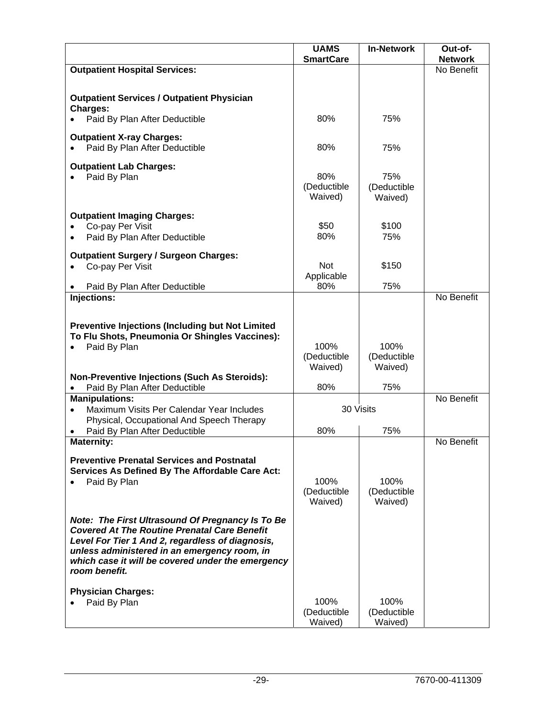|                                                                                       | <b>UAMS</b>      | <b>In-Network</b> | Out-of-        |
|---------------------------------------------------------------------------------------|------------------|-------------------|----------------|
|                                                                                       | <b>SmartCare</b> |                   | <b>Network</b> |
| <b>Outpatient Hospital Services:</b>                                                  |                  |                   | No Benefit     |
|                                                                                       |                  |                   |                |
| <b>Outpatient Services / Outpatient Physician</b><br><b>Charges:</b>                  |                  |                   |                |
| Paid By Plan After Deductible                                                         | 80%              | 75%               |                |
| <b>Outpatient X-ray Charges:</b>                                                      |                  |                   |                |
| Paid By Plan After Deductible                                                         | 80%              | 75%               |                |
| <b>Outpatient Lab Charges:</b>                                                        |                  |                   |                |
| Paid By Plan                                                                          | 80%              | 75%               |                |
|                                                                                       | (Deductible      | (Deductible       |                |
|                                                                                       | Waived)          | Waived)           |                |
| <b>Outpatient Imaging Charges:</b>                                                    |                  |                   |                |
| Co-pay Per Visit                                                                      | \$50             | \$100             |                |
| Paid By Plan After Deductible                                                         | 80%              | 75%               |                |
|                                                                                       |                  |                   |                |
| <b>Outpatient Surgery / Surgeon Charges:</b><br>Co-pay Per Visit                      | <b>Not</b>       | \$150             |                |
|                                                                                       | Applicable       |                   |                |
| Paid By Plan After Deductible                                                         | 80%              | 75%               |                |
| Injections:                                                                           |                  |                   | No Benefit     |
|                                                                                       |                  |                   |                |
| <b>Preventive Injections (Including but Not Limited</b>                               |                  |                   |                |
| To Flu Shots, Pneumonia Or Shingles Vaccines):                                        |                  |                   |                |
| Paid By Plan                                                                          | 100%             | 100%              |                |
|                                                                                       | (Deductible      | (Deductible       |                |
|                                                                                       | Waived)          | Waived)           |                |
| <b>Non-Preventive Injections (Such As Steroids):</b><br>Paid By Plan After Deductible | 80%              | 75%               |                |
| <b>Manipulations:</b>                                                                 |                  |                   | No Benefit     |
| Maximum Visits Per Calendar Year Includes<br>$\bullet$                                |                  | 30 Visits         |                |
| Physical, Occupational And Speech Therapy                                             |                  |                   |                |
| Paid By Plan After Deductible                                                         | 80%              | 75%               |                |
| <b>Maternity:</b>                                                                     |                  |                   | No Benefit     |
| <b>Preventive Prenatal Services and Postnatal</b>                                     |                  |                   |                |
| Services As Defined By The Affordable Care Act:                                       |                  |                   |                |
| Paid By Plan                                                                          | 100%             | 100%              |                |
|                                                                                       | (Deductible      | (Deductible       |                |
|                                                                                       | Waived)          | Waived)           |                |
| Note: The First Ultrasound Of Pregnancy Is To Be                                      |                  |                   |                |
| <b>Covered At The Routine Prenatal Care Benefit</b>                                   |                  |                   |                |
| Level For Tier 1 And 2, regardless of diagnosis,                                      |                  |                   |                |
| unless administered in an emergency room, in                                          |                  |                   |                |
| which case it will be covered under the emergency<br>room benefit.                    |                  |                   |                |
|                                                                                       |                  |                   |                |
| <b>Physician Charges:</b>                                                             |                  |                   |                |
| Paid By Plan                                                                          | 100%             | 100%              |                |
|                                                                                       | (Deductible      | (Deductible       |                |
|                                                                                       | Waived)          | Waived)           |                |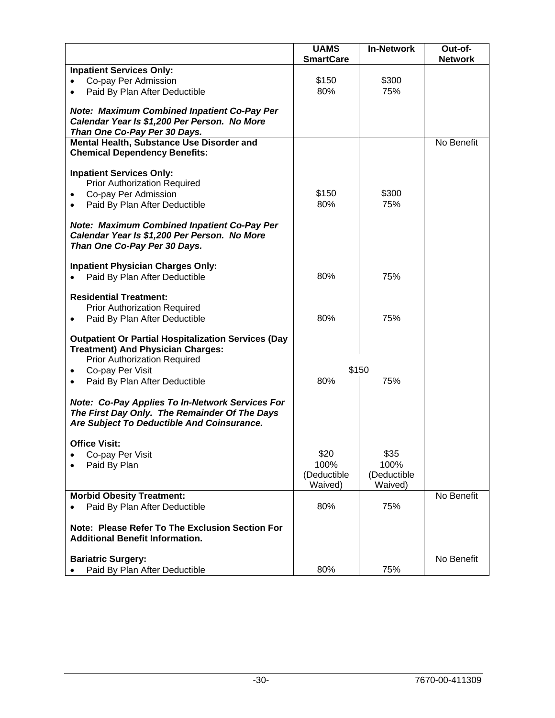|                                                                                                                                                       | <b>UAMS</b>      | <b>In-Network</b> | Out-of-        |
|-------------------------------------------------------------------------------------------------------------------------------------------------------|------------------|-------------------|----------------|
|                                                                                                                                                       | <b>SmartCare</b> |                   | <b>Network</b> |
| <b>Inpatient Services Only:</b>                                                                                                                       |                  |                   |                |
| Co-pay Per Admission                                                                                                                                  | \$150            | \$300             |                |
| Paid By Plan After Deductible                                                                                                                         | 80%              | 75%               |                |
| <b>Note: Maximum Combined Inpatient Co-Pay Per</b><br>Calendar Year Is \$1,200 Per Person. No More<br>Than One Co-Pay Per 30 Days.                    |                  |                   |                |
| Mental Health, Substance Use Disorder and                                                                                                             |                  |                   | No Benefit     |
| <b>Chemical Dependency Benefits:</b>                                                                                                                  |                  |                   |                |
|                                                                                                                                                       |                  |                   |                |
| <b>Inpatient Services Only:</b>                                                                                                                       |                  |                   |                |
| <b>Prior Authorization Required</b>                                                                                                                   |                  |                   |                |
| Co-pay Per Admission                                                                                                                                  | \$150<br>80%     | \$300             |                |
| Paid By Plan After Deductible                                                                                                                         |                  | 75%               |                |
| <b>Note: Maximum Combined Inpatient Co-Pay Per</b><br>Calendar Year Is \$1,200 Per Person. No More<br>Than One Co-Pay Per 30 Days.                    |                  |                   |                |
| <b>Inpatient Physician Charges Only:</b>                                                                                                              |                  |                   |                |
| Paid By Plan After Deductible                                                                                                                         | 80%              | 75%               |                |
| <b>Residential Treatment:</b><br><b>Prior Authorization Required</b>                                                                                  |                  |                   |                |
| Paid By Plan After Deductible                                                                                                                         | 80%              | 75%               |                |
|                                                                                                                                                       |                  |                   |                |
| <b>Outpatient Or Partial Hospitalization Services (Day</b><br><b>Treatment) And Physician Charges:</b><br><b>Prior Authorization Required</b>         |                  |                   |                |
| Co-pay Per Visit                                                                                                                                      | \$150            |                   |                |
| Paid By Plan After Deductible                                                                                                                         | 80%              | 75%               |                |
| <b>Note: Co-Pay Applies To In-Network Services For</b><br>The First Day Only. The Remainder Of The Days<br>Are Subject To Deductible And Coinsurance. |                  |                   |                |
| <b>Office Visit:</b>                                                                                                                                  |                  |                   |                |
| Co-pay Per Visit                                                                                                                                      | \$20             | \$35              |                |
| Paid By Plan                                                                                                                                          | 100%             | 100%              |                |
|                                                                                                                                                       | (Deductible      | (Deductible       |                |
|                                                                                                                                                       | Waived)          | Waived)           |                |
| <b>Morbid Obesity Treatment:</b>                                                                                                                      |                  |                   | No Benefit     |
| Paid By Plan After Deductible                                                                                                                         | 80%              | 75%               |                |
| Note: Please Refer To The Exclusion Section For<br><b>Additional Benefit Information.</b>                                                             |                  |                   |                |
| <b>Bariatric Surgery:</b>                                                                                                                             |                  |                   | No Benefit     |
| Paid By Plan After Deductible                                                                                                                         | 80%              | 75%               |                |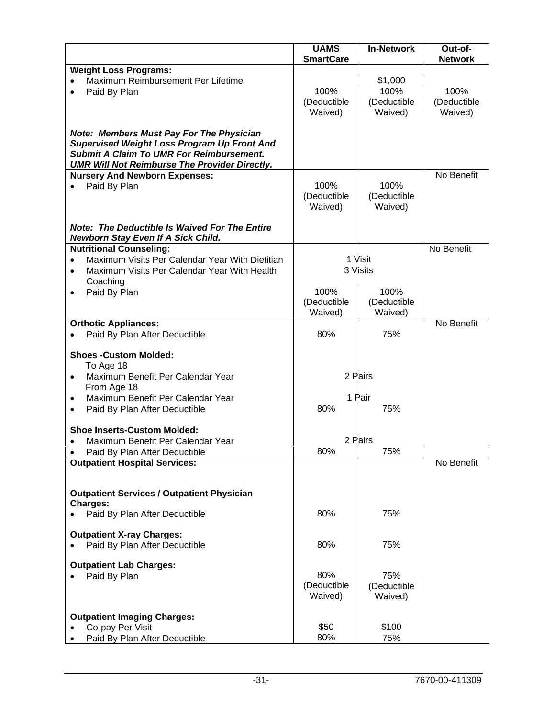|                                                                                                                                                                                                                  | <b>UAMS</b>                    | <b>In-Network</b>                         | Out-of-                        |
|------------------------------------------------------------------------------------------------------------------------------------------------------------------------------------------------------------------|--------------------------------|-------------------------------------------|--------------------------------|
|                                                                                                                                                                                                                  | <b>SmartCare</b>               |                                           | <b>Network</b>                 |
| <b>Weight Loss Programs:</b><br>Maximum Reimbursement Per Lifetime<br>Paid By Plan<br>$\bullet$                                                                                                                  | 100%<br>(Deductible<br>Waived) | \$1,000<br>100%<br>(Deductible<br>Waived) | 100%<br>(Deductible<br>Waived) |
| <b>Note: Members Must Pay For The Physician</b><br><b>Supervised Weight Loss Program Up Front And</b><br><b>Submit A Claim To UMR For Reimbursement.</b><br><b>UMR Will Not Reimburse The Provider Directly.</b> |                                |                                           |                                |
| <b>Nursery And Newborn Expenses:</b><br>Paid By Plan<br>$\bullet$                                                                                                                                                | 100%<br>(Deductible<br>Waived) | 100%<br>(Deductible<br>Waived)            | No Benefit                     |
| <b>Note: The Deductible Is Waived For The Entire</b><br>Newborn Stay Even If A Sick Child.                                                                                                                       |                                |                                           |                                |
| <b>Nutritional Counseling:</b><br>Maximum Visits Per Calendar Year With Dietitian<br>$\bullet$<br>Maximum Visits Per Calendar Year With Health<br>$\bullet$<br>Coaching                                          |                                | 1 Visit<br>3 Visits                       | No Benefit                     |
| Paid By Plan<br>$\bullet$                                                                                                                                                                                        | 100%<br>(Deductible<br>Waived) | 100%<br>(Deductible<br>Waived)            |                                |
| <b>Orthotic Appliances:</b><br>Paid By Plan After Deductible                                                                                                                                                     | 80%                            | 75%                                       | No Benefit                     |
| <b>Shoes - Custom Molded:</b><br>To Age 18                                                                                                                                                                       |                                |                                           |                                |
| Maximum Benefit Per Calendar Year<br>$\bullet$<br>From Age 18                                                                                                                                                    |                                | 2 Pairs                                   |                                |
| Maximum Benefit Per Calendar Year<br>$\bullet$<br>Paid By Plan After Deductible<br>$\bullet$                                                                                                                     | 80%                            | 1 Pair<br>75%                             |                                |
| <b>Shoe Inserts-Custom Molded:</b><br>Maximum Benefit Per Calendar Year<br>$\bullet$                                                                                                                             |                                | 2 Pairs                                   |                                |
| Paid By Plan After Deductible                                                                                                                                                                                    | 80%                            | 75%                                       |                                |
| <b>Outpatient Hospital Services:</b><br><b>Outpatient Services / Outpatient Physician</b><br><b>Charges:</b>                                                                                                     |                                |                                           | No Benefit                     |
| Paid By Plan After Deductible                                                                                                                                                                                    | 80%                            | 75%                                       |                                |
| <b>Outpatient X-ray Charges:</b><br>Paid By Plan After Deductible                                                                                                                                                | 80%                            | 75%                                       |                                |
| <b>Outpatient Lab Charges:</b><br>Paid By Plan                                                                                                                                                                   | 80%<br>(Deductible<br>Waived)  | 75%<br>(Deductible<br>Waived)             |                                |
| <b>Outpatient Imaging Charges:</b><br>Co-pay Per Visit                                                                                                                                                           | \$50                           | \$100                                     |                                |
| Paid By Plan After Deductible                                                                                                                                                                                    | 80%                            | 75%                                       |                                |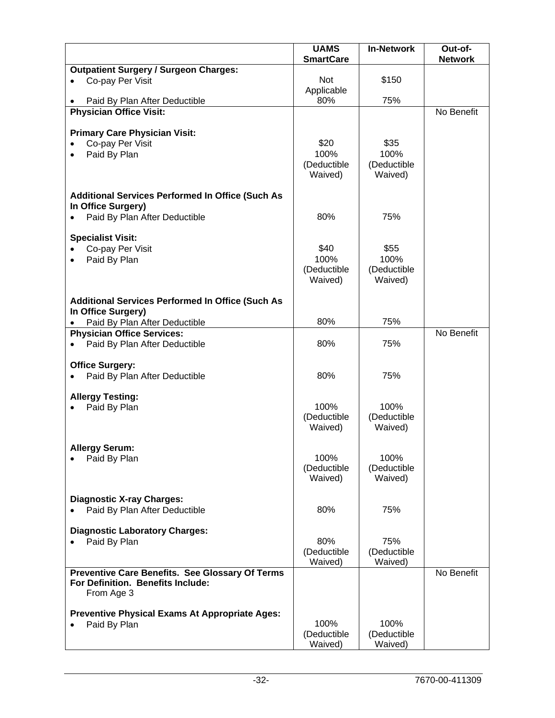|                                                         | <b>UAMS</b>            | <b>In-Network</b>      | Out-of-        |
|---------------------------------------------------------|------------------------|------------------------|----------------|
|                                                         | <b>SmartCare</b>       |                        | <b>Network</b> |
| <b>Outpatient Surgery / Surgeon Charges:</b>            |                        |                        |                |
| Co-pay Per Visit                                        | Not<br>Applicable      | \$150                  |                |
| Paid By Plan After Deductible                           | 80%                    | 75%                    |                |
| <b>Physician Office Visit:</b>                          |                        |                        | No Benefit     |
|                                                         |                        |                        |                |
| <b>Primary Care Physician Visit:</b>                    |                        |                        |                |
| Co-pay Per Visit                                        | \$20                   | \$35                   |                |
| Paid By Plan                                            | 100%<br>(Deductible    | 100%<br>(Deductible    |                |
|                                                         | Waived)                | Waived)                |                |
|                                                         |                        |                        |                |
| <b>Additional Services Performed In Office (Such As</b> |                        |                        |                |
| In Office Surgery)                                      |                        |                        |                |
| Paid By Plan After Deductible                           | 80%                    | 75%                    |                |
| <b>Specialist Visit:</b>                                |                        |                        |                |
| Co-pay Per Visit                                        | \$40                   | \$55                   |                |
| Paid By Plan                                            | 100%                   | 100%                   |                |
|                                                         | (Deductible            | (Deductible            |                |
|                                                         | Waived)                | Waived)                |                |
| <b>Additional Services Performed In Office (Such As</b> |                        |                        |                |
| In Office Surgery)                                      |                        |                        |                |
| Paid By Plan After Deductible                           | 80%                    | 75%                    |                |
| <b>Physician Office Services:</b>                       |                        |                        | No Benefit     |
| Paid By Plan After Deductible                           | 80%                    | 75%                    |                |
| <b>Office Surgery:</b>                                  |                        |                        |                |
| Paid By Plan After Deductible                           | 80%                    | 75%                    |                |
|                                                         |                        |                        |                |
| <b>Allergy Testing:</b>                                 |                        |                        |                |
| Paid By Plan                                            | 100%                   | 100%                   |                |
|                                                         | (Deductible<br>Waived) | (Deductible<br>Waived) |                |
|                                                         |                        |                        |                |
| <b>Allergy Serum:</b>                                   |                        |                        |                |
| Paid By Plan<br>$\bullet$                               | 100%                   | 100%                   |                |
|                                                         | (Deductible<br>Waived) | (Deductible<br>Waived) |                |
|                                                         |                        |                        |                |
| <b>Diagnostic X-ray Charges:</b>                        |                        |                        |                |
| Paid By Plan After Deductible                           | 80%                    | 75%                    |                |
|                                                         |                        |                        |                |
| <b>Diagnostic Laboratory Charges:</b><br>Paid By Plan   | 80%                    | 75%                    |                |
|                                                         | (Deductible            | (Deductible            |                |
|                                                         | Waived)                | Waived)                |                |
| Preventive Care Benefits. See Glossary Of Terms         |                        |                        | No Benefit     |
| For Definition. Benefits Include:                       |                        |                        |                |
| From Age 3                                              |                        |                        |                |
| <b>Preventive Physical Exams At Appropriate Ages:</b>   |                        |                        |                |
| Paid By Plan                                            | 100%                   | 100%                   |                |
|                                                         | (Deductible            | (Deductible            |                |
|                                                         | Waived)                | Waived)                |                |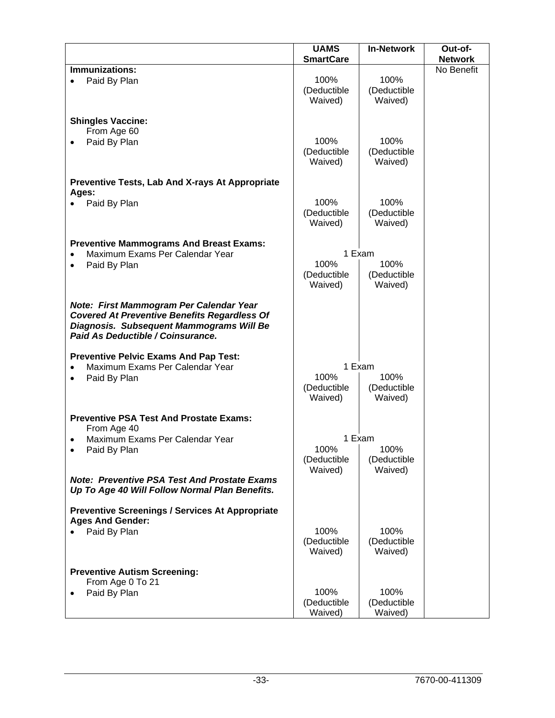|                                                                                                                                                                                 | <b>UAMS</b>                                    | <b>In-Network</b>                        | Out-of-        |
|---------------------------------------------------------------------------------------------------------------------------------------------------------------------------------|------------------------------------------------|------------------------------------------|----------------|
|                                                                                                                                                                                 | <b>SmartCare</b>                               |                                          | <b>Network</b> |
| Immunizations:<br>Paid By Plan                                                                                                                                                  | 100%<br>(Deductible<br>Waived)                 | 100%<br>(Deductible<br>Waived)           | No Benefit     |
| <b>Shingles Vaccine:</b><br>From Age 60<br>Paid By Plan<br>$\bullet$                                                                                                            | 100%<br>(Deductible<br>Waived)                 | 100%<br>(Deductible<br>Waived)           |                |
| Preventive Tests, Lab And X-rays At Appropriate<br>Ages:                                                                                                                        |                                                |                                          |                |
| Paid By Plan                                                                                                                                                                    | 100%<br>(Deductible<br>Waived)                 | 100%<br>(Deductible<br>Waived)           |                |
| <b>Preventive Mammograms And Breast Exams:</b><br>Maximum Exams Per Calendar Year                                                                                               |                                                | 1 Exam                                   |                |
| Paid By Plan                                                                                                                                                                    | 100%<br>(Deductible<br>Waived)                 | 100%<br>(Deductible<br>Waived)           |                |
| Note: First Mammogram Per Calendar Year<br><b>Covered At Preventive Benefits Regardless Of</b><br>Diagnosis. Subsequent Mammograms Will Be<br>Paid As Deductible / Coinsurance. |                                                |                                          |                |
| <b>Preventive Pelvic Exams And Pap Test:</b><br>Maximum Exams Per Calendar Year<br>Paid By Plan                                                                                 | 100%<br>(Deductible<br>Waived)                 | 1 Exam<br>100%<br>(Deductible<br>Waived) |                |
| <b>Preventive PSA Test And Prostate Exams:</b><br>From Age 40                                                                                                                   |                                                |                                          |                |
| Maximum Exams Per Calendar Year<br>$\bullet$<br>Paid By Plan<br><b>Note: Preventive PSA Test And Prostate Exams</b><br>Up To Age 40 Will Follow Normal Plan Benefits.           | 100%<br>$\mathbf{I}$<br>(Deductible<br>Waived) | 1 Exam<br>100%<br>(Deductible<br>Waived) |                |
| <b>Preventive Screenings / Services At Appropriate</b><br><b>Ages And Gender:</b>                                                                                               |                                                |                                          |                |
| Paid By Plan                                                                                                                                                                    | 100%<br>(Deductible<br>Waived)                 | 100%<br>(Deductible<br>Waived)           |                |
| <b>Preventive Autism Screening:</b><br>From Age 0 To 21                                                                                                                         |                                                |                                          |                |
| Paid By Plan<br>$\bullet$                                                                                                                                                       | 100%<br>(Deductible<br>Waived)                 | 100%<br>(Deductible<br>Waived)           |                |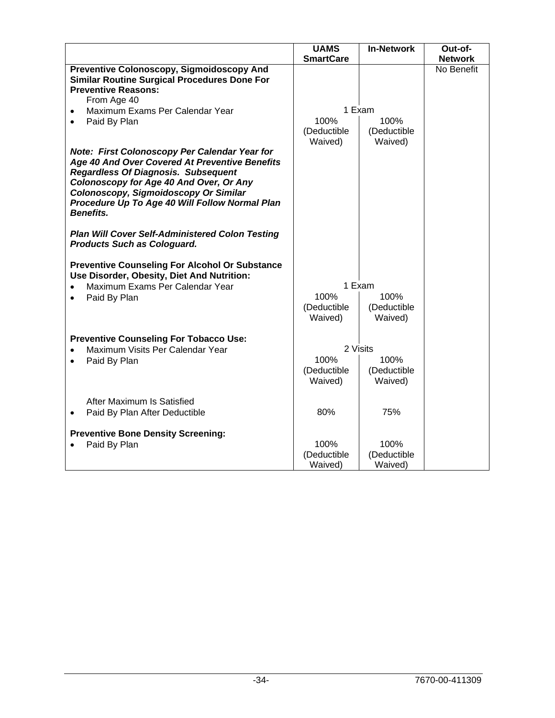|                                                                                                                                                                                                                                                                                                         | <b>UAMS</b>                                | <b>In-Network</b>                        | Out-of-        |
|---------------------------------------------------------------------------------------------------------------------------------------------------------------------------------------------------------------------------------------------------------------------------------------------------------|--------------------------------------------|------------------------------------------|----------------|
|                                                                                                                                                                                                                                                                                                         | <b>SmartCare</b>                           |                                          | <b>Network</b> |
| <b>Preventive Colonoscopy, Sigmoidoscopy And</b><br><b>Similar Routine Surgical Procedures Done For</b><br><b>Preventive Reasons:</b><br>From Age 40<br>Maximum Exams Per Calendar Year                                                                                                                 |                                            | 1 Exam                                   | No Benefit     |
| $\bullet$<br>Paid By Plan                                                                                                                                                                                                                                                                               | 100%<br>(Deductible                        | 100%<br>(Deductible                      |                |
| Note: First Colonoscopy Per Calendar Year for<br>Age 40 And Over Covered At Preventive Benefits<br><b>Regardless Of Diagnosis. Subsequent</b><br>Colonoscopy for Age 40 And Over, Or Any<br>Colonoscopy, Sigmoidoscopy Or Similar<br>Procedure Up To Age 40 Will Follow Normal Plan<br><b>Benefits.</b> | Waived)                                    | Waived)                                  |                |
| <b>Plan Will Cover Self-Administered Colon Testing</b><br><b>Products Such as Cologuard.</b>                                                                                                                                                                                                            |                                            |                                          |                |
| <b>Preventive Counseling For Alcohol Or Substance</b><br>Use Disorder, Obesity, Diet And Nutrition:<br>Maximum Exams Per Calendar Year<br>Paid By Plan<br>$\bullet$                                                                                                                                     | 100%<br>(Deductible<br>Waived)             | 1 Exam<br>100%<br>(Deductible<br>Waived) |                |
| <b>Preventive Counseling For Tobacco Use:</b><br>Maximum Visits Per Calendar Year<br>Paid By Plan                                                                                                                                                                                                       | 2 Visits<br>100%<br>(Deductible<br>Waived) | 100%<br>(Deductible<br>Waived)           |                |
| After Maximum Is Satisfied<br>Paid By Plan After Deductible                                                                                                                                                                                                                                             | 80%                                        | 75%                                      |                |
| <b>Preventive Bone Density Screening:</b><br>Paid By Plan                                                                                                                                                                                                                                               | 100%<br>(Deductible<br>Waived)             | 100%<br>(Deductible<br>Waived)           |                |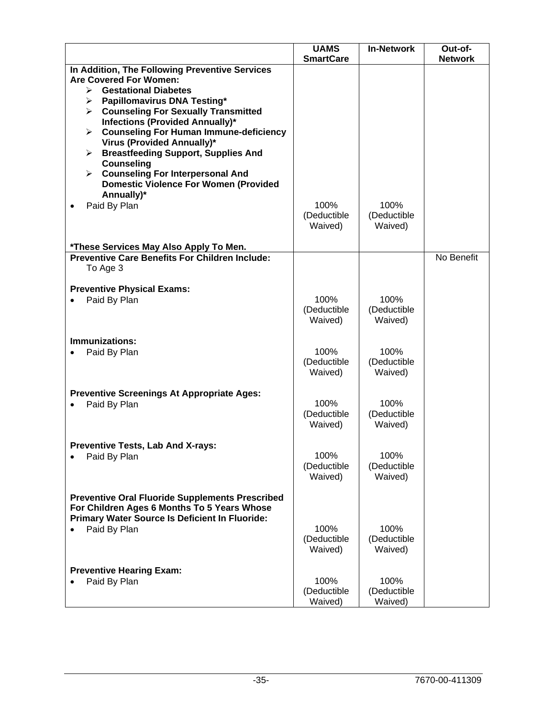|                                                                                                                                                                                                                                                                                                                                                                                                                                                                                                                                                                         | <b>UAMS</b>                             | <b>In-Network</b>              | Out-of-        |
|-------------------------------------------------------------------------------------------------------------------------------------------------------------------------------------------------------------------------------------------------------------------------------------------------------------------------------------------------------------------------------------------------------------------------------------------------------------------------------------------------------------------------------------------------------------------------|-----------------------------------------|--------------------------------|----------------|
| In Addition, The Following Preventive Services<br><b>Are Covered For Women:</b><br><b>Gestational Diabetes</b><br>≻<br>$\triangleright$ Papillomavirus DNA Testing*<br>> Counseling For Sexually Transmitted<br><b>Infections (Provided Annually)*</b><br><b>Counseling For Human Immune-deficiency</b><br>≻<br>Virus (Provided Annually)*<br><b>Breastfeeding Support, Supplies And</b><br>$\blacktriangleright$<br><b>Counseling</b><br>> Counseling For Interpersonal And<br><b>Domestic Violence For Women (Provided</b><br>Annually)*<br>Paid By Plan<br>$\bullet$ | <b>SmartCare</b><br>100%<br>(Deductible | 100%<br>(Deductible            | <b>Network</b> |
|                                                                                                                                                                                                                                                                                                                                                                                                                                                                                                                                                                         | Waived)                                 | Waived)                        |                |
| *These Services May Also Apply To Men.                                                                                                                                                                                                                                                                                                                                                                                                                                                                                                                                  |                                         |                                |                |
| <b>Preventive Care Benefits For Children Include:</b><br>To Age 3                                                                                                                                                                                                                                                                                                                                                                                                                                                                                                       |                                         |                                | No Benefit     |
| <b>Preventive Physical Exams:</b><br>Paid By Plan                                                                                                                                                                                                                                                                                                                                                                                                                                                                                                                       | 100%<br>(Deductible<br>Waived)          | 100%<br>(Deductible<br>Waived) |                |
| Immunizations:<br>Paid By Plan                                                                                                                                                                                                                                                                                                                                                                                                                                                                                                                                          | 100%<br>(Deductible<br>Waived)          | 100%<br>(Deductible<br>Waived) |                |
| <b>Preventive Screenings At Appropriate Ages:</b><br>Paid By Plan                                                                                                                                                                                                                                                                                                                                                                                                                                                                                                       | 100%<br>(Deductible<br>Waived)          | 100%<br>(Deductible<br>Waived) |                |
| Preventive Tests, Lab And X-rays:<br>Paid By Plan                                                                                                                                                                                                                                                                                                                                                                                                                                                                                                                       | 100%<br>(Deductible<br>Waived)          | 100%<br>(Deductible<br>Waived) |                |
| <b>Preventive Oral Fluoride Supplements Prescribed</b><br>For Children Ages 6 Months To 5 Years Whose<br><b>Primary Water Source Is Deficient In Fluoride:</b><br>Paid By Plan                                                                                                                                                                                                                                                                                                                                                                                          | 100%<br>(Deductible<br>Waived)          | 100%<br>(Deductible<br>Waived) |                |
| <b>Preventive Hearing Exam:</b><br>Paid By Plan                                                                                                                                                                                                                                                                                                                                                                                                                                                                                                                         | 100%<br>(Deductible<br>Waived)          | 100%<br>(Deductible<br>Waived) |                |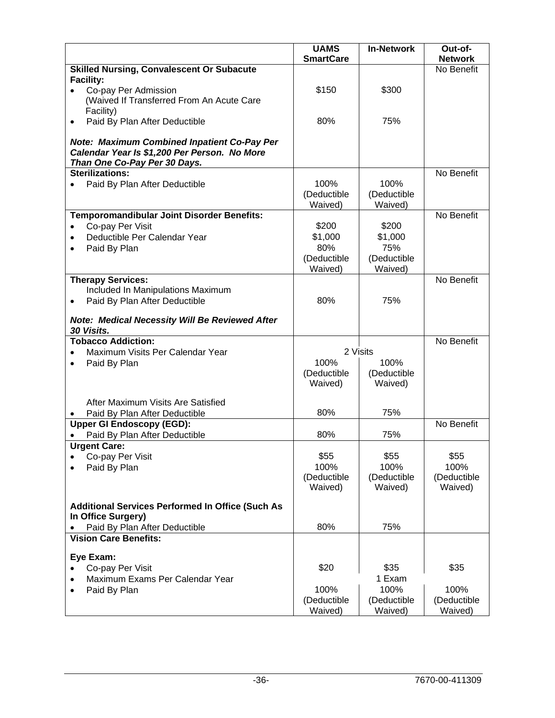|                                                                                                                                    | <b>UAMS</b>      | <b>In-Network</b> | Out-of-        |
|------------------------------------------------------------------------------------------------------------------------------------|------------------|-------------------|----------------|
|                                                                                                                                    | <b>SmartCare</b> |                   | <b>Network</b> |
| <b>Skilled Nursing, Convalescent Or Subacute</b>                                                                                   |                  |                   | No Benefit     |
| <b>Facility:</b>                                                                                                                   | \$150            | \$300             |                |
| Co-pay Per Admission<br>(Waived If Transferred From An Acute Care                                                                  |                  |                   |                |
| Facility)                                                                                                                          |                  |                   |                |
| Paid By Plan After Deductible<br>٠                                                                                                 | 80%              | 75%               |                |
| <b>Note: Maximum Combined Inpatient Co-Pay Per</b><br>Calendar Year Is \$1,200 Per Person. No More<br>Than One Co-Pay Per 30 Days. |                  |                   |                |
| <b>Sterilizations:</b>                                                                                                             |                  |                   | No Benefit     |
| Paid By Plan After Deductible                                                                                                      | 100%             | 100%              |                |
|                                                                                                                                    | (Deductible      | (Deductible       |                |
|                                                                                                                                    | Waived)          | Waived)           |                |
| Temporomandibular Joint Disorder Benefits:                                                                                         |                  |                   | No Benefit     |
| Co-pay Per Visit                                                                                                                   | \$200            | \$200             |                |
| Deductible Per Calendar Year                                                                                                       | \$1,000          | \$1,000           |                |
| Paid By Plan                                                                                                                       | 80%              | 75%               |                |
|                                                                                                                                    | (Deductible      | (Deductible       |                |
|                                                                                                                                    | Waived)          | Waived)           | No Benefit     |
| <b>Therapy Services:</b>                                                                                                           |                  |                   |                |
| Included In Manipulations Maximum                                                                                                  | 80%              | 75%               |                |
| Paid By Plan After Deductible                                                                                                      |                  |                   |                |
| <b>Note: Medical Necessity Will Be Reviewed After</b><br>30 Visits.                                                                |                  |                   |                |
| <b>Tobacco Addiction:</b>                                                                                                          |                  |                   | No Benefit     |
| Maximum Visits Per Calendar Year                                                                                                   |                  | 2 Visits          |                |
| Paid By Plan                                                                                                                       | 100%             | 100%              |                |
|                                                                                                                                    | (Deductible      | (Deductible       |                |
|                                                                                                                                    | Waived)          | Waived)           |                |
| After Maximum Visits Are Satisfied                                                                                                 |                  |                   |                |
| Paid By Plan After Deductible<br>٠                                                                                                 | 80%              | 75%               |                |
| <b>Upper GI Endoscopy (EGD):</b>                                                                                                   |                  |                   | No Benefit     |
| Paid By Plan After Deductible                                                                                                      | 80%              | 75%               |                |
| <b>Urgent Care:</b>                                                                                                                |                  |                   |                |
| Co-pay Per Visit<br>$\bullet$                                                                                                      | \$55             | \$55              | \$55           |
| Paid By Plan                                                                                                                       | 100%             | 100%              | 100%           |
|                                                                                                                                    | (Deductible      | (Deductible       | (Deductible    |
|                                                                                                                                    | Waived)          | Waived)           | Waived)        |
| <b>Additional Services Performed In Office (Such As</b>                                                                            |                  |                   |                |
| In Office Surgery)                                                                                                                 |                  |                   |                |
| Paid By Plan After Deductible                                                                                                      | 80%              | 75%               |                |
| <b>Vision Care Benefits:</b>                                                                                                       |                  |                   |                |
| Eye Exam:                                                                                                                          |                  |                   |                |
| Co-pay Per Visit                                                                                                                   | \$20             | \$35              | \$35           |
| Maximum Exams Per Calendar Year                                                                                                    |                  | 1 Exam            |                |
| Paid By Plan                                                                                                                       | 100%             | 100%              | 100%           |
|                                                                                                                                    | (Deductible      | (Deductible       | (Deductible    |
|                                                                                                                                    | Waived)          | Waived)           | Waived)        |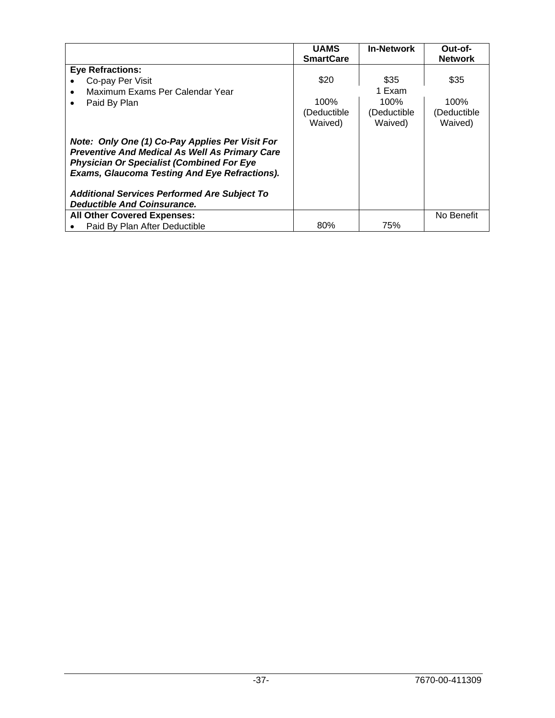|                                                                                                                                                                                                                      | <b>UAMS</b><br><b>SmartCare</b> | <b>In-Network</b>              | Out-of-<br><b>Network</b>      |
|----------------------------------------------------------------------------------------------------------------------------------------------------------------------------------------------------------------------|---------------------------------|--------------------------------|--------------------------------|
| <b>Eye Refractions:</b>                                                                                                                                                                                              |                                 |                                |                                |
| Co-pay Per Visit                                                                                                                                                                                                     | \$20                            | \$35                           | \$35                           |
| Maximum Exams Per Calendar Year<br>$\bullet$                                                                                                                                                                         |                                 | 1 Exam                         |                                |
| Paid By Plan<br>$\bullet$                                                                                                                                                                                            | 100%<br>(Deductible<br>Waived)  | 100%<br>(Deductible<br>Waived) | 100%<br>(Deductible<br>Waived) |
| Note: Only One (1) Co-Pay Applies Per Visit For<br><b>Preventive And Medical As Well As Primary Care</b><br><b>Physician Or Specialist (Combined For Eye</b><br><b>Exams, Glaucoma Testing And Eye Refractions).</b> |                                 |                                |                                |
| <b>Additional Services Performed Are Subject To</b>                                                                                                                                                                  |                                 |                                |                                |
| Deductible And Coinsurance.                                                                                                                                                                                          |                                 |                                |                                |
| <b>All Other Covered Expenses:</b><br>Paid By Plan After Deductible                                                                                                                                                  | 80%                             | 75%                            | No Benefit                     |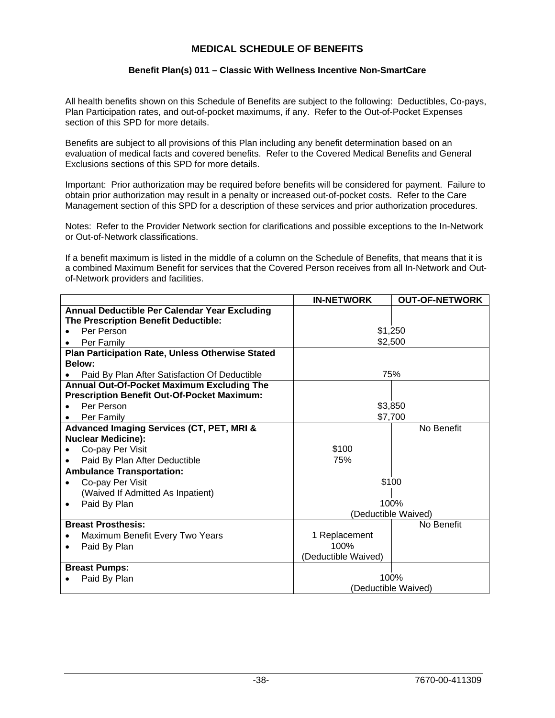# **MEDICAL SCHEDULE OF BENEFITS**

### **Benefit Plan(s) 011 – Classic With Wellness Incentive Non-SmartCare**

All health benefits shown on this Schedule of Benefits are subject to the following: Deductibles, Co-pays, Plan Participation rates, and out-of-pocket maximums, if any. Refer to the Out-of-Pocket Expenses section of this SPD for more details.

Benefits are subject to all provisions of this Plan including any benefit determination based on an evaluation of medical facts and covered benefits. Refer to the Covered Medical Benefits and General Exclusions sections of this SPD for more details.

Important: Prior authorization may be required before benefits will be considered for payment. Failure to obtain prior authorization may result in a penalty or increased out-of-pocket costs. Refer to the Care Management section of this SPD for a description of these services and prior authorization procedures.

Notes: Refer to the Provider Network section for clarifications and possible exceptions to the In-Network or Out-of-Network classifications.

If a benefit maximum is listed in the middle of a column on the Schedule of Benefits, that means that it is a combined Maximum Benefit for services that the Covered Person receives from all In-Network and Outof-Network providers and facilities.

|                                                      | <b>IN-NETWORK</b>   | <b>OUT-OF-NETWORK</b> |
|------------------------------------------------------|---------------------|-----------------------|
| Annual Deductible Per Calendar Year Excluding        |                     |                       |
| The Prescription Benefit Deductible:                 |                     |                       |
| Per Person                                           |                     | \$1,250               |
| Per Family                                           |                     | \$2,500               |
| Plan Participation Rate, Unless Otherwise Stated     |                     |                       |
| <b>Below:</b>                                        |                     |                       |
| Paid By Plan After Satisfaction Of Deductible        |                     | 75%                   |
| <b>Annual Out-Of-Pocket Maximum Excluding The</b>    |                     |                       |
| <b>Prescription Benefit Out-Of-Pocket Maximum:</b>   |                     |                       |
| Per Person                                           |                     | \$3,850               |
| Per Family                                           | \$7,700             |                       |
| <b>Advanced Imaging Services (CT, PET, MRI &amp;</b> |                     | No Benefit            |
| <b>Nuclear Medicine):</b>                            |                     |                       |
| Co-pay Per Visit                                     | \$100               |                       |
| Paid By Plan After Deductible                        | 75%                 |                       |
| <b>Ambulance Transportation:</b>                     |                     |                       |
| Co-pay Per Visit                                     |                     | \$100                 |
| (Waived If Admitted As Inpatient)                    |                     |                       |
| Paid By Plan<br>$\bullet$                            |                     | 100%                  |
|                                                      | (Deductible Waived) |                       |
| <b>Breast Prosthesis:</b>                            |                     | No Benefit            |
| Maximum Benefit Every Two Years<br>٠                 | 1 Replacement       |                       |
| Paid By Plan                                         | 100%                |                       |
|                                                      | Deductible Waived)  |                       |
| <b>Breast Pumps:</b>                                 |                     |                       |
| Paid By Plan                                         |                     | 100%                  |
|                                                      |                     | (Deductible Waived)   |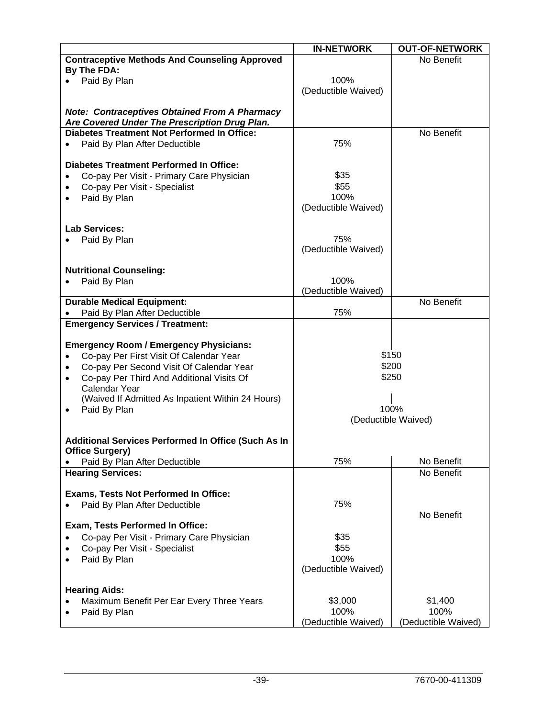|                                                                            | <b>IN-NETWORK</b>   | <b>OUT-OF-NETWORK</b> |
|----------------------------------------------------------------------------|---------------------|-----------------------|
| <b>Contraceptive Methods And Counseling Approved</b>                       |                     | No Benefit            |
| By The FDA:                                                                |                     |                       |
| Paid By Plan                                                               | 100%                |                       |
|                                                                            | (Deductible Waived) |                       |
| <b>Note: Contraceptives Obtained From A Pharmacy</b>                       |                     |                       |
| Are Covered Under The Prescription Drug Plan.                              |                     |                       |
| <b>Diabetes Treatment Not Performed In Office:</b>                         |                     | No Benefit            |
| Paid By Plan After Deductible                                              | 75%                 |                       |
|                                                                            |                     |                       |
| <b>Diabetes Treatment Performed In Office:</b>                             |                     |                       |
| Co-pay Per Visit - Primary Care Physician                                  | \$35                |                       |
| Co-pay Per Visit - Specialist                                              | \$55                |                       |
| Paid By Plan                                                               | 100%                |                       |
|                                                                            | (Deductible Waived) |                       |
| <b>Lab Services:</b>                                                       |                     |                       |
| Paid By Plan                                                               | 75%                 |                       |
|                                                                            | (Deductible Waived) |                       |
|                                                                            |                     |                       |
| <b>Nutritional Counseling:</b>                                             |                     |                       |
| Paid By Plan                                                               | 100%                |                       |
|                                                                            | (Deductible Waived) |                       |
| <b>Durable Medical Equipment:</b><br>Paid By Plan After Deductible         | 75%                 | No Benefit            |
| <b>Emergency Services / Treatment:</b>                                     |                     |                       |
|                                                                            |                     |                       |
| <b>Emergency Room / Emergency Physicians:</b>                              |                     |                       |
| Co-pay Per First Visit Of Calendar Year<br>$\bullet$                       | \$150               |                       |
| Co-pay Per Second Visit Of Calendar Year                                   | \$200               |                       |
| Co-pay Per Third And Additional Visits Of                                  | \$250               |                       |
| Calendar Year                                                              |                     |                       |
| (Waived If Admitted As Inpatient Within 24 Hours)                          |                     |                       |
| Paid By Plan<br>$\bullet$                                                  |                     | 100%                  |
|                                                                            |                     | (Deductible Waived)   |
| Additional Services Performed In Office (Such As In                        |                     |                       |
| <b>Office Surgery</b> )                                                    |                     |                       |
| Paid By Plan After Deductible                                              | 75%                 | No Benefit            |
| <b>Hearing Services:</b>                                                   |                     | No Benefit            |
|                                                                            |                     |                       |
| <b>Exams, Tests Not Performed In Office:</b>                               |                     |                       |
| Paid By Plan After Deductible                                              | 75%                 |                       |
|                                                                            |                     | No Benefit            |
| Exam, Tests Performed In Office:                                           | \$35                |                       |
| Co-pay Per Visit - Primary Care Physician<br>Co-pay Per Visit - Specialist | \$55                |                       |
| Paid By Plan                                                               | 100%                |                       |
|                                                                            | (Deductible Waived) |                       |
|                                                                            |                     |                       |
| <b>Hearing Aids:</b>                                                       |                     |                       |
| Maximum Benefit Per Ear Every Three Years                                  | \$3,000             | \$1,400               |
| Paid By Plan                                                               | 100%                | 100%                  |
|                                                                            | (Deductible Waived) | (Deductible Waived)   |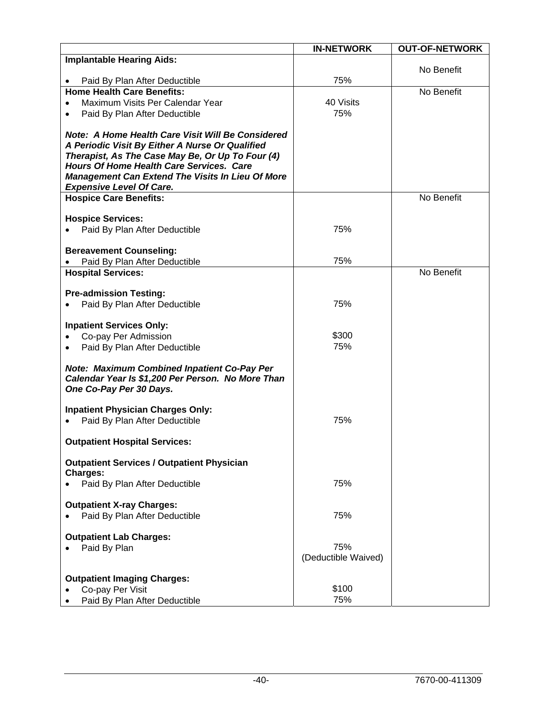|                                                                 | <b>IN-NETWORK</b>   | <b>OUT-OF-NETWORK</b> |
|-----------------------------------------------------------------|---------------------|-----------------------|
| <b>Implantable Hearing Aids:</b>                                |                     |                       |
|                                                                 |                     | No Benefit            |
| Paid By Plan After Deductible                                   | 75%                 |                       |
| <b>Home Health Care Benefits:</b>                               |                     | No Benefit            |
| Maximum Visits Per Calendar Year                                | 40 Visits           |                       |
| Paid By Plan After Deductible<br>٠                              | 75%                 |                       |
| Note: A Home Health Care Visit Will Be Considered               |                     |                       |
| A Periodic Visit By Either A Nurse Or Qualified                 |                     |                       |
| Therapist, As The Case May Be, Or Up To Four (4)                |                     |                       |
| <b>Hours Of Home Health Care Services. Care</b>                 |                     |                       |
| <b>Management Can Extend The Visits In Lieu Of More</b>         |                     |                       |
| <b>Expensive Level Of Care.</b>                                 |                     |                       |
| <b>Hospice Care Benefits:</b>                                   |                     | No Benefit            |
|                                                                 |                     |                       |
| <b>Hospice Services:</b>                                        |                     |                       |
| Paid By Plan After Deductible                                   | 75%                 |                       |
|                                                                 |                     |                       |
| <b>Bereavement Counseling:</b><br>Paid By Plan After Deductible | 75%                 |                       |
| <b>Hospital Services:</b>                                       |                     | No Benefit            |
|                                                                 |                     |                       |
| <b>Pre-admission Testing:</b>                                   |                     |                       |
| Paid By Plan After Deductible                                   | 75%                 |                       |
|                                                                 |                     |                       |
| <b>Inpatient Services Only:</b>                                 |                     |                       |
| Co-pay Per Admission                                            | \$300               |                       |
| Paid By Plan After Deductible                                   | 75%                 |                       |
|                                                                 |                     |                       |
| <b>Note: Maximum Combined Inpatient Co-Pay Per</b>              |                     |                       |
| Calendar Year Is \$1,200 Per Person. No More Than               |                     |                       |
| One Co-Pay Per 30 Days.                                         |                     |                       |
| <b>Inpatient Physician Charges Only:</b>                        |                     |                       |
| Paid By Plan After Deductible                                   | 75%                 |                       |
|                                                                 |                     |                       |
| <b>Outpatient Hospital Services:</b>                            |                     |                       |
|                                                                 |                     |                       |
| <b>Outpatient Services / Outpatient Physician</b>               |                     |                       |
| Charges:<br>Paid By Plan After Deductible                       | 75%                 |                       |
|                                                                 |                     |                       |
| <b>Outpatient X-ray Charges:</b>                                |                     |                       |
| Paid By Plan After Deductible                                   | 75%                 |                       |
|                                                                 |                     |                       |
| <b>Outpatient Lab Charges:</b>                                  |                     |                       |
| Paid By Plan                                                    | 75%                 |                       |
|                                                                 | (Deductible Waived) |                       |
|                                                                 |                     |                       |
| <b>Outpatient Imaging Charges:</b>                              |                     |                       |
| Co-pay Per Visit                                                | \$100               |                       |
| Paid By Plan After Deductible                                   | 75%                 |                       |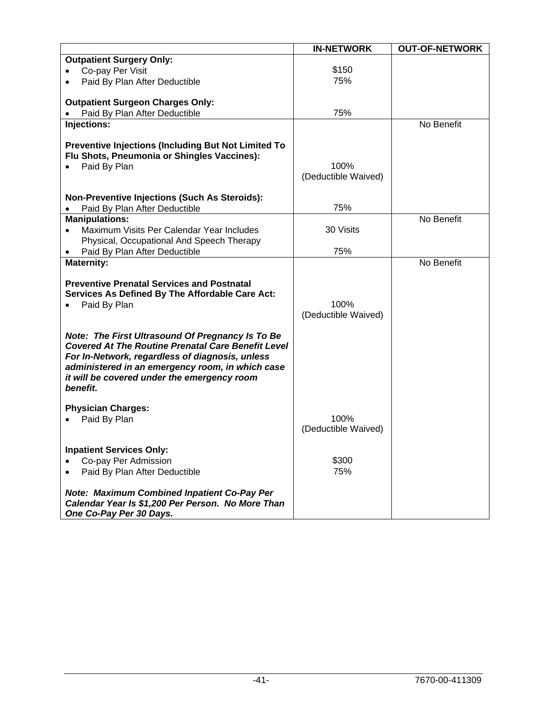|                                                                                                                                                                                                                                                                                 | <b>IN-NETWORK</b>           | <b>OUT-OF-NETWORK</b> |
|---------------------------------------------------------------------------------------------------------------------------------------------------------------------------------------------------------------------------------------------------------------------------------|-----------------------------|-----------------------|
| <b>Outpatient Surgery Only:</b>                                                                                                                                                                                                                                                 |                             |                       |
| Co-pay Per Visit                                                                                                                                                                                                                                                                | \$150                       |                       |
| Paid By Plan After Deductible                                                                                                                                                                                                                                                   | 75%                         |                       |
|                                                                                                                                                                                                                                                                                 |                             |                       |
| <b>Outpatient Surgeon Charges Only:</b>                                                                                                                                                                                                                                         |                             |                       |
| Paid By Plan After Deductible                                                                                                                                                                                                                                                   | 75%                         |                       |
| Injections:                                                                                                                                                                                                                                                                     |                             | No Benefit            |
| <b>Preventive Injections (Including But Not Limited To</b><br>Flu Shots, Pneumonia or Shingles Vaccines):<br>Paid By Plan                                                                                                                                                       | 100%<br>(Deductible Waived) |                       |
| <b>Non-Preventive Injections (Such As Steroids):</b>                                                                                                                                                                                                                            |                             |                       |
| Paid By Plan After Deductible                                                                                                                                                                                                                                                   | 75%                         |                       |
| <b>Manipulations:</b>                                                                                                                                                                                                                                                           |                             | No Benefit            |
| Maximum Visits Per Calendar Year Includes<br>$\bullet$                                                                                                                                                                                                                          | 30 Visits                   |                       |
| Physical, Occupational And Speech Therapy                                                                                                                                                                                                                                       |                             |                       |
| Paid By Plan After Deductible                                                                                                                                                                                                                                                   | 75%                         |                       |
| <b>Maternity:</b>                                                                                                                                                                                                                                                               |                             | No Benefit            |
| <b>Preventive Prenatal Services and Postnatal</b><br>Services As Defined By The Affordable Care Act:<br>Paid By Plan                                                                                                                                                            | 100%<br>(Deductible Waived) |                       |
| Note: The First Ultrasound Of Pregnancy Is To Be<br><b>Covered At The Routine Prenatal Care Benefit Level</b><br>For In-Network, regardless of diagnosis, unless<br>administered in an emergency room, in which case<br>it will be covered under the emergency room<br>benefit. |                             |                       |
| <b>Physician Charges:</b>                                                                                                                                                                                                                                                       |                             |                       |
| Paid By Plan                                                                                                                                                                                                                                                                    | 100%<br>(Deductible Waived) |                       |
| <b>Inpatient Services Only:</b>                                                                                                                                                                                                                                                 |                             |                       |
| Co-pay Per Admission                                                                                                                                                                                                                                                            | \$300                       |                       |
| Paid By Plan After Deductible                                                                                                                                                                                                                                                   | 75%                         |                       |
| <b>Note: Maximum Combined Inpatient Co-Pay Per</b><br>Calendar Year Is \$1,200 Per Person. No More Than<br>One Co-Pay Per 30 Days.                                                                                                                                              |                             |                       |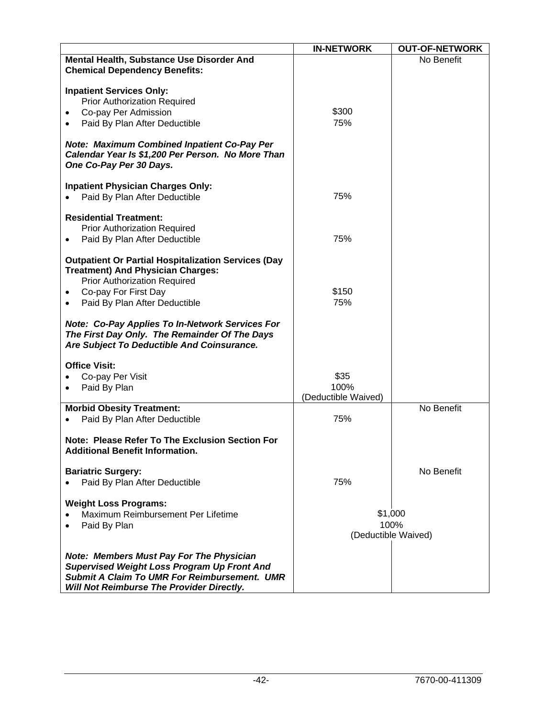|                                                                                                                                                                                                           | <b>IN-NETWORK</b>   | <b>OUT-OF-NETWORK</b> |
|-----------------------------------------------------------------------------------------------------------------------------------------------------------------------------------------------------------|---------------------|-----------------------|
| Mental Health, Substance Use Disorder And                                                                                                                                                                 |                     | No Benefit            |
| <b>Chemical Dependency Benefits:</b>                                                                                                                                                                      |                     |                       |
|                                                                                                                                                                                                           |                     |                       |
| <b>Inpatient Services Only:</b>                                                                                                                                                                           |                     |                       |
| <b>Prior Authorization Required</b>                                                                                                                                                                       |                     |                       |
| Co-pay Per Admission                                                                                                                                                                                      | \$300               |                       |
| Paid By Plan After Deductible                                                                                                                                                                             | 75%                 |                       |
| <b>Note: Maximum Combined Inpatient Co-Pay Per</b><br>Calendar Year Is \$1,200 Per Person. No More Than<br>One Co-Pay Per 30 Days.                                                                        |                     |                       |
| <b>Inpatient Physician Charges Only:</b>                                                                                                                                                                  |                     |                       |
| Paid By Plan After Deductible                                                                                                                                                                             | 75%                 |                       |
|                                                                                                                                                                                                           |                     |                       |
| <b>Residential Treatment:</b>                                                                                                                                                                             |                     |                       |
| <b>Prior Authorization Required</b>                                                                                                                                                                       |                     |                       |
| Paid By Plan After Deductible                                                                                                                                                                             | 75%                 |                       |
| <b>Outpatient Or Partial Hospitalization Services (Day</b>                                                                                                                                                |                     |                       |
| <b>Treatment) And Physician Charges:</b>                                                                                                                                                                  |                     |                       |
| <b>Prior Authorization Required</b>                                                                                                                                                                       |                     |                       |
| Co-pay For First Day                                                                                                                                                                                      | \$150               |                       |
| Paid By Plan After Deductible                                                                                                                                                                             | 75%                 |                       |
| <b>Note: Co-Pay Applies To In-Network Services For</b><br>The First Day Only. The Remainder Of The Days<br>Are Subject To Deductible And Coinsurance.                                                     |                     |                       |
| <b>Office Visit:</b>                                                                                                                                                                                      |                     |                       |
| Co-pay Per Visit                                                                                                                                                                                          | \$35                |                       |
| Paid By Plan                                                                                                                                                                                              | 100%                |                       |
|                                                                                                                                                                                                           | (Deductible Waived) |                       |
| <b>Morbid Obesity Treatment:</b>                                                                                                                                                                          |                     | No Benefit            |
| Paid By Plan After Deductible                                                                                                                                                                             | 75%                 |                       |
| Note: Please Refer To The Exclusion Section For<br>Additional Benefit Information.                                                                                                                        |                     |                       |
| <b>Bariatric Surgery:</b>                                                                                                                                                                                 |                     | No Benefit            |
| Paid By Plan After Deductible                                                                                                                                                                             | 75%                 |                       |
|                                                                                                                                                                                                           |                     |                       |
| <b>Weight Loss Programs:</b><br>Maximum Reimbursement Per Lifetime<br>Paid By Plan                                                                                                                        | \$1,000             | 100%                  |
|                                                                                                                                                                                                           | (Deductible Waived) |                       |
| <b>Note: Members Must Pay For The Physician</b><br><b>Supervised Weight Loss Program Up Front And</b><br><b>Submit A Claim To UMR For Reimbursement. UMR</b><br>Will Not Reimburse The Provider Directly. |                     |                       |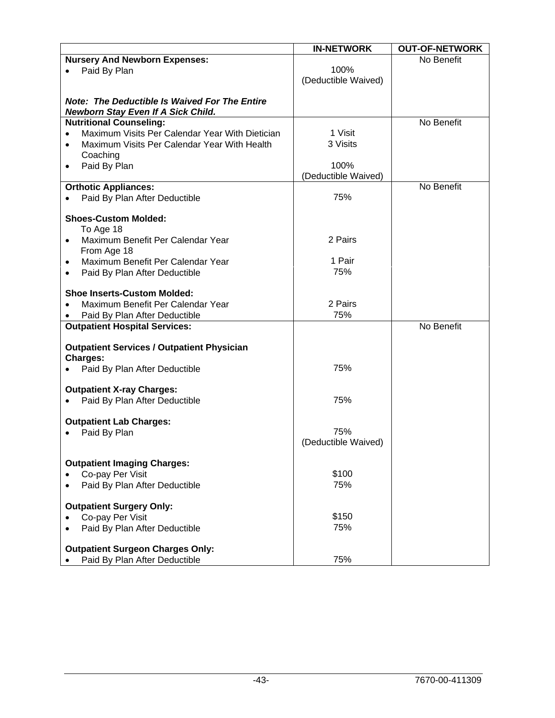|                                                                                                   | <b>IN-NETWORK</b>           | <b>OUT-OF-NETWORK</b> |
|---------------------------------------------------------------------------------------------------|-----------------------------|-----------------------|
| <b>Nursery And Newborn Expenses:</b>                                                              |                             | No Benefit            |
| Paid By Plan                                                                                      | 100%<br>(Deductible Waived) |                       |
| <b>Note: The Deductible Is Waived For The Entire</b><br><b>Newborn Stay Even If A Sick Child.</b> |                             |                       |
| <b>Nutritional Counseling:</b>                                                                    |                             | No Benefit            |
| Maximum Visits Per Calendar Year With Dietician                                                   | 1 Visit                     |                       |
| Maximum Visits Per Calendar Year With Health                                                      | 3 Visits                    |                       |
| Coaching                                                                                          |                             |                       |
| Paid By Plan<br>٠                                                                                 | 100%                        |                       |
|                                                                                                   | (Deductible Waived)         | No Benefit            |
| <b>Orthotic Appliances:</b><br>Paid By Plan After Deductible                                      | 75%                         |                       |
|                                                                                                   |                             |                       |
| <b>Shoes-Custom Molded:</b><br>To Age 18                                                          |                             |                       |
| Maximum Benefit Per Calendar Year<br>$\bullet$                                                    | 2 Pairs                     |                       |
| From Age 18                                                                                       |                             |                       |
| Maximum Benefit Per Calendar Year<br>$\bullet$                                                    | 1 Pair                      |                       |
| Paid By Plan After Deductible<br>$\bullet$                                                        | 75%                         |                       |
|                                                                                                   |                             |                       |
| <b>Shoe Inserts-Custom Molded:</b>                                                                | 2 Pairs                     |                       |
| Maximum Benefit Per Calendar Year                                                                 | 75%                         |                       |
| Paid By Plan After Deductible<br><b>Outpatient Hospital Services:</b>                             |                             | No Benefit            |
|                                                                                                   |                             |                       |
| <b>Outpatient Services / Outpatient Physician</b><br><b>Charges:</b>                              |                             |                       |
| Paid By Plan After Deductible                                                                     | 75%                         |                       |
|                                                                                                   |                             |                       |
| <b>Outpatient X-ray Charges:</b>                                                                  |                             |                       |
| Paid By Plan After Deductible                                                                     | 75%                         |                       |
| <b>Outpatient Lab Charges:</b>                                                                    |                             |                       |
| Paid By Plan                                                                                      | 75%                         |                       |
|                                                                                                   | (Deductible Waived)         |                       |
|                                                                                                   |                             |                       |
| <b>Outpatient Imaging Charges:</b>                                                                |                             |                       |
| Co-pay Per Visit                                                                                  | \$100                       |                       |
| Paid By Plan After Deductible                                                                     | 75%                         |                       |
|                                                                                                   |                             |                       |
| <b>Outpatient Surgery Only:</b>                                                                   |                             |                       |
| Co-pay Per Visit                                                                                  | \$150                       |                       |
| Paid By Plan After Deductible                                                                     | 75%                         |                       |
| <b>Outpatient Surgeon Charges Only:</b>                                                           |                             |                       |
| Paid By Plan After Deductible                                                                     | 75%                         |                       |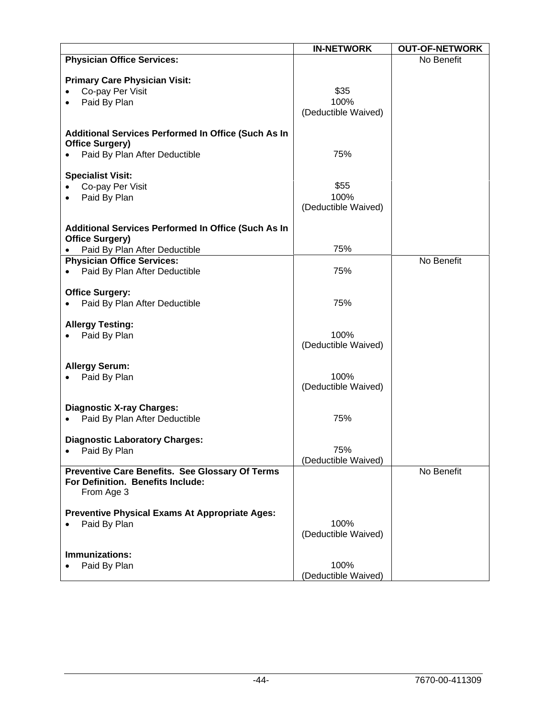|                                                       | <b>IN-NETWORK</b>   | <b>OUT-OF-NETWORK</b> |
|-------------------------------------------------------|---------------------|-----------------------|
| <b>Physician Office Services:</b>                     |                     | No Benefit            |
|                                                       |                     |                       |
| <b>Primary Care Physician Visit:</b>                  |                     |                       |
| Co-pay Per Visit                                      | \$35                |                       |
| Paid By Plan                                          | 100%                |                       |
|                                                       | (Deductible Waived) |                       |
|                                                       |                     |                       |
| Additional Services Performed In Office (Such As In   |                     |                       |
| <b>Office Surgery)</b>                                |                     |                       |
| Paid By Plan After Deductible                         | 75%                 |                       |
|                                                       |                     |                       |
| <b>Specialist Visit:</b>                              | \$55                |                       |
| Co-pay Per Visit                                      | 100%                |                       |
| Paid By Plan                                          |                     |                       |
|                                                       | (Deductible Waived) |                       |
| Additional Services Performed In Office (Such As In   |                     |                       |
| <b>Office Surgery)</b>                                |                     |                       |
| Paid By Plan After Deductible                         | 75%                 |                       |
| <b>Physician Office Services:</b>                     |                     | No Benefit            |
| Paid By Plan After Deductible                         | 75%                 |                       |
|                                                       |                     |                       |
| <b>Office Surgery:</b>                                |                     |                       |
| Paid By Plan After Deductible                         | 75%                 |                       |
|                                                       |                     |                       |
| <b>Allergy Testing:</b>                               |                     |                       |
| Paid By Plan                                          | 100%                |                       |
|                                                       | (Deductible Waived) |                       |
|                                                       |                     |                       |
| <b>Allergy Serum:</b>                                 |                     |                       |
| Paid By Plan                                          | 100%                |                       |
|                                                       | (Deductible Waived) |                       |
|                                                       |                     |                       |
| <b>Diagnostic X-ray Charges:</b>                      |                     |                       |
| Paid By Plan After Deductible                         | 75%                 |                       |
|                                                       |                     |                       |
| <b>Diagnostic Laboratory Charges:</b>                 | 75%                 |                       |
| Paid By Plan                                          | (Deductible Waived) |                       |
| Preventive Care Benefits. See Glossary Of Terms       |                     | No Benefit            |
| For Definition. Benefits Include:                     |                     |                       |
| From Age 3                                            |                     |                       |
|                                                       |                     |                       |
| <b>Preventive Physical Exams At Appropriate Ages:</b> |                     |                       |
| Paid By Plan                                          | 100%                |                       |
|                                                       | (Deductible Waived) |                       |
|                                                       |                     |                       |
| Immunizations:                                        |                     |                       |
| Paid By Plan                                          | 100%                |                       |
|                                                       | (Deductible Waived) |                       |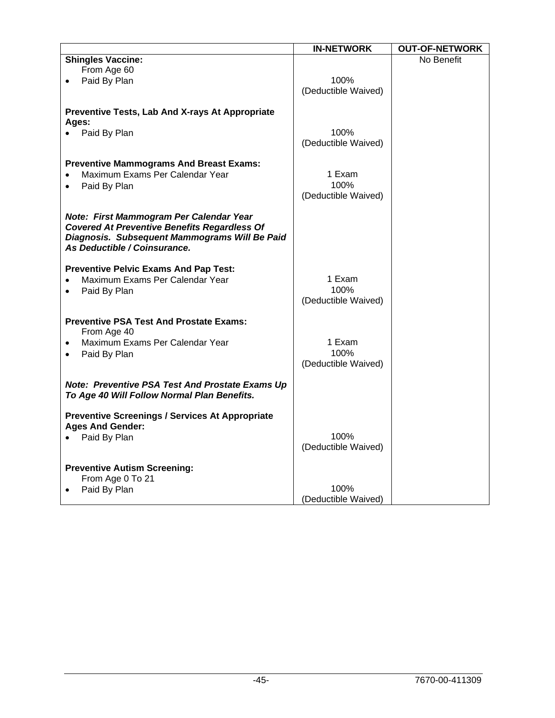|                                                                                                                                                                                 | <b>IN-NETWORK</b>           | <b>OUT-OF-NETWORK</b> |
|---------------------------------------------------------------------------------------------------------------------------------------------------------------------------------|-----------------------------|-----------------------|
| <b>Shingles Vaccine:</b>                                                                                                                                                        |                             | No Benefit            |
| From Age 60                                                                                                                                                                     |                             |                       |
| Paid By Plan                                                                                                                                                                    | 100%                        |                       |
|                                                                                                                                                                                 | (Deductible Waived)         |                       |
| Preventive Tests, Lab And X-rays At Appropriate<br>Ages:                                                                                                                        |                             |                       |
| Paid By Plan                                                                                                                                                                    | 100%                        |                       |
|                                                                                                                                                                                 | (Deductible Waived)         |                       |
|                                                                                                                                                                                 |                             |                       |
| <b>Preventive Mammograms And Breast Exams:</b>                                                                                                                                  |                             |                       |
| Maximum Exams Per Calendar Year                                                                                                                                                 | 1 Exam                      |                       |
| Paid By Plan                                                                                                                                                                    | 100%                        |                       |
|                                                                                                                                                                                 | (Deductible Waived)         |                       |
| Note: First Mammogram Per Calendar Year<br><b>Covered At Preventive Benefits Regardless Of</b><br>Diagnosis. Subsequent Mammograms Will Be Paid<br>As Deductible / Coinsurance. |                             |                       |
| <b>Preventive Pelvic Exams And Pap Test:</b>                                                                                                                                    |                             |                       |
| Maximum Exams Per Calendar Year                                                                                                                                                 | 1 Exam                      |                       |
| Paid By Plan<br>$\bullet$                                                                                                                                                       | 100%                        |                       |
|                                                                                                                                                                                 | (Deductible Waived)         |                       |
| <b>Preventive PSA Test And Prostate Exams:</b><br>From Age 40<br>Maximum Exams Per Calendar Year                                                                                | 1 Exam                      |                       |
| Paid By Plan<br>$\bullet$                                                                                                                                                       | 100%                        |                       |
|                                                                                                                                                                                 | (Deductible Waived)         |                       |
| Note: Preventive PSA Test And Prostate Exams Up<br>To Age 40 Will Follow Normal Plan Benefits.                                                                                  |                             |                       |
| <b>Preventive Screenings / Services At Appropriate</b><br><b>Ages And Gender:</b>                                                                                               |                             |                       |
| Paid By Plan                                                                                                                                                                    | 100%<br>(Deductible Waived) |                       |
| <b>Preventive Autism Screening:</b>                                                                                                                                             |                             |                       |
| From Age 0 To 21                                                                                                                                                                |                             |                       |
| Paid By Plan                                                                                                                                                                    | 100%                        |                       |
|                                                                                                                                                                                 | (Deductible Waived)         |                       |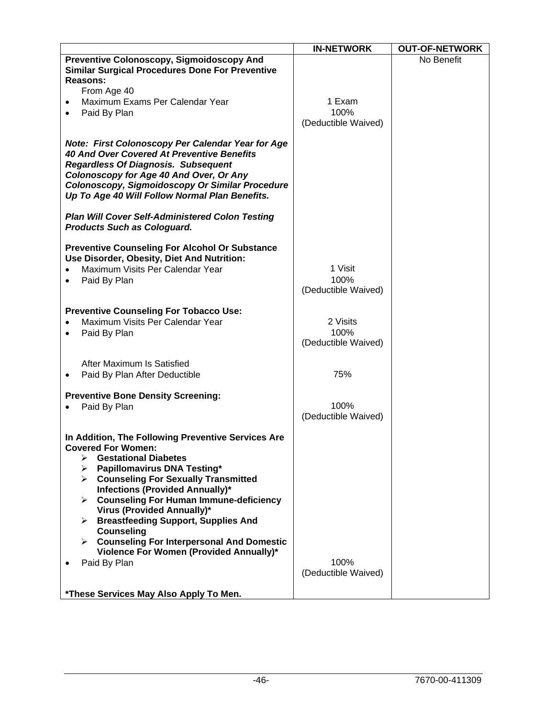|                                                                                                                                                                                                                                                                                                      | <b>IN-NETWORK</b>           | <b>OUT-OF-NETWORK</b> |
|------------------------------------------------------------------------------------------------------------------------------------------------------------------------------------------------------------------------------------------------------------------------------------------------------|-----------------------------|-----------------------|
| <b>Preventive Colonoscopy, Sigmoidoscopy And</b><br><b>Similar Surgical Procedures Done For Preventive</b><br>Reasons:                                                                                                                                                                               |                             | No Benefit            |
| From Age 40                                                                                                                                                                                                                                                                                          |                             |                       |
| Maximum Exams Per Calendar Year                                                                                                                                                                                                                                                                      | 1 Exam                      |                       |
| Paid By Plan                                                                                                                                                                                                                                                                                         | 100%                        |                       |
|                                                                                                                                                                                                                                                                                                      | (Deductible Waived)         |                       |
| Note: First Colonoscopy Per Calendar Year for Age<br><b>40 And Over Covered At Preventive Benefits</b><br><b>Regardless Of Diagnosis. Subsequent</b><br>Colonoscopy for Age 40 And Over, Or Any<br>Colonoscopy, Sigmoidoscopy Or Similar Procedure<br>Up To Age 40 Will Follow Normal Plan Benefits. |                             |                       |
| <b>Plan Will Cover Self-Administered Colon Testing</b><br><b>Products Such as Cologuard.</b>                                                                                                                                                                                                         |                             |                       |
| <b>Preventive Counseling For Alcohol Or Substance</b><br>Use Disorder, Obesity, Diet And Nutrition:                                                                                                                                                                                                  |                             |                       |
| Maximum Visits Per Calendar Year                                                                                                                                                                                                                                                                     | 1 Visit                     |                       |
| Paid By Plan                                                                                                                                                                                                                                                                                         | 100%<br>(Deductible Waived) |                       |
|                                                                                                                                                                                                                                                                                                      |                             |                       |
| <b>Preventive Counseling For Tobacco Use:</b><br>Maximum Visits Per Calendar Year                                                                                                                                                                                                                    | 2 Visits                    |                       |
| Paid By Plan                                                                                                                                                                                                                                                                                         | 100%                        |                       |
|                                                                                                                                                                                                                                                                                                      | (Deductible Waived)         |                       |
| After Maximum Is Satisfied                                                                                                                                                                                                                                                                           |                             |                       |
| Paid By Plan After Deductible                                                                                                                                                                                                                                                                        | 75%                         |                       |
|                                                                                                                                                                                                                                                                                                      |                             |                       |
| <b>Preventive Bone Density Screening:</b><br>Paid By Plan                                                                                                                                                                                                                                            | 100%                        |                       |
|                                                                                                                                                                                                                                                                                                      | (Deductible Waived)         |                       |
| In Addition, The Following Preventive Services Are                                                                                                                                                                                                                                                   |                             |                       |
| <b>Covered For Women:</b>                                                                                                                                                                                                                                                                            |                             |                       |
| <b>Gestational Diabetes</b><br>➤<br>Papillomavirus DNA Testing*<br>➤                                                                                                                                                                                                                                 |                             |                       |
| <b>Counseling For Sexually Transmitted</b><br>⋗                                                                                                                                                                                                                                                      |                             |                       |
| <b>Infections (Provided Annually)*</b>                                                                                                                                                                                                                                                               |                             |                       |
| <b>Counseling For Human Immune-deficiency</b><br>➤<br><b>Virus (Provided Annually)*</b>                                                                                                                                                                                                              |                             |                       |
| <b>Breastfeeding Support, Supplies And</b><br>⋗                                                                                                                                                                                                                                                      |                             |                       |
| <b>Counseling</b><br><b>Counseling For Interpersonal And Domestic</b><br>➤                                                                                                                                                                                                                           |                             |                       |
| Violence For Women (Provided Annually)*                                                                                                                                                                                                                                                              |                             |                       |
| Paid By Plan                                                                                                                                                                                                                                                                                         | 100%                        |                       |
|                                                                                                                                                                                                                                                                                                      | (Deductible Waived)         |                       |
| *These Services May Also Apply To Men.                                                                                                                                                                                                                                                               |                             |                       |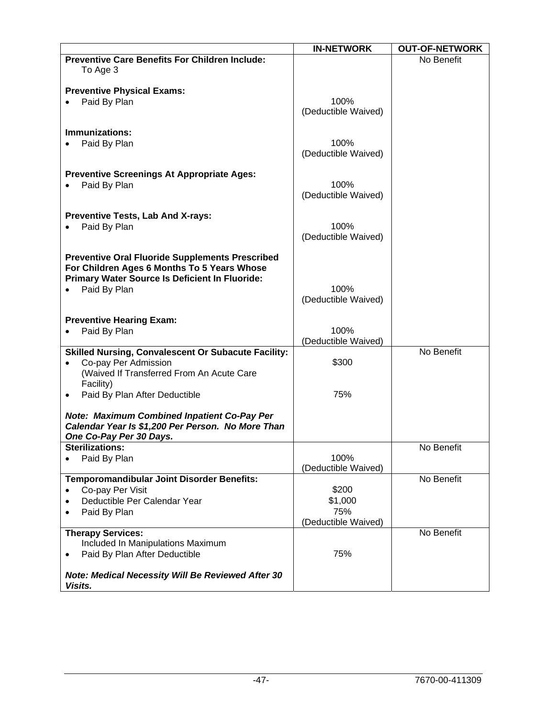|                                                                                                      | <b>IN-NETWORK</b>          | <b>OUT-OF-NETWORK</b> |
|------------------------------------------------------------------------------------------------------|----------------------------|-----------------------|
| <b>Preventive Care Benefits For Children Include:</b>                                                |                            | No Benefit            |
| To Age 3                                                                                             |                            |                       |
|                                                                                                      |                            |                       |
| <b>Preventive Physical Exams:</b><br>Paid By Plan                                                    | 100%                       |                       |
|                                                                                                      | (Deductible Waived)        |                       |
|                                                                                                      |                            |                       |
| <b>Immunizations:</b>                                                                                |                            |                       |
| Paid By Plan                                                                                         | 100%                       |                       |
|                                                                                                      | (Deductible Waived)        |                       |
|                                                                                                      |                            |                       |
| <b>Preventive Screenings At Appropriate Ages:</b>                                                    | 100%                       |                       |
| Paid By Plan                                                                                         | (Deductible Waived)        |                       |
|                                                                                                      |                            |                       |
| <b>Preventive Tests, Lab And X-rays:</b>                                                             |                            |                       |
| Paid By Plan                                                                                         | 100%                       |                       |
|                                                                                                      | (Deductible Waived)        |                       |
|                                                                                                      |                            |                       |
| <b>Preventive Oral Fluoride Supplements Prescribed</b>                                               |                            |                       |
| For Children Ages 6 Months To 5 Years Whose<br><b>Primary Water Source Is Deficient In Fluoride:</b> |                            |                       |
| Paid By Plan                                                                                         | 100%                       |                       |
|                                                                                                      | (Deductible Waived)        |                       |
|                                                                                                      |                            |                       |
| <b>Preventive Hearing Exam:</b>                                                                      |                            |                       |
| Paid By Plan                                                                                         | 100%                       |                       |
| <b>Skilled Nursing, Convalescent Or Subacute Facility:</b>                                           | (Deductible Waived)        | No Benefit            |
| Co-pay Per Admission                                                                                 | \$300                      |                       |
| (Waived If Transferred From An Acute Care                                                            |                            |                       |
| Facility)                                                                                            |                            |                       |
| Paid By Plan After Deductible<br>$\bullet$                                                           | 75%                        |                       |
|                                                                                                      |                            |                       |
| Note: Maximum Combined Inpatient Co-Pay Per<br>Calendar Year Is \$1,200 Per Person. No More Than     |                            |                       |
| One Co-Pay Per 30 Days.                                                                              |                            |                       |
| Sterilizations:                                                                                      |                            | No Benefit            |
| Paid By Plan<br>٠                                                                                    | 100%                       |                       |
|                                                                                                      | (Deductible Waived)        |                       |
| <b>Temporomandibular Joint Disorder Benefits:</b>                                                    |                            | No Benefit            |
| Co-pay Per Visit                                                                                     | \$200                      |                       |
| Deductible Per Calendar Year                                                                         | \$1,000                    |                       |
| Paid By Plan                                                                                         | 75%<br>(Deductible Waived) |                       |
| <b>Therapy Services:</b>                                                                             |                            | No Benefit            |
| Included In Manipulations Maximum                                                                    |                            |                       |
| Paid By Plan After Deductible<br>٠                                                                   | 75%                        |                       |
|                                                                                                      |                            |                       |
| <b>Note: Medical Necessity Will Be Reviewed After 30</b>                                             |                            |                       |
| Visits.                                                                                              |                            |                       |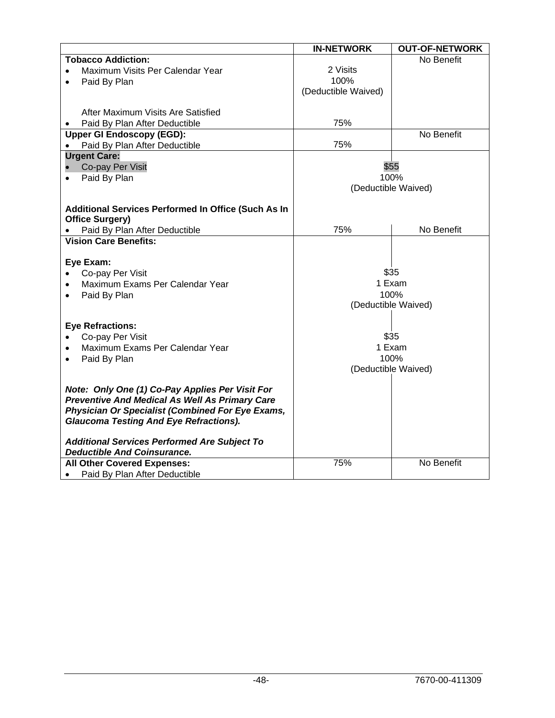|                                                                   | <b>IN-NETWORK</b>   | <b>OUT-OF-NETWORK</b> |
|-------------------------------------------------------------------|---------------------|-----------------------|
| <b>Tobacco Addiction:</b>                                         |                     | No Benefit            |
| Maximum Visits Per Calendar Year                                  | 2 Visits            |                       |
| Paid By Plan                                                      | 100%                |                       |
|                                                                   | (Deductible Waived) |                       |
|                                                                   |                     |                       |
| After Maximum Visits Are Satisfied                                | 75%                 |                       |
| Paid By Plan After Deductible<br><b>Upper GI Endoscopy (EGD):</b> |                     | No Benefit            |
| Paid By Plan After Deductible                                     | 75%                 |                       |
| <b>Urgent Care:</b>                                               |                     |                       |
| Co-pay Per Visit                                                  |                     | \$55                  |
| Paid By Plan                                                      |                     | 100%                  |
|                                                                   |                     | (Deductible Waived)   |
|                                                                   |                     |                       |
| Additional Services Performed In Office (Such As In               |                     |                       |
| <b>Office Surgery)</b>                                            |                     |                       |
| Paid By Plan After Deductible                                     | 75%                 | No Benefit            |
| <b>Vision Care Benefits:</b>                                      |                     |                       |
|                                                                   |                     |                       |
| Eye Exam:                                                         |                     |                       |
| Co-pay Per Visit                                                  |                     | \$35                  |
| Maximum Exams Per Calendar Year                                   |                     | 1 Exam                |
| Paid By Plan<br>$\bullet$                                         |                     | 100%                  |
|                                                                   |                     | (Deductible Waived)   |
| <b>Eye Refractions:</b>                                           |                     |                       |
| Co-pay Per Visit                                                  |                     | \$35                  |
| Maximum Exams Per Calendar Year<br>$\bullet$                      |                     | 1 Exam                |
| Paid By Plan                                                      |                     | 100%                  |
|                                                                   |                     | (Deductible Waived)   |
|                                                                   |                     |                       |
| Note: Only One (1) Co-Pay Applies Per Visit For                   |                     |                       |
| <b>Preventive And Medical As Well As Primary Care</b>             |                     |                       |
| Physician Or Specialist (Combined For Eye Exams,                  |                     |                       |
| <b>Glaucoma Testing And Eye Refractions).</b>                     |                     |                       |
| <b>Additional Services Performed Are Subject To</b>               |                     |                       |
| <b>Deductible And Coinsurance.</b>                                |                     |                       |
| <b>All Other Covered Expenses:</b>                                | 75%                 | No Benefit            |
| Paid By Plan After Deductible                                     |                     |                       |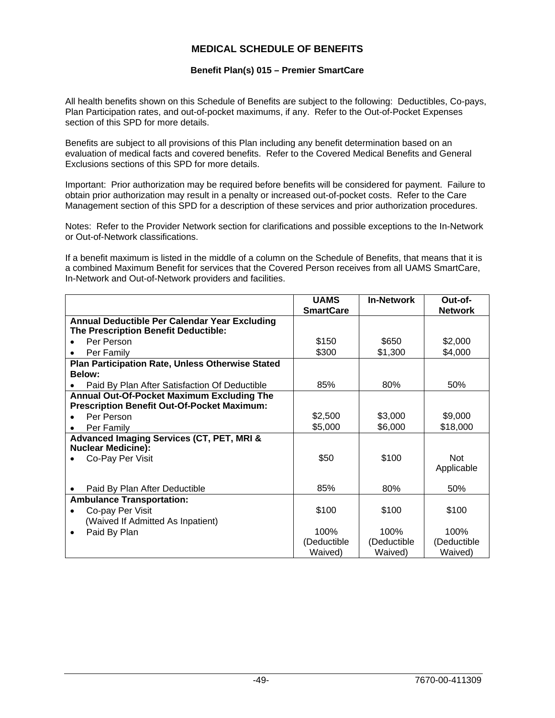# **MEDICAL SCHEDULE OF BENEFITS**

#### **Benefit Plan(s) 015 – Premier SmartCare**

All health benefits shown on this Schedule of Benefits are subject to the following: Deductibles, Co-pays, Plan Participation rates, and out-of-pocket maximums, if any. Refer to the Out-of-Pocket Expenses section of this SPD for more details.

Benefits are subject to all provisions of this Plan including any benefit determination based on an evaluation of medical facts and covered benefits. Refer to the Covered Medical Benefits and General Exclusions sections of this SPD for more details.

Important: Prior authorization may be required before benefits will be considered for payment. Failure to obtain prior authorization may result in a penalty or increased out-of-pocket costs. Refer to the Care Management section of this SPD for a description of these services and prior authorization procedures.

Notes: Refer to the Provider Network section for clarifications and possible exceptions to the In-Network or Out-of-Network classifications.

If a benefit maximum is listed in the middle of a column on the Schedule of Benefits, that means that it is a combined Maximum Benefit for services that the Covered Person receives from all UAMS SmartCare, In-Network and Out-of-Network providers and facilities.

|                                                                                                  | <b>UAMS</b><br><b>SmartCare</b> | <b>In-Network</b> | Out-of-<br><b>Network</b> |
|--------------------------------------------------------------------------------------------------|---------------------------------|-------------------|---------------------------|
| Annual Deductible Per Calendar Year Excluding                                                    |                                 |                   |                           |
| <b>The Prescription Benefit Deductible:</b>                                                      |                                 |                   |                           |
| Per Person<br>$\bullet$                                                                          | \$150                           | \$650             | \$2,000                   |
| Per Family                                                                                       | \$300                           | \$1,300           | \$4,000                   |
| Plan Participation Rate, Unless Otherwise Stated                                                 |                                 |                   |                           |
| Below:                                                                                           |                                 |                   |                           |
| Paid By Plan After Satisfaction Of Deductible                                                    | 85%                             | 80%               | 50%                       |
| Annual Out-Of-Pocket Maximum Excluding The<br><b>Prescription Benefit Out-Of-Pocket Maximum:</b> |                                 |                   |                           |
| Per Person<br>$\bullet$                                                                          | \$2,500                         | \$3,000           | \$9,000                   |
| Per Family<br>$\bullet$                                                                          | \$5,000                         | \$6,000           | \$18,000                  |
| Advanced Imaging Services (CT, PET, MRI &<br><b>Nuclear Medicine):</b>                           |                                 |                   |                           |
| Co-Pay Per Visit                                                                                 | \$50                            | \$100             | Not<br>Applicable         |
| Paid By Plan After Deductible                                                                    | 85%                             | 80%               | 50%                       |
| <b>Ambulance Transportation:</b>                                                                 |                                 |                   |                           |
| Co-pay Per Visit<br>$\bullet$                                                                    | \$100                           | \$100             | \$100                     |
| (Waived If Admitted As Inpatient)                                                                |                                 |                   |                           |
| Paid By Plan<br>$\bullet$                                                                        | 100%                            | 100%              | 100%                      |
|                                                                                                  | (Deductible                     | (Deductible       | (Deductible               |
|                                                                                                  | Waived)                         | Waived)           | Waived)                   |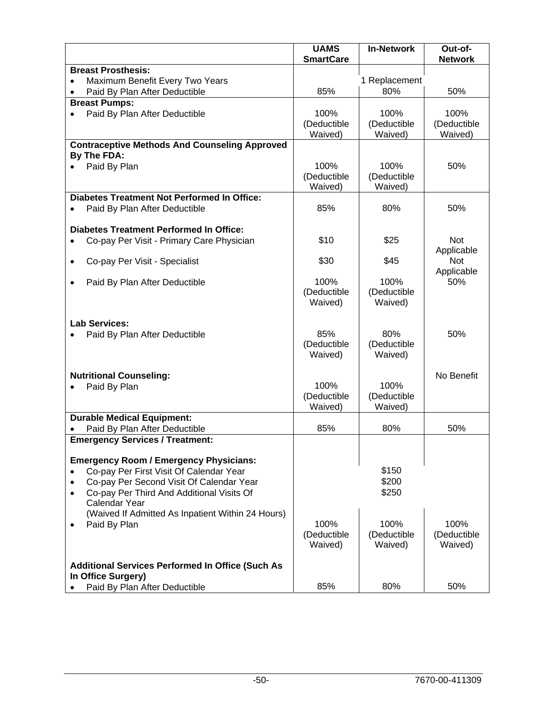|                                                                                          | <b>UAMS</b><br><b>SmartCare</b> | <b>In-Network</b> | Out-of-<br><b>Network</b> |
|------------------------------------------------------------------------------------------|---------------------------------|-------------------|---------------------------|
| <b>Breast Prosthesis:</b>                                                                |                                 |                   |                           |
| Maximum Benefit Every Two Years<br>$\bullet$                                             |                                 | 1 Replacement     |                           |
| Paid By Plan After Deductible                                                            | 85%                             | 80%               | 50%                       |
| <b>Breast Pumps:</b>                                                                     |                                 |                   |                           |
| Paid By Plan After Deductible<br>$\bullet$                                               | 100%                            | 100%              | 100%                      |
|                                                                                          | (Deductible                     | (Deductible       | (Deductible               |
|                                                                                          | Waived)                         | Waived)           | Waived)                   |
| <b>Contraceptive Methods And Counseling Approved</b>                                     |                                 |                   |                           |
| By The FDA:                                                                              | 100%                            | 100%              | 50%                       |
| Paid By Plan                                                                             | (Deductible                     | (Deductible       |                           |
|                                                                                          | Waived)                         | Waived)           |                           |
| <b>Diabetes Treatment Not Performed In Office:</b>                                       |                                 |                   |                           |
| Paid By Plan After Deductible<br>$\bullet$                                               | 85%                             | 80%               | 50%                       |
|                                                                                          |                                 |                   |                           |
| <b>Diabetes Treatment Performed In Office:</b>                                           |                                 |                   |                           |
| Co-pay Per Visit - Primary Care Physician                                                | \$10                            | \$25              | <b>Not</b>                |
|                                                                                          |                                 |                   | Applicable                |
| Co-pay Per Visit - Specialist<br>$\bullet$                                               | \$30                            | \$45              | <b>Not</b>                |
| Paid By Plan After Deductible<br>$\bullet$                                               | 100%                            | 100%              | Applicable<br>50%         |
|                                                                                          | (Deductible                     | (Deductible       |                           |
|                                                                                          | Waived)                         | Waived)           |                           |
|                                                                                          |                                 |                   |                           |
| <b>Lab Services:</b>                                                                     |                                 |                   |                           |
| Paid By Plan After Deductible                                                            | 85%                             | 80%               | 50%                       |
|                                                                                          | (Deductible                     | (Deductible       |                           |
|                                                                                          | Waived)                         | Waived)           |                           |
| <b>Nutritional Counseling:</b>                                                           |                                 |                   | No Benefit                |
| Paid By Plan                                                                             | 100%                            | 100%              |                           |
|                                                                                          | (Deductible                     | (Deductible       |                           |
|                                                                                          | Waived)                         | Waived)           |                           |
| <b>Durable Medical Equipment:</b>                                                        |                                 |                   |                           |
| Paid By Plan After Deductible                                                            | 85%                             | 80%               | 50%                       |
| <b>Emergency Services / Treatment:</b>                                                   |                                 |                   |                           |
|                                                                                          |                                 |                   |                           |
| <b>Emergency Room / Emergency Physicians:</b><br>Co-pay Per First Visit Of Calendar Year |                                 | \$150             |                           |
| Co-pay Per Second Visit Of Calendar Year<br>$\bullet$                                    |                                 | \$200             |                           |
| Co-pay Per Third And Additional Visits Of<br>$\bullet$                                   |                                 | \$250             |                           |
| Calendar Year                                                                            |                                 |                   |                           |
| (Waived If Admitted As Inpatient Within 24 Hours)                                        |                                 |                   |                           |
| Paid By Plan<br>$\bullet$                                                                | 100%                            | 100%              | 100%                      |
|                                                                                          | (Deductible                     | (Deductible       | (Deductible               |
|                                                                                          | Waived)                         | Waived)           | Waived)                   |
| <b>Additional Services Performed In Office (Such As</b>                                  |                                 |                   |                           |
| In Office Surgery)                                                                       |                                 |                   |                           |
| Paid By Plan After Deductible<br>$\bullet$                                               | 85%                             | 80%               | 50%                       |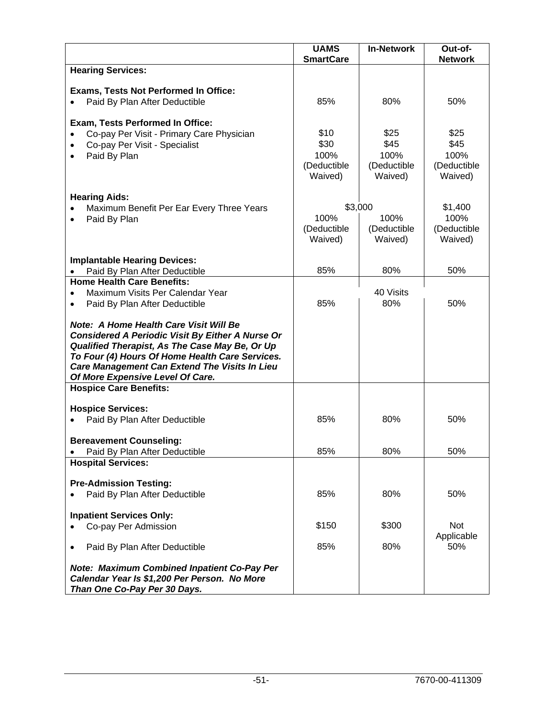|                                                                                          | <b>UAMS</b>      | <b>In-Network</b> | Out-of-           |
|------------------------------------------------------------------------------------------|------------------|-------------------|-------------------|
| <b>Hearing Services:</b>                                                                 | <b>SmartCare</b> |                   | <b>Network</b>    |
|                                                                                          |                  |                   |                   |
| <b>Exams, Tests Not Performed In Office:</b>                                             |                  |                   |                   |
| Paid By Plan After Deductible                                                            | 85%              | 80%               | 50%               |
| Exam, Tests Performed In Office:                                                         |                  |                   |                   |
| Co-pay Per Visit - Primary Care Physician                                                | \$10             | \$25              | \$25              |
| Co-pay Per Visit - Specialist                                                            | \$30             | \$45              | \$45              |
| Paid By Plan                                                                             | 100%             | 100%              | 100%              |
|                                                                                          | (Deductible      | (Deductible       | (Deductible       |
|                                                                                          | Waived)          | Waived)           | Waived)           |
| <b>Hearing Aids:</b>                                                                     |                  |                   |                   |
| Maximum Benefit Per Ear Every Three Years                                                | \$3,000          |                   | \$1,400           |
| Paid By Plan                                                                             | 100%             | 100%              | 100%              |
|                                                                                          | (Deductible      | (Deductible       | (Deductible       |
|                                                                                          | Waived)          | Waived)           | Waived)           |
| <b>Implantable Hearing Devices:</b>                                                      |                  |                   |                   |
| Paid By Plan After Deductible                                                            | 85%              | 80%               | 50%               |
| <b>Home Health Care Benefits:</b>                                                        |                  |                   |                   |
| Maximum Visits Per Calendar Year<br>$\bullet$                                            |                  | 40 Visits         |                   |
| Paid By Plan After Deductible                                                            | 85%              | 80%               | 50%               |
| <b>Note: A Home Health Care Visit Will Be</b>                                            |                  |                   |                   |
| <b>Considered A Periodic Visit By Either A Nurse Or</b>                                  |                  |                   |                   |
| Qualified Therapist, As The Case May Be, Or Up                                           |                  |                   |                   |
| To Four (4) Hours Of Home Health Care Services.                                          |                  |                   |                   |
| <b>Care Management Can Extend The Visits In Lieu</b><br>Of More Expensive Level Of Care. |                  |                   |                   |
| <b>Hospice Care Benefits:</b>                                                            |                  |                   |                   |
|                                                                                          |                  |                   |                   |
| <b>Hospice Services:</b>                                                                 |                  |                   |                   |
| Paid By Plan After Deductible                                                            | 85%              | 80%               | 50%               |
| <b>Bereavement Counseling:</b>                                                           |                  |                   |                   |
| Paid By Plan After Deductible                                                            | 85%              | 80%               | 50%               |
| <b>Hospital Services:</b>                                                                |                  |                   |                   |
| <b>Pre-Admission Testing:</b>                                                            |                  |                   |                   |
| Paid By Plan After Deductible                                                            | 85%              | 80%               | 50%               |
|                                                                                          |                  |                   |                   |
| <b>Inpatient Services Only:</b>                                                          |                  |                   |                   |
| Co-pay Per Admission                                                                     | \$150            | \$300             | <b>Not</b>        |
| Paid By Plan After Deductible<br>$\bullet$                                               | 85%              | 80%               | Applicable<br>50% |
|                                                                                          |                  |                   |                   |
| <b>Note: Maximum Combined Inpatient Co-Pay Per</b>                                       |                  |                   |                   |
| Calendar Year Is \$1,200 Per Person. No More                                             |                  |                   |                   |
| Than One Co-Pay Per 30 Days.                                                             |                  |                   |                   |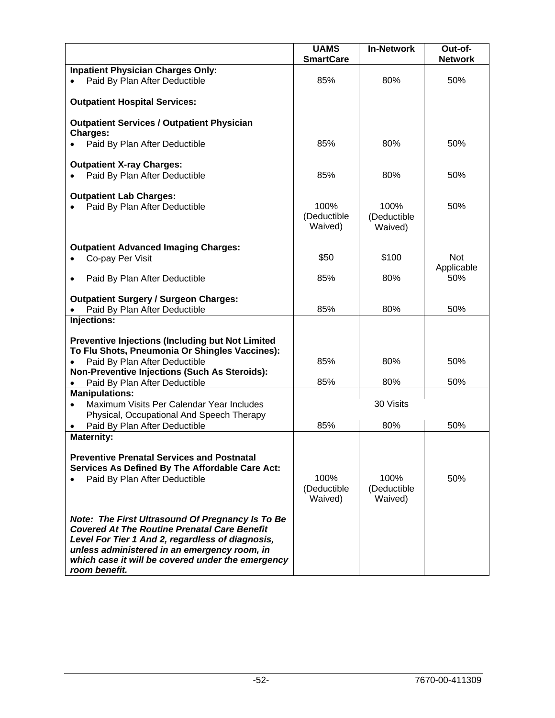|                                                                                                                                                                                                                                                                                          | <b>UAMS</b><br><b>SmartCare</b> | <b>In-Network</b>              | Out-of-<br><b>Network</b> |
|------------------------------------------------------------------------------------------------------------------------------------------------------------------------------------------------------------------------------------------------------------------------------------------|---------------------------------|--------------------------------|---------------------------|
| <b>Inpatient Physician Charges Only:</b>                                                                                                                                                                                                                                                 |                                 |                                |                           |
| Paid By Plan After Deductible                                                                                                                                                                                                                                                            | 85%                             | 80%                            | 50%                       |
| <b>Outpatient Hospital Services:</b>                                                                                                                                                                                                                                                     |                                 |                                |                           |
| <b>Outpatient Services / Outpatient Physician</b><br>Charges:                                                                                                                                                                                                                            |                                 |                                |                           |
| Paid By Plan After Deductible                                                                                                                                                                                                                                                            | 85%                             | 80%                            | 50%                       |
| <b>Outpatient X-ray Charges:</b>                                                                                                                                                                                                                                                         |                                 |                                |                           |
| Paid By Plan After Deductible                                                                                                                                                                                                                                                            | 85%                             | 80%                            | 50%                       |
| <b>Outpatient Lab Charges:</b><br>Paid By Plan After Deductible                                                                                                                                                                                                                          | 100%<br>(Deductible<br>Waived)  | 100%<br>(Deductible<br>Waived) | 50%                       |
| <b>Outpatient Advanced Imaging Charges:</b>                                                                                                                                                                                                                                              |                                 |                                |                           |
| Co-pay Per Visit                                                                                                                                                                                                                                                                         | \$50                            | \$100                          | <b>Not</b><br>Applicable  |
| Paid By Plan After Deductible                                                                                                                                                                                                                                                            | 85%                             | 80%                            | 50%                       |
| <b>Outpatient Surgery / Surgeon Charges:</b><br>Paid By Plan After Deductible                                                                                                                                                                                                            | 85%                             | 80%                            | 50%                       |
| Injections:                                                                                                                                                                                                                                                                              |                                 |                                |                           |
| <b>Preventive Injections (Including but Not Limited</b>                                                                                                                                                                                                                                  |                                 |                                |                           |
| To Flu Shots, Pneumonia Or Shingles Vaccines):<br>Paid By Plan After Deductible                                                                                                                                                                                                          | 85%                             | 80%                            | 50%                       |
| <b>Non-Preventive Injections (Such As Steroids):</b>                                                                                                                                                                                                                                     |                                 |                                |                           |
| Paid By Plan After Deductible<br><b>Manipulations:</b>                                                                                                                                                                                                                                   | 85%                             | 80%                            | 50%                       |
| Maximum Visits Per Calendar Year Includes<br>Physical, Occupational And Speech Therapy                                                                                                                                                                                                   |                                 | 30 Visits                      |                           |
| Paid By Plan After Deductible                                                                                                                                                                                                                                                            | 85%                             | 80%                            | 50%                       |
| <b>Maternity:</b>                                                                                                                                                                                                                                                                        |                                 |                                |                           |
| <b>Preventive Prenatal Services and Postnatal</b><br>Services As Defined By The Affordable Care Act:<br>Paid By Plan After Deductible                                                                                                                                                    | 100%<br>(Deductible<br>Waived)  | 100%<br>(Deductible<br>Waived) | 50%                       |
| <b>Note: The First Ultrasound Of Pregnancy Is To Be</b><br><b>Covered At The Routine Prenatal Care Benefit</b><br>Level For Tier 1 And 2, regardless of diagnosis,<br>unless administered in an emergency room, in<br>which case it will be covered under the emergency<br>room benefit. |                                 |                                |                           |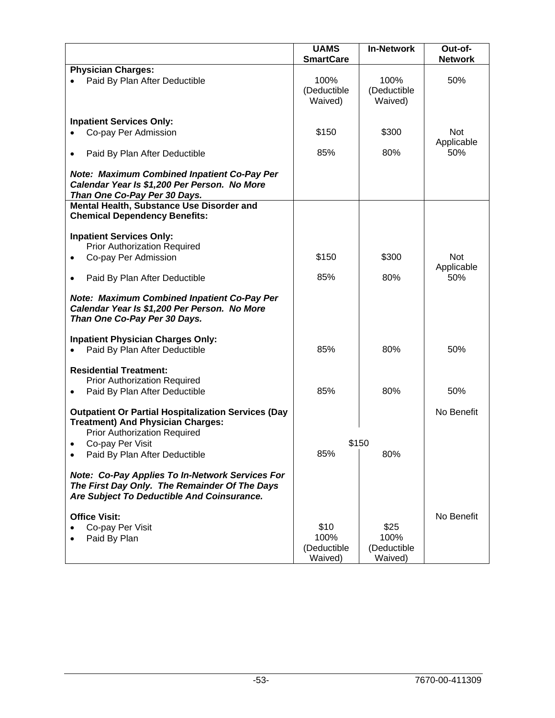|                                                                                                                                                       | <b>UAMS</b>                            | <b>In-Network</b>                      | Out-of-           |
|-------------------------------------------------------------------------------------------------------------------------------------------------------|----------------------------------------|----------------------------------------|-------------------|
| <b>Physician Charges:</b>                                                                                                                             | <b>SmartCare</b>                       |                                        | <b>Network</b>    |
| Paid By Plan After Deductible                                                                                                                         | 100%<br>(Deductible<br>Waived)         | 100%<br>(Deductible<br>Waived)         | 50%               |
| <b>Inpatient Services Only:</b>                                                                                                                       |                                        |                                        |                   |
| Co-pay Per Admission                                                                                                                                  | \$150                                  | \$300                                  | Not<br>Applicable |
| Paid By Plan After Deductible<br>$\bullet$                                                                                                            | 85%                                    | 80%                                    | 50%               |
| <b>Note: Maximum Combined Inpatient Co-Pay Per</b><br>Calendar Year Is \$1,200 Per Person. No More<br>Than One Co-Pay Per 30 Days.                    |                                        |                                        |                   |
| Mental Health, Substance Use Disorder and<br><b>Chemical Dependency Benefits:</b>                                                                     |                                        |                                        |                   |
| <b>Inpatient Services Only:</b><br><b>Prior Authorization Required</b><br>Co-pay Per Admission                                                        | \$150                                  | \$300                                  | Not               |
|                                                                                                                                                       | 85%                                    | 80%                                    | Applicable<br>50% |
| Paid By Plan After Deductible                                                                                                                         |                                        |                                        |                   |
| <b>Note: Maximum Combined Inpatient Co-Pay Per</b><br>Calendar Year Is \$1,200 Per Person. No More<br>Than One Co-Pay Per 30 Days.                    |                                        |                                        |                   |
| <b>Inpatient Physician Charges Only:</b><br>Paid By Plan After Deductible                                                                             | 85%                                    | 80%                                    | 50%               |
| <b>Residential Treatment:</b><br><b>Prior Authorization Required</b>                                                                                  |                                        |                                        |                   |
| Paid By Plan After Deductible<br>$\bullet$                                                                                                            | 85%                                    | 80%                                    | 50%               |
| <b>Outpatient Or Partial Hospitalization Services (Day</b><br><b>Treatment) And Physician Charges:</b>                                                |                                        |                                        | No Benefit        |
| <b>Prior Authorization Required</b>                                                                                                                   | \$150                                  |                                        |                   |
| Co-pay Per Visit<br>Paid By Plan After Deductible                                                                                                     | 85%                                    | 80%                                    |                   |
| <b>Note: Co-Pay Applies To In-Network Services For</b><br>The First Day Only. The Remainder Of The Days<br>Are Subject To Deductible And Coinsurance. |                                        |                                        |                   |
| <b>Office Visit:</b>                                                                                                                                  |                                        |                                        | No Benefit        |
| Co-pay Per Visit<br>Paid By Plan                                                                                                                      | \$10<br>100%<br>(Deductible<br>Waived) | \$25<br>100%<br>(Deductible<br>Waived) |                   |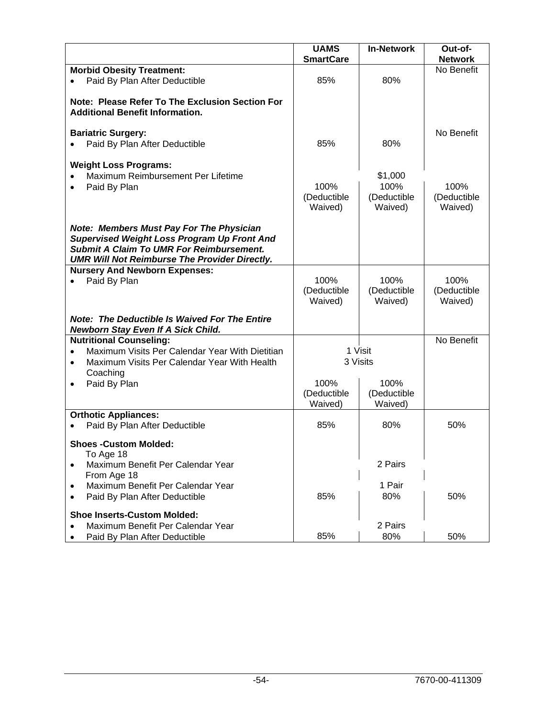|                                                                                                       | <b>UAMS</b>      | <b>In-Network</b> | Out-of-        |
|-------------------------------------------------------------------------------------------------------|------------------|-------------------|----------------|
|                                                                                                       | <b>SmartCare</b> |                   | <b>Network</b> |
| <b>Morbid Obesity Treatment:</b>                                                                      |                  |                   | No Benefit     |
| Paid By Plan After Deductible                                                                         | 85%              | 80%               |                |
|                                                                                                       |                  |                   |                |
| Note: Please Refer To The Exclusion Section For                                                       |                  |                   |                |
| <b>Additional Benefit Information.</b>                                                                |                  |                   |                |
| <b>Bariatric Surgery:</b>                                                                             |                  |                   | No Benefit     |
| Paid By Plan After Deductible                                                                         | 85%              | 80%               |                |
|                                                                                                       |                  |                   |                |
| <b>Weight Loss Programs:</b>                                                                          |                  |                   |                |
| Maximum Reimbursement Per Lifetime                                                                    |                  | \$1,000           |                |
| Paid By Plan                                                                                          | 100%             | 100%              | 100%           |
|                                                                                                       | (Deductible      | (Deductible       | (Deductible    |
|                                                                                                       | Waived)          | Waived)           | Waived)        |
|                                                                                                       |                  |                   |                |
| <b>Note: Members Must Pay For The Physician</b><br><b>Supervised Weight Loss Program Up Front And</b> |                  |                   |                |
| <b>Submit A Claim To UMR For Reimbursement.</b>                                                       |                  |                   |                |
| <b>UMR Will Not Reimburse The Provider Directly.</b>                                                  |                  |                   |                |
| <b>Nursery And Newborn Expenses:</b>                                                                  |                  |                   |                |
| Paid By Plan                                                                                          | 100%             | 100%              | 100%           |
|                                                                                                       | (Deductible      | (Deductible       | (Deductible    |
|                                                                                                       | Waived)          | Waived)           | Waived)        |
| <b>Note: The Deductible Is Waived For The Entire</b>                                                  |                  |                   |                |
| <b>Newborn Stay Even If A Sick Child.</b>                                                             |                  |                   |                |
| <b>Nutritional Counseling:</b>                                                                        |                  |                   | No Benefit     |
| Maximum Visits Per Calendar Year With Dietitian                                                       |                  | 1 Visit           |                |
| Maximum Visits Per Calendar Year With Health                                                          |                  | 3 Visits          |                |
| Coaching                                                                                              |                  |                   |                |
| Paid By Plan                                                                                          | 100%             | 100%              |                |
|                                                                                                       | (Deductible      | (Deductible       |                |
|                                                                                                       | Waived)          | Waived)           |                |
| <b>Orthotic Appliances:</b>                                                                           | 85%              | 80%               | 50%            |
| Paid By Plan After Deductible                                                                         |                  |                   |                |
| <b>Shoes - Custom Molded:</b>                                                                         |                  |                   |                |
| To Age 18                                                                                             |                  |                   |                |
| Maximum Benefit Per Calendar Year                                                                     |                  | 2 Pairs           |                |
| From Age 18                                                                                           |                  |                   |                |
| Maximum Benefit Per Calendar Year<br>$\bullet$                                                        | 85%              | 1 Pair<br>80%     | 50%            |
| Paid By Plan After Deductible                                                                         |                  |                   |                |
| <b>Shoe Inserts-Custom Molded:</b>                                                                    |                  |                   |                |
| Maximum Benefit Per Calendar Year                                                                     |                  | 2 Pairs           |                |
| Paid By Plan After Deductible                                                                         | 85%              | 80%               | 50%            |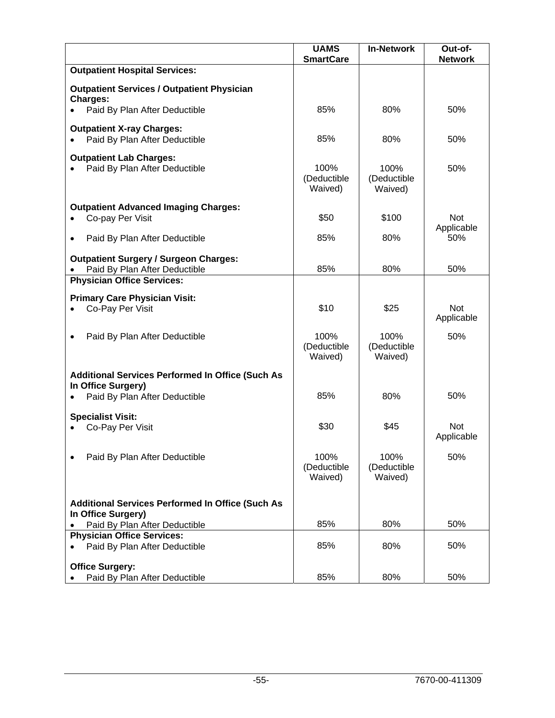|                                                                               | <b>UAMS</b><br><b>SmartCare</b> | <b>In-Network</b>              | Out-of-<br><b>Network</b> |
|-------------------------------------------------------------------------------|---------------------------------|--------------------------------|---------------------------|
| <b>Outpatient Hospital Services:</b>                                          |                                 |                                |                           |
| <b>Outpatient Services / Outpatient Physician</b><br>Charges:                 |                                 |                                |                           |
| Paid By Plan After Deductible                                                 | 85%                             | 80%                            | 50%                       |
| <b>Outpatient X-ray Charges:</b><br>Paid By Plan After Deductible             | 85%                             | 80%                            | 50%                       |
| <b>Outpatient Lab Charges:</b><br>Paid By Plan After Deductible               | 100%<br>(Deductible<br>Waived)  | 100%<br>(Deductible<br>Waived) | 50%                       |
| <b>Outpatient Advanced Imaging Charges:</b><br>Co-pay Per Visit               | \$50                            | \$100                          | <b>Not</b><br>Applicable  |
| Paid By Plan After Deductible                                                 | 85%                             | 80%                            | 50%                       |
| <b>Outpatient Surgery / Surgeon Charges:</b><br>Paid By Plan After Deductible | 85%                             | 80%                            | 50%                       |
| <b>Physician Office Services:</b>                                             |                                 |                                |                           |
| <b>Primary Care Physician Visit:</b>                                          |                                 |                                |                           |
| Co-Pay Per Visit                                                              | \$10                            | \$25                           | <b>Not</b><br>Applicable  |
| Paid By Plan After Deductible<br>$\bullet$                                    | 100%<br>(Deductible<br>Waived)  | 100%<br>(Deductible<br>Waived) | 50%                       |
| <b>Additional Services Performed In Office (Such As</b><br>In Office Surgery) |                                 |                                |                           |
| Paid By Plan After Deductible<br>٠                                            | 85%                             | 80%                            | 50%                       |
| <b>Specialist Visit:</b><br>Co-Pay Per Visit                                  | \$30                            | \$45                           | Not<br>Applicable         |
| Paid By Plan After Deductible                                                 | 100%<br>(Deductible<br>Waived)  | 100%<br>(Deductible<br>Waived) | 50%                       |
| <b>Additional Services Performed In Office (Such As</b><br>In Office Surgery) |                                 |                                |                           |
| Paid By Plan After Deductible                                                 | 85%                             | 80%                            | 50%                       |
| <b>Physician Office Services:</b>                                             |                                 |                                |                           |
| Paid By Plan After Deductible                                                 | 85%                             | 80%                            | 50%                       |
| <b>Office Surgery:</b><br>Paid By Plan After Deductible                       | 85%                             | 80%                            | 50%                       |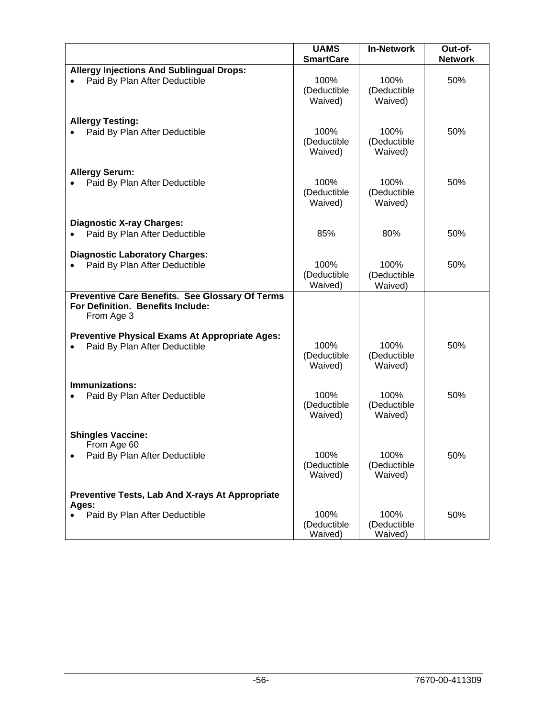|                                                                                                    | <b>UAMS</b><br><b>SmartCare</b> | <b>In-Network</b>              | Out-of-<br><b>Network</b> |
|----------------------------------------------------------------------------------------------------|---------------------------------|--------------------------------|---------------------------|
|                                                                                                    |                                 |                                |                           |
| <b>Allergy Injections And Sublingual Drops:</b><br>Paid By Plan After Deductible                   | 100%<br>(Deductible<br>Waived)  | 100%<br>(Deductible<br>Waived) | 50%                       |
| <b>Allergy Testing:</b><br>Paid By Plan After Deductible                                           | 100%<br>(Deductible<br>Waived)  | 100%<br>(Deductible<br>Waived) | 50%                       |
| <b>Allergy Serum:</b><br>Paid By Plan After Deductible                                             | 100%<br>(Deductible<br>Waived)  | 100%<br>(Deductible<br>Waived) | 50%                       |
| <b>Diagnostic X-ray Charges:</b><br>Paid By Plan After Deductible                                  | 85%                             | 80%                            | 50%                       |
| <b>Diagnostic Laboratory Charges:</b><br>Paid By Plan After Deductible                             | 100%<br>(Deductible<br>Waived)  | 100%<br>(Deductible<br>Waived) | 50%                       |
| Preventive Care Benefits. See Glossary Of Terms<br>For Definition. Benefits Include:<br>From Age 3 |                                 |                                |                           |
| <b>Preventive Physical Exams At Appropriate Ages:</b>                                              |                                 |                                |                           |
| Paid By Plan After Deductible                                                                      | 100%<br>(Deductible<br>Waived)  | 100%<br>(Deductible<br>Waived) | 50%                       |
| Immunizations:<br>Paid By Plan After Deductible                                                    | 100%<br>(Deductible<br>Waived)  | 100%<br>(Deductible<br>Waived) | 50%                       |
| <b>Shingles Vaccine:</b><br>From Age 60                                                            |                                 |                                |                           |
| Paid By Plan After Deductible                                                                      | 100%<br>(Deductible<br>Waived)  | 100%<br>(Deductible<br>Waived) | 50%                       |
| Preventive Tests, Lab And X-rays At Appropriate<br>Ages:                                           |                                 |                                |                           |
| Paid By Plan After Deductible                                                                      | 100%<br>(Deductible<br>Waived)  | 100%<br>(Deductible<br>Waived) | 50%                       |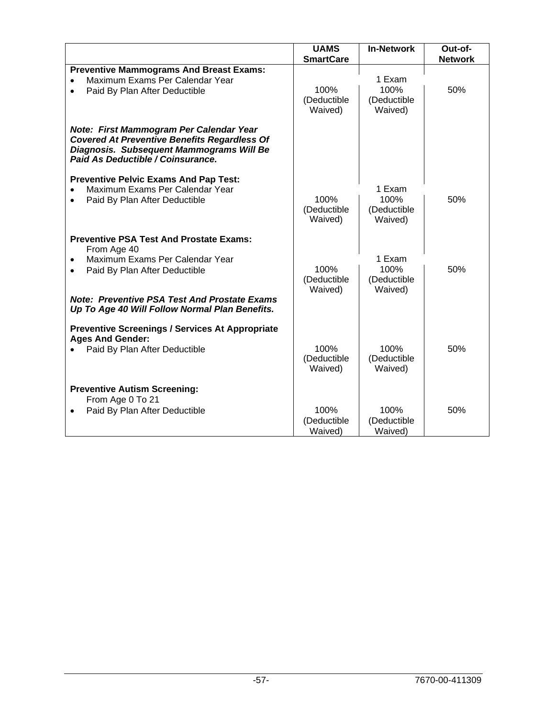|                                                                                                                                                                                 | <b>UAMS</b><br><b>SmartCare</b> | <b>In-Network</b>              | Out-of-<br><b>Network</b> |
|---------------------------------------------------------------------------------------------------------------------------------------------------------------------------------|---------------------------------|--------------------------------|---------------------------|
| <b>Preventive Mammograms And Breast Exams:</b>                                                                                                                                  |                                 |                                |                           |
| Maximum Exams Per Calendar Year                                                                                                                                                 |                                 | 1 Exam                         |                           |
| Paid By Plan After Deductible                                                                                                                                                   | 100%<br>(Deductible<br>Waived)  | 100%<br>(Deductible<br>Waived) | 50%                       |
| Note: First Mammogram Per Calendar Year<br><b>Covered At Preventive Benefits Regardless Of</b><br>Diagnosis. Subsequent Mammograms Will Be<br>Paid As Deductible / Coinsurance. |                                 |                                |                           |
| <b>Preventive Pelvic Exams And Pap Test:</b>                                                                                                                                    |                                 |                                |                           |
| Maximum Exams Per Calendar Year                                                                                                                                                 |                                 | 1 Exam                         |                           |
| Paid By Plan After Deductible<br>$\bullet$                                                                                                                                      | 100%<br>(Deductible<br>Waived)  | 100%<br>(Deductible<br>Waived) | 50%                       |
| <b>Preventive PSA Test And Prostate Exams:</b><br>From Age 40                                                                                                                   |                                 |                                |                           |
| Maximum Exams Per Calendar Year                                                                                                                                                 |                                 | 1 Exam                         |                           |
| Paid By Plan After Deductible                                                                                                                                                   | 100%<br>(Deductible<br>Waived)  | 100%<br>(Deductible<br>Waived) | 50%                       |
| <b>Note: Preventive PSA Test And Prostate Exams</b><br>Up To Age 40 Will Follow Normal Plan Benefits.                                                                           |                                 |                                |                           |
| <b>Preventive Screenings / Services At Appropriate</b><br><b>Ages And Gender:</b>                                                                                               |                                 |                                |                           |
| Paid By Plan After Deductible                                                                                                                                                   | 100%<br>(Deductible<br>Waived)  | 100%<br>(Deductible<br>Waived) | 50%                       |
| <b>Preventive Autism Screening:</b><br>From Age 0 To 21                                                                                                                         |                                 |                                |                           |
| Paid By Plan After Deductible                                                                                                                                                   | 100%<br>(Deductible<br>Waived)  | 100%<br>(Deductible<br>Waived) | 50%                       |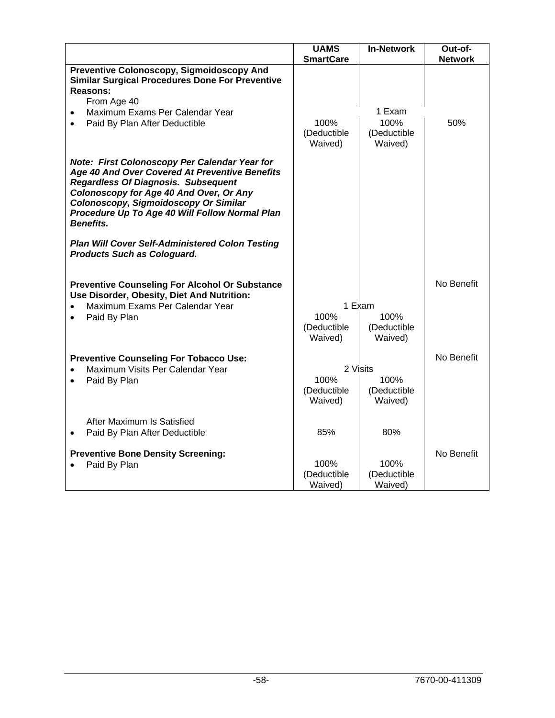|                                                                                                                                                                                                                                                                                                         | <b>UAMS</b><br><b>SmartCare</b> | <b>In-Network</b>                          | Out-of-<br><b>Network</b> |
|---------------------------------------------------------------------------------------------------------------------------------------------------------------------------------------------------------------------------------------------------------------------------------------------------------|---------------------------------|--------------------------------------------|---------------------------|
| <b>Preventive Colonoscopy, Sigmoidoscopy And</b><br><b>Similar Surgical Procedures Done For Preventive</b><br>Reasons:<br>From Age 40<br>Maximum Exams Per Calendar Year<br>$\bullet$                                                                                                                   |                                 | 1 Exam                                     |                           |
| Paid By Plan After Deductible                                                                                                                                                                                                                                                                           | 100%<br>(Deductible<br>Waived)  | 100%<br>(Deductible<br>Waived)             | 50%                       |
| Note: First Colonoscopy Per Calendar Year for<br>Age 40 And Over Covered At Preventive Benefits<br><b>Regardless Of Diagnosis. Subsequent</b><br>Colonoscopy for Age 40 And Over, Or Any<br>Colonoscopy, Sigmoidoscopy Or Similar<br>Procedure Up To Age 40 Will Follow Normal Plan<br><b>Benefits.</b> |                                 |                                            |                           |
| <b>Plan Will Cover Self-Administered Colon Testing</b><br><b>Products Such as Cologuard.</b>                                                                                                                                                                                                            |                                 |                                            |                           |
| <b>Preventive Counseling For Alcohol Or Substance</b><br>Use Disorder, Obesity, Diet And Nutrition:<br>Maximum Exams Per Calendar Year<br>$\bullet$                                                                                                                                                     |                                 | 1 Exam                                     | No Benefit                |
| Paid By Plan<br>$\bullet$                                                                                                                                                                                                                                                                               | 100%<br>(Deductible<br>Waived)  | 100%<br>(Deductible<br>Waived)             |                           |
| <b>Preventive Counseling For Tobacco Use:</b><br>Maximum Visits Per Calendar Year<br>Paid By Plan<br>$\bullet$                                                                                                                                                                                          | 100%<br>(Deductible<br>Waived)  | 2 Visits<br>100%<br>(Deductible<br>Waived) | No Benefit                |
| After Maximum Is Satisfied<br>Paid By Plan After Deductible                                                                                                                                                                                                                                             | 85%                             | 80%                                        |                           |
| <b>Preventive Bone Density Screening:</b><br>Paid By Plan                                                                                                                                                                                                                                               | 100%<br>(Deductible<br>Waived)  | 100%<br>(Deductible<br>Waived)             | No Benefit                |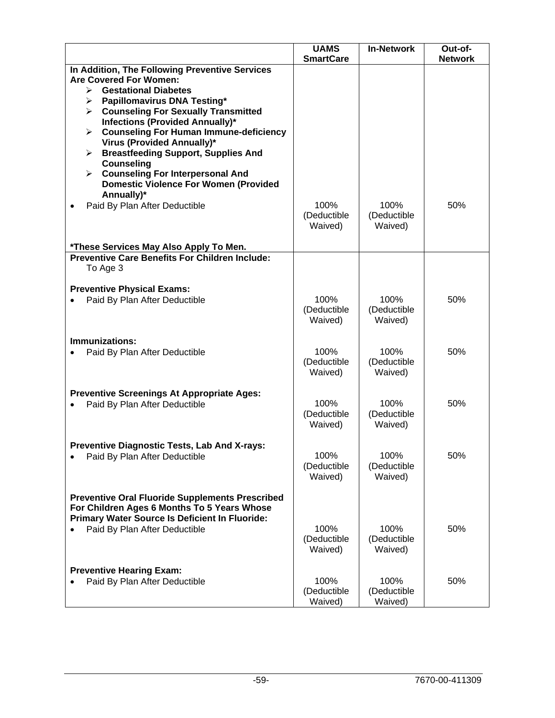|                                                                                                      | <b>UAMS</b>            | <b>In-Network</b>      | Out-of-        |
|------------------------------------------------------------------------------------------------------|------------------------|------------------------|----------------|
| In Addition, The Following Preventive Services                                                       | <b>SmartCare</b>       |                        | <b>Network</b> |
| <b>Are Covered For Women:</b>                                                                        |                        |                        |                |
| <b>Gestational Diabetes</b><br>≻                                                                     |                        |                        |                |
| $\triangleright$ Papillomavirus DNA Testing*<br>> Counseling For Sexually Transmitted                |                        |                        |                |
| <b>Infections (Provided Annually)*</b>                                                               |                        |                        |                |
| > Counseling For Human Immune-deficiency                                                             |                        |                        |                |
| Virus (Provided Annually)*<br><b>Breastfeeding Support, Supplies And</b><br>$\blacktriangleright$    |                        |                        |                |
| <b>Counseling</b>                                                                                    |                        |                        |                |
| > Counseling For Interpersonal And                                                                   |                        |                        |                |
| <b>Domestic Violence For Women (Provided</b><br>Annually)*                                           |                        |                        |                |
| Paid By Plan After Deductible<br>$\bullet$                                                           | 100%                   | 100%                   | 50%            |
|                                                                                                      | (Deductible            | (Deductible            |                |
|                                                                                                      | Waived)                | Waived)                |                |
| *These Services May Also Apply To Men.                                                               |                        |                        |                |
| <b>Preventive Care Benefits For Children Include:</b>                                                |                        |                        |                |
| To Age 3                                                                                             |                        |                        |                |
| <b>Preventive Physical Exams:</b>                                                                    |                        |                        |                |
| Paid By Plan After Deductible                                                                        | 100%<br>(Deductible    | 100%<br>(Deductible    | 50%            |
|                                                                                                      | Waived)                | Waived)                |                |
|                                                                                                      |                        |                        |                |
| Immunizations:<br>Paid By Plan After Deductible                                                      | 100%                   | 100%                   | 50%            |
|                                                                                                      | (Deductible            | (Deductible            |                |
|                                                                                                      | Waived)                | Waived)                |                |
| <b>Preventive Screenings At Appropriate Ages:</b>                                                    |                        |                        |                |
| Paid By Plan After Deductible                                                                        | 100%                   | 100%                   | 50%            |
|                                                                                                      | (Deductible            | (Deductible            |                |
|                                                                                                      | Waived)                | Waived)                |                |
| Preventive Diagnostic Tests, Lab And X-rays:                                                         |                        |                        |                |
| Paid By Plan After Deductible                                                                        | 100%                   | 100%                   | 50%            |
|                                                                                                      | (Deductible<br>Waived) | (Deductible<br>Waived) |                |
|                                                                                                      |                        |                        |                |
| <b>Preventive Oral Fluoride Supplements Prescribed</b>                                               |                        |                        |                |
| For Children Ages 6 Months To 5 Years Whose<br><b>Primary Water Source Is Deficient In Fluoride:</b> |                        |                        |                |
| Paid By Plan After Deductible                                                                        | 100%                   | 100%                   | 50%            |
|                                                                                                      | (Deductible<br>Waived) | (Deductible<br>Waived) |                |
|                                                                                                      |                        |                        |                |
| <b>Preventive Hearing Exam:</b>                                                                      |                        |                        |                |
| Paid By Plan After Deductible                                                                        | 100%<br>(Deductible    | 100%<br>(Deductible    | 50%            |
|                                                                                                      | Waived)                | Waived)                |                |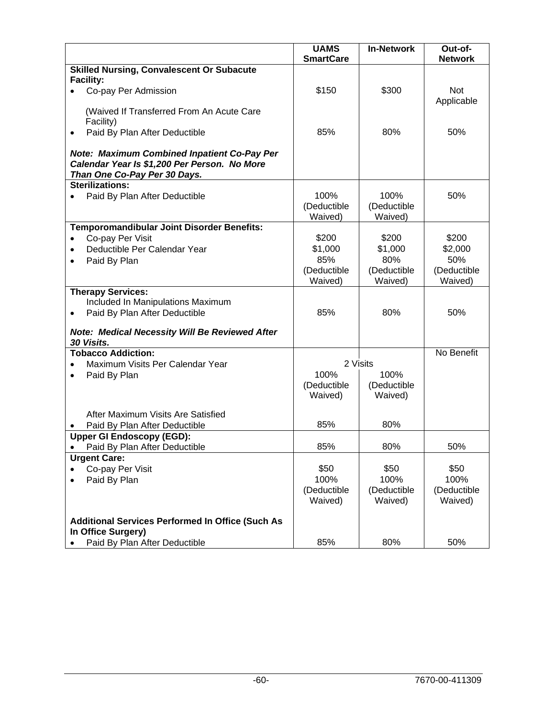| <b>SmartCare</b>                                  |                                                   | <b>Network</b>                                    |
|---------------------------------------------------|---------------------------------------------------|---------------------------------------------------|
|                                                   |                                                   |                                                   |
| \$150                                             | \$300                                             | <b>Not</b><br>Applicable                          |
|                                                   |                                                   |                                                   |
| 85%                                               | 80%                                               | 50%                                               |
|                                                   |                                                   |                                                   |
| 100%<br>(Deductible<br>Waived)                    | 100%<br>(Deductible<br>Waived)                    | 50%                                               |
| \$200<br>\$1,000<br>85%<br>(Deductible<br>Waived) | \$200<br>\$1,000<br>80%<br>(Deductible<br>Waived) | \$200<br>\$2,000<br>50%<br>(Deductible<br>Waived) |
| 85%                                               | 80%                                               | 50%                                               |
|                                                   |                                                   |                                                   |
|                                                   |                                                   | No Benefit                                        |
| 100%<br>(Deductible<br>Waived)                    | 100%<br>(Deductible<br>Waived)                    |                                                   |
|                                                   |                                                   |                                                   |
|                                                   |                                                   |                                                   |
| 85%                                               | 80%                                               | 50%                                               |
| \$50<br>100%<br>(Deductible<br>Waived)            | \$50<br>100%<br>(Deductible<br>Waived)            | \$50<br>100%<br>(Deductible<br>Waived)            |
|                                                   |                                                   | 50%                                               |
|                                                   | 85%<br>85%                                        | 2 Visits<br>80%<br>80%                            |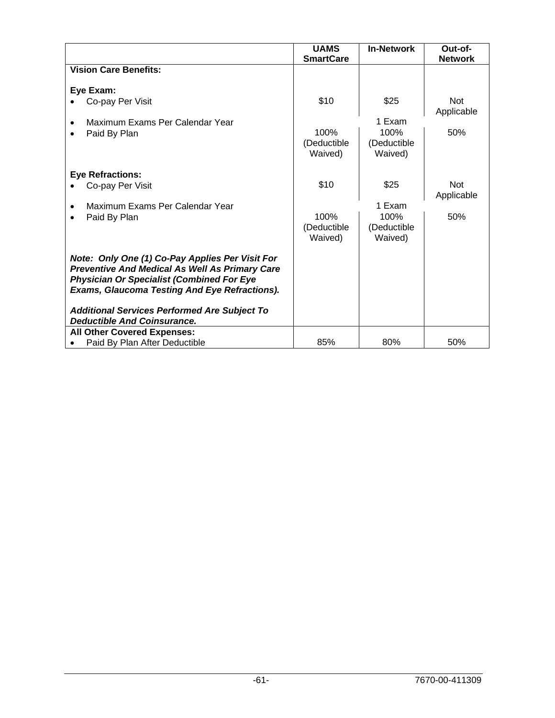|                                                                                                                                                                                                                      | <b>UAMS</b><br><b>SmartCare</b> | <b>In-Network</b>   | Out-of-<br><b>Network</b> |
|----------------------------------------------------------------------------------------------------------------------------------------------------------------------------------------------------------------------|---------------------------------|---------------------|---------------------------|
| <b>Vision Care Benefits:</b>                                                                                                                                                                                         |                                 |                     |                           |
| Eye Exam:                                                                                                                                                                                                            |                                 |                     |                           |
| Co-pay Per Visit                                                                                                                                                                                                     | \$10                            | \$25                | <b>Not</b>                |
|                                                                                                                                                                                                                      |                                 |                     | Applicable                |
| Maximum Exams Per Calendar Year                                                                                                                                                                                      |                                 | 1 Exam              |                           |
| Paid By Plan                                                                                                                                                                                                         | 100%<br>(Deductible             | 100%<br>(Deductible | 50%                       |
|                                                                                                                                                                                                                      | Waived)                         | Waived)             |                           |
|                                                                                                                                                                                                                      |                                 |                     |                           |
| <b>Eye Refractions:</b>                                                                                                                                                                                              |                                 |                     |                           |
| Co-pay Per Visit                                                                                                                                                                                                     | \$10                            | \$25                | <b>Not</b>                |
| Maximum Exams Per Calendar Year<br>$\bullet$                                                                                                                                                                         |                                 | 1 Exam              | Applicable                |
| Paid By Plan                                                                                                                                                                                                         | 100%                            | 100%                | 50%                       |
|                                                                                                                                                                                                                      | (Deductible                     | (Deductible         |                           |
|                                                                                                                                                                                                                      | Waived)                         | Waived)             |                           |
| Note: Only One (1) Co-Pay Applies Per Visit For<br><b>Preventive And Medical As Well As Primary Care</b><br><b>Physician Or Specialist (Combined For Eye</b><br><b>Exams, Glaucoma Testing And Eye Refractions).</b> |                                 |                     |                           |
| <b>Additional Services Performed Are Subject To</b><br><b>Deductible And Coinsurance.</b>                                                                                                                            |                                 |                     |                           |
| <b>All Other Covered Expenses:</b>                                                                                                                                                                                   |                                 |                     |                           |
| Paid By Plan After Deductible                                                                                                                                                                                        | 85%                             | 80%                 | 50%                       |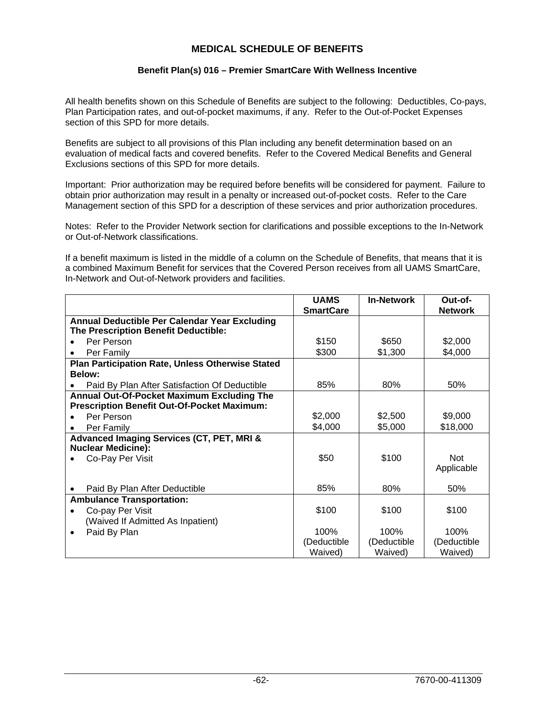# **MEDICAL SCHEDULE OF BENEFITS**

### **Benefit Plan(s) 016 – Premier SmartCare With Wellness Incentive**

All health benefits shown on this Schedule of Benefits are subject to the following: Deductibles, Co-pays, Plan Participation rates, and out-of-pocket maximums, if any. Refer to the Out-of-Pocket Expenses section of this SPD for more details.

Benefits are subject to all provisions of this Plan including any benefit determination based on an evaluation of medical facts and covered benefits. Refer to the Covered Medical Benefits and General Exclusions sections of this SPD for more details.

Important: Prior authorization may be required before benefits will be considered for payment. Failure to obtain prior authorization may result in a penalty or increased out-of-pocket costs. Refer to the Care Management section of this SPD for a description of these services and prior authorization procedures.

Notes: Refer to the Provider Network section for clarifications and possible exceptions to the In-Network or Out-of-Network classifications.

If a benefit maximum is listed in the middle of a column on the Schedule of Benefits, that means that it is a combined Maximum Benefit for services that the Covered Person receives from all UAMS SmartCare, In-Network and Out-of-Network providers and facilities.

|                                                         | <b>UAMS</b>      | <b>In-Network</b> | Out-of-        |
|---------------------------------------------------------|------------------|-------------------|----------------|
|                                                         | <b>SmartCare</b> |                   | <b>Network</b> |
| <b>Annual Deductible Per Calendar Year Excluding</b>    |                  |                   |                |
| <b>The Prescription Benefit Deductible:</b>             |                  |                   |                |
| Per Person<br>$\bullet$                                 | \$150            | \$650             | \$2,000        |
| Per Family<br>$\bullet$                                 | \$300            | \$1,300           | \$4,000        |
| <b>Plan Participation Rate, Unless Otherwise Stated</b> |                  |                   |                |
| Below:                                                  |                  |                   |                |
| Paid By Plan After Satisfaction Of Deductible           | 85%              | 80%               | 50%            |
| Annual Out-Of-Pocket Maximum Excluding The              |                  |                   |                |
| <b>Prescription Benefit Out-Of-Pocket Maximum:</b>      |                  |                   |                |
| Per Person<br>$\bullet$                                 | \$2,000          | \$2,500           | \$9,000        |
| Per Family<br>$\bullet$                                 | \$4,000          | \$5,000           | \$18,000       |
| <b>Advanced Imaging Services (CT, PET, MRI &amp;</b>    |                  |                   |                |
| <b>Nuclear Medicine):</b>                               |                  |                   |                |
| Co-Pay Per Visit                                        | \$50             | \$100             | <b>Not</b>     |
|                                                         |                  |                   | Applicable     |
|                                                         |                  |                   |                |
| Paid By Plan After Deductible                           | 85%              | 80%               | 50%            |
| <b>Ambulance Transportation:</b>                        |                  |                   |                |
| Co-pay Per Visit<br>$\bullet$                           | \$100            | \$100             | \$100          |
| (Waived If Admitted As Inpatient)                       |                  |                   |                |
| Paid By Plan<br>$\bullet$                               | 100%             | 100%              | 100%           |
|                                                         | (Deductible      | (Deductible       | (Deductible    |
|                                                         | Waived)          | Waived)           | Waived)        |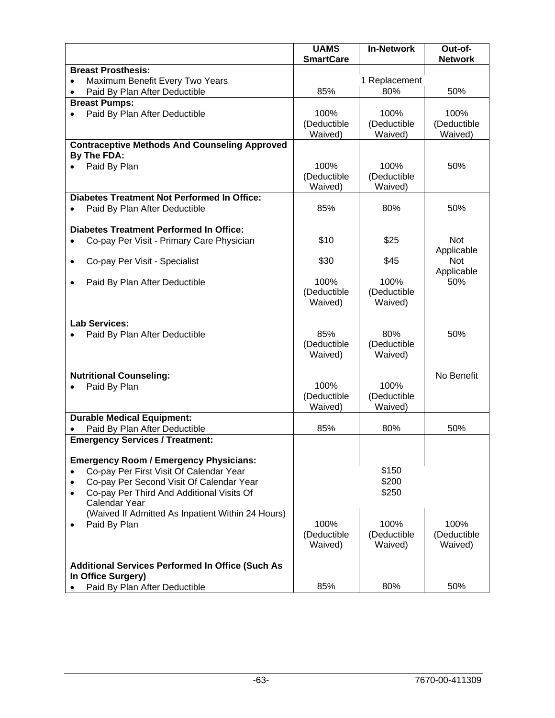|                                                                                          | <b>UAMS</b><br><b>SmartCare</b> | <b>In-Network</b> | Out-of-<br><b>Network</b> |
|------------------------------------------------------------------------------------------|---------------------------------|-------------------|---------------------------|
| <b>Breast Prosthesis:</b>                                                                |                                 |                   |                           |
| Maximum Benefit Every Two Years<br>$\bullet$                                             |                                 | 1 Replacement     |                           |
| Paid By Plan After Deductible                                                            | 85%                             | 80%               | 50%                       |
| <b>Breast Pumps:</b>                                                                     |                                 |                   |                           |
| Paid By Plan After Deductible<br>$\bullet$                                               | 100%                            | 100%              | 100%                      |
|                                                                                          | (Deductible                     | (Deductible       | (Deductible               |
|                                                                                          | Waived)                         | Waived)           | Waived)                   |
| <b>Contraceptive Methods And Counseling Approved</b>                                     |                                 |                   |                           |
| By The FDA:                                                                              | 100%                            | 100%              | 50%                       |
| Paid By Plan                                                                             | (Deductible                     | (Deductible       |                           |
|                                                                                          | Waived)                         | Waived)           |                           |
| <b>Diabetes Treatment Not Performed In Office:</b>                                       |                                 |                   |                           |
| Paid By Plan After Deductible<br>$\bullet$                                               | 85%                             | 80%               | 50%                       |
|                                                                                          |                                 |                   |                           |
| <b>Diabetes Treatment Performed In Office:</b>                                           |                                 |                   |                           |
| Co-pay Per Visit - Primary Care Physician                                                | \$10                            | \$25              | <b>Not</b>                |
|                                                                                          |                                 |                   | Applicable                |
| Co-pay Per Visit - Specialist<br>$\bullet$                                               | \$30                            | \$45              | <b>Not</b>                |
| Paid By Plan After Deductible<br>$\bullet$                                               | 100%                            | 100%              | Applicable<br>50%         |
|                                                                                          | (Deductible                     | (Deductible       |                           |
|                                                                                          | Waived)                         | Waived)           |                           |
|                                                                                          |                                 |                   |                           |
| <b>Lab Services:</b>                                                                     |                                 |                   |                           |
| Paid By Plan After Deductible                                                            | 85%                             | 80%               | 50%                       |
|                                                                                          | (Deductible                     | (Deductible       |                           |
|                                                                                          | Waived)                         | Waived)           |                           |
| <b>Nutritional Counseling:</b>                                                           |                                 |                   | No Benefit                |
| Paid By Plan                                                                             | 100%                            | 100%              |                           |
|                                                                                          | (Deductible                     | (Deductible       |                           |
|                                                                                          | Waived)                         | Waived)           |                           |
| <b>Durable Medical Equipment:</b>                                                        |                                 |                   |                           |
| Paid By Plan After Deductible                                                            | 85%                             | 80%               | 50%                       |
| <b>Emergency Services / Treatment:</b>                                                   |                                 |                   |                           |
|                                                                                          |                                 |                   |                           |
| <b>Emergency Room / Emergency Physicians:</b><br>Co-pay Per First Visit Of Calendar Year |                                 | \$150             |                           |
| Co-pay Per Second Visit Of Calendar Year<br>$\bullet$                                    |                                 | \$200             |                           |
| Co-pay Per Third And Additional Visits Of<br>$\bullet$                                   |                                 | \$250             |                           |
| Calendar Year                                                                            |                                 |                   |                           |
| (Waived If Admitted As Inpatient Within 24 Hours)                                        |                                 |                   |                           |
| Paid By Plan<br>$\bullet$                                                                | 100%                            | 100%              | 100%                      |
|                                                                                          | (Deductible                     | (Deductible       | (Deductible               |
|                                                                                          | Waived)                         | Waived)           | Waived)                   |
| <b>Additional Services Performed In Office (Such As</b>                                  |                                 |                   |                           |
| In Office Surgery)                                                                       |                                 |                   |                           |
| Paid By Plan After Deductible<br>$\bullet$                                               | 85%                             | 80%               | 50%                       |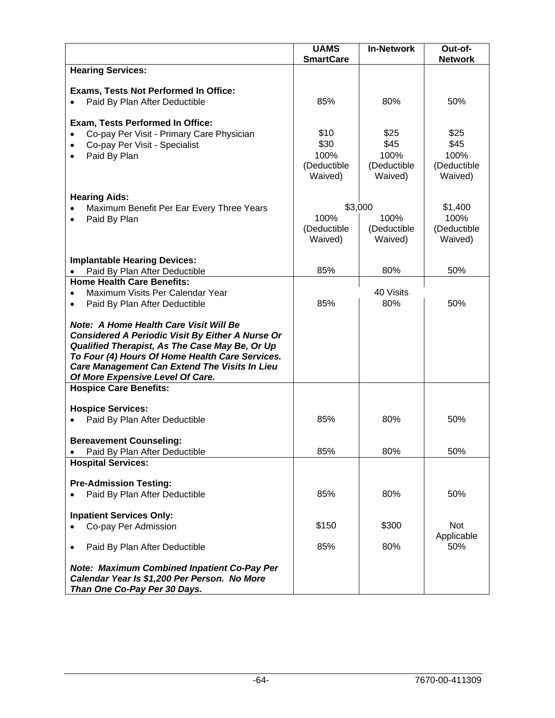|                                                                                          | <b>UAMS</b>      | <b>In-Network</b> | Out-of-           |
|------------------------------------------------------------------------------------------|------------------|-------------------|-------------------|
| <b>Hearing Services:</b>                                                                 | <b>SmartCare</b> |                   | <b>Network</b>    |
|                                                                                          |                  |                   |                   |
| <b>Exams, Tests Not Performed In Office:</b>                                             |                  |                   |                   |
| Paid By Plan After Deductible                                                            | 85%              | 80%               | 50%               |
| Exam, Tests Performed In Office:                                                         |                  |                   |                   |
| Co-pay Per Visit - Primary Care Physician                                                | \$10             | \$25              | \$25              |
| Co-pay Per Visit - Specialist                                                            | \$30             | \$45              | \$45              |
| Paid By Plan                                                                             | 100%             | 100%              | 100%              |
|                                                                                          | (Deductible      | (Deductible       | (Deductible       |
|                                                                                          | Waived)          | Waived)           | Waived)           |
| <b>Hearing Aids:</b>                                                                     |                  |                   |                   |
| Maximum Benefit Per Ear Every Three Years                                                |                  | \$3,000           | \$1,400           |
| Paid By Plan                                                                             | 100%             | 100%              | 100%              |
|                                                                                          | (Deductible      | (Deductible       | (Deductible       |
|                                                                                          | Waived)          | Waived)           | Waived)           |
| <b>Implantable Hearing Devices:</b>                                                      |                  |                   |                   |
| Paid By Plan After Deductible                                                            | 85%              | 80%               | 50%               |
| <b>Home Health Care Benefits:</b>                                                        |                  |                   |                   |
| Maximum Visits Per Calendar Year<br>$\bullet$                                            |                  | 40 Visits         |                   |
| Paid By Plan After Deductible                                                            | 85%              | 80%               | 50%               |
| <b>Note: A Home Health Care Visit Will Be</b>                                            |                  |                   |                   |
| <b>Considered A Periodic Visit By Either A Nurse Or</b>                                  |                  |                   |                   |
| Qualified Therapist, As The Case May Be, Or Up                                           |                  |                   |                   |
| To Four (4) Hours Of Home Health Care Services.                                          |                  |                   |                   |
| <b>Care Management Can Extend The Visits In Lieu</b><br>Of More Expensive Level Of Care. |                  |                   |                   |
| <b>Hospice Care Benefits:</b>                                                            |                  |                   |                   |
|                                                                                          |                  |                   |                   |
| <b>Hospice Services:</b>                                                                 |                  |                   |                   |
| Paid By Plan After Deductible                                                            | 85%              | 80%               | 50%               |
| <b>Bereavement Counseling:</b>                                                           |                  |                   |                   |
| Paid By Plan After Deductible                                                            | 85%              | 80%               | 50%               |
| <b>Hospital Services:</b>                                                                |                  |                   |                   |
|                                                                                          |                  |                   |                   |
| <b>Pre-Admission Testing:</b><br>Paid By Plan After Deductible                           | 85%              | 80%               | 50%               |
|                                                                                          |                  |                   |                   |
| <b>Inpatient Services Only:</b>                                                          |                  |                   |                   |
| Co-pay Per Admission                                                                     | \$150            | \$300             | <b>Not</b>        |
| Paid By Plan After Deductible                                                            | 85%              | 80%               | Applicable<br>50% |
| $\bullet$                                                                                |                  |                   |                   |
| <b>Note: Maximum Combined Inpatient Co-Pay Per</b>                                       |                  |                   |                   |
| Calendar Year Is \$1,200 Per Person. No More                                             |                  |                   |                   |
| Than One Co-Pay Per 30 Days.                                                             |                  |                   |                   |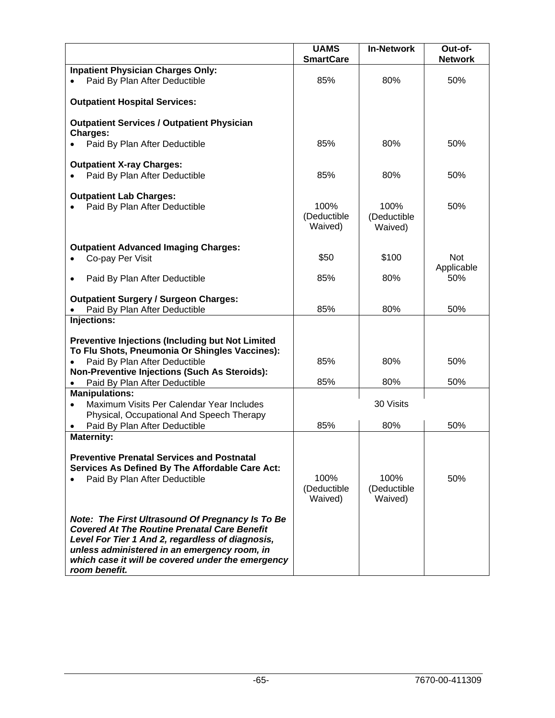|                                                                                                                                                                                                                                                                                          | <b>UAMS</b><br><b>SmartCare</b> | <b>In-Network</b>              | Out-of-<br><b>Network</b> |
|------------------------------------------------------------------------------------------------------------------------------------------------------------------------------------------------------------------------------------------------------------------------------------------|---------------------------------|--------------------------------|---------------------------|
| <b>Inpatient Physician Charges Only:</b>                                                                                                                                                                                                                                                 |                                 |                                |                           |
| Paid By Plan After Deductible                                                                                                                                                                                                                                                            | 85%                             | 80%                            | 50%                       |
| <b>Outpatient Hospital Services:</b>                                                                                                                                                                                                                                                     |                                 |                                |                           |
| <b>Outpatient Services / Outpatient Physician</b><br>Charges:                                                                                                                                                                                                                            |                                 |                                |                           |
| Paid By Plan After Deductible                                                                                                                                                                                                                                                            | 85%                             | 80%                            | 50%                       |
| <b>Outpatient X-ray Charges:</b>                                                                                                                                                                                                                                                         |                                 |                                |                           |
| Paid By Plan After Deductible                                                                                                                                                                                                                                                            | 85%                             | 80%                            | 50%                       |
| <b>Outpatient Lab Charges:</b><br>Paid By Plan After Deductible                                                                                                                                                                                                                          | 100%<br>(Deductible<br>Waived)  | 100%<br>(Deductible<br>Waived) | 50%                       |
| <b>Outpatient Advanced Imaging Charges:</b>                                                                                                                                                                                                                                              |                                 |                                |                           |
| Co-pay Per Visit                                                                                                                                                                                                                                                                         | \$50                            | \$100                          | <b>Not</b><br>Applicable  |
| Paid By Plan After Deductible                                                                                                                                                                                                                                                            | 85%                             | 80%                            | 50%                       |
| <b>Outpatient Surgery / Surgeon Charges:</b><br>Paid By Plan After Deductible                                                                                                                                                                                                            | 85%                             | 80%                            | 50%                       |
| Injections:                                                                                                                                                                                                                                                                              |                                 |                                |                           |
| <b>Preventive Injections (Including but Not Limited</b>                                                                                                                                                                                                                                  |                                 |                                |                           |
| To Flu Shots, Pneumonia Or Shingles Vaccines):<br>Paid By Plan After Deductible                                                                                                                                                                                                          | 85%                             | 80%                            | 50%                       |
| <b>Non-Preventive Injections (Such As Steroids):</b>                                                                                                                                                                                                                                     |                                 |                                |                           |
| Paid By Plan After Deductible<br><b>Manipulations:</b>                                                                                                                                                                                                                                   | 85%                             | 80%                            | 50%                       |
| Maximum Visits Per Calendar Year Includes<br>Physical, Occupational And Speech Therapy                                                                                                                                                                                                   |                                 | 30 Visits                      |                           |
| Paid By Plan After Deductible                                                                                                                                                                                                                                                            | 85%                             | 80%                            | 50%                       |
| <b>Maternity:</b>                                                                                                                                                                                                                                                                        |                                 |                                |                           |
| <b>Preventive Prenatal Services and Postnatal</b><br>Services As Defined By The Affordable Care Act:<br>Paid By Plan After Deductible                                                                                                                                                    | 100%<br>(Deductible<br>Waived)  | 100%<br>(Deductible<br>Waived) | 50%                       |
| <b>Note: The First Ultrasound Of Pregnancy Is To Be</b><br><b>Covered At The Routine Prenatal Care Benefit</b><br>Level For Tier 1 And 2, regardless of diagnosis,<br>unless administered in an emergency room, in<br>which case it will be covered under the emergency<br>room benefit. |                                 |                                |                           |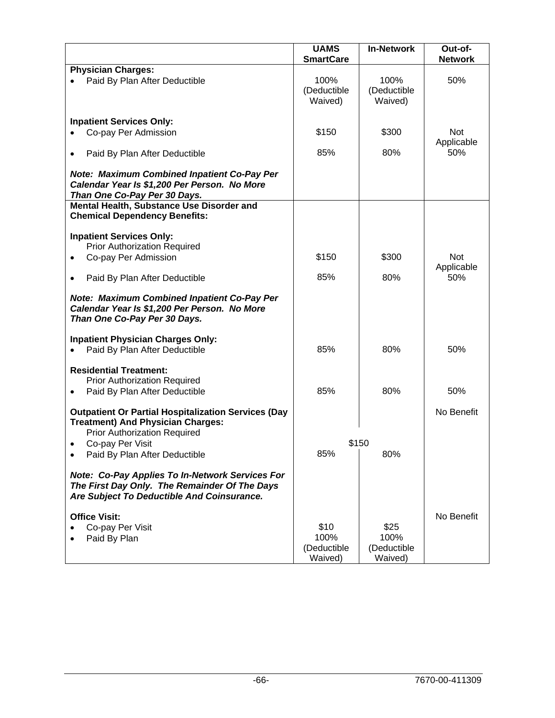|                                                                                                                                                       | <b>UAMS</b><br><b>SmartCare</b> | <b>In-Network</b>      | Out-of-<br><b>Network</b> |
|-------------------------------------------------------------------------------------------------------------------------------------------------------|---------------------------------|------------------------|---------------------------|
| <b>Physician Charges:</b>                                                                                                                             |                                 |                        |                           |
| Paid By Plan After Deductible                                                                                                                         | 100%<br>(Deductible             | 100%<br>(Deductible    | 50%                       |
|                                                                                                                                                       | Waived)                         | Waived)                |                           |
| <b>Inpatient Services Only:</b>                                                                                                                       |                                 |                        |                           |
| Co-pay Per Admission                                                                                                                                  | \$150                           | \$300                  | Not<br>Applicable         |
| Paid By Plan After Deductible<br>$\bullet$                                                                                                            | 85%                             | 80%                    | 50%                       |
| <b>Note: Maximum Combined Inpatient Co-Pay Per</b><br>Calendar Year Is \$1,200 Per Person. No More<br>Than One Co-Pay Per 30 Days.                    |                                 |                        |                           |
| Mental Health, Substance Use Disorder and                                                                                                             |                                 |                        |                           |
| <b>Chemical Dependency Benefits:</b>                                                                                                                  |                                 |                        |                           |
| <b>Inpatient Services Only:</b>                                                                                                                       |                                 |                        |                           |
| <b>Prior Authorization Required</b>                                                                                                                   |                                 |                        |                           |
| Co-pay Per Admission                                                                                                                                  | \$150                           | \$300                  | <b>Not</b><br>Applicable  |
| Paid By Plan After Deductible                                                                                                                         | 85%                             | 80%                    | 50%                       |
| <b>Note: Maximum Combined Inpatient Co-Pay Per</b><br>Calendar Year Is \$1,200 Per Person. No More<br>Than One Co-Pay Per 30 Days.                    |                                 |                        |                           |
| <b>Inpatient Physician Charges Only:</b>                                                                                                              |                                 |                        |                           |
| Paid By Plan After Deductible                                                                                                                         | 85%                             | 80%                    | 50%                       |
| <b>Residential Treatment:</b>                                                                                                                         |                                 |                        |                           |
| <b>Prior Authorization Required</b>                                                                                                                   |                                 |                        |                           |
| Paid By Plan After Deductible<br>$\bullet$                                                                                                            | 85%                             | 80%                    | 50%                       |
| <b>Outpatient Or Partial Hospitalization Services (Day</b><br><b>Treatment) And Physician Charges:</b>                                                |                                 |                        | No Benefit                |
| <b>Prior Authorization Required</b>                                                                                                                   |                                 |                        |                           |
| Co-pay Per Visit                                                                                                                                      | \$150                           |                        |                           |
| Paid By Plan After Deductible                                                                                                                         | 85%                             | 80%                    |                           |
| <b>Note: Co-Pay Applies To In-Network Services For</b><br>The First Day Only. The Remainder Of The Days<br>Are Subject To Deductible And Coinsurance. |                                 |                        |                           |
| <b>Office Visit:</b>                                                                                                                                  |                                 |                        | No Benefit                |
| Co-pay Per Visit                                                                                                                                      | \$10                            | \$25                   |                           |
| Paid By Plan                                                                                                                                          | 100%                            | 100%                   |                           |
|                                                                                                                                                       | (Deductible<br>Waived)          | (Deductible<br>Waived) |                           |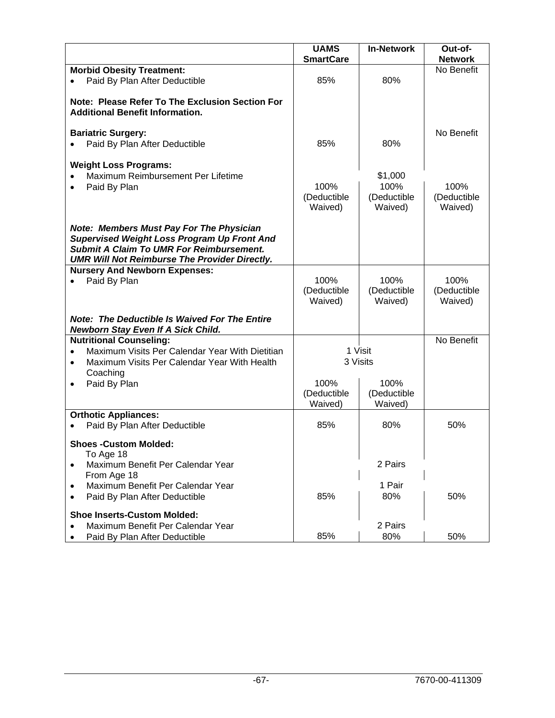|                                                                                                                                                                                                                  | <b>UAMS</b>                    | <b>In-Network</b>                         | Out-of-                        |
|------------------------------------------------------------------------------------------------------------------------------------------------------------------------------------------------------------------|--------------------------------|-------------------------------------------|--------------------------------|
|                                                                                                                                                                                                                  | <b>SmartCare</b>               |                                           | <b>Network</b>                 |
| <b>Morbid Obesity Treatment:</b>                                                                                                                                                                                 |                                |                                           | No Benefit                     |
| Paid By Plan After Deductible                                                                                                                                                                                    | 85%                            | 80%                                       |                                |
| Note: Please Refer To The Exclusion Section For<br><b>Additional Benefit Information.</b>                                                                                                                        |                                |                                           |                                |
| <b>Bariatric Surgery:</b><br>Paid By Plan After Deductible                                                                                                                                                       | 85%                            | 80%                                       | No Benefit                     |
| <b>Weight Loss Programs:</b><br>Maximum Reimbursement Per Lifetime<br>Paid By Plan                                                                                                                               | 100%<br>(Deductible<br>Waived) | \$1,000<br>100%<br>(Deductible<br>Waived) | 100%<br>(Deductible<br>Waived) |
| <b>Note: Members Must Pay For The Physician</b><br><b>Supervised Weight Loss Program Up Front And</b><br><b>Submit A Claim To UMR For Reimbursement.</b><br><b>UMR Will Not Reimburse The Provider Directly.</b> |                                |                                           |                                |
| <b>Nursery And Newborn Expenses:</b><br>Paid By Plan                                                                                                                                                             | 100%<br>(Deductible<br>Waived) | 100%<br>(Deductible<br>Waived)            | 100%<br>(Deductible<br>Waived) |
| <b>Note: The Deductible Is Waived For The Entire</b><br><b>Newborn Stay Even If A Sick Child.</b>                                                                                                                |                                |                                           |                                |
| <b>Nutritional Counseling:</b><br>Maximum Visits Per Calendar Year With Dietitian<br>Maximum Visits Per Calendar Year With Health<br>Coaching                                                                    |                                | 1 Visit<br>3 Visits                       | No Benefit                     |
| Paid By Plan                                                                                                                                                                                                     | 100%<br>(Deductible<br>Waived) | 100%<br>(Deductible<br>Waived)            |                                |
| <b>Orthotic Appliances:</b><br>Paid By Plan After Deductible                                                                                                                                                     | 85%                            | 80%                                       | 50%                            |
| <b>Shoes -Custom Molded:</b><br>To Age 18                                                                                                                                                                        |                                |                                           |                                |
| Maximum Benefit Per Calendar Year<br>$\bullet$<br>From Age 18                                                                                                                                                    |                                | 2 Pairs                                   |                                |
| Maximum Benefit Per Calendar Year<br>Paid By Plan After Deductible                                                                                                                                               | 85%                            | 1 Pair<br>80%                             | 50%                            |
| <b>Shoe Inserts-Custom Molded:</b>                                                                                                                                                                               |                                |                                           |                                |
| Maximum Benefit Per Calendar Year<br>Paid By Plan After Deductible                                                                                                                                               | 85%                            | 2 Pairs<br>80%                            | 50%                            |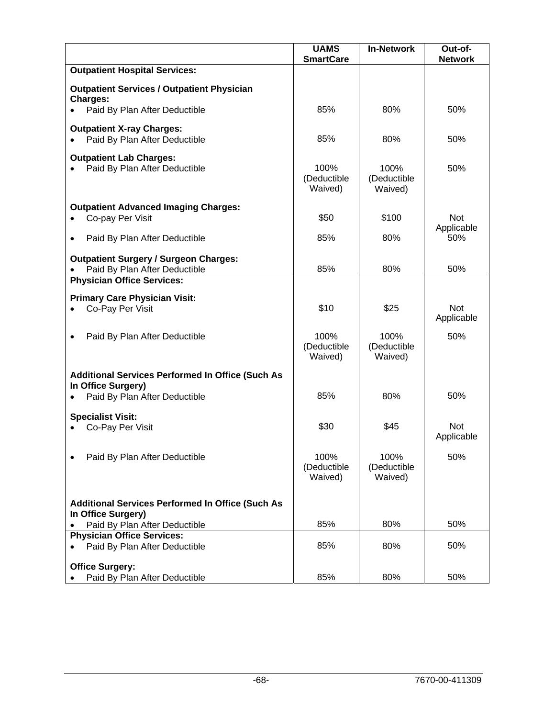|                                                                               | <b>UAMS</b><br><b>SmartCare</b> | <b>In-Network</b>              | Out-of-<br><b>Network</b> |
|-------------------------------------------------------------------------------|---------------------------------|--------------------------------|---------------------------|
| <b>Outpatient Hospital Services:</b>                                          |                                 |                                |                           |
| <b>Outpatient Services / Outpatient Physician</b><br>Charges:                 |                                 |                                |                           |
| Paid By Plan After Deductible                                                 | 85%                             | 80%                            | 50%                       |
| <b>Outpatient X-ray Charges:</b><br>Paid By Plan After Deductible             | 85%                             | 80%                            | 50%                       |
| <b>Outpatient Lab Charges:</b><br>Paid By Plan After Deductible               | 100%<br>(Deductible<br>Waived)  | 100%<br>(Deductible<br>Waived) | 50%                       |
| <b>Outpatient Advanced Imaging Charges:</b><br>Co-pay Per Visit               | \$50                            | \$100                          | <b>Not</b><br>Applicable  |
| Paid By Plan After Deductible                                                 | 85%                             | 80%                            | 50%                       |
| <b>Outpatient Surgery / Surgeon Charges:</b><br>Paid By Plan After Deductible | 85%                             | 80%                            | 50%                       |
| <b>Physician Office Services:</b>                                             |                                 |                                |                           |
| <b>Primary Care Physician Visit:</b>                                          |                                 |                                |                           |
| Co-Pay Per Visit                                                              | \$10                            | \$25                           | <b>Not</b><br>Applicable  |
| Paid By Plan After Deductible<br>$\bullet$                                    | 100%<br>(Deductible<br>Waived)  | 100%<br>(Deductible<br>Waived) | 50%                       |
| <b>Additional Services Performed In Office (Such As</b><br>In Office Surgery) |                                 |                                |                           |
| Paid By Plan After Deductible<br>٠                                            | 85%                             | 80%                            | 50%                       |
| <b>Specialist Visit:</b><br>Co-Pay Per Visit                                  | \$30                            | \$45                           | Not<br>Applicable         |
| Paid By Plan After Deductible                                                 | 100%<br>(Deductible<br>Waived)  | 100%<br>(Deductible<br>Waived) | 50%                       |
| <b>Additional Services Performed In Office (Such As</b><br>In Office Surgery) |                                 |                                |                           |
| Paid By Plan After Deductible                                                 | 85%                             | 80%                            | 50%                       |
| <b>Physician Office Services:</b>                                             |                                 |                                |                           |
| Paid By Plan After Deductible                                                 | 85%                             | 80%                            | 50%                       |
| <b>Office Surgery:</b><br>Paid By Plan After Deductible                       | 85%                             | 80%                            | 50%                       |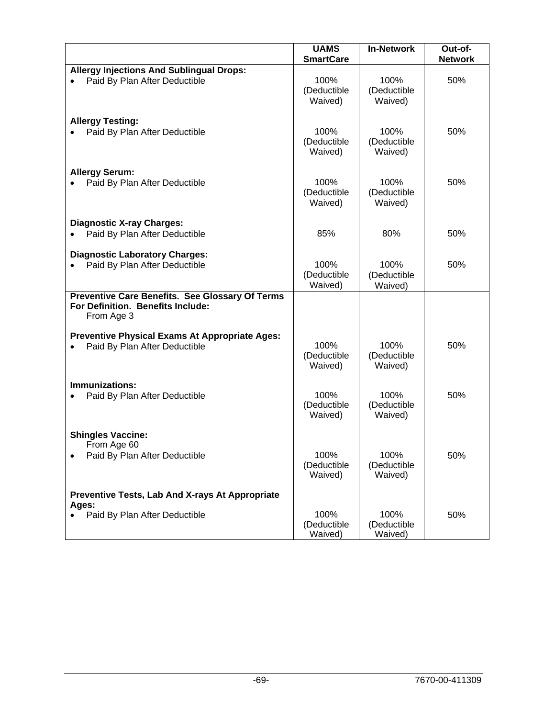|                                                                                                    | <b>UAMS</b><br><b>SmartCare</b> | <b>In-Network</b>              | Out-of-<br><b>Network</b> |
|----------------------------------------------------------------------------------------------------|---------------------------------|--------------------------------|---------------------------|
|                                                                                                    |                                 |                                |                           |
| <b>Allergy Injections And Sublingual Drops:</b><br>Paid By Plan After Deductible                   | 100%<br>(Deductible<br>Waived)  | 100%<br>(Deductible<br>Waived) | 50%                       |
| <b>Allergy Testing:</b><br>Paid By Plan After Deductible                                           | 100%<br>(Deductible<br>Waived)  | 100%<br>(Deductible<br>Waived) | 50%                       |
| <b>Allergy Serum:</b><br>Paid By Plan After Deductible                                             | 100%<br>(Deductible<br>Waived)  | 100%<br>(Deductible<br>Waived) | 50%                       |
| <b>Diagnostic X-ray Charges:</b><br>Paid By Plan After Deductible                                  | 85%                             | 80%                            | 50%                       |
| <b>Diagnostic Laboratory Charges:</b><br>Paid By Plan After Deductible                             | 100%<br>(Deductible<br>Waived)  | 100%<br>(Deductible<br>Waived) | 50%                       |
| Preventive Care Benefits. See Glossary Of Terms<br>For Definition. Benefits Include:<br>From Age 3 |                                 |                                |                           |
| <b>Preventive Physical Exams At Appropriate Ages:</b>                                              |                                 |                                |                           |
| Paid By Plan After Deductible                                                                      | 100%<br>(Deductible<br>Waived)  | 100%<br>(Deductible<br>Waived) | 50%                       |
| Immunizations:<br>Paid By Plan After Deductible                                                    | 100%<br>(Deductible<br>Waived)  | 100%<br>(Deductible<br>Waived) | 50%                       |
| <b>Shingles Vaccine:</b><br>From Age 60                                                            |                                 |                                |                           |
| Paid By Plan After Deductible                                                                      | 100%<br>(Deductible<br>Waived)  | 100%<br>(Deductible<br>Waived) | 50%                       |
| Preventive Tests, Lab And X-rays At Appropriate<br>Ages:                                           |                                 |                                |                           |
| Paid By Plan After Deductible                                                                      | 100%<br>(Deductible<br>Waived)  | 100%<br>(Deductible<br>Waived) | 50%                       |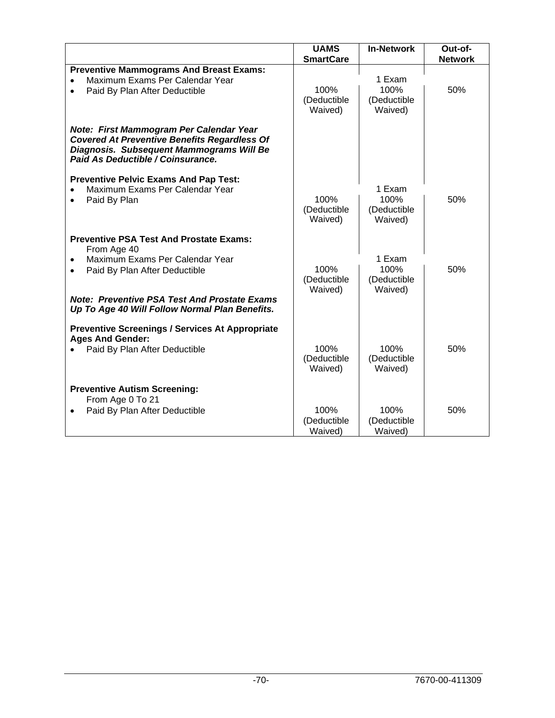|                                                                                                                                                                                 | <b>UAMS</b><br><b>SmartCare</b> | <b>In-Network</b>              | Out-of-<br><b>Network</b> |
|---------------------------------------------------------------------------------------------------------------------------------------------------------------------------------|---------------------------------|--------------------------------|---------------------------|
| <b>Preventive Mammograms And Breast Exams:</b>                                                                                                                                  |                                 |                                |                           |
| Maximum Exams Per Calendar Year                                                                                                                                                 |                                 | 1 Exam                         |                           |
| Paid By Plan After Deductible                                                                                                                                                   | 100%<br>(Deductible<br>Waived)  | 100%<br>(Deductible<br>Waived) | 50%                       |
| Note: First Mammogram Per Calendar Year<br><b>Covered At Preventive Benefits Regardless Of</b><br>Diagnosis. Subsequent Mammograms Will Be<br>Paid As Deductible / Coinsurance. |                                 |                                |                           |
| <b>Preventive Pelvic Exams And Pap Test:</b><br>Maximum Exams Per Calendar Year                                                                                                 |                                 | 1 Exam                         |                           |
| Paid By Plan<br>$\bullet$                                                                                                                                                       | 100%                            | 100%                           | 50%                       |
|                                                                                                                                                                                 | (Deductible<br>Waived)          | (Deductible<br>Waived)         |                           |
| <b>Preventive PSA Test And Prostate Exams:</b><br>From Age 40                                                                                                                   |                                 |                                |                           |
| Maximum Exams Per Calendar Year                                                                                                                                                 |                                 | 1 Exam                         |                           |
| Paid By Plan After Deductible                                                                                                                                                   | 100%<br>(Deductible<br>Waived)  | 100%<br>(Deductible<br>Waived) | 50%                       |
| <b>Note: Preventive PSA Test And Prostate Exams</b><br>Up To Age 40 Will Follow Normal Plan Benefits.                                                                           |                                 |                                |                           |
| <b>Preventive Screenings / Services At Appropriate</b><br><b>Ages And Gender:</b>                                                                                               |                                 |                                |                           |
| Paid By Plan After Deductible                                                                                                                                                   | 100%<br>(Deductible<br>Waived)  | 100%<br>(Deductible<br>Waived) | 50%                       |
| <b>Preventive Autism Screening:</b><br>From Age 0 To 21                                                                                                                         |                                 |                                |                           |
| Paid By Plan After Deductible                                                                                                                                                   | 100%<br>(Deductible<br>Waived)  | 100%<br>(Deductible<br>Waived) | 50%                       |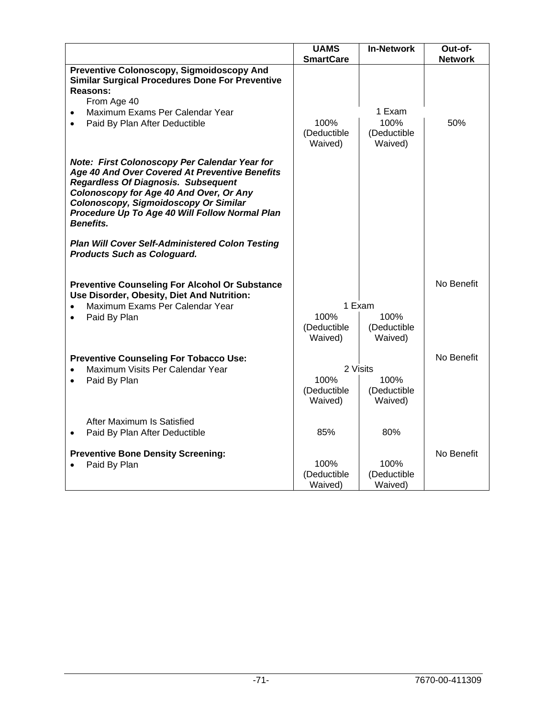|                                                                                                                                                                                                                                                                                                         | <b>UAMS</b>                    | <b>In-Network</b>                          | Out-of-        |
|---------------------------------------------------------------------------------------------------------------------------------------------------------------------------------------------------------------------------------------------------------------------------------------------------------|--------------------------------|--------------------------------------------|----------------|
| <b>Preventive Colonoscopy, Sigmoidoscopy And</b>                                                                                                                                                                                                                                                        | <b>SmartCare</b>               |                                            | <b>Network</b> |
| <b>Similar Surgical Procedures Done For Preventive</b><br>Reasons:<br>From Age 40<br>Maximum Exams Per Calendar Year<br>$\bullet$<br>Paid By Plan After Deductible<br>$\bullet$                                                                                                                         | 100%<br>(Deductible<br>Waived) | 1 Exam<br>100%<br>(Deductible<br>Waived)   | 50%            |
| Note: First Colonoscopy Per Calendar Year for<br>Age 40 And Over Covered At Preventive Benefits<br><b>Regardless Of Diagnosis. Subsequent</b><br>Colonoscopy for Age 40 And Over, Or Any<br>Colonoscopy, Sigmoidoscopy Or Similar<br>Procedure Up To Age 40 Will Follow Normal Plan<br><b>Benefits.</b> |                                |                                            |                |
| <b>Plan Will Cover Self-Administered Colon Testing</b><br><b>Products Such as Cologuard.</b>                                                                                                                                                                                                            |                                |                                            |                |
| <b>Preventive Counseling For Alcohol Or Substance</b><br>Use Disorder, Obesity, Diet And Nutrition:<br>Maximum Exams Per Calendar Year<br>$\bullet$                                                                                                                                                     |                                | 1 Exam                                     | No Benefit     |
| Paid By Plan<br>$\bullet$                                                                                                                                                                                                                                                                               | 100%<br>(Deductible<br>Waived) | 100%<br>(Deductible<br>Waived)             |                |
| <b>Preventive Counseling For Tobacco Use:</b><br>Maximum Visits Per Calendar Year<br>Paid By Plan<br>$\bullet$                                                                                                                                                                                          | 100%<br>(Deductible<br>Waived) | 2 Visits<br>100%<br>(Deductible<br>Waived) | No Benefit     |
| After Maximum Is Satisfied<br>Paid By Plan After Deductible                                                                                                                                                                                                                                             | 85%                            | 80%                                        |                |
| <b>Preventive Bone Density Screening:</b><br>Paid By Plan                                                                                                                                                                                                                                               | 100%<br>(Deductible<br>Waived) | 100%<br>(Deductible<br>Waived)             | No Benefit     |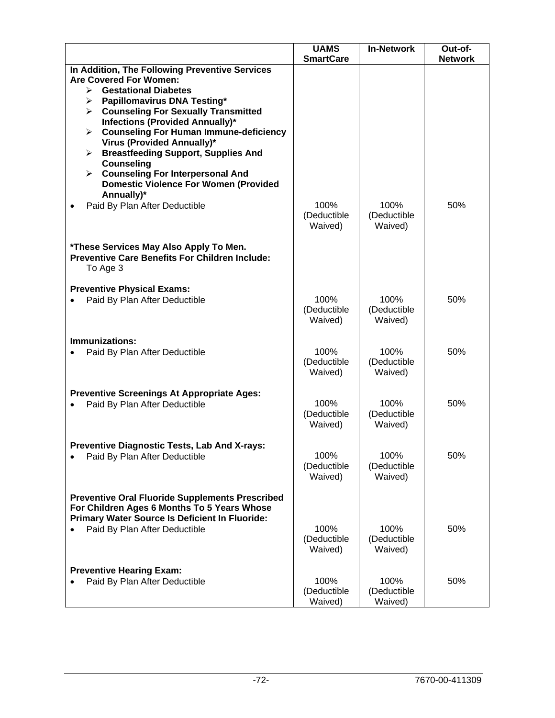|                                                                                                      | <b>UAMS</b>            | <b>In-Network</b>      | Out-of-        |
|------------------------------------------------------------------------------------------------------|------------------------|------------------------|----------------|
| In Addition, The Following Preventive Services                                                       | <b>SmartCare</b>       |                        | <b>Network</b> |
| <b>Are Covered For Women:</b>                                                                        |                        |                        |                |
| <b>Gestational Diabetes</b><br>≻                                                                     |                        |                        |                |
| $\triangleright$ Papillomavirus DNA Testing*<br>> Counseling For Sexually Transmitted                |                        |                        |                |
| <b>Infections (Provided Annually)*</b>                                                               |                        |                        |                |
| > Counseling For Human Immune-deficiency                                                             |                        |                        |                |
| Virus (Provided Annually)*<br><b>Breastfeeding Support, Supplies And</b><br>$\blacktriangleright$    |                        |                        |                |
| <b>Counseling</b>                                                                                    |                        |                        |                |
| > Counseling For Interpersonal And                                                                   |                        |                        |                |
| <b>Domestic Violence For Women (Provided</b><br>Annually)*                                           |                        |                        |                |
| Paid By Plan After Deductible<br>$\bullet$                                                           | 100%                   | 100%                   | 50%            |
|                                                                                                      | (Deductible            | (Deductible            |                |
|                                                                                                      | Waived)                | Waived)                |                |
| *These Services May Also Apply To Men.                                                               |                        |                        |                |
| <b>Preventive Care Benefits For Children Include:</b>                                                |                        |                        |                |
| To Age 3                                                                                             |                        |                        |                |
| <b>Preventive Physical Exams:</b>                                                                    |                        |                        |                |
| Paid By Plan After Deductible                                                                        | 100%<br>(Deductible    | 100%<br>(Deductible    | 50%            |
|                                                                                                      | Waived)                | Waived)                |                |
|                                                                                                      |                        |                        |                |
| Immunizations:<br>Paid By Plan After Deductible                                                      | 100%                   | 100%                   | 50%            |
|                                                                                                      | (Deductible            | (Deductible            |                |
|                                                                                                      | Waived)                | Waived)                |                |
| <b>Preventive Screenings At Appropriate Ages:</b>                                                    |                        |                        |                |
| Paid By Plan After Deductible                                                                        | 100%                   | 100%                   | 50%            |
|                                                                                                      | (Deductible            | (Deductible            |                |
|                                                                                                      | Waived)                | Waived)                |                |
| Preventive Diagnostic Tests, Lab And X-rays:                                                         |                        |                        |                |
| Paid By Plan After Deductible                                                                        | 100%                   | 100%                   | 50%            |
|                                                                                                      | (Deductible<br>Waived) | (Deductible<br>Waived) |                |
|                                                                                                      |                        |                        |                |
| <b>Preventive Oral Fluoride Supplements Prescribed</b>                                               |                        |                        |                |
| For Children Ages 6 Months To 5 Years Whose<br><b>Primary Water Source Is Deficient In Fluoride:</b> |                        |                        |                |
| Paid By Plan After Deductible                                                                        | 100%                   | 100%                   | 50%            |
|                                                                                                      | (Deductible<br>Waived) | (Deductible<br>Waived) |                |
|                                                                                                      |                        |                        |                |
| <b>Preventive Hearing Exam:</b>                                                                      |                        |                        |                |
| Paid By Plan After Deductible                                                                        | 100%<br>(Deductible    | 100%<br>(Deductible    | 50%            |
|                                                                                                      | Waived)                | Waived)                |                |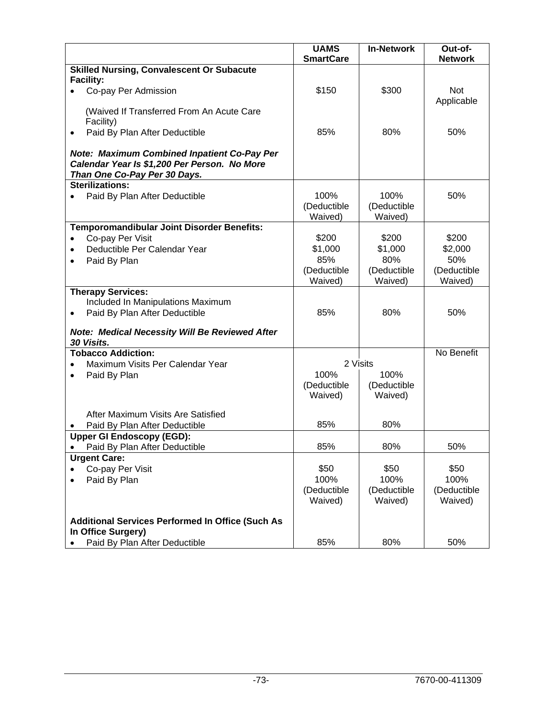| <b>SmartCare</b>                                  |                                                   | <b>Network</b>                                    |
|---------------------------------------------------|---------------------------------------------------|---------------------------------------------------|
|                                                   |                                                   |                                                   |
| \$150                                             | \$300                                             | <b>Not</b><br>Applicable                          |
|                                                   |                                                   |                                                   |
| 85%                                               | 80%                                               | 50%                                               |
|                                                   |                                                   |                                                   |
| 100%<br>(Deductible<br>Waived)                    | 100%<br>(Deductible<br>Waived)                    | 50%                                               |
| \$200<br>\$1,000<br>85%<br>(Deductible<br>Waived) | \$200<br>\$1,000<br>80%<br>(Deductible<br>Waived) | \$200<br>\$2,000<br>50%<br>(Deductible<br>Waived) |
| 85%                                               | 80%                                               | 50%                                               |
|                                                   |                                                   |                                                   |
|                                                   |                                                   | No Benefit                                        |
| 100%<br>(Deductible<br>Waived)                    | 100%<br>(Deductible<br>Waived)                    |                                                   |
|                                                   |                                                   |                                                   |
|                                                   |                                                   |                                                   |
| 85%                                               | 80%                                               | 50%                                               |
| \$50<br>100%<br>(Deductible<br>Waived)            | \$50<br>100%<br>(Deductible<br>Waived)            | \$50<br>100%<br>(Deductible<br>Waived)            |
|                                                   |                                                   | 50%                                               |
|                                                   | 85%<br>85%                                        | 2 Visits<br>80%<br>80%                            |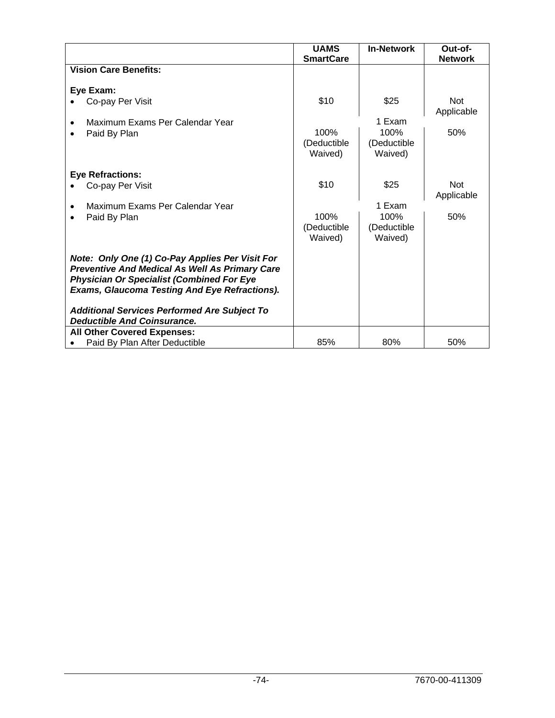|                                                                                                                                                                                                                      | <b>UAMS</b><br><b>SmartCare</b> | <b>In-Network</b>              | Out-of-<br><b>Network</b> |
|----------------------------------------------------------------------------------------------------------------------------------------------------------------------------------------------------------------------|---------------------------------|--------------------------------|---------------------------|
| <b>Vision Care Benefits:</b>                                                                                                                                                                                         |                                 |                                |                           |
| Eye Exam:                                                                                                                                                                                                            |                                 |                                |                           |
| Co-pay Per Visit                                                                                                                                                                                                     | \$10                            | \$25                           | <b>Not</b>                |
| Maximum Exams Per Calendar Year                                                                                                                                                                                      |                                 | 1 Exam                         | Applicable                |
| Paid By Plan<br>$\bullet$                                                                                                                                                                                            | 100%<br>(Deductible<br>Waived)  | 100%<br>(Deductible<br>Waived) | 50%                       |
| <b>Eye Refractions:</b><br>Co-pay Per Visit                                                                                                                                                                          | \$10                            | \$25                           | <b>Not</b><br>Applicable  |
| Maximum Exams Per Calendar Year<br>$\bullet$                                                                                                                                                                         |                                 | 1 Exam                         |                           |
| Paid By Plan                                                                                                                                                                                                         | 100%<br>(Deductible<br>Waived)  | 100%<br>(Deductible<br>Waived) | 50%                       |
| Note: Only One (1) Co-Pay Applies Per Visit For<br><b>Preventive And Medical As Well As Primary Care</b><br><b>Physician Or Specialist (Combined For Eye</b><br><b>Exams, Glaucoma Testing And Eye Refractions).</b> |                                 |                                |                           |
| <b>Additional Services Performed Are Subject To</b><br><b>Deductible And Coinsurance.</b>                                                                                                                            |                                 |                                |                           |
| <b>All Other Covered Expenses:</b>                                                                                                                                                                                   |                                 |                                |                           |
| Paid By Plan After Deductible                                                                                                                                                                                        | 85%                             | 80%                            | 50%                       |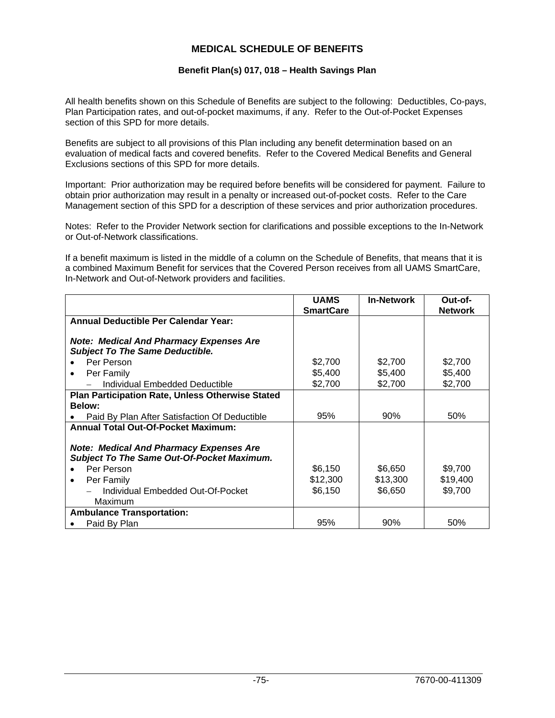## **MEDICAL SCHEDULE OF BENEFITS**

### **Benefit Plan(s) 017, 018 – Health Savings Plan**

All health benefits shown on this Schedule of Benefits are subject to the following: Deductibles, Co-pays, Plan Participation rates, and out-of-pocket maximums, if any. Refer to the Out-of-Pocket Expenses section of this SPD for more details.

Benefits are subject to all provisions of this Plan including any benefit determination based on an evaluation of medical facts and covered benefits. Refer to the Covered Medical Benefits and General Exclusions sections of this SPD for more details.

Important: Prior authorization may be required before benefits will be considered for payment. Failure to obtain prior authorization may result in a penalty or increased out-of-pocket costs. Refer to the Care Management section of this SPD for a description of these services and prior authorization procedures.

Notes: Refer to the Provider Network section for clarifications and possible exceptions to the In-Network or Out-of-Network classifications.

If a benefit maximum is listed in the middle of a column on the Schedule of Benefits, that means that it is a combined Maximum Benefit for services that the Covered Person receives from all UAMS SmartCare, In-Network and Out-of-Network providers and facilities.

|                                                                                                     | <b>UAMS</b><br><b>SmartCare</b> | <b>In-Network</b> | Out-of-<br><b>Network</b> |
|-----------------------------------------------------------------------------------------------------|---------------------------------|-------------------|---------------------------|
| <b>Annual Deductible Per Calendar Year:</b>                                                         |                                 |                   |                           |
| <b>Note: Medical And Pharmacy Expenses Are</b><br><b>Subject To The Same Deductible.</b>            |                                 |                   |                           |
| Per Person                                                                                          | \$2,700                         | \$2,700           | \$2,700                   |
| Per Family                                                                                          | \$5,400                         | \$5,400           | \$5,400                   |
| Individual Embedded Deductible                                                                      | \$2,700                         | \$2,700           | \$2,700                   |
| <b>Plan Participation Rate, Unless Otherwise Stated</b>                                             |                                 |                   |                           |
| <b>Below:</b>                                                                                       |                                 |                   |                           |
| Paid By Plan After Satisfaction Of Deductible                                                       | 95%                             | 90%               | 50%                       |
| <b>Annual Total Out-Of-Pocket Maximum:</b>                                                          |                                 |                   |                           |
| <b>Note: Medical And Pharmacy Expenses Are</b><br><b>Subject To The Same Out-Of-Pocket Maximum.</b> |                                 |                   |                           |
| Per Person                                                                                          | \$6,150                         | \$6,650           | \$9,700                   |
| Per Family<br>$\bullet$                                                                             | \$12,300                        | \$13,300          | \$19,400                  |
| Individual Embedded Out-Of-Pocket<br>Maximum                                                        | \$6,150                         | \$6,650           | \$9,700                   |
| <b>Ambulance Transportation:</b>                                                                    |                                 |                   |                           |
| Paid By Plan                                                                                        | 95%                             | 90%               | 50%                       |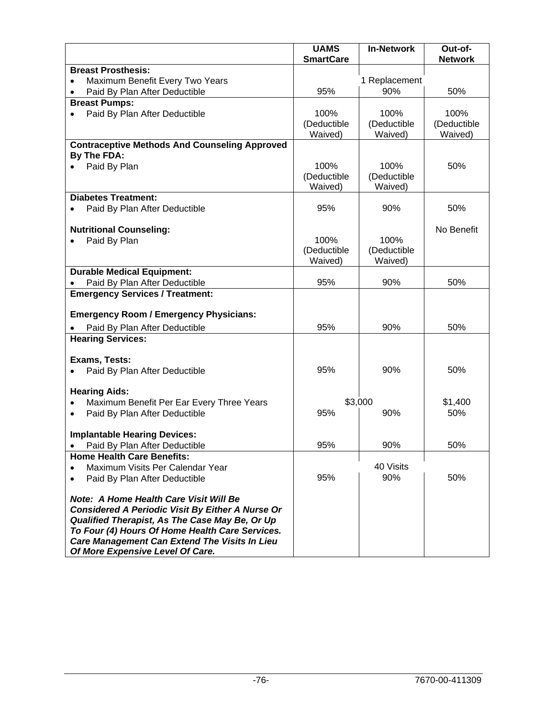|                                                                                                   | <b>UAMS</b><br><b>SmartCare</b> | <b>In-Network</b>      | Out-of-<br><b>Network</b> |
|---------------------------------------------------------------------------------------------------|---------------------------------|------------------------|---------------------------|
| <b>Breast Prosthesis:</b>                                                                         |                                 |                        |                           |
| Maximum Benefit Every Two Years<br>$\bullet$                                                      |                                 | 1 Replacement          |                           |
| Paid By Plan After Deductible                                                                     | 95%                             | 90%                    | 50%                       |
| <b>Breast Pumps:</b>                                                                              |                                 |                        |                           |
| Paid By Plan After Deductible<br>$\bullet$                                                        | 100%                            | 100%                   | 100%                      |
|                                                                                                   | (Deductible<br>Waived)          | (Deductible<br>Waived) | (Deductible<br>Waived)    |
| <b>Contraceptive Methods And Counseling Approved</b>                                              |                                 |                        |                           |
| By The FDA:                                                                                       |                                 |                        |                           |
| Paid By Plan                                                                                      | 100%                            | 100%                   | 50%                       |
|                                                                                                   | (Deductible                     | (Deductible            |                           |
|                                                                                                   | Waived)                         | Waived)                |                           |
| <b>Diabetes Treatment:</b>                                                                        |                                 |                        |                           |
| Paid By Plan After Deductible                                                                     | 95%                             | 90%                    | 50%                       |
| <b>Nutritional Counseling:</b>                                                                    |                                 |                        | No Benefit                |
| Paid By Plan<br>$\bullet$                                                                         | 100%                            | 100%                   |                           |
|                                                                                                   | (Deductible                     | (Deductible            |                           |
|                                                                                                   | Waived)                         | Waived)                |                           |
| <b>Durable Medical Equipment:</b>                                                                 |                                 |                        |                           |
| Paid By Plan After Deductible                                                                     | 95%                             | 90%                    | 50%                       |
| <b>Emergency Services / Treatment:</b>                                                            |                                 |                        |                           |
| <b>Emergency Room / Emergency Physicians:</b>                                                     |                                 |                        |                           |
|                                                                                                   | 95%                             | 90%                    | 50%                       |
| Paid By Plan After Deductible<br><b>Hearing Services:</b>                                         |                                 |                        |                           |
|                                                                                                   |                                 |                        |                           |
| Exams, Tests:                                                                                     |                                 |                        |                           |
| Paid By Plan After Deductible                                                                     | 95%                             | 90%                    | 50%                       |
|                                                                                                   |                                 |                        |                           |
| <b>Hearing Aids:</b>                                                                              |                                 |                        |                           |
| Maximum Benefit Per Ear Every Three Years<br>$\bullet$                                            |                                 | \$3,000                | \$1,400                   |
| Paid By Plan After Deductible<br>$\bullet$                                                        | 95%                             | 90%                    | 50%                       |
| <b>Implantable Hearing Devices:</b>                                                               |                                 |                        |                           |
| Paid By Plan After Deductible                                                                     | 95%                             | 90%                    | 50%                       |
| <b>Home Health Care Benefits:</b>                                                                 |                                 |                        |                           |
| Maximum Visits Per Calendar Year                                                                  |                                 | 40 Visits              |                           |
| Paid By Plan After Deductible                                                                     | 95%                             | 90%                    | 50%                       |
|                                                                                                   |                                 |                        |                           |
| <b>Note: A Home Health Care Visit Will Be</b>                                                     |                                 |                        |                           |
| <b>Considered A Periodic Visit By Either A Nurse Or</b>                                           |                                 |                        |                           |
| Qualified Therapist, As The Case May Be, Or Up<br>To Four (4) Hours Of Home Health Care Services. |                                 |                        |                           |
| <b>Care Management Can Extend The Visits In Lieu</b>                                              |                                 |                        |                           |
| Of More Expensive Level Of Care.                                                                  |                                 |                        |                           |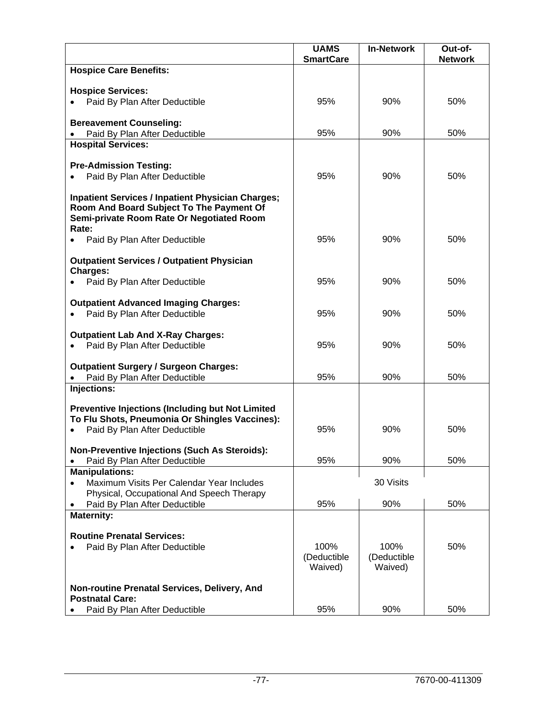| <b>SmartCare</b>                                                                                    | Out-of-<br><b>Network</b> |
|-----------------------------------------------------------------------------------------------------|---------------------------|
| <b>Hospice Care Benefits:</b>                                                                       |                           |
|                                                                                                     |                           |
| <b>Hospice Services:</b><br>95%<br>90%<br>Paid By Plan After Deductible                             | 50%                       |
|                                                                                                     |                           |
| <b>Bereavement Counseling:</b>                                                                      |                           |
| 95%<br>90%<br>Paid By Plan After Deductible<br><b>Hospital Services:</b>                            | 50%                       |
|                                                                                                     |                           |
| <b>Pre-Admission Testing:</b>                                                                       |                           |
| 95%<br>90%<br>Paid By Plan After Deductible                                                         | 50%                       |
| <b>Inpatient Services / Inpatient Physician Charges;</b>                                            |                           |
| Room And Board Subject To The Payment Of<br>Semi-private Room Rate Or Negotiated Room               |                           |
| Rate:                                                                                               |                           |
| 95%<br>90%<br>Paid By Plan After Deductible                                                         | 50%                       |
| <b>Outpatient Services / Outpatient Physician</b>                                                   |                           |
| Charges:<br>95%<br>90%<br>Paid By Plan After Deductible                                             | 50%                       |
|                                                                                                     |                           |
| <b>Outpatient Advanced Imaging Charges:</b>                                                         |                           |
| Paid By Plan After Deductible<br>95%<br>90%                                                         | 50%                       |
| <b>Outpatient Lab And X-Ray Charges:</b>                                                            |                           |
| Paid By Plan After Deductible<br>95%<br>90%                                                         | 50%                       |
|                                                                                                     |                           |
| <b>Outpatient Surgery / Surgeon Charges:</b><br>95%<br>90%<br>Paid By Plan After Deductible         | 50%                       |
| Injections:                                                                                         |                           |
|                                                                                                     |                           |
| Preventive Injections (Including but Not Limited<br>To Flu Shots, Pneumonia Or Shingles Vaccines):  |                           |
| 95%<br>90%<br>Paid By Plan After Deductible                                                         | 50%                       |
|                                                                                                     |                           |
| <b>Non-Preventive Injections (Such As Steroids):</b><br>95%<br>90%<br>Paid By Plan After Deductible | 50%                       |
| <b>Manipulations:</b>                                                                               |                           |
| 30 Visits<br>Maximum Visits Per Calendar Year Includes<br>$\bullet$                                 |                           |
| Physical, Occupational And Speech Therapy                                                           |                           |
| 95%<br>90%<br>Paid By Plan After Deductible<br><b>Maternity:</b>                                    | 50%                       |
|                                                                                                     |                           |
| <b>Routine Prenatal Services:</b>                                                                   |                           |
| 100%<br>100%<br>Paid By Plan After Deductible<br>(Deductible                                        | 50%                       |
| (Deductible<br>Waived)<br>Waived)                                                                   |                           |
|                                                                                                     |                           |
| Non-routine Prenatal Services, Delivery, And                                                        |                           |
| <b>Postnatal Care:</b><br>95%<br>90%<br>Paid By Plan After Deductible                               | 50%                       |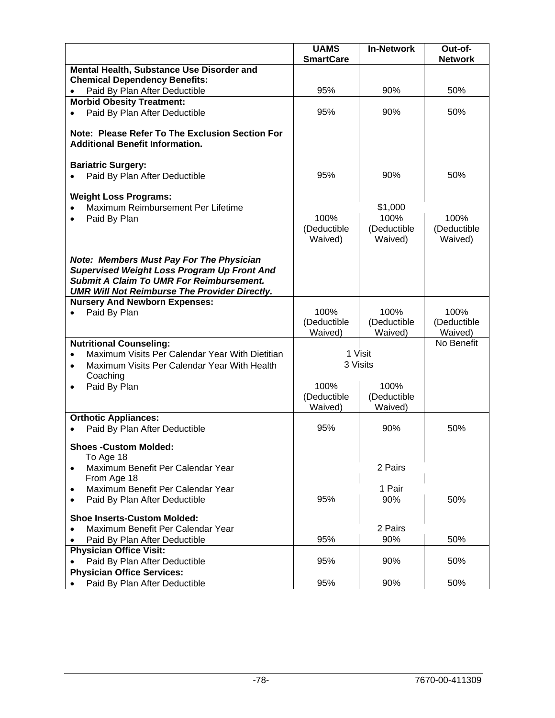|                                                                                                                                                                                                                  | <b>UAMS</b>      | <b>In-Network</b> | Out-of-               |
|------------------------------------------------------------------------------------------------------------------------------------------------------------------------------------------------------------------|------------------|-------------------|-----------------------|
|                                                                                                                                                                                                                  | <b>SmartCare</b> |                   | <b>Network</b>        |
| Mental Health, Substance Use Disorder and                                                                                                                                                                        |                  |                   |                       |
| <b>Chemical Dependency Benefits:</b>                                                                                                                                                                             |                  |                   |                       |
| Paid By Plan After Deductible                                                                                                                                                                                    | 95%              | 90%               | 50%                   |
| <b>Morbid Obesity Treatment:</b>                                                                                                                                                                                 | 95%              | 90%               | 50%                   |
| Paid By Plan After Deductible                                                                                                                                                                                    |                  |                   |                       |
| Note: Please Refer To The Exclusion Section For<br><b>Additional Benefit Information.</b>                                                                                                                        |                  |                   |                       |
| <b>Bariatric Surgery:</b>                                                                                                                                                                                        |                  |                   |                       |
| Paid By Plan After Deductible                                                                                                                                                                                    | 95%              | 90%               | 50%                   |
|                                                                                                                                                                                                                  |                  |                   |                       |
| <b>Weight Loss Programs:</b>                                                                                                                                                                                     |                  |                   |                       |
| Maximum Reimbursement Per Lifetime                                                                                                                                                                               |                  | \$1,000           |                       |
| Paid By Plan                                                                                                                                                                                                     | 100%             | 100%              | 100%                  |
|                                                                                                                                                                                                                  | (Deductible      | (Deductible       | (Deductible           |
|                                                                                                                                                                                                                  | Waived)          | Waived)           | Waived)               |
|                                                                                                                                                                                                                  |                  |                   |                       |
| <b>Note: Members Must Pay For The Physician</b><br><b>Supervised Weight Loss Program Up Front And</b><br><b>Submit A Claim To UMR For Reimbursement.</b><br><b>UMR Will Not Reimburse The Provider Directly.</b> |                  |                   |                       |
| <b>Nursery And Newborn Expenses:</b>                                                                                                                                                                             |                  |                   |                       |
| Paid By Plan                                                                                                                                                                                                     | 100%             | 100%              | 100%                  |
|                                                                                                                                                                                                                  | (Deductible      | (Deductible       | (Deductible           |
| <b>Nutritional Counseling:</b>                                                                                                                                                                                   | Waived)          | Waived)           | Waived)<br>No Benefit |
| Maximum Visits Per Calendar Year With Dietitian<br>$\bullet$                                                                                                                                                     |                  | 1 Visit           |                       |
| Maximum Visits Per Calendar Year With Health<br>$\bullet$                                                                                                                                                        |                  | 3 Visits          |                       |
| Coaching                                                                                                                                                                                                         |                  |                   |                       |
| Paid By Plan                                                                                                                                                                                                     | 100%             | 100%              |                       |
|                                                                                                                                                                                                                  | (Deductible      | (Deductible       |                       |
|                                                                                                                                                                                                                  | Waived)          | Waived)           |                       |
| <b>Orthotic Appliances:</b>                                                                                                                                                                                      |                  |                   |                       |
| Paid By Plan After Deductible                                                                                                                                                                                    | 95%              | 90%               | 50%                   |
| <b>Shoes -Custom Molded:</b>                                                                                                                                                                                     |                  |                   |                       |
| To Age 18                                                                                                                                                                                                        |                  |                   |                       |
| Maximum Benefit Per Calendar Year<br>$\bullet$                                                                                                                                                                   |                  | 2 Pairs           |                       |
| From Age 18                                                                                                                                                                                                      |                  |                   |                       |
| Maximum Benefit Per Calendar Year<br>$\bullet$                                                                                                                                                                   |                  | 1 Pair            |                       |
| Paid By Plan After Deductible                                                                                                                                                                                    | 95%              | 90%               | 50%                   |
|                                                                                                                                                                                                                  |                  |                   |                       |
| <b>Shoe Inserts-Custom Molded:</b>                                                                                                                                                                               |                  |                   |                       |
| Maximum Benefit Per Calendar Year                                                                                                                                                                                |                  | 2 Pairs           |                       |
| Paid By Plan After Deductible<br><b>Physician Office Visit:</b>                                                                                                                                                  | 95%              | 90%               | 50%                   |
| Paid By Plan After Deductible                                                                                                                                                                                    | 95%              | 90%               | 50%                   |
| <b>Physician Office Services:</b>                                                                                                                                                                                |                  |                   |                       |
| Paid By Plan After Deductible                                                                                                                                                                                    | 95%              | 90%               | 50%                   |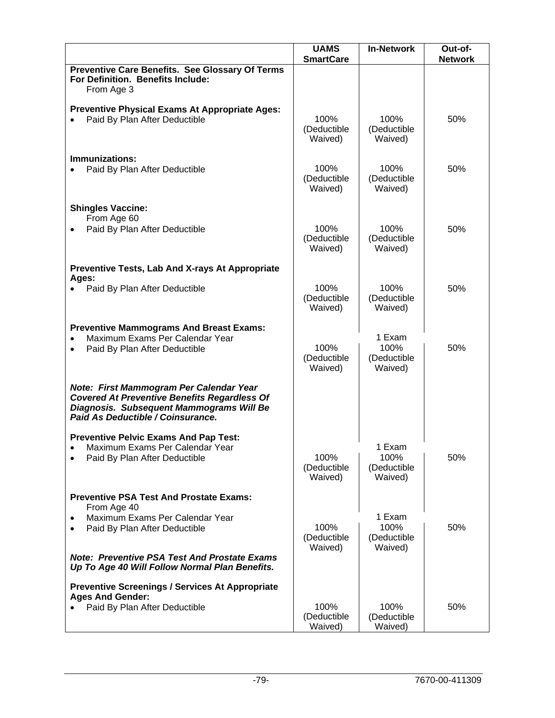|                                                                                                                                                                                 | <b>UAMS</b>                    | <b>In-Network</b>                        | Out-of-        |
|---------------------------------------------------------------------------------------------------------------------------------------------------------------------------------|--------------------------------|------------------------------------------|----------------|
| Preventive Care Benefits. See Glossary Of Terms                                                                                                                                 | <b>SmartCare</b>               |                                          | <b>Network</b> |
| For Definition. Benefits Include:                                                                                                                                               |                                |                                          |                |
| From Age 3                                                                                                                                                                      |                                |                                          |                |
| <b>Preventive Physical Exams At Appropriate Ages:</b>                                                                                                                           |                                |                                          |                |
| Paid By Plan After Deductible                                                                                                                                                   | 100%<br>(Deductible<br>Waived) | 100%<br>(Deductible<br>Waived)           | 50%            |
| Immunizations:                                                                                                                                                                  |                                |                                          |                |
| Paid By Plan After Deductible                                                                                                                                                   | 100%<br>(Deductible<br>Waived) | 100%<br>(Deductible<br>Waived)           | 50%            |
| <b>Shingles Vaccine:</b><br>From Age 60                                                                                                                                         |                                |                                          |                |
| Paid By Plan After Deductible<br>$\bullet$                                                                                                                                      | 100%<br>(Deductible<br>Waived) | 100%<br>(Deductible<br>Waived)           | 50%            |
| Preventive Tests, Lab And X-rays At Appropriate<br>Ages:                                                                                                                        |                                |                                          |                |
| Paid By Plan After Deductible                                                                                                                                                   | 100%<br>(Deductible<br>Waived) | 100%<br>(Deductible<br>Waived)           | 50%            |
| <b>Preventive Mammograms And Breast Exams:</b>                                                                                                                                  |                                |                                          |                |
| Maximum Exams Per Calendar Year<br>Paid By Plan After Deductible<br>$\bullet$                                                                                                   | 100%<br>(Deductible<br>Waived) | 1 Exam<br>100%<br>(Deductible<br>Waived) | 50%            |
| Note: First Mammogram Per Calendar Year<br><b>Covered At Preventive Benefits Regardless Of</b><br>Diagnosis. Subsequent Mammograms Will Be<br>Paid As Deductible / Coinsurance. |                                |                                          |                |
| <b>Preventive Pelvic Exams And Pap Test:</b>                                                                                                                                    |                                |                                          |                |
| Maximum Exams Per Calendar Year                                                                                                                                                 | 100%                           | 1 Exam<br>100%                           | 50%            |
| Paid By Plan After Deductible                                                                                                                                                   | (Deductible<br>Waived)         | (Deductible<br>Waived)                   |                |
| <b>Preventive PSA Test And Prostate Exams:</b><br>From Age 40                                                                                                                   |                                |                                          |                |
| Maximum Exams Per Calendar Year                                                                                                                                                 |                                | 1 Exam                                   |                |
| Paid By Plan After Deductible<br>$\bullet$                                                                                                                                      | 100%<br>(Deductible<br>Waived) | 100%<br>(Deductible<br>Waived)           | 50%            |
| <b>Note: Preventive PSA Test And Prostate Exams</b><br>Up To Age 40 Will Follow Normal Plan Benefits.                                                                           |                                |                                          |                |
| <b>Preventive Screenings / Services At Appropriate</b>                                                                                                                          |                                |                                          |                |
| <b>Ages And Gender:</b><br>Paid By Plan After Deductible                                                                                                                        | 100%<br>(Deductible<br>Waived) | 100%<br>(Deductible<br>Waived)           | 50%            |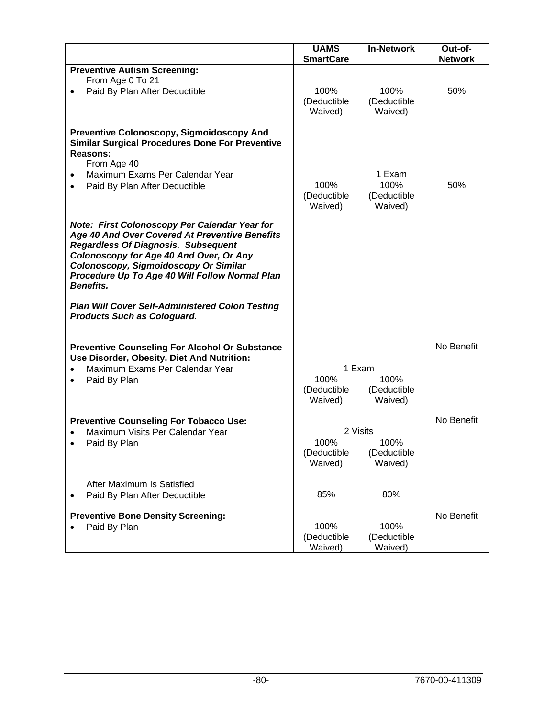|                                                                                                                                                                                                                                                                                                         | <b>UAMS</b>                    | <b>In-Network</b>              | Out-of-        |
|---------------------------------------------------------------------------------------------------------------------------------------------------------------------------------------------------------------------------------------------------------------------------------------------------------|--------------------------------|--------------------------------|----------------|
| <b>Preventive Autism Screening:</b>                                                                                                                                                                                                                                                                     | <b>SmartCare</b>               |                                | <b>Network</b> |
| From Age 0 To 21                                                                                                                                                                                                                                                                                        |                                |                                |                |
| Paid By Plan After Deductible<br>$\bullet$                                                                                                                                                                                                                                                              | 100%<br>(Deductible<br>Waived) | 100%<br>(Deductible<br>Waived) | 50%            |
| <b>Preventive Colonoscopy, Sigmoidoscopy And</b><br><b>Similar Surgical Procedures Done For Preventive</b><br><b>Reasons:</b><br>From Age 40                                                                                                                                                            |                                |                                |                |
| Maximum Exams Per Calendar Year                                                                                                                                                                                                                                                                         |                                | 1 Exam                         |                |
| Paid By Plan After Deductible<br>$\bullet$                                                                                                                                                                                                                                                              | 100%<br>(Deductible<br>Waived) | 100%<br>(Deductible<br>Waived) | 50%            |
| Note: First Colonoscopy Per Calendar Year for<br>Age 40 And Over Covered At Preventive Benefits<br><b>Regardless Of Diagnosis. Subsequent</b><br>Colonoscopy for Age 40 And Over, Or Any<br>Colonoscopy, Sigmoidoscopy Or Similar<br>Procedure Up To Age 40 Will Follow Normal Plan<br><b>Benefits.</b> |                                |                                |                |
| <b>Plan Will Cover Self-Administered Colon Testing</b><br><b>Products Such as Cologuard.</b>                                                                                                                                                                                                            |                                |                                |                |
| <b>Preventive Counseling For Alcohol Or Substance</b><br>Use Disorder, Obesity, Diet And Nutrition:                                                                                                                                                                                                     |                                |                                | No Benefit     |
| Maximum Exams Per Calendar Year                                                                                                                                                                                                                                                                         |                                | 1 Exam                         |                |
| Paid By Plan<br>$\bullet$                                                                                                                                                                                                                                                                               | 100%<br>(Deductible<br>Waived) | 100%<br>(Deductible<br>Waived) |                |
| <b>Preventive Counseling For Tobacco Use:</b><br>Maximum Visits Per Calendar Year                                                                                                                                                                                                                       |                                | 2 Visits                       | No Benefit     |
| Paid By Plan                                                                                                                                                                                                                                                                                            | 100%<br>(Deductible<br>Waived) | 100%<br>(Deductible<br>Waived) |                |
| After Maximum Is Satisfied<br>Paid By Plan After Deductible<br>$\bullet$                                                                                                                                                                                                                                | 85%                            | 80%                            |                |
| <b>Preventive Bone Density Screening:</b><br>Paid By Plan                                                                                                                                                                                                                                               | 100%<br>(Deductible<br>Waived) | 100%<br>(Deductible<br>Waived) | No Benefit     |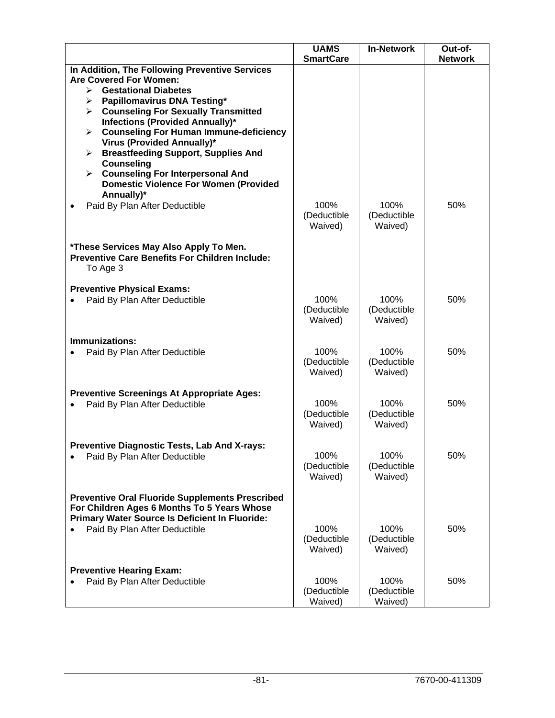|                                                                                          | <b>UAMS</b>            | <b>In-Network</b>      | Out-of-        |
|------------------------------------------------------------------------------------------|------------------------|------------------------|----------------|
| In Addition, The Following Preventive Services                                           | <b>SmartCare</b>       |                        | <b>Network</b> |
| <b>Are Covered For Women:</b>                                                            |                        |                        |                |
| <b>Gestational Diabetes</b><br>≻                                                         |                        |                        |                |
| $\triangleright$ Papillomavirus DNA Testing*                                             |                        |                        |                |
| > Counseling For Sexually Transmitted<br><b>Infections (Provided Annually)*</b>          |                        |                        |                |
| <b>Counseling For Human Immune-deficiency</b><br>≻                                       |                        |                        |                |
| Virus (Provided Annually)*                                                               |                        |                        |                |
| <b>Breastfeeding Support, Supplies And</b><br>$\blacktriangleright$<br><b>Counseling</b> |                        |                        |                |
| <b>Counseling For Interpersonal And</b><br>≻                                             |                        |                        |                |
| <b>Domestic Violence For Women (Provided</b>                                             |                        |                        |                |
| Annually)*<br>Paid By Plan After Deductible                                              | 100%                   | 100%                   | 50%            |
|                                                                                          | (Deductible            | (Deductible            |                |
|                                                                                          | Waived)                | Waived)                |                |
| *These Services May Also Apply To Men.                                                   |                        |                        |                |
| <b>Preventive Care Benefits For Children Include:</b>                                    |                        |                        |                |
| To Age 3                                                                                 |                        |                        |                |
| <b>Preventive Physical Exams:</b>                                                        |                        |                        |                |
| Paid By Plan After Deductible                                                            | 100%                   | 100%                   | 50%            |
|                                                                                          | (Deductible            | (Deductible            |                |
|                                                                                          | Waived)                | Waived)                |                |
| Immunizations:                                                                           |                        |                        |                |
| Paid By Plan After Deductible                                                            | 100%                   | 100%                   | 50%            |
|                                                                                          | (Deductible<br>Waived) | (Deductible<br>Waived) |                |
|                                                                                          |                        |                        |                |
| <b>Preventive Screenings At Appropriate Ages:</b>                                        |                        |                        |                |
| Paid By Plan After Deductible                                                            | 100%<br>(Deductible    | 100%<br>(Deductible    | 50%            |
|                                                                                          | Waived)                | Waived)                |                |
|                                                                                          |                        |                        |                |
| Preventive Diagnostic Tests, Lab And X-rays:                                             | 100%                   | 100%                   | 50%            |
| Paid By Plan After Deductible                                                            | (Deductible            | (Deductible            |                |
|                                                                                          | Waived)                | Waived)                |                |
| <b>Preventive Oral Fluoride Supplements Prescribed</b>                                   |                        |                        |                |
| For Children Ages 6 Months To 5 Years Whose                                              |                        |                        |                |
| <b>Primary Water Source Is Deficient In Fluoride:</b>                                    |                        |                        |                |
| Paid By Plan After Deductible                                                            | 100%<br>(Deductible    | 100%<br>(Deductible    | 50%            |
|                                                                                          | Waived)                | Waived)                |                |
|                                                                                          |                        |                        |                |
| <b>Preventive Hearing Exam:</b>                                                          | 100%                   | 100%                   | 50%            |
| Paid By Plan After Deductible                                                            | (Deductible            | (Deductible            |                |
|                                                                                          | Waived)                | Waived)                |                |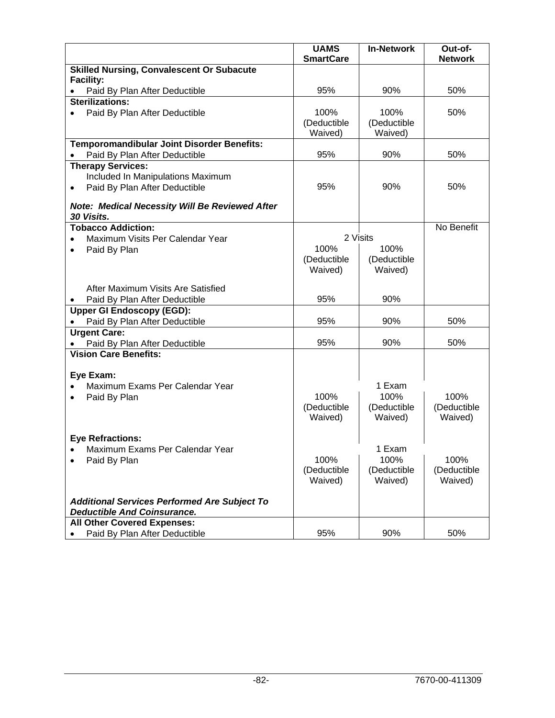|                                                                                                             | <b>UAMS</b><br><b>SmartCare</b> | <b>In-Network</b>                        | Out-of-<br><b>Network</b>      |
|-------------------------------------------------------------------------------------------------------------|---------------------------------|------------------------------------------|--------------------------------|
| <b>Skilled Nursing, Convalescent Or Subacute</b><br><b>Facility:</b>                                        |                                 |                                          |                                |
| Paid By Plan After Deductible                                                                               | 95%                             | 90%                                      | 50%                            |
| <b>Sterilizations:</b>                                                                                      |                                 |                                          |                                |
| Paid By Plan After Deductible                                                                               | 100%<br>(Deductible<br>Waived)  | 100%<br>(Deductible<br>Waived)           | 50%                            |
| Temporomandibular Joint Disorder Benefits:                                                                  |                                 |                                          |                                |
| Paid By Plan After Deductible                                                                               | 95%                             | 90%                                      | 50%                            |
| <b>Therapy Services:</b><br>Included In Manipulations Maximum<br>Paid By Plan After Deductible<br>$\bullet$ | 95%                             | 90%                                      | 50%                            |
| <b>Note: Medical Necessity Will Be Reviewed After</b><br>30 Visits.                                         |                                 |                                          |                                |
| <b>Tobacco Addiction:</b>                                                                                   |                                 |                                          | No Benefit                     |
| Maximum Visits Per Calendar Year                                                                            |                                 | 2 Visits                                 |                                |
| Paid By Plan<br>$\bullet$                                                                                   | 100%<br>(Deductible<br>Waived)  | 100%<br>(Deductible<br>Waived)           |                                |
| After Maximum Visits Are Satisfied                                                                          |                                 |                                          |                                |
| Paid By Plan After Deductible                                                                               | 95%                             | 90%                                      |                                |
| <b>Upper GI Endoscopy (EGD):</b>                                                                            |                                 |                                          |                                |
| Paid By Plan After Deductible                                                                               | 95%                             | 90%                                      | 50%                            |
| <b>Urgent Care:</b>                                                                                         |                                 |                                          |                                |
| Paid By Plan After Deductible                                                                               | 95%                             | 90%                                      | 50%                            |
| <b>Vision Care Benefits:</b><br>Eye Exam:                                                                   |                                 |                                          |                                |
| Maximum Exams Per Calendar Year                                                                             |                                 | 1 Exam                                   |                                |
| Paid By Plan                                                                                                | 100%<br>(Deductible<br>Waived)  | 100%<br>(Deductible<br>Waived)           | 100%<br>(Deductible<br>Waived) |
| <b>Eye Refractions:</b>                                                                                     |                                 |                                          |                                |
| Maximum Exams Per Calendar Year<br>Paid By Plan                                                             | 100%<br>(Deductible<br>Waived)  | 1 Exam<br>100%<br>(Deductible<br>Waived) | 100%<br>(Deductible<br>Waived) |
| <b>Additional Services Performed Are Subject To</b><br><b>Deductible And Coinsurance.</b>                   |                                 |                                          |                                |
| <b>All Other Covered Expenses:</b>                                                                          |                                 |                                          |                                |
| Paid By Plan After Deductible                                                                               | 95%                             | 90%                                      | 50%                            |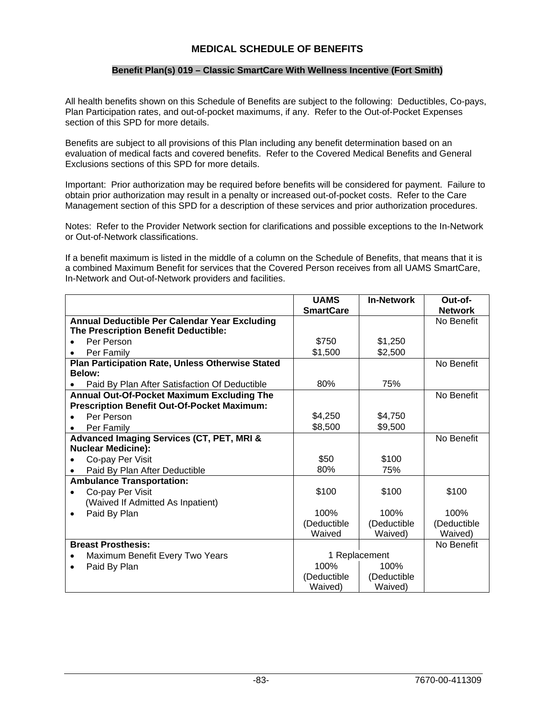## **MEDICAL SCHEDULE OF BENEFITS**

### **Benefit Plan(s) 019 – Classic SmartCare With Wellness Incentive (Fort Smith)**

All health benefits shown on this Schedule of Benefits are subject to the following: Deductibles, Co-pays, Plan Participation rates, and out-of-pocket maximums, if any. Refer to the Out-of-Pocket Expenses section of this SPD for more details.

Benefits are subject to all provisions of this Plan including any benefit determination based on an evaluation of medical facts and covered benefits. Refer to the Covered Medical Benefits and General Exclusions sections of this SPD for more details.

Important: Prior authorization may be required before benefits will be considered for payment. Failure to obtain prior authorization may result in a penalty or increased out-of-pocket costs. Refer to the Care Management section of this SPD for a description of these services and prior authorization procedures.

Notes: Refer to the Provider Network section for clarifications and possible exceptions to the In-Network or Out-of-Network classifications.

If a benefit maximum is listed in the middle of a column on the Schedule of Benefits, that means that it is a combined Maximum Benefit for services that the Covered Person receives from all UAMS SmartCare, In-Network and Out-of-Network providers and facilities.

|                                                      | <b>UAMS</b>      | <b>In-Network</b> | Out-of-        |
|------------------------------------------------------|------------------|-------------------|----------------|
|                                                      | <b>SmartCare</b> |                   | <b>Network</b> |
| <b>Annual Deductible Per Calendar Year Excluding</b> |                  |                   | No Benefit     |
| The Prescription Benefit Deductible:                 |                  |                   |                |
| Per Person                                           | \$750            | \$1,250           |                |
| Per Family                                           | \$1,500          | \$2,500           |                |
| Plan Participation Rate, Unless Otherwise Stated     |                  |                   | No Benefit     |
| <b>Below:</b>                                        |                  |                   |                |
| Paid By Plan After Satisfaction Of Deductible        | 80%              | 75%               |                |
| Annual Out-Of-Pocket Maximum Excluding The           |                  |                   | No Benefit     |
| <b>Prescription Benefit Out-Of-Pocket Maximum:</b>   |                  |                   |                |
| Per Person                                           | \$4,250          | \$4,750           |                |
| Per Family                                           | \$8,500          | \$9,500           |                |
| Advanced Imaging Services (CT, PET, MRI &            |                  |                   | No Benefit     |
| <b>Nuclear Medicine):</b>                            |                  |                   |                |
| Co-pay Per Visit                                     | \$50             | \$100             |                |
| Paid By Plan After Deductible                        | 80%              | 75%               |                |
| <b>Ambulance Transportation:</b>                     |                  |                   |                |
| Co-pay Per Visit                                     | \$100            | \$100             | \$100          |
| (Waived If Admitted As Inpatient)                    |                  |                   |                |
| Paid By Plan<br>$\bullet$                            | 100%             | 100%              | 100%           |
|                                                      | (Deductible      | (Deductible       | (Deductible    |
|                                                      | Waived           | Waived)           | Waived)        |
| <b>Breast Prosthesis:</b>                            |                  |                   | No Benefit     |
| Maximum Benefit Every Two Years<br>$\bullet$         |                  | 1 Replacement     |                |
| Paid By Plan<br>$\bullet$                            | 100%             | 100%              |                |
|                                                      | (Deductible      | (Deductible       |                |
|                                                      | Waived)          | Waived)           |                |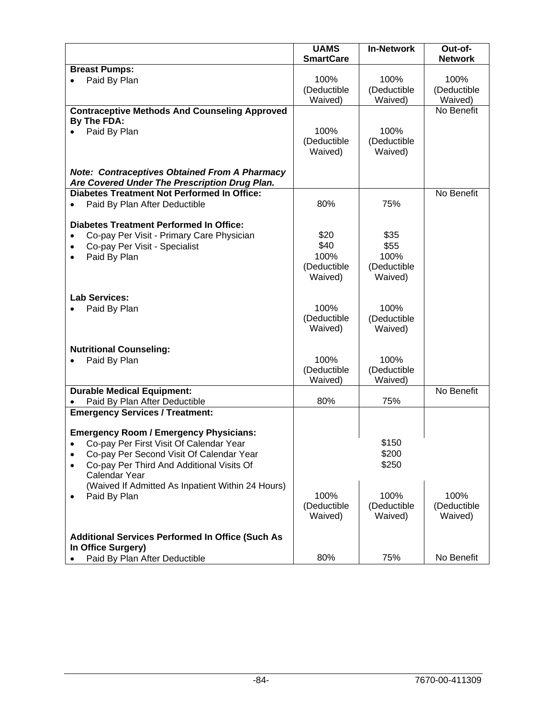|                                                                               | <b>UAMS</b>            | <b>In-Network</b>      | Out-of-                |
|-------------------------------------------------------------------------------|------------------------|------------------------|------------------------|
|                                                                               | <b>SmartCare</b>       |                        | <b>Network</b>         |
| <b>Breast Pumps:</b>                                                          |                        |                        |                        |
| Paid By Plan                                                                  | 100%                   | 100%                   | 100%                   |
|                                                                               | (Deductible<br>Waived) | (Deductible<br>Waived) | (Deductible<br>Waived) |
| <b>Contraceptive Methods And Counseling Approved</b>                          |                        |                        | No Benefit             |
| By The FDA:                                                                   |                        |                        |                        |
| Paid By Plan                                                                  | 100%                   | 100%                   |                        |
|                                                                               | (Deductible            | (Deductible            |                        |
|                                                                               | Waived)                | Waived)                |                        |
| <b>Note: Contraceptives Obtained From A Pharmacy</b>                          |                        |                        |                        |
| Are Covered Under The Prescription Drug Plan.                                 |                        |                        |                        |
| <b>Diabetes Treatment Not Performed In Office:</b>                            |                        |                        | No Benefit             |
| Paid By Plan After Deductible                                                 | 80%                    | 75%                    |                        |
|                                                                               |                        |                        |                        |
| <b>Diabetes Treatment Performed In Office:</b>                                |                        |                        |                        |
| Co-pay Per Visit - Primary Care Physician                                     | \$20<br>\$40           | \$35<br>\$55           |                        |
| Co-pay Per Visit - Specialist                                                 | 100%                   | 100%                   |                        |
| Paid By Plan<br>$\bullet$                                                     | (Deductible            | (Deductible            |                        |
|                                                                               | Waived)                | Waived)                |                        |
|                                                                               |                        |                        |                        |
| <b>Lab Services:</b>                                                          |                        |                        |                        |
| Paid By Plan                                                                  | 100%                   | 100%                   |                        |
|                                                                               | (Deductible<br>Waived) | (Deductible<br>Waived) |                        |
|                                                                               |                        |                        |                        |
| <b>Nutritional Counseling:</b>                                                |                        |                        |                        |
| Paid By Plan                                                                  | 100%                   | 100%                   |                        |
|                                                                               | (Deductible            | (Deductible            |                        |
|                                                                               | Waived)                | Waived)                |                        |
| <b>Durable Medical Equipment:</b><br>Paid By Plan After Deductible            | 80%                    | 75%                    | No Benefit             |
| <b>Emergency Services / Treatment:</b>                                        |                        |                        |                        |
|                                                                               |                        |                        |                        |
| <b>Emergency Room / Emergency Physicians:</b>                                 |                        |                        |                        |
| Co-pay Per First Visit Of Calendar Year                                       |                        | \$150                  |                        |
| Co-pay Per Second Visit Of Calendar Year                                      |                        | \$200                  |                        |
| Co-pay Per Third And Additional Visits Of<br>Calendar Year                    |                        | \$250                  |                        |
| (Waived If Admitted As Inpatient Within 24 Hours)                             |                        |                        |                        |
| Paid By Plan<br>$\bullet$                                                     | 100%                   | 100%                   | 100%                   |
|                                                                               | (Deductible            | (Deductible            | (Deductible            |
|                                                                               | Waived)                | Waived)                | Waived)                |
|                                                                               |                        |                        |                        |
|                                                                               |                        |                        |                        |
| <b>Additional Services Performed In Office (Such As</b><br>In Office Surgery) |                        |                        |                        |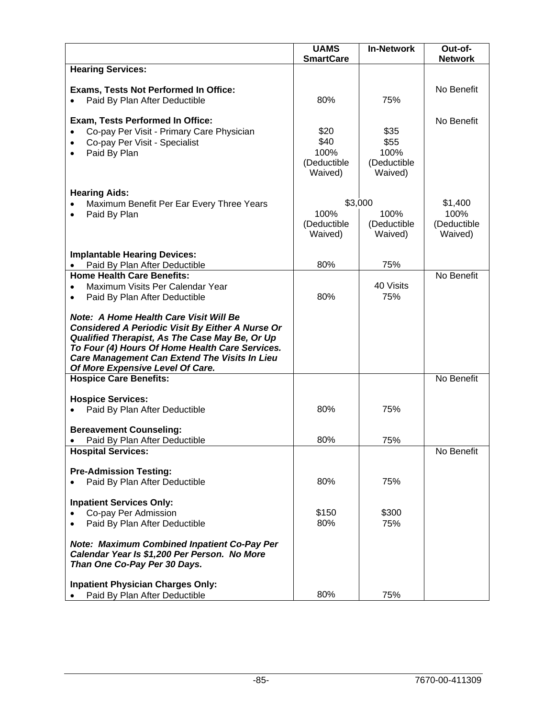|                                                                                                                                                                                                                                                                                                           | <b>UAMS</b><br><b>SmartCare</b> | <b>In-Network</b>   | Out-of-<br><b>Network</b> |
|-----------------------------------------------------------------------------------------------------------------------------------------------------------------------------------------------------------------------------------------------------------------------------------------------------------|---------------------------------|---------------------|---------------------------|
| <b>Hearing Services:</b>                                                                                                                                                                                                                                                                                  |                                 |                     |                           |
|                                                                                                                                                                                                                                                                                                           |                                 |                     |                           |
| <b>Exams, Tests Not Performed In Office:</b><br>Paid By Plan After Deductible                                                                                                                                                                                                                             | 80%                             | 75%                 | No Benefit                |
|                                                                                                                                                                                                                                                                                                           |                                 |                     |                           |
| Exam, Tests Performed In Office:                                                                                                                                                                                                                                                                          |                                 |                     | No Benefit                |
| Co-pay Per Visit - Primary Care Physician                                                                                                                                                                                                                                                                 | \$20                            | \$35                |                           |
| Co-pay Per Visit - Specialist                                                                                                                                                                                                                                                                             | \$40                            | \$55                |                           |
| Paid By Plan<br>$\bullet$                                                                                                                                                                                                                                                                                 | 100%<br>(Deductible             | 100%<br>(Deductible |                           |
|                                                                                                                                                                                                                                                                                                           | Waived)                         | Waived)             |                           |
|                                                                                                                                                                                                                                                                                                           |                                 |                     |                           |
| <b>Hearing Aids:</b>                                                                                                                                                                                                                                                                                      | \$3,000                         |                     | \$1,400                   |
| Maximum Benefit Per Ear Every Three Years<br>Paid By Plan                                                                                                                                                                                                                                                 | 100%                            | 100%                | 100%                      |
|                                                                                                                                                                                                                                                                                                           | (Deductible                     | (Deductible         | (Deductible               |
|                                                                                                                                                                                                                                                                                                           | Waived)                         | Waived)             | Waived)                   |
| <b>Implantable Hearing Devices:</b>                                                                                                                                                                                                                                                                       |                                 |                     |                           |
| Paid By Plan After Deductible                                                                                                                                                                                                                                                                             | 80%                             | 75%                 |                           |
| <b>Home Health Care Benefits:</b>                                                                                                                                                                                                                                                                         |                                 |                     | No Benefit                |
| Maximum Visits Per Calendar Year                                                                                                                                                                                                                                                                          |                                 | 40 Visits           |                           |
| Paid By Plan After Deductible                                                                                                                                                                                                                                                                             | 80%                             | 75%                 |                           |
| <b>Note: A Home Health Care Visit Will Be</b><br><b>Considered A Periodic Visit By Either A Nurse Or</b><br>Qualified Therapist, As The Case May Be, Or Up<br>To Four (4) Hours Of Home Health Care Services.<br><b>Care Management Can Extend The Visits In Lieu</b><br>Of More Expensive Level Of Care. |                                 |                     |                           |
| <b>Hospice Care Benefits:</b>                                                                                                                                                                                                                                                                             |                                 |                     | No Benefit                |
| <b>Hospice Services:</b>                                                                                                                                                                                                                                                                                  |                                 |                     |                           |
| Paid By Plan After Deductible                                                                                                                                                                                                                                                                             | 80%                             | 75%                 |                           |
|                                                                                                                                                                                                                                                                                                           |                                 |                     |                           |
| <b>Bereavement Counseling:</b>                                                                                                                                                                                                                                                                            |                                 |                     |                           |
| Paid By Plan After Deductible<br>$\bullet$                                                                                                                                                                                                                                                                | 80%                             | 75%                 | No Benefit                |
| <b>Hospital Services:</b>                                                                                                                                                                                                                                                                                 |                                 |                     |                           |
| <b>Pre-Admission Testing:</b>                                                                                                                                                                                                                                                                             |                                 |                     |                           |
| Paid By Plan After Deductible                                                                                                                                                                                                                                                                             | 80%                             | 75%                 |                           |
| <b>Inpatient Services Only:</b>                                                                                                                                                                                                                                                                           |                                 |                     |                           |
| Co-pay Per Admission                                                                                                                                                                                                                                                                                      | \$150                           | \$300               |                           |
| Paid By Plan After Deductible                                                                                                                                                                                                                                                                             | 80%                             | 75%                 |                           |
| <b>Note: Maximum Combined Inpatient Co-Pay Per</b><br>Calendar Year Is \$1,200 Per Person. No More<br>Than One Co-Pay Per 30 Days.                                                                                                                                                                        |                                 |                     |                           |
| <b>Inpatient Physician Charges Only:</b><br>Paid By Plan After Deductible                                                                                                                                                                                                                                 | 80%                             | 75%                 |                           |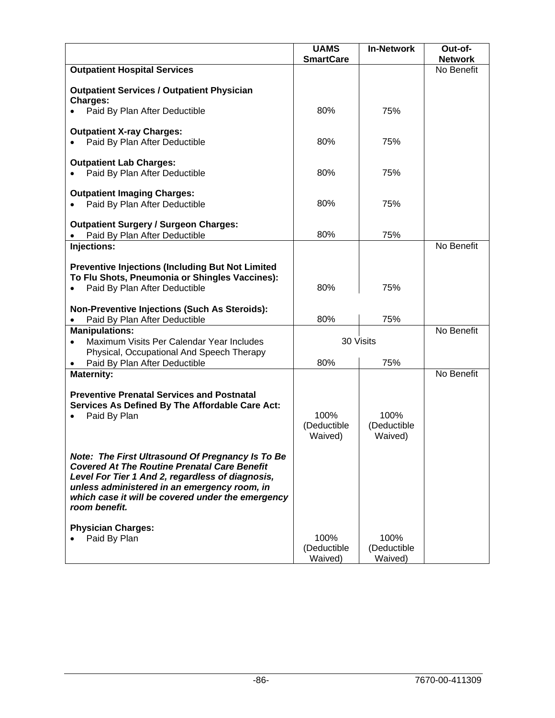|                                                                                       | <b>UAMS</b>      | <b>In-Network</b>   | Out-of-        |
|---------------------------------------------------------------------------------------|------------------|---------------------|----------------|
|                                                                                       | <b>SmartCare</b> |                     | <b>Network</b> |
| <b>Outpatient Hospital Services</b>                                                   |                  |                     | No Benefit     |
| <b>Outpatient Services / Outpatient Physician</b><br>Charges:                         |                  |                     |                |
| Paid By Plan After Deductible                                                         | 80%              | 75%                 |                |
|                                                                                       |                  |                     |                |
| <b>Outpatient X-ray Charges:</b>                                                      |                  |                     |                |
| Paid By Plan After Deductible                                                         | 80%              | 75%                 |                |
|                                                                                       |                  |                     |                |
| <b>Outpatient Lab Charges:</b>                                                        |                  |                     |                |
| Paid By Plan After Deductible                                                         | 80%              | 75%                 |                |
| <b>Outpatient Imaging Charges:</b>                                                    |                  |                     |                |
| Paid By Plan After Deductible                                                         | 80%              | 75%                 |                |
|                                                                                       |                  |                     |                |
| <b>Outpatient Surgery / Surgeon Charges:</b>                                          |                  |                     |                |
| Paid By Plan After Deductible                                                         | 80%              | 75%                 |                |
| Injections:                                                                           |                  |                     | No Benefit     |
|                                                                                       |                  |                     |                |
| <b>Preventive Injections (Including But Not Limited</b>                               |                  |                     |                |
| To Flu Shots, Pneumonia or Shingles Vaccines):                                        |                  |                     |                |
| Paid By Plan After Deductible                                                         | 80%              | 75%                 |                |
|                                                                                       |                  |                     |                |
| <b>Non-Preventive Injections (Such As Steroids):</b><br>Paid By Plan After Deductible | 80%              | 75%                 |                |
| <b>Manipulations:</b>                                                                 |                  |                     | No Benefit     |
| Maximum Visits Per Calendar Year Includes<br>$\bullet$                                | 30 Visits        |                     |                |
| Physical, Occupational And Speech Therapy                                             |                  |                     |                |
| Paid By Plan After Deductible                                                         | 80%              | 75%                 |                |
| <b>Maternity:</b>                                                                     |                  |                     | No Benefit     |
|                                                                                       |                  |                     |                |
| <b>Preventive Prenatal Services and Postnatal</b>                                     |                  |                     |                |
| Services As Defined By The Affordable Care Act:                                       |                  |                     |                |
| Paid By Plan                                                                          | 100%             | 100%                |                |
|                                                                                       | (Deductible      | (Deductible         |                |
|                                                                                       | Waived)          | Waived)             |                |
| Note: The First Ultrasound Of Pregnancy Is To Be                                      |                  |                     |                |
| <b>Covered At The Routine Prenatal Care Benefit</b>                                   |                  |                     |                |
| Level For Tier 1 And 2, regardless of diagnosis,                                      |                  |                     |                |
| unless administered in an emergency room, in                                          |                  |                     |                |
| which case it will be covered under the emergency                                     |                  |                     |                |
| room benefit.                                                                         |                  |                     |                |
|                                                                                       |                  |                     |                |
| <b>Physician Charges:</b>                                                             | 100%             |                     |                |
| Paid By Plan                                                                          | (Deductible      | 100%<br>(Deductible |                |
|                                                                                       | Waived)          | Waived)             |                |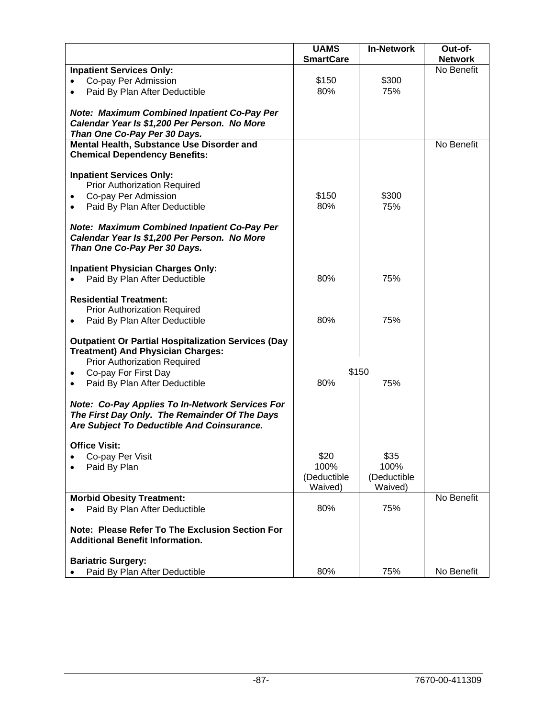|                                                                                                                                                       | <b>UAMS</b>            | <b>In-Network</b>      | Out-of-        |
|-------------------------------------------------------------------------------------------------------------------------------------------------------|------------------------|------------------------|----------------|
|                                                                                                                                                       | <b>SmartCare</b>       |                        | <b>Network</b> |
| <b>Inpatient Services Only:</b>                                                                                                                       |                        |                        | No Benefit     |
| Co-pay Per Admission                                                                                                                                  | \$150                  | \$300                  |                |
| Paid By Plan After Deductible                                                                                                                         | 80%                    | 75%                    |                |
| <b>Note: Maximum Combined Inpatient Co-Pay Per</b><br>Calendar Year Is \$1,200 Per Person. No More<br>Than One Co-Pay Per 30 Days.                    |                        |                        |                |
| Mental Health, Substance Use Disorder and                                                                                                             |                        |                        | No Benefit     |
| <b>Chemical Dependency Benefits:</b>                                                                                                                  |                        |                        |                |
|                                                                                                                                                       |                        |                        |                |
| <b>Inpatient Services Only:</b>                                                                                                                       |                        |                        |                |
| <b>Prior Authorization Required</b>                                                                                                                   |                        |                        |                |
| Co-pay Per Admission                                                                                                                                  | \$150                  | \$300                  |                |
| Paid By Plan After Deductible                                                                                                                         | 80%                    | 75%                    |                |
| <b>Note: Maximum Combined Inpatient Co-Pay Per</b><br>Calendar Year Is \$1,200 Per Person. No More<br>Than One Co-Pay Per 30 Days.                    |                        |                        |                |
| <b>Inpatient Physician Charges Only:</b>                                                                                                              |                        |                        |                |
| Paid By Plan After Deductible                                                                                                                         | 80%                    | 75%                    |                |
| <b>Residential Treatment:</b>                                                                                                                         |                        |                        |                |
| <b>Prior Authorization Required</b>                                                                                                                   |                        |                        |                |
| Paid By Plan After Deductible                                                                                                                         | 80%                    | 75%                    |                |
| <b>Outpatient Or Partial Hospitalization Services (Day</b><br><b>Treatment) And Physician Charges:</b><br><b>Prior Authorization Required</b>         |                        |                        |                |
| Co-pay For First Day                                                                                                                                  | 80%                    | \$150<br>75%           |                |
| Paid By Plan After Deductible                                                                                                                         |                        |                        |                |
| <b>Note: Co-Pay Applies To In-Network Services For</b><br>The First Day Only. The Remainder Of The Days<br>Are Subject To Deductible And Coinsurance. |                        |                        |                |
| <b>Office Visit:</b>                                                                                                                                  |                        |                        |                |
| Co-pay Per Visit                                                                                                                                      | \$20                   | \$35                   |                |
| Paid By Plan                                                                                                                                          | 100%                   | 100%                   |                |
|                                                                                                                                                       | (Deductible<br>Waived) | (Deductible<br>Waived) |                |
| <b>Morbid Obesity Treatment:</b>                                                                                                                      |                        |                        | No Benefit     |
| Paid By Plan After Deductible                                                                                                                         | 80%                    | 75%                    |                |
| Note: Please Refer To The Exclusion Section For<br><b>Additional Benefit Information.</b>                                                             |                        |                        |                |
| <b>Bariatric Surgery:</b>                                                                                                                             |                        |                        |                |
| Paid By Plan After Deductible                                                                                                                         | 80%                    | 75%                    | No Benefit     |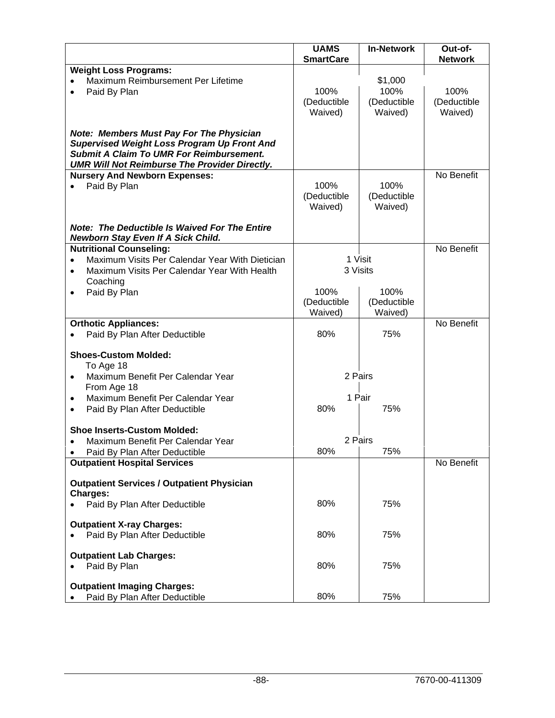|                                                                                                                                                                                                                  | <b>UAMS</b>                    | <b>In-Network</b>                         | Out-of-                        |
|------------------------------------------------------------------------------------------------------------------------------------------------------------------------------------------------------------------|--------------------------------|-------------------------------------------|--------------------------------|
|                                                                                                                                                                                                                  | <b>SmartCare</b>               |                                           | <b>Network</b>                 |
| <b>Weight Loss Programs:</b><br>Maximum Reimbursement Per Lifetime<br>Paid By Plan                                                                                                                               | 100%<br>(Deductible<br>Waived) | \$1,000<br>100%<br>(Deductible<br>Waived) | 100%<br>(Deductible<br>Waived) |
| <b>Note: Members Must Pay For The Physician</b><br><b>Supervised Weight Loss Program Up Front And</b><br><b>Submit A Claim To UMR For Reimbursement.</b><br><b>UMR Will Not Reimburse The Provider Directly.</b> |                                |                                           |                                |
| <b>Nursery And Newborn Expenses:</b><br>Paid By Plan                                                                                                                                                             | 100%<br>(Deductible<br>Waived) | 100%<br>(Deductible<br>Waived)            | No Benefit                     |
| <b>Note: The Deductible Is Waived For The Entire</b><br>Newborn Stay Even If A Sick Child.                                                                                                                       |                                |                                           |                                |
| <b>Nutritional Counseling:</b><br>Maximum Visits Per Calendar Year With Dietician<br>$\bullet$<br>Maximum Visits Per Calendar Year With Health<br>$\bullet$<br>Coaching                                          |                                | 1 Visit<br>3 Visits                       | No Benefit                     |
| Paid By Plan<br>$\bullet$                                                                                                                                                                                        | 100%<br>(Deductible<br>Waived) | 100%<br>(Deductible<br>Waived)            |                                |
| <b>Orthotic Appliances:</b><br>Paid By Plan After Deductible                                                                                                                                                     | 80%                            | 75%                                       | No Benefit                     |
| <b>Shoes-Custom Molded:</b><br>To Age 18<br>Maximum Benefit Per Calendar Year                                                                                                                                    |                                | 2 Pairs                                   |                                |
| $\bullet$<br>From Age 18                                                                                                                                                                                         |                                |                                           |                                |
| Maximum Benefit Per Calendar Year<br>$\bullet$<br>Paid By Plan After Deductible<br>$\bullet$                                                                                                                     | 80%                            | 1 Pair<br>75%                             |                                |
| <b>Shoe Inserts-Custom Molded:</b><br>Maximum Benefit Per Calendar Year                                                                                                                                          |                                | 2 Pairs                                   |                                |
| Paid By Plan After Deductible<br><b>Outpatient Hospital Services</b>                                                                                                                                             | 80%                            | 75%                                       | No Benefit                     |
| <b>Outpatient Services / Outpatient Physician</b><br>Charges:                                                                                                                                                    |                                |                                           |                                |
| Paid By Plan After Deductible                                                                                                                                                                                    | 80%                            | 75%                                       |                                |
| <b>Outpatient X-ray Charges:</b><br>Paid By Plan After Deductible                                                                                                                                                | 80%                            | 75%                                       |                                |
| <b>Outpatient Lab Charges:</b><br>Paid By Plan                                                                                                                                                                   | 80%                            | 75%                                       |                                |
| <b>Outpatient Imaging Charges:</b><br>Paid By Plan After Deductible                                                                                                                                              | 80%                            | 75%                                       |                                |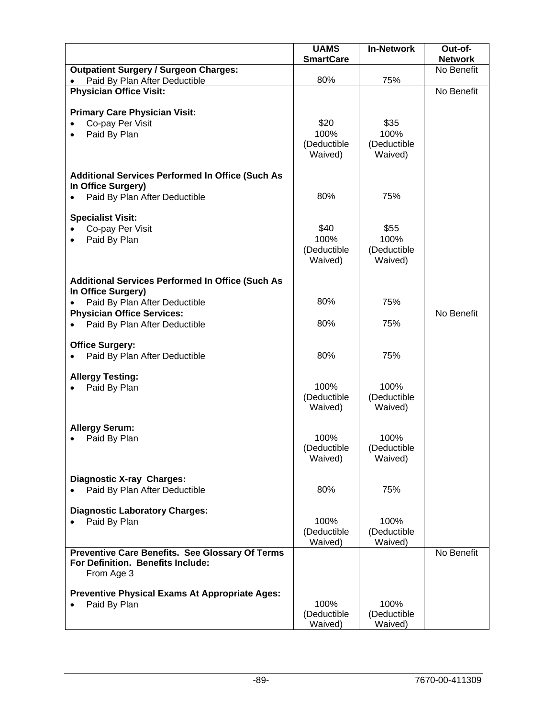|                                                                               | <b>UAMS</b>      | <b>In-Network</b> | Out-of-        |
|-------------------------------------------------------------------------------|------------------|-------------------|----------------|
|                                                                               | <b>SmartCare</b> |                   | <b>Network</b> |
| <b>Outpatient Surgery / Surgeon Charges:</b><br>Paid By Plan After Deductible | 80%              | 75%               | No Benefit     |
| <b>Physician Office Visit:</b>                                                |                  |                   | No Benefit     |
|                                                                               |                  |                   |                |
| <b>Primary Care Physician Visit:</b>                                          |                  |                   |                |
| Co-pay Per Visit                                                              | \$20             | \$35              |                |
| Paid By Plan                                                                  | 100%             | 100%              |                |
|                                                                               | (Deductible      | (Deductible       |                |
|                                                                               | Waived)          | Waived)           |                |
| <b>Additional Services Performed In Office (Such As</b><br>In Office Surgery) |                  |                   |                |
| Paid By Plan After Deductible                                                 | 80%              | 75%               |                |
|                                                                               |                  |                   |                |
| <b>Specialist Visit:</b>                                                      |                  |                   |                |
| Co-pay Per Visit                                                              | \$40             | \$55              |                |
| Paid By Plan<br>$\bullet$                                                     | 100%             | 100%              |                |
|                                                                               | (Deductible      | (Deductible       |                |
|                                                                               | Waived)          | Waived)           |                |
| <b>Additional Services Performed In Office (Such As</b>                       |                  |                   |                |
| In Office Surgery)                                                            |                  |                   |                |
| Paid By Plan After Deductible                                                 | 80%              | 75%               |                |
| <b>Physician Office Services:</b>                                             |                  |                   | No Benefit     |
| Paid By Plan After Deductible                                                 | 80%              | 75%               |                |
|                                                                               |                  |                   |                |
| <b>Office Surgery:</b>                                                        |                  |                   |                |
| Paid By Plan After Deductible                                                 | 80%              | 75%               |                |
| <b>Allergy Testing:</b>                                                       |                  |                   |                |
| Paid By Plan                                                                  | 100%             | 100%              |                |
|                                                                               | (Deductible      | (Deductible       |                |
|                                                                               | Waived)          | Waived)           |                |
|                                                                               |                  |                   |                |
| <b>Allergy Serum:</b><br>Paid By Plan                                         | 100%             | 100%              |                |
|                                                                               | (Deductible      | (Deductible       |                |
|                                                                               | Waived)          | Waived)           |                |
|                                                                               |                  |                   |                |
| <b>Diagnostic X-ray Charges:</b>                                              |                  |                   |                |
| Paid By Plan After Deductible                                                 | 80%              | 75%               |                |
|                                                                               |                  |                   |                |
| <b>Diagnostic Laboratory Charges:</b><br>Paid By Plan                         | 100%             | 100%              |                |
|                                                                               | (Deductible      | (Deductible       |                |
|                                                                               | Waived)          | Waived)           |                |
| Preventive Care Benefits. See Glossary Of Terms                               |                  |                   | No Benefit     |
| For Definition. Benefits Include:                                             |                  |                   |                |
| From Age 3                                                                    |                  |                   |                |
| <b>Preventive Physical Exams At Appropriate Ages:</b>                         |                  |                   |                |
| Paid By Plan                                                                  | 100%             | 100%              |                |
|                                                                               | (Deductible      | (Deductible       |                |
|                                                                               | Waived)          | Waived)           |                |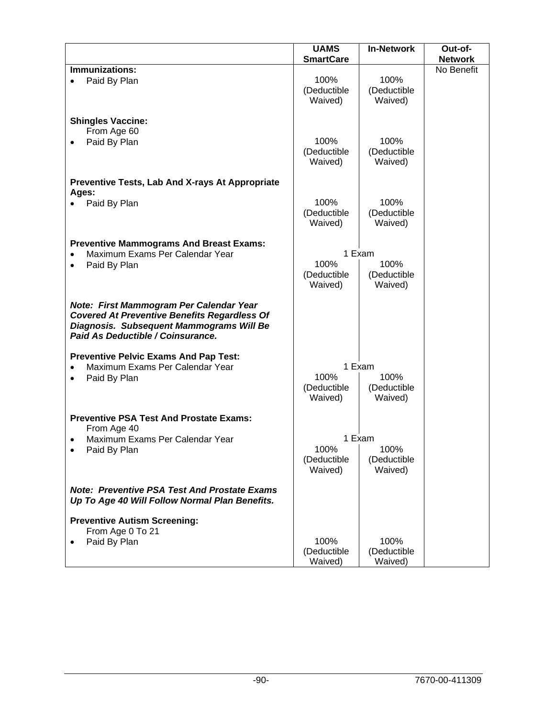|                                                                                                                                                                                 | <b>UAMS</b>                    | <b>In-Network</b>                              | Out-of-        |
|---------------------------------------------------------------------------------------------------------------------------------------------------------------------------------|--------------------------------|------------------------------------------------|----------------|
|                                                                                                                                                                                 | <b>SmartCare</b>               |                                                | <b>Network</b> |
| <b>Immunizations:</b>                                                                                                                                                           |                                |                                                | No Benefit     |
| Paid By Plan<br>$\bullet$                                                                                                                                                       | 100%<br>(Deductible<br>Waived) | 100%<br>(Deductible<br>Waived)                 |                |
| <b>Shingles Vaccine:</b>                                                                                                                                                        |                                |                                                |                |
| From Age 60                                                                                                                                                                     |                                |                                                |                |
| Paid By Plan<br>$\bullet$                                                                                                                                                       | 100%<br>(Deductible<br>Waived) | 100%<br>(Deductible<br>Waived)                 |                |
| Preventive Tests, Lab And X-rays At Appropriate<br>Ages:                                                                                                                        |                                |                                                |                |
| Paid By Plan<br>$\bullet$                                                                                                                                                       | 100%<br>(Deductible<br>Waived) | 100%<br>(Deductible<br>Waived)                 |                |
| <b>Preventive Mammograms And Breast Exams:</b>                                                                                                                                  |                                |                                                |                |
| Maximum Exams Per Calendar Year                                                                                                                                                 |                                | 1 Exam                                         |                |
| Paid By Plan                                                                                                                                                                    | 100%<br>(Deductible<br>Waived) | 100%<br>(Deductible<br>Waived)                 |                |
| Note: First Mammogram Per Calendar Year<br><b>Covered At Preventive Benefits Regardless Of</b><br>Diagnosis. Subsequent Mammograms Will Be<br>Paid As Deductible / Coinsurance. |                                |                                                |                |
| <b>Preventive Pelvic Exams And Pap Test:</b>                                                                                                                                    |                                |                                                |                |
| Maximum Exams Per Calendar Year                                                                                                                                                 |                                | 1 Exam                                         |                |
| Paid By Plan<br>$\bullet$                                                                                                                                                       | 100%<br>(Deductible<br>Waived) | 100%<br>(Deductible<br>Waived)                 |                |
| <b>Preventive PSA Test And Prostate Exams:</b><br>From Age 40                                                                                                                   |                                |                                                |                |
| Maximum Exams Per Calendar Year                                                                                                                                                 |                                | 1 Exam                                         |                |
| Paid By Plan                                                                                                                                                                    | 100%<br>(Deductible<br>Waived) | $\mathbf{I}$<br>100%<br>(Deductible<br>Waived) |                |
| <b>Note: Preventive PSA Test And Prostate Exams</b><br>Up To Age 40 Will Follow Normal Plan Benefits.                                                                           |                                |                                                |                |
| <b>Preventive Autism Screening:</b>                                                                                                                                             |                                |                                                |                |
| From Age 0 To 21<br>Paid By Plan                                                                                                                                                | 100%                           | 100%                                           |                |
|                                                                                                                                                                                 | (Deductible<br>Waived)         | (Deductible<br>Waived)                         |                |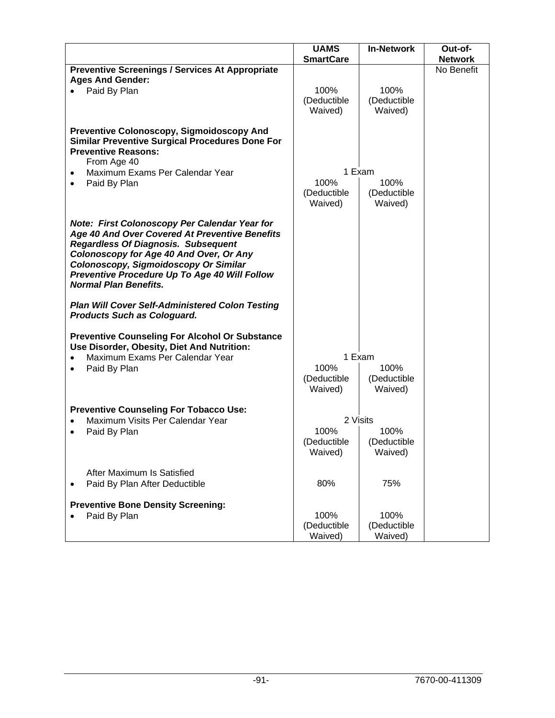|                                                                                                        | <b>UAMS</b>            | <b>In-Network</b>      | Out-of-                      |
|--------------------------------------------------------------------------------------------------------|------------------------|------------------------|------------------------------|
| <b>Preventive Screenings / Services At Appropriate</b>                                                 | <b>SmartCare</b>       |                        | <b>Network</b><br>No Benefit |
| <b>Ages And Gender:</b>                                                                                |                        |                        |                              |
| Paid By Plan                                                                                           | 100%                   | 100%                   |                              |
|                                                                                                        | (Deductible<br>Waived) | (Deductible<br>Waived) |                              |
|                                                                                                        |                        |                        |                              |
| <b>Preventive Colonoscopy, Sigmoidoscopy And</b>                                                       |                        |                        |                              |
| <b>Similar Preventive Surgical Procedures Done For</b><br><b>Preventive Reasons:</b>                   |                        |                        |                              |
| From Age 40                                                                                            |                        |                        |                              |
| Maximum Exams Per Calendar Year<br>$\bullet$                                                           |                        | 1 Exam                 |                              |
| Paid By Plan<br>$\bullet$                                                                              | 100%<br>(Deductible    | 100%<br>(Deductible    |                              |
|                                                                                                        | Waived)                | Waived)                |                              |
|                                                                                                        |                        |                        |                              |
| <b>Note: First Colonoscopy Per Calendar Year for</b><br>Age 40 And Over Covered At Preventive Benefits |                        |                        |                              |
| <b>Regardless Of Diagnosis. Subsequent</b>                                                             |                        |                        |                              |
| Colonoscopy for Age 40 And Over, Or Any                                                                |                        |                        |                              |
| Colonoscopy, Sigmoidoscopy Or Similar                                                                  |                        |                        |                              |
| Preventive Procedure Up To Age 40 Will Follow<br><b>Normal Plan Benefits.</b>                          |                        |                        |                              |
|                                                                                                        |                        |                        |                              |
| <b>Plan Will Cover Self-Administered Colon Testing</b><br><b>Products Such as Cologuard.</b>           |                        |                        |                              |
|                                                                                                        |                        |                        |                              |
| <b>Preventive Counseling For Alcohol Or Substance</b>                                                  |                        |                        |                              |
| Use Disorder, Obesity, Diet And Nutrition:<br>Maximum Exams Per Calendar Year                          |                        | 1 Exam                 |                              |
| Paid By Plan                                                                                           | 100%                   | 100%                   |                              |
|                                                                                                        | (Deductible            | (Deductible            |                              |
|                                                                                                        | Waived)                | Waived)                |                              |
| <b>Preventive Counseling For Tobacco Use:</b>                                                          |                        |                        |                              |
| Maximum Visits Per Calendar Year                                                                       |                        | 2 Visits               |                              |
| Paid By Plan                                                                                           | 100%                   | 100%                   |                              |
|                                                                                                        | (Deductible<br>Waived) | (Deductible<br>Waived) |                              |
|                                                                                                        |                        |                        |                              |
| After Maximum Is Satisfied                                                                             |                        |                        |                              |
| Paid By Plan After Deductible                                                                          | 80%                    | 75%                    |                              |
| <b>Preventive Bone Density Screening:</b>                                                              |                        |                        |                              |
| Paid By Plan                                                                                           | 100%                   | 100%                   |                              |
|                                                                                                        | (Deductible<br>Waived) | (Deductible<br>Waived) |                              |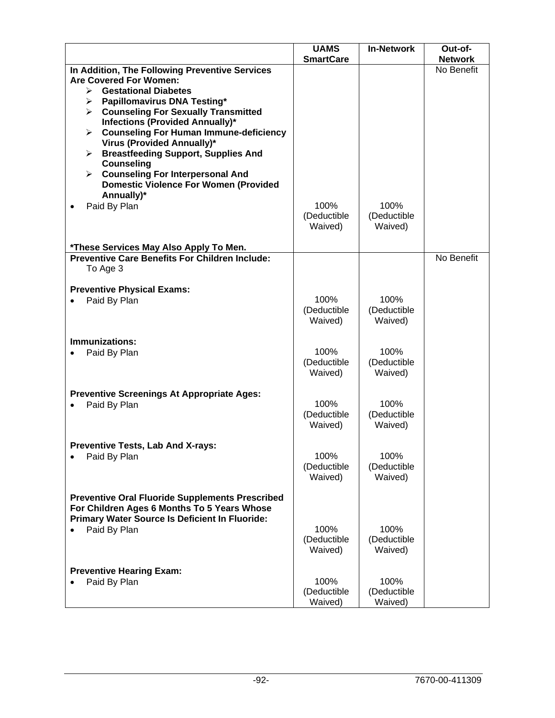|                                                                                                                                                                                                                                                                                                                                                                                                                                                                                                                                                                    | <b>UAMS</b>                    | <b>In-Network</b>              | Out-of-        |
|--------------------------------------------------------------------------------------------------------------------------------------------------------------------------------------------------------------------------------------------------------------------------------------------------------------------------------------------------------------------------------------------------------------------------------------------------------------------------------------------------------------------------------------------------------------------|--------------------------------|--------------------------------|----------------|
|                                                                                                                                                                                                                                                                                                                                                                                                                                                                                                                                                                    | <b>SmartCare</b>               |                                | <b>Network</b> |
| In Addition, The Following Preventive Services<br><b>Are Covered For Women:</b><br>$\triangleright$ Gestational Diabetes<br>$\triangleright$ Papillomavirus DNA Testing*<br>> Counseling For Sexually Transmitted<br><b>Infections (Provided Annually)*</b><br>$\triangleright$ Counseling For Human Immune-deficiency<br>Virus (Provided Annually)*<br>$\triangleright$ Breastfeeding Support, Supplies And<br><b>Counseling</b><br>> Counseling For Interpersonal And<br><b>Domestic Violence For Women (Provided</b><br>Annually)*<br>Paid By Plan<br>$\bullet$ | 100%<br>(Deductible            | 100%<br>(Deductible            | No Benefit     |
|                                                                                                                                                                                                                                                                                                                                                                                                                                                                                                                                                                    | Waived)                        | Waived)                        |                |
| *These Services May Also Apply To Men.                                                                                                                                                                                                                                                                                                                                                                                                                                                                                                                             |                                |                                |                |
| <b>Preventive Care Benefits For Children Include:</b><br>To Age 3                                                                                                                                                                                                                                                                                                                                                                                                                                                                                                  |                                |                                | No Benefit     |
| <b>Preventive Physical Exams:</b>                                                                                                                                                                                                                                                                                                                                                                                                                                                                                                                                  |                                |                                |                |
| Paid By Plan                                                                                                                                                                                                                                                                                                                                                                                                                                                                                                                                                       | 100%<br>(Deductible<br>Waived) | 100%<br>(Deductible<br>Waived) |                |
| Immunizations:                                                                                                                                                                                                                                                                                                                                                                                                                                                                                                                                                     |                                |                                |                |
| Paid By Plan                                                                                                                                                                                                                                                                                                                                                                                                                                                                                                                                                       | 100%<br>(Deductible<br>Waived) | 100%<br>(Deductible<br>Waived) |                |
| <b>Preventive Screenings At Appropriate Ages:</b><br>Paid By Plan                                                                                                                                                                                                                                                                                                                                                                                                                                                                                                  | 100%<br>(Deductible<br>Waived) | 100%<br>(Deductible<br>Waived) |                |
| Preventive Tests, Lab And X-rays:<br>Paid By Plan                                                                                                                                                                                                                                                                                                                                                                                                                                                                                                                  | 100%<br>(Deductible<br>Waived) | 100%<br>(Deductible<br>Waived) |                |
| <b>Preventive Oral Fluoride Supplements Prescribed</b><br>For Children Ages 6 Months To 5 Years Whose<br><b>Primary Water Source Is Deficient In Fluoride:</b><br>Paid By Plan                                                                                                                                                                                                                                                                                                                                                                                     | 100%<br>(Deductible<br>Waived) | 100%<br>(Deductible<br>Waived) |                |
| <b>Preventive Hearing Exam:</b><br>Paid By Plan                                                                                                                                                                                                                                                                                                                                                                                                                                                                                                                    | 100%<br>(Deductible<br>Waived) | 100%<br>(Deductible<br>Waived) |                |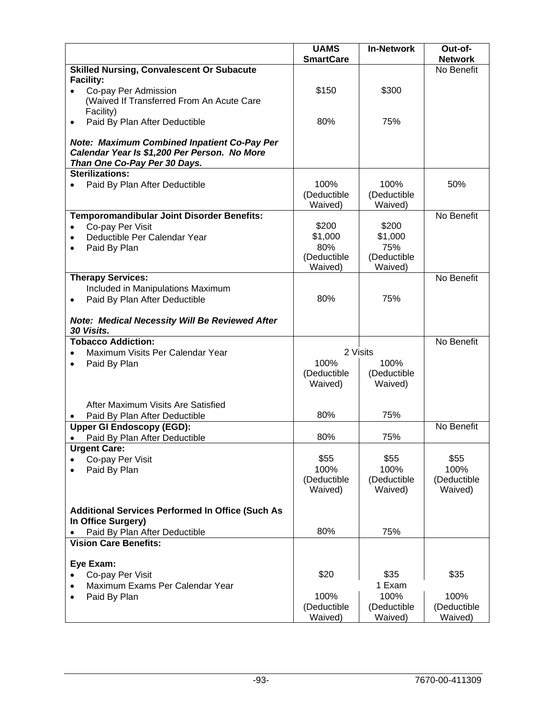|                                                                                                                                    | <b>UAMS</b>      | <b>In-Network</b> | Out-of-        |
|------------------------------------------------------------------------------------------------------------------------------------|------------------|-------------------|----------------|
|                                                                                                                                    | <b>SmartCare</b> |                   | <b>Network</b> |
| <b>Skilled Nursing, Convalescent Or Subacute</b><br><b>Facility:</b>                                                               |                  |                   | No Benefit     |
| Co-pay Per Admission                                                                                                               | \$150            | \$300             |                |
| (Waived If Transferred From An Acute Care                                                                                          |                  |                   |                |
| Facility)                                                                                                                          |                  |                   |                |
| Paid By Plan After Deductible<br>٠                                                                                                 | 80%              | 75%               |                |
| <b>Note: Maximum Combined Inpatient Co-Pay Per</b><br>Calendar Year Is \$1,200 Per Person. No More<br>Than One Co-Pay Per 30 Days. |                  |                   |                |
| <b>Sterilizations:</b>                                                                                                             |                  |                   |                |
| Paid By Plan After Deductible                                                                                                      | 100%             | 100%              | 50%            |
|                                                                                                                                    | (Deductible      | (Deductible       |                |
|                                                                                                                                    | Waived)          | Waived)           |                |
| Temporomandibular Joint Disorder Benefits:                                                                                         |                  |                   | No Benefit     |
| Co-pay Per Visit<br>Deductible Per Calendar Year                                                                                   | \$200<br>\$1,000 | \$200<br>\$1,000  |                |
| Paid By Plan                                                                                                                       | 80%              | 75%               |                |
|                                                                                                                                    | (Deductible      | (Deductible       |                |
|                                                                                                                                    | Waived)          | Waived)           |                |
| <b>Therapy Services:</b>                                                                                                           |                  |                   | No Benefit     |
| Included in Manipulations Maximum                                                                                                  |                  |                   |                |
| Paid By Plan After Deductible                                                                                                      | 80%              | 75%               |                |
| <b>Note: Medical Necessity Will Be Reviewed After</b><br>30 Visits.                                                                |                  |                   |                |
| <b>Tobacco Addiction:</b>                                                                                                          |                  |                   | No Benefit     |
| Maximum Visits Per Calendar Year                                                                                                   |                  | 2 Visits          |                |
| Paid By Plan                                                                                                                       | 100%             | 100%              |                |
|                                                                                                                                    | (Deductible      | (Deductible       |                |
|                                                                                                                                    | Waived)          | Waived)           |                |
| After Maximum Visits Are Satisfied                                                                                                 |                  |                   |                |
| Paid By Plan After Deductible                                                                                                      | 80%              | 75%               |                |
| <b>Upper GI Endoscopy (EGD):</b>                                                                                                   |                  |                   | No Benefit     |
| Paid By Plan After Deductible                                                                                                      | 80%              | 75%               |                |
| <b>Urgent Care:</b>                                                                                                                |                  |                   |                |
| Co-pay Per Visit                                                                                                                   | \$55             | \$55              | \$55           |
| Paid By Plan                                                                                                                       | 100%             | 100%              | 100%           |
|                                                                                                                                    | (Deductible      | (Deductible       | (Deductible    |
|                                                                                                                                    | Waived)          | Waived)           | Waived)        |
| <b>Additional Services Performed In Office (Such As</b><br>In Office Surgery)                                                      |                  |                   |                |
| Paid By Plan After Deductible                                                                                                      | 80%              | 75%               |                |
| <b>Vision Care Benefits:</b>                                                                                                       |                  |                   |                |
|                                                                                                                                    |                  |                   |                |
| Eye Exam:                                                                                                                          |                  |                   |                |
| Co-pay Per Visit                                                                                                                   | \$20             | \$35<br>1 Exam    | \$35           |
| Maximum Exams Per Calendar Year<br>Paid By Plan                                                                                    | 100%             | 100%              | 100%           |
|                                                                                                                                    | (Deductible      | (Deductible       | (Deductible    |
|                                                                                                                                    | Waived)          | Waived)           | Waived)        |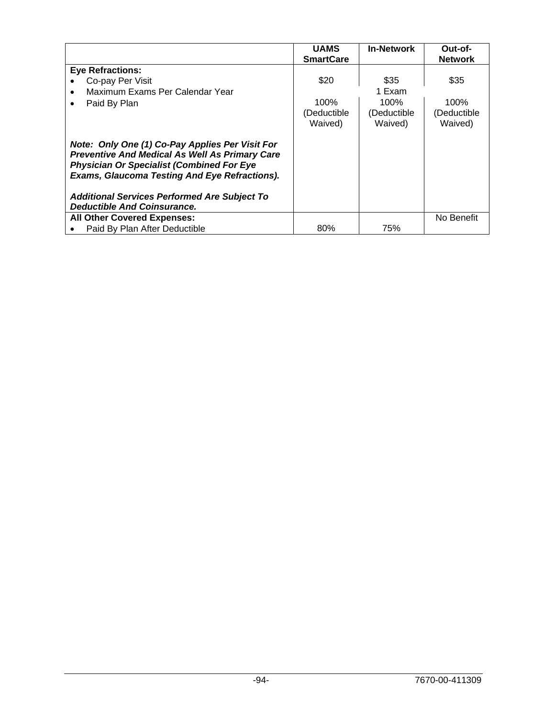|                                                                                                                                                                                                                      | <b>UAMS</b><br><b>SmartCare</b> | <b>In-Network</b>      | Out-of-<br><b>Network</b> |
|----------------------------------------------------------------------------------------------------------------------------------------------------------------------------------------------------------------------|---------------------------------|------------------------|---------------------------|
| <b>Eye Refractions:</b>                                                                                                                                                                                              |                                 |                        |                           |
| Co-pay Per Visit                                                                                                                                                                                                     | \$20                            | \$35                   | \$35                      |
| Maximum Exams Per Calendar Year<br>$\bullet$                                                                                                                                                                         |                                 | 1 Exam                 |                           |
| Paid By Plan<br>$\bullet$                                                                                                                                                                                            | 100%                            | 100%                   | 100%                      |
|                                                                                                                                                                                                                      | (Deductible<br>Waived)          | (Deductible<br>Waived) | (Deductible<br>Waived)    |
|                                                                                                                                                                                                                      |                                 |                        |                           |
| Note: Only One (1) Co-Pay Applies Per Visit For<br><b>Preventive And Medical As Well As Primary Care</b><br><b>Physician Or Specialist (Combined For Eye</b><br><b>Exams, Glaucoma Testing And Eye Refractions).</b> |                                 |                        |                           |
| <b>Additional Services Performed Are Subject To</b>                                                                                                                                                                  |                                 |                        |                           |
| Deductible And Coinsurance.                                                                                                                                                                                          |                                 |                        |                           |
| <b>All Other Covered Expenses:</b>                                                                                                                                                                                   |                                 |                        | No Benefit                |
| Paid By Plan After Deductible<br>$\bullet$                                                                                                                                                                           | 80%                             | 75%                    |                           |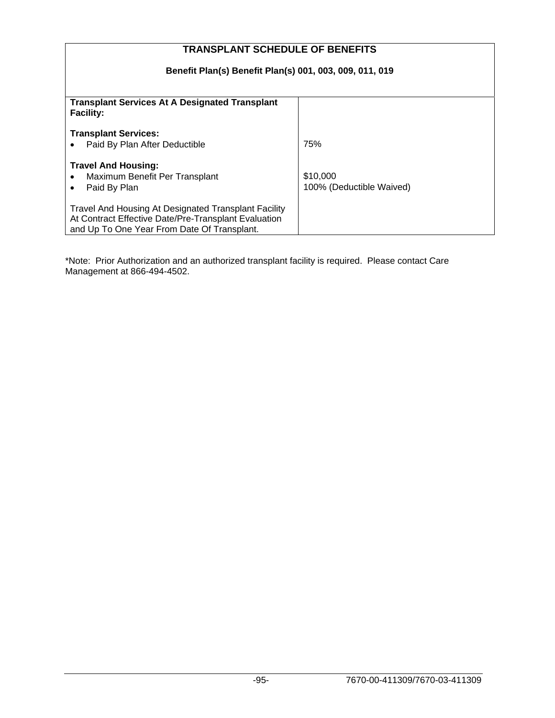# **TRANSPLANT SCHEDULE OF BENEFITS**

# **Benefit Plan(s) Benefit Plan(s) 001, 003, 009, 011, 019**

| <b>Transplant Services At A Designated Transplant</b><br><b>Facility:</b>                                                                                          |                                      |
|--------------------------------------------------------------------------------------------------------------------------------------------------------------------|--------------------------------------|
| <b>Transplant Services:</b><br>Paid By Plan After Deductible                                                                                                       | 75%                                  |
| <b>Travel And Housing:</b><br>Maximum Benefit Per Transplant<br>$\bullet$<br>Paid By Plan                                                                          | \$10,000<br>100% (Deductible Waived) |
| <b>Travel And Housing At Designated Transplant Facility</b><br>At Contract Effective Date/Pre-Transplant Evaluation<br>and Up To One Year From Date Of Transplant. |                                      |

\*Note: Prior Authorization and an authorized transplant facility is required. Please contact Care Management at 866-494-4502.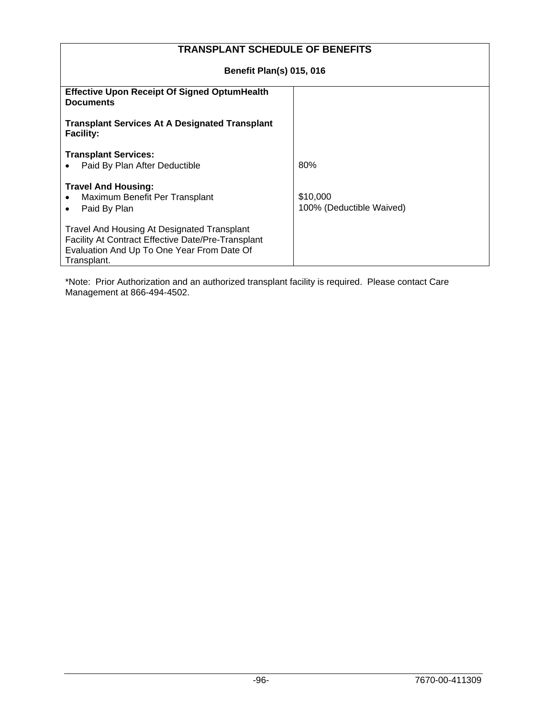| <b>TRANSPLANT SCHEDULE OF BENEFITS</b>                                                                                                                                |                                      |  |  |
|-----------------------------------------------------------------------------------------------------------------------------------------------------------------------|--------------------------------------|--|--|
| <b>Benefit Plan(s) 015, 016</b>                                                                                                                                       |                                      |  |  |
| <b>Effective Upon Receipt Of Signed OptumHealth</b><br><b>Documents</b>                                                                                               |                                      |  |  |
| <b>Transplant Services At A Designated Transplant</b><br><b>Facility:</b>                                                                                             |                                      |  |  |
| <b>Transplant Services:</b><br>Paid By Plan After Deductible                                                                                                          | 80%                                  |  |  |
| <b>Travel And Housing:</b><br>Maximum Benefit Per Transplant<br>Paid By Plan<br>٠                                                                                     | \$10,000<br>100% (Deductible Waived) |  |  |
| <b>Travel And Housing At Designated Transplant</b><br>Facility At Contract Effective Date/Pre-Transplant<br>Evaluation And Up To One Year From Date Of<br>Transplant. |                                      |  |  |

\*Note: Prior Authorization and an authorized transplant facility is required. Please contact Care Management at 866-494-4502.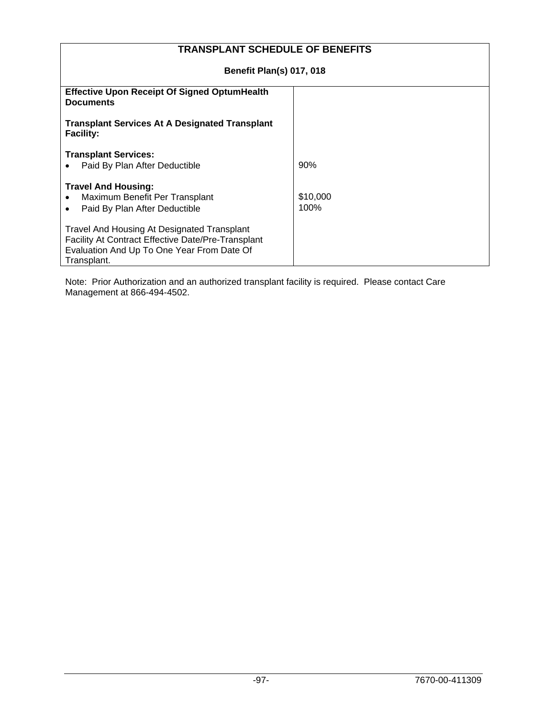| <b>TRANSPLANT SCHEDULE OF BENEFITS</b>                                                                                                                                |                  |  |
|-----------------------------------------------------------------------------------------------------------------------------------------------------------------------|------------------|--|
| <b>Benefit Plan(s) 017, 018</b>                                                                                                                                       |                  |  |
| <b>Effective Upon Receipt Of Signed OptumHealth</b><br><b>Documents</b>                                                                                               |                  |  |
| <b>Transplant Services At A Designated Transplant</b><br><b>Facility:</b>                                                                                             |                  |  |
| <b>Transplant Services:</b><br>Paid By Plan After Deductible                                                                                                          | 90%              |  |
| <b>Travel And Housing:</b><br>Maximum Benefit Per Transplant<br>Paid By Plan After Deductible                                                                         | \$10,000<br>100% |  |
| <b>Travel And Housing At Designated Transplant</b><br>Facility At Contract Effective Date/Pre-Transplant<br>Evaluation And Up To One Year From Date Of<br>Transplant. |                  |  |

Note: Prior Authorization and an authorized transplant facility is required. Please contact Care Management at 866-494-4502.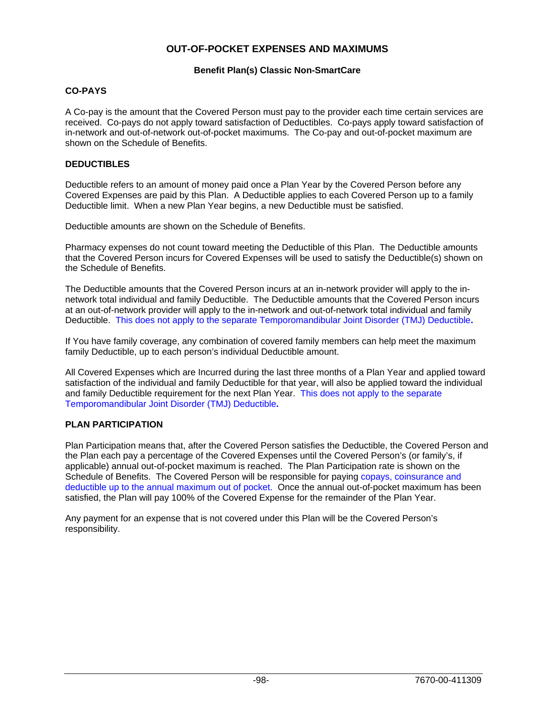## **OUT-OF-POCKET EXPENSES AND MAXIMUMS**

### **Benefit Plan(s) Classic Non-SmartCare**

#### **CO-PAYS**

A Co-pay is the amount that the Covered Person must pay to the provider each time certain services are received. Co-pays do not apply toward satisfaction of Deductibles. Co-pays apply toward satisfaction of in-network and out-of-network out-of-pocket maximums. The Co-pay and out-of-pocket maximum are shown on the Schedule of Benefits.

#### **DEDUCTIBLES**

Deductible refers to an amount of money paid once a Plan Year by the Covered Person before any Covered Expenses are paid by this Plan. A Deductible applies to each Covered Person up to a family Deductible limit. When a new Plan Year begins, a new Deductible must be satisfied.

Deductible amounts are shown on the Schedule of Benefits.

Pharmacy expenses do not count toward meeting the Deductible of this Plan. The Deductible amounts that the Covered Person incurs for Covered Expenses will be used to satisfy the Deductible(s) shown on the Schedule of Benefits.

The Deductible amounts that the Covered Person incurs at an in-network provider will apply to the innetwork total individual and family Deductible. The Deductible amounts that the Covered Person incurs at an out-of-network provider will apply to the in-network and out-of-network total individual and family Deductible. This does not apply to the separate Temporomandibular Joint Disorder (TMJ) Deductible**.**

If You have family coverage, any combination of covered family members can help meet the maximum family Deductible, up to each person's individual Deductible amount.

All Covered Expenses which are Incurred during the last three months of a Plan Year and applied toward satisfaction of the individual and family Deductible for that year, will also be applied toward the individual and family Deductible requirement for the next Plan Year. This does not apply to the separate Temporomandibular Joint Disorder (TMJ) Deductible**.**

#### **PLAN PARTICIPATION**

Plan Participation means that, after the Covered Person satisfies the Deductible, the Covered Person and the Plan each pay a percentage of the Covered Expenses until the Covered Person's (or family's, if applicable) annual out-of-pocket maximum is reached. The Plan Participation rate is shown on the Schedule of Benefits. The Covered Person will be responsible for paying copays, coinsurance and deductible up to the annual maximum out of pocket. Once the annual out-of-pocket maximum has been satisfied, the Plan will pay 100% of the Covered Expense for the remainder of the Plan Year.

Any payment for an expense that is not covered under this Plan will be the Covered Person's responsibility.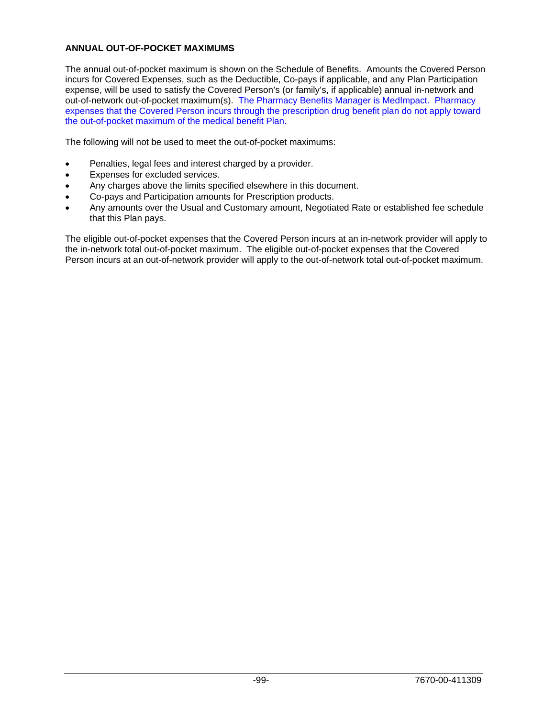### **ANNUAL OUT-OF-POCKET MAXIMUMS**

The annual out-of-pocket maximum is shown on the Schedule of Benefits. Amounts the Covered Person incurs for Covered Expenses, such as the Deductible, Co-pays if applicable, and any Plan Participation expense, will be used to satisfy the Covered Person's (or family's, if applicable) annual in-network and out-of-network out-of-pocket maximum(s). The Pharmacy Benefits Manager is MedImpact. Pharmacy expenses that the Covered Person incurs through the prescription drug benefit plan do not apply toward the out-of-pocket maximum of the medical benefit Plan.

The following will not be used to meet the out-of-pocket maximums:

- Penalties, legal fees and interest charged by a provider.
- Expenses for excluded services.
- Any charges above the limits specified elsewhere in this document.
- Co-pays and Participation amounts for Prescription products.
- Any amounts over the Usual and Customary amount, Negotiated Rate or established fee schedule that this Plan pays.

The eligible out-of-pocket expenses that the Covered Person incurs at an in-network provider will apply to the in-network total out-of-pocket maximum. The eligible out-of-pocket expenses that the Covered Person incurs at an out-of-network provider will apply to the out-of-network total out-of-pocket maximum.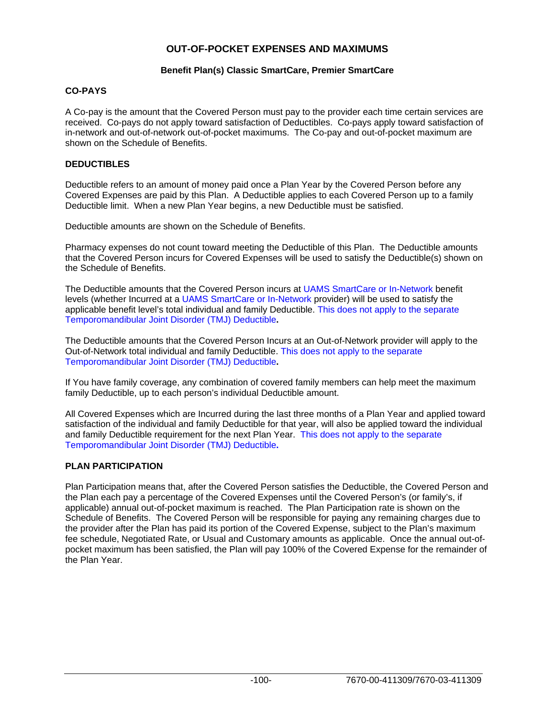## **OUT-OF-POCKET EXPENSES AND MAXIMUMS**

### **Benefit Plan(s) Classic SmartCare, Premier SmartCare**

### **CO-PAYS**

A Co-pay is the amount that the Covered Person must pay to the provider each time certain services are received. Co-pays do not apply toward satisfaction of Deductibles. Co-pays apply toward satisfaction of in-network and out-of-network out-of-pocket maximums. The Co-pay and out-of-pocket maximum are shown on the Schedule of Benefits.

### **DEDUCTIBLES**

Deductible refers to an amount of money paid once a Plan Year by the Covered Person before any Covered Expenses are paid by this Plan. A Deductible applies to each Covered Person up to a family Deductible limit. When a new Plan Year begins, a new Deductible must be satisfied.

Deductible amounts are shown on the Schedule of Benefits.

Pharmacy expenses do not count toward meeting the Deductible of this Plan. The Deductible amounts that the Covered Person incurs for Covered Expenses will be used to satisfy the Deductible(s) shown on the Schedule of Benefits.

The Deductible amounts that the Covered Person incurs at UAMS SmartCare or In-Network benefit levels (whether Incurred at a UAMS SmartCare or In-Network provider) will be used to satisfy the applicable benefit level's total individual and family Deductible. This does not apply to the separate Temporomandibular Joint Disorder (TMJ) Deductible**.** 

The Deductible amounts that the Covered Person Incurs at an Out-of-Network provider will apply to the Out-of-Network total individual and family Deductible. This does not apply to the separate Temporomandibular Joint Disorder (TMJ) Deductible**.**

If You have family coverage, any combination of covered family members can help meet the maximum family Deductible, up to each person's individual Deductible amount.

All Covered Expenses which are Incurred during the last three months of a Plan Year and applied toward satisfaction of the individual and family Deductible for that year, will also be applied toward the individual and family Deductible requirement for the next Plan Year. This does not apply to the separate Temporomandibular Joint Disorder (TMJ) Deductible**.**

## **PLAN PARTICIPATION**

Plan Participation means that, after the Covered Person satisfies the Deductible, the Covered Person and the Plan each pay a percentage of the Covered Expenses until the Covered Person's (or family's, if applicable) annual out-of-pocket maximum is reached. The Plan Participation rate is shown on the Schedule of Benefits. The Covered Person will be responsible for paying any remaining charges due to the provider after the Plan has paid its portion of the Covered Expense, subject to the Plan's maximum fee schedule, Negotiated Rate, or Usual and Customary amounts as applicable. Once the annual out-ofpocket maximum has been satisfied, the Plan will pay 100% of the Covered Expense for the remainder of the Plan Year.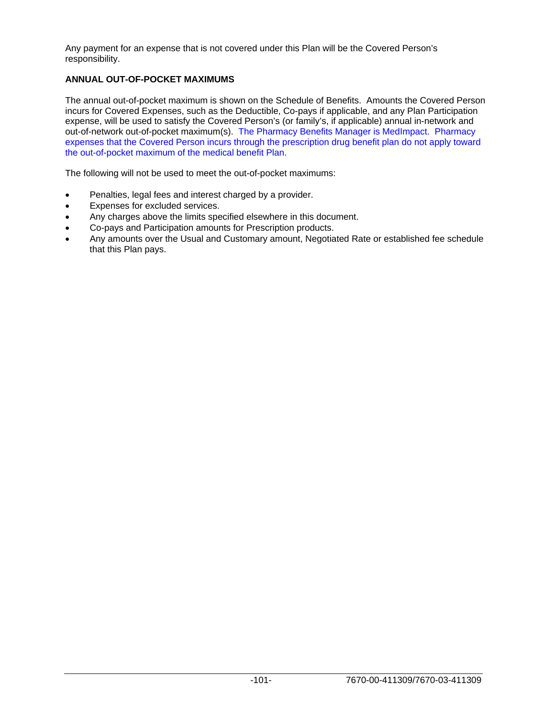Any payment for an expense that is not covered under this Plan will be the Covered Person's responsibility.

### **ANNUAL OUT-OF-POCKET MAXIMUMS**

The annual out-of-pocket maximum is shown on the Schedule of Benefits. Amounts the Covered Person incurs for Covered Expenses, such as the Deductible, Co-pays if applicable, and any Plan Participation expense, will be used to satisfy the Covered Person's (or family's, if applicable) annual in-network and out-of-network out-of-pocket maximum(s). The Pharmacy Benefits Manager is MedImpact. Pharmacy expenses that the Covered Person incurs through the prescription drug benefit plan do not apply toward the out-of-pocket maximum of the medical benefit Plan.

The following will not be used to meet the out-of-pocket maximums:

- Penalties, legal fees and interest charged by a provider.
- Expenses for excluded services.
- Any charges above the limits specified elsewhere in this document.
- Co-pays and Participation amounts for Prescription products.
- Any amounts over the Usual and Customary amount, Negotiated Rate or established fee schedule that this Plan pays.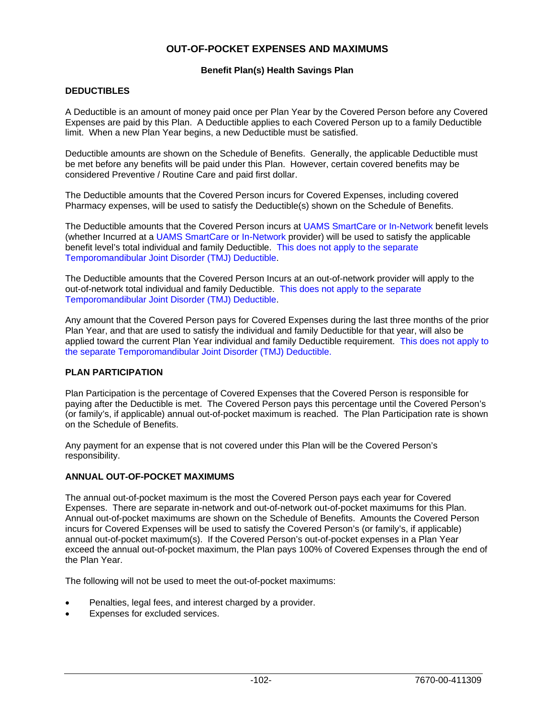## **OUT-OF-POCKET EXPENSES AND MAXIMUMS**

### **Benefit Plan(s) Health Savings Plan**

#### **DEDUCTIBLES**

A Deductible is an amount of money paid once per Plan Year by the Covered Person before any Covered Expenses are paid by this Plan. A Deductible applies to each Covered Person up to a family Deductible limit. When a new Plan Year begins, a new Deductible must be satisfied.

Deductible amounts are shown on the Schedule of Benefits. Generally, the applicable Deductible must be met before any benefits will be paid under this Plan. However, certain covered benefits may be considered Preventive / Routine Care and paid first dollar.

The Deductible amounts that the Covered Person incurs for Covered Expenses, including covered Pharmacy expenses, will be used to satisfy the Deductible(s) shown on the Schedule of Benefits.

The Deductible amounts that the Covered Person incurs at UAMS SmartCare or In-Network benefit levels (whether Incurred at a UAMS SmartCare or In-Network provider) will be used to satisfy the applicable benefit level's total individual and family Deductible. This does not apply to the separate Temporomandibular Joint Disorder (TMJ) Deductible.

The Deductible amounts that the Covered Person Incurs at an out-of-network provider will apply to the out-of-network total individual and family Deductible. This does not apply to the separate Temporomandibular Joint Disorder (TMJ) Deductible.

Any amount that the Covered Person pays for Covered Expenses during the last three months of the prior Plan Year, and that are used to satisfy the individual and family Deductible for that year, will also be applied toward the current Plan Year individual and family Deductible requirement. This does not apply to the separate Temporomandibular Joint Disorder (TMJ) Deductible.

#### **PLAN PARTICIPATION**

Plan Participation is the percentage of Covered Expenses that the Covered Person is responsible for paying after the Deductible is met. The Covered Person pays this percentage until the Covered Person's (or family's, if applicable) annual out-of-pocket maximum is reached. The Plan Participation rate is shown on the Schedule of Benefits.

Any payment for an expense that is not covered under this Plan will be the Covered Person's responsibility.

#### **ANNUAL OUT-OF-POCKET MAXIMUMS**

The annual out-of-pocket maximum is the most the Covered Person pays each year for Covered Expenses. There are separate in-network and out-of-network out-of-pocket maximums for this Plan. Annual out-of-pocket maximums are shown on the Schedule of Benefits. Amounts the Covered Person incurs for Covered Expenses will be used to satisfy the Covered Person's (or family's, if applicable) annual out-of-pocket maximum(s). If the Covered Person's out-of-pocket expenses in a Plan Year exceed the annual out-of-pocket maximum, the Plan pays 100% of Covered Expenses through the end of the Plan Year.

The following will not be used to meet the out-of-pocket maximums:

- Penalties, legal fees, and interest charged by a provider.
- Expenses for excluded services.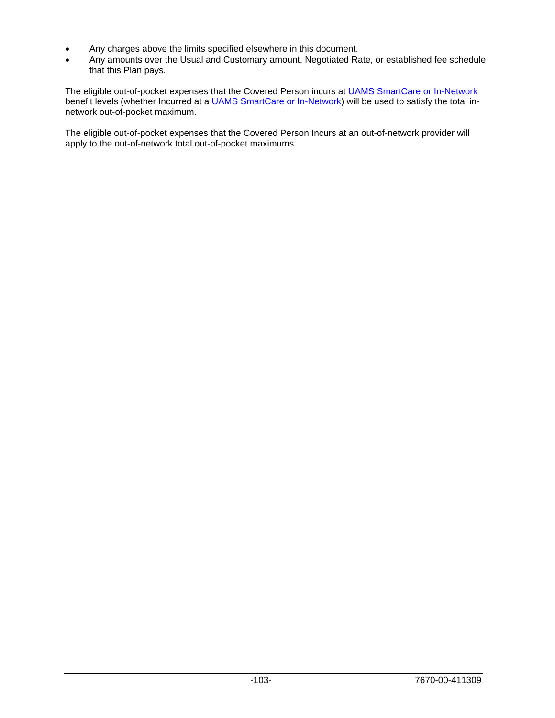- Any charges above the limits specified elsewhere in this document.
- Any amounts over the Usual and Customary amount, Negotiated Rate, or established fee schedule that this Plan pays.

The eligible out-of-pocket expenses that the Covered Person incurs at UAMS SmartCare or In-Network benefit levels (whether Incurred at a UAMS SmartCare or In-Network) will be used to satisfy the total innetwork out-of-pocket maximum.

The eligible out-of-pocket expenses that the Covered Person Incurs at an out-of-network provider will apply to the out-of-network total out-of-pocket maximums.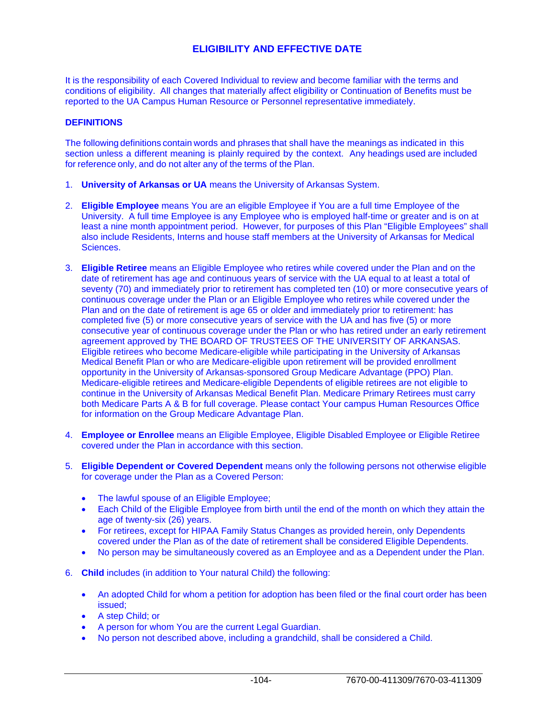## **ELIGIBILITY AND EFFECTIVE DATE**

It is the responsibility of each Covered Individual to review and become familiar with the terms and conditions of eligibility. All changes that materially affect eligibility or Continuation of Benefits must be reported to the UA Campus Human Resource or Personnel representative immediately.

#### **DEFINITIONS**

The following definitions contain words and phrases that shall have the meanings as indicated in this section unless a different meaning is plainly required by the context. Any headings used are included for reference only, and do not alter any of the terms of the Plan.

- 1. **University of Arkansas or UA** means the University of Arkansas System.
- 2. **Eligible Employee** means You are an eligible Employee if You are a full time Employee of the University. A full time Employee is any Employee who is employed half-time or greater and is on at least a nine month appointment period. However, for purposes of this Plan "Eligible Employees" shall also include Residents, Interns and house staff members at the University of Arkansas for Medical **Sciences**
- 3. **Eligible Retiree** means an Eligible Employee who retires while covered under the Plan and on the date of retirement has age and continuous years of service with the UA equal to at least a total of seventy (70) and immediately prior to retirement has completed ten (10) or more consecutive years of continuous coverage under the Plan or an Eligible Employee who retires while covered under the Plan and on the date of retirement is age 65 or older and immediately prior to retirement: has completed five (5) or more consecutive years of service with the UA and has five (5) or more consecutive year of continuous coverage under the Plan or who has retired under an early retirement agreement approved by THE BOARD OF TRUSTEES OF THE UNIVERSITY OF ARKANSAS. Eligible retirees who become Medicare-eligible while participating in the University of Arkansas Medical Benefit Plan or who are Medicare-eligible upon retirement will be provided enrollment opportunity in the University of Arkansas-sponsored Group Medicare Advantage (PPO) Plan. Medicare-eligible retirees and Medicare-eligible Dependents of eligible retirees are not eligible to continue in the University of Arkansas Medical Benefit Plan. Medicare Primary Retirees must carry both Medicare Parts A & B for full coverage. Please contact Your campus Human Resources Office for information on the Group Medicare Advantage Plan.
- 4. **Employee or Enrollee** means an Eligible Employee, Eligible Disabled Employee or Eligible Retiree covered under the Plan in accordance with this section.
- 5. **Eligible Dependent or Covered Dependent** means only the following persons not otherwise eligible for coverage under the Plan as a Covered Person:
	- The lawful spouse of an Eligible Employee;
	- Each Child of the Eligible Employee from birth until the end of the month on which they attain the age of twenty-six (26) years.
	- For retirees, except for HIPAA Family Status Changes as provided herein, only Dependents covered under the Plan as of the date of retirement shall be considered Eligible Dependents.
	- No person may be simultaneously covered as an Employee and as a Dependent under the Plan.
- 6. **Child** includes (in addition to Your natural Child) the following:
	- An adopted Child for whom a petition for adoption has been filed or the final court order has been issued;
	- A step Child; or
	- A person for whom You are the current Legal Guardian.
	- No person not described above, including a grandchild, shall be considered a Child.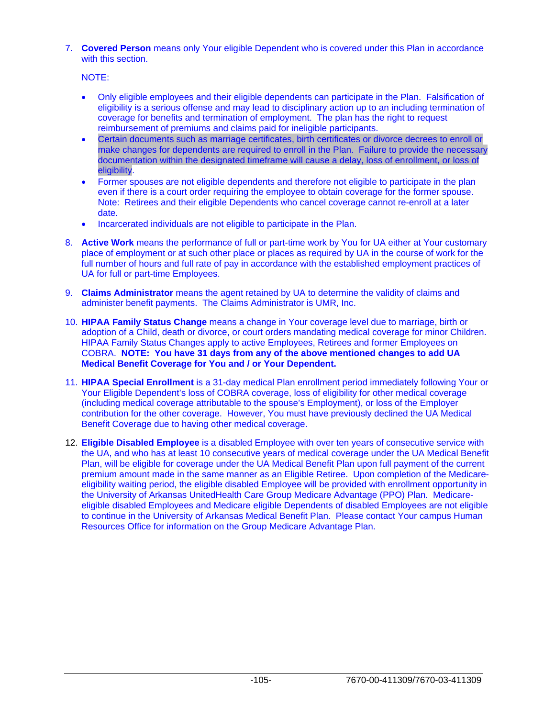7. **Covered Person** means only Your eligible Dependent who is covered under this Plan in accordance with this section.

NOTE:

- Only eligible employees and their eligible dependents can participate in the Plan. Falsification of eligibility is a serious offense and may lead to disciplinary action up to an including termination of coverage for benefits and termination of employment. The plan has the right to request reimbursement of premiums and claims paid for ineligible participants.
- Certain documents such as marriage certificates, birth certificates or divorce decrees to enroll or make changes for dependents are required to enroll in the Plan. Failure to provide the necessary documentation within the designated timeframe will cause a delay, loss of enrollment, or loss of eligibility.
- Former spouses are not eligible dependents and therefore not eligible to participate in the plan even if there is a court order requiring the employee to obtain coverage for the former spouse. Note: Retirees and their eligible Dependents who cancel coverage cannot re-enroll at a later date.
- Incarcerated individuals are not eligible to participate in the Plan.
- 8. **Active Work** means the performance of full or part-time work by You for UA either at Your customary place of employment or at such other place or places as required by UA in the course of work for the full number of hours and full rate of pay in accordance with the established employment practices of UA for full or part-time Employees.
- 9. **Claims Administrator** means the agent retained by UA to determine the validity of claims and administer benefit payments. The Claims Administrator is UMR, Inc.
- 10. **HIPAA Family Status Change** means a change in Your coverage level due to marriage, birth or adoption of a Child, death or divorce, or court orders mandating medical coverage for minor Children. HIPAA Family Status Changes apply to active Employees, Retirees and former Employees on COBRA. **NOTE: You have 31 days from any of the above mentioned changes to add UA Medical Benefit Coverage for You and / or Your Dependent.**
- 11. **HIPAA Special Enrollment** is a 31-day medical Plan enrollment period immediately following Your or Your Eligible Dependent's loss of COBRA coverage, loss of eligibility for other medical coverage (including medical coverage attributable to the spouse's Employment), or loss of the Employer contribution for the other coverage. However, You must have previously declined the UA Medical Benefit Coverage due to having other medical coverage.
- 12. **Eligible Disabled Employee** is a disabled Employee with over ten years of consecutive service with the UA, and who has at least 10 consecutive years of medical coverage under the UA Medical Benefit Plan, will be eligible for coverage under the UA Medical Benefit Plan upon full payment of the current premium amount made in the same manner as an Eligible Retiree. Upon completion of the Medicareeligibility waiting period, the eligible disabled Employee will be provided with enrollment opportunity in the University of Arkansas UnitedHealth Care Group Medicare Advantage (PPO) Plan. Medicareeligible disabled Employees and Medicare eligible Dependents of disabled Employees are not eligible to continue in the University of Arkansas Medical Benefit Plan. Please contact Your campus Human Resources Office for information on the Group Medicare Advantage Plan.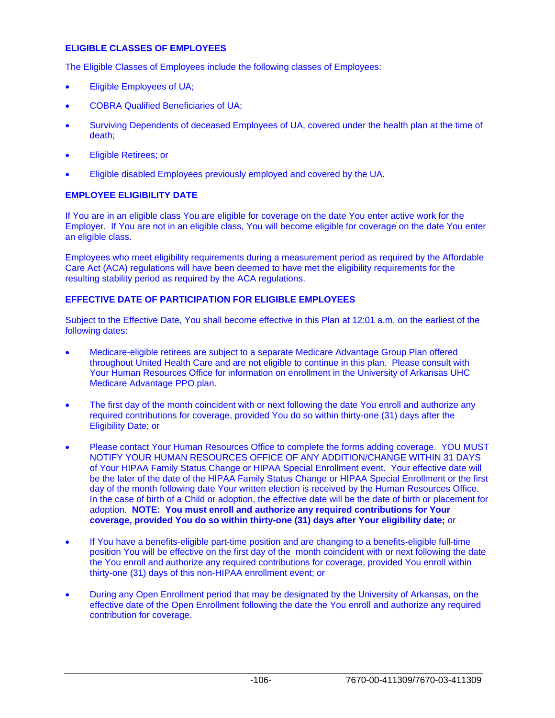## **ELIGIBLE CLASSES OF EMPLOYEES**

The Eligible Classes of Employees include the following classes of Employees:

- Eligible Employees of UA;
- COBRA Qualified Beneficiaries of UA;
- Surviving Dependents of deceased Employees of UA, covered under the health plan at the time of death;
- Eligible Retirees; or
- Eligible disabled Employees previously employed and covered by the UA.

# **EMPLOYEE ELIGIBILITY DATE**

If You are in an eligible class You are eligible for coverage on the date You enter active work for the Employer. If You are not in an eligible class, You will become eligible for coverage on the date You enter an eligible class.

Employees who meet eligibility requirements during a measurement period as required by the Affordable Care Act (ACA) regulations will have been deemed to have met the eligibility requirements for the resulting stability period as required by the ACA regulations.

## **EFFECTIVE DATE OF PARTICIPATION FOR ELIGIBLE EMPLOYEES**

Subject to the Effective Date, You shall become effective in this Plan at 12:01 a.m. on the earliest of the following dates:

- Medicare-eligible retirees are subject to a separate Medicare Advantage Group Plan offered throughout United Health Care and are not eligible to continue in this plan. Please consult with Your Human Resources Office for information on enrollment in the University of Arkansas UHC Medicare Advantage PPO plan.
- The first day of the month coincident with or next following the date You enroll and authorize any required contributions for coverage, provided You do so within thirty-one (31) days after the Eligibility Date; or
- Please contact Your Human Resources Office to complete the forms adding coverage. YOU MUST NOTIFY YOUR HUMAN RESOURCES OFFICE OF ANY ADDITION/CHANGE WITHIN 31 DAYS of Your HIPAA Family Status Change or HIPAA Special Enrollment event. Your effective date will be the later of the date of the HIPAA Family Status Change or HIPAA Special Enrollment or the first day of the month following date Your written election is received by the Human Resources Office. In the case of birth of a Child or adoption, the effective date will be the date of birth or placement for adoption. **NOTE: You must enroll and authorize any required contributions for Your coverage, provided You do so within thirty-one (31) days after Your eligibility date;** or
- If You have a benefits-eligible part-time position and are changing to a benefits-eligible full-time position You will be effective on the first day of the month coincident with or next following the date the You enroll and authorize any required contributions for coverage, provided You enroll within thirty-one (31) days of this non-HIPAA enrollment event; or
- During any Open Enrollment period that may be designated by the University of Arkansas, on the effective date of the Open Enrollment following the date the You enroll and authorize any required contribution for coverage.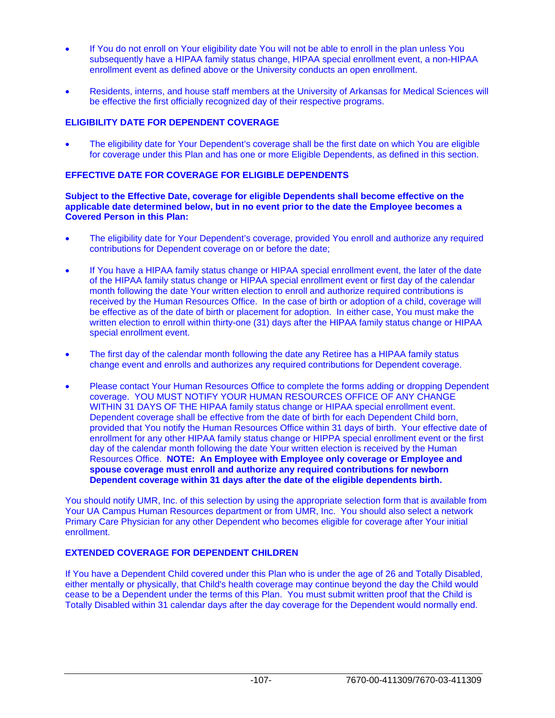- If You do not enroll on Your eligibility date You will not be able to enroll in the plan unless You subsequently have a HIPAA family status change, HIPAA special enrollment event, a non-HIPAA enrollment event as defined above or the University conducts an open enrollment.
- Residents, interns, and house staff members at the University of Arkansas for Medical Sciences will be effective the first officially recognized day of their respective programs.

# **ELIGIBILITY DATE FOR DEPENDENT COVERAGE**

 The eligibility date for Your Dependent's coverage shall be the first date on which You are eligible for coverage under this Plan and has one or more Eligible Dependents, as defined in this section.

## **EFFECTIVE DATE FOR COVERAGE FOR ELIGIBLE DEPENDENTS**

**Subject to the Effective Date, coverage for eligible Dependents shall become effective on the applicable date determined below, but in no event prior to the date the Employee becomes a Covered Person in this Plan:** 

- The eligibility date for Your Dependent's coverage, provided You enroll and authorize any required contributions for Dependent coverage on or before the date;
- If You have a HIPAA family status change or HIPAA special enrollment event, the later of the date of the HIPAA family status change or HIPAA special enrollment event or first day of the calendar month following the date Your written election to enroll and authorize required contributions is received by the Human Resources Office. In the case of birth or adoption of a child, coverage will be effective as of the date of birth or placement for adoption. In either case, You must make the written election to enroll within thirty-one (31) days after the HIPAA family status change or HIPAA special enrollment event.
- The first day of the calendar month following the date any Retiree has a HIPAA family status change event and enrolls and authorizes any required contributions for Dependent coverage.
- Please contact Your Human Resources Office to complete the forms adding or dropping Dependent coverage. YOU MUST NOTIFY YOUR HUMAN RESOURCES OFFICE OF ANY CHANGE WITHIN 31 DAYS OF THE HIPAA family status change or HIPAA special enrollment event. Dependent coverage shall be effective from the date of birth for each Dependent Child born, provided that You notify the Human Resources Office within 31 days of birth. Your effective date of enrollment for any other HIPAA family status change or HIPPA special enrollment event or the first day of the calendar month following the date Your written election is received by the Human Resources Office. **NOTE: An Employee with Employee only coverage or Employee and spouse coverage must enroll and authorize any required contributions for newborn Dependent coverage within 31 days after the date of the eligible dependents birth.**

You should notify UMR, Inc. of this selection by using the appropriate selection form that is available from Your UA Campus Human Resources department or from UMR, Inc. You should also select a network Primary Care Physician for any other Dependent who becomes eligible for coverage after Your initial enrollment.

# **EXTENDED COVERAGE FOR DEPENDENT CHILDREN**

If You have a Dependent Child covered under this Plan who is under the age of 26 and Totally Disabled, either mentally or physically, that Child's health coverage may continue beyond the day the Child would cease to be a Dependent under the terms of this Plan. You must submit written proof that the Child is Totally Disabled within 31 calendar days after the day coverage for the Dependent would normally end.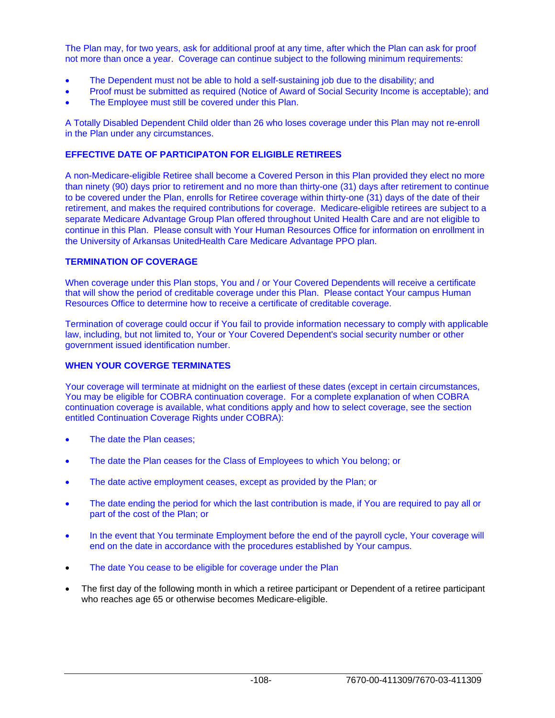The Plan may, for two years, ask for additional proof at any time, after which the Plan can ask for proof not more than once a year. Coverage can continue subject to the following minimum requirements:

- The Dependent must not be able to hold a self-sustaining job due to the disability; and
- Proof must be submitted as required (Notice of Award of Social Security Income is acceptable); and
- The Employee must still be covered under this Plan.

A Totally Disabled Dependent Child older than 26 who loses coverage under this Plan may not re-enroll in the Plan under any circumstances.

## **EFFECTIVE DATE OF PARTICIPATON FOR ELIGIBLE RETIREES**

A non-Medicare-eligible Retiree shall become a Covered Person in this Plan provided they elect no more than ninety (90) days prior to retirement and no more than thirty-one (31) days after retirement to continue to be covered under the Plan, enrolls for Retiree coverage within thirty-one (31) days of the date of their retirement, and makes the required contributions for coverage. Medicare-eligible retirees are subject to a separate Medicare Advantage Group Plan offered throughout United Health Care and are not eligible to continue in this Plan. Please consult with Your Human Resources Office for information on enrollment in the University of Arkansas UnitedHealth Care Medicare Advantage PPO plan.

# **TERMINATION OF COVERAGE**

When coverage under this Plan stops, You and / or Your Covered Dependents will receive a certificate that will show the period of creditable coverage under this Plan. Please contact Your campus Human Resources Office to determine how to receive a certificate of creditable coverage.

Termination of coverage could occur if You fail to provide information necessary to comply with applicable law, including, but not limited to, Your or Your Covered Dependent's social security number or other government issued identification number.

## **WHEN YOUR COVERGE TERMINATES**

Your coverage will terminate at midnight on the earliest of these dates (except in certain circumstances, You may be eligible for COBRA continuation coverage. For a complete explanation of when COBRA continuation coverage is available, what conditions apply and how to select coverage, see the section entitled Continuation Coverage Rights under COBRA):

- The date the Plan ceases;
- The date the Plan ceases for the Class of Employees to which You belong; or
- The date active employment ceases, except as provided by the Plan; or
- The date ending the period for which the last contribution is made, if You are required to pay all or part of the cost of the Plan; or
- In the event that You terminate Employment before the end of the payroll cycle, Your coverage will end on the date in accordance with the procedures established by Your campus.
- The date You cease to be eligible for coverage under the Plan
- The first day of the following month in which a retiree participant or Dependent of a retiree participant who reaches age 65 or otherwise becomes Medicare-eligible.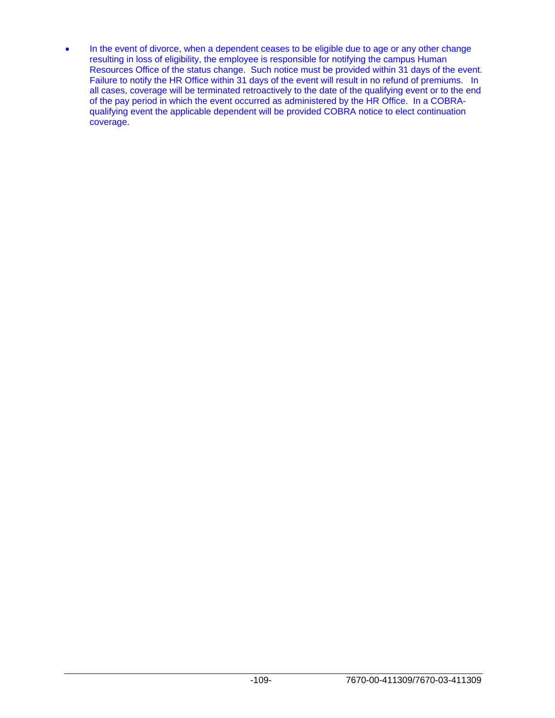• In the event of divorce, when a dependent ceases to be eligible due to age or any other change resulting in loss of eligibility, the employee is responsible for notifying the campus Human Resources Office of the status change. Such notice must be provided within 31 days of the event. Failure to notify the HR Office within 31 days of the event will result in no refund of premiums. In all cases, coverage will be terminated retroactively to the date of the qualifying event or to the end of the pay period in which the event occurred as administered by the HR Office. In a COBRAqualifying event the applicable dependent will be provided COBRA notice to elect continuation coverage.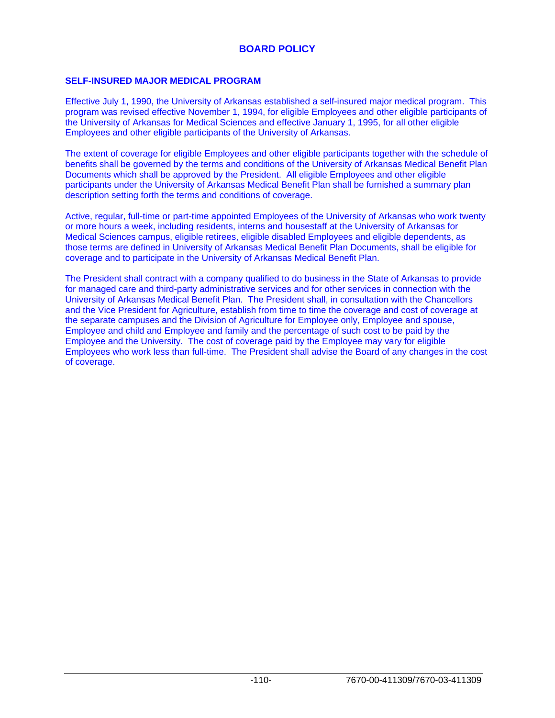# **BOARD POLICY**

## **SELF-INSURED MAJOR MEDICAL PROGRAM**

Effective July 1, 1990, the University of Arkansas established a self-insured major medical program. This program was revised effective November 1, 1994, for eligible Employees and other eligible participants of the University of Arkansas for Medical Sciences and effective January 1, 1995, for all other eligible Employees and other eligible participants of the University of Arkansas.

The extent of coverage for eligible Employees and other eligible participants together with the schedule of benefits shall be governed by the terms and conditions of the University of Arkansas Medical Benefit Plan Documents which shall be approved by the President. All eligible Employees and other eligible participants under the University of Arkansas Medical Benefit Plan shall be furnished a summary plan description setting forth the terms and conditions of coverage.

Active, regular, full-time or part-time appointed Employees of the University of Arkansas who work twenty or more hours a week, including residents, interns and housestaff at the University of Arkansas for Medical Sciences campus, eligible retirees, eligible disabled Employees and eligible dependents, as those terms are defined in University of Arkansas Medical Benefit Plan Documents, shall be eligible for coverage and to participate in the University of Arkansas Medical Benefit Plan.

The President shall contract with a company qualified to do business in the State of Arkansas to provide for managed care and third-party administrative services and for other services in connection with the University of Arkansas Medical Benefit Plan. The President shall, in consultation with the Chancellors and the Vice President for Agriculture, establish from time to time the coverage and cost of coverage at the separate campuses and the Division of Agriculture for Employee only, Employee and spouse, Employee and child and Employee and family and the percentage of such cost to be paid by the Employee and the University. The cost of coverage paid by the Employee may vary for eligible Employees who work less than full-time. The President shall advise the Board of any changes in the cost of coverage.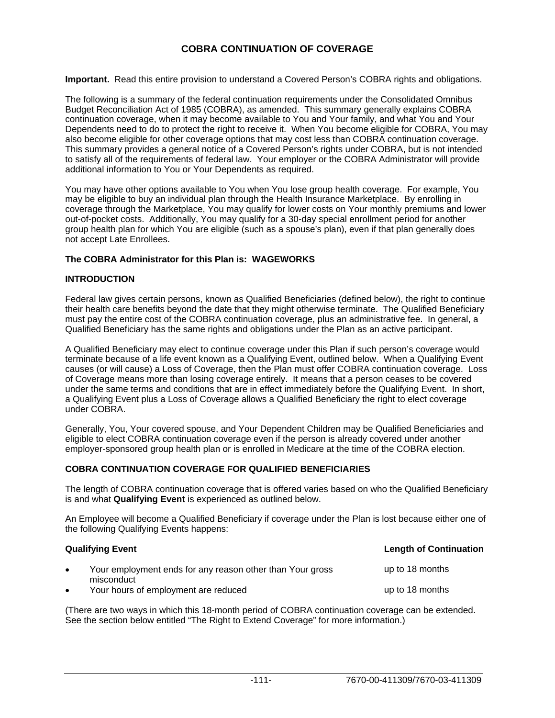# **COBRA CONTINUATION OF COVERAGE**

**Important.** Read this entire provision to understand a Covered Person's COBRA rights and obligations.

The following is a summary of the federal continuation requirements under the Consolidated Omnibus Budget Reconciliation Act of 1985 (COBRA), as amended. This summary generally explains COBRA continuation coverage, when it may become available to You and Your family, and what You and Your Dependents need to do to protect the right to receive it. When You become eligible for COBRA, You may also become eligible for other coverage options that may cost less than COBRA continuation coverage. This summary provides a general notice of a Covered Person's rights under COBRA, but is not intended to satisfy all of the requirements of federal law. Your employer or the COBRA Administrator will provide additional information to You or Your Dependents as required.

You may have other options available to You when You lose group health coverage. For example, You may be eligible to buy an individual plan through the Health Insurance Marketplace. By enrolling in coverage through the Marketplace, You may qualify for lower costs on Your monthly premiums and lower out-of-pocket costs. Additionally, You may qualify for a 30-day special enrollment period for another group health plan for which You are eligible (such as a spouse's plan), even if that plan generally does not accept Late Enrollees.

## **The COBRA Administrator for this Plan is: WAGEWORKS**

### **INTRODUCTION**

Federal law gives certain persons, known as Qualified Beneficiaries (defined below), the right to continue their health care benefits beyond the date that they might otherwise terminate. The Qualified Beneficiary must pay the entire cost of the COBRA continuation coverage, plus an administrative fee. In general, a Qualified Beneficiary has the same rights and obligations under the Plan as an active participant.

A Qualified Beneficiary may elect to continue coverage under this Plan if such person's coverage would terminate because of a life event known as a Qualifying Event, outlined below. When a Qualifying Event causes (or will cause) a Loss of Coverage, then the Plan must offer COBRA continuation coverage. Loss of Coverage means more than losing coverage entirely. It means that a person ceases to be covered under the same terms and conditions that are in effect immediately before the Qualifying Event. In short, a Qualifying Event plus a Loss of Coverage allows a Qualified Beneficiary the right to elect coverage under COBRA.

Generally, You, Your covered spouse, and Your Dependent Children may be Qualified Beneficiaries and eligible to elect COBRA continuation coverage even if the person is already covered under another employer-sponsored group health plan or is enrolled in Medicare at the time of the COBRA election.

## **COBRA CONTINUATION COVERAGE FOR QUALIFIED BENEFICIARIES**

The length of COBRA continuation coverage that is offered varies based on who the Qualified Beneficiary is and what **Qualifying Event** is experienced as outlined below.

An Employee will become a Qualified Beneficiary if coverage under the Plan is lost because either one of the following Qualifying Events happens:

| <b>Qualifying Event</b> |                                                                         | <b>Length of Continuation</b> |
|-------------------------|-------------------------------------------------------------------------|-------------------------------|
| $\bullet$               | Your employment ends for any reason other than Your gross<br>misconduct | up to 18 months               |
| $\bullet$               | Your hours of employment are reduced                                    | up to 18 months               |

(There are two ways in which this 18-month period of COBRA continuation coverage can be extended. See the section below entitled "The Right to Extend Coverage" for more information.)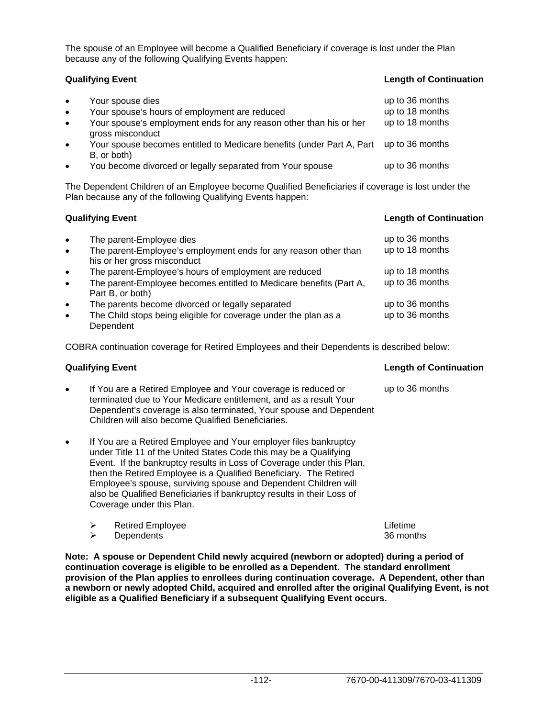The spouse of an Employee will become a Qualified Beneficiary if coverage is lost under the Plan because any of the following Qualifying Events happen:

**Qualifying Event Length of Continuation**

#### Your spouse dies van die staat van die stadium van die stadium van die stadium van die stadium van die stadium Your spouse's hours of employment are reduced Theorem and the Up to 18 months Your spouse's employment ends for any reason other than his or her gross misconduct up to 18 months Your spouse becomes entitled to Medicare benefits (under Part A, Part B, or both) up to 36 months You become divorced or legally separated from Your spouse up to 36 months

The Dependent Children of an Employee become Qualified Beneficiaries if coverage is lost under the Plan because any of the following Qualifying Events happen:

### **Qualifying Event Length of Continuation**

| $\bullet$ | The parent-Employee dies                                           | up to 36 months |
|-----------|--------------------------------------------------------------------|-----------------|
| $\bullet$ | The parent-Employee's employment ends for any reason other than    | up to 18 months |
|           | his or her gross misconduct                                        |                 |
| $\bullet$ | The parent-Employee's hours of employment are reduced              | up to 18 months |
| $\bullet$ | The parent-Employee becomes entitled to Medicare benefits (Part A, | up to 36 months |
|           | Part B, or both)                                                   |                 |
| $\bullet$ | The parents become divorced or legally separated                   | up to 36 months |
| $\bullet$ | The Child stops being eligible for coverage under the plan as a    | up to 36 months |
|           | Dependent                                                          |                 |

COBRA continuation coverage for Retired Employees and their Dependents is described below:

- If You are a Retired Employee and Your coverage is reduced or terminated due to Your Medicare entitlement, and as a result Your Dependent's coverage is also terminated, Your spouse and Dependent Children will also become Qualified Beneficiaries.
- If You are a Retired Employee and Your employer files bankruptcy under Title 11 of the United States Code this may be a Qualifying Event. If the bankruptcy results in Loss of Coverage under this Plan, then the Retired Employee is a Qualified Beneficiary. The Retired Employee's spouse, surviving spouse and Dependent Children will also be Qualified Beneficiaries if bankruptcy results in their Loss of Coverage under this Plan.

| <b>Retired Employee</b> | Lifetime  |
|-------------------------|-----------|
| Dependents              | 36 months |

**Note: A spouse or Dependent Child newly acquired (newborn or adopted) during a period of continuation coverage is eligible to be enrolled as a Dependent. The standard enrollment provision of the Plan applies to enrollees during continuation coverage. A Dependent, other than a newborn or newly adopted Child, acquired and enrolled after the original Qualifying Event, is not eligible as a Qualified Beneficiary if a subsequent Qualifying Event occurs.** 

**Qualifying Event Length of Continuation**

up to 36 months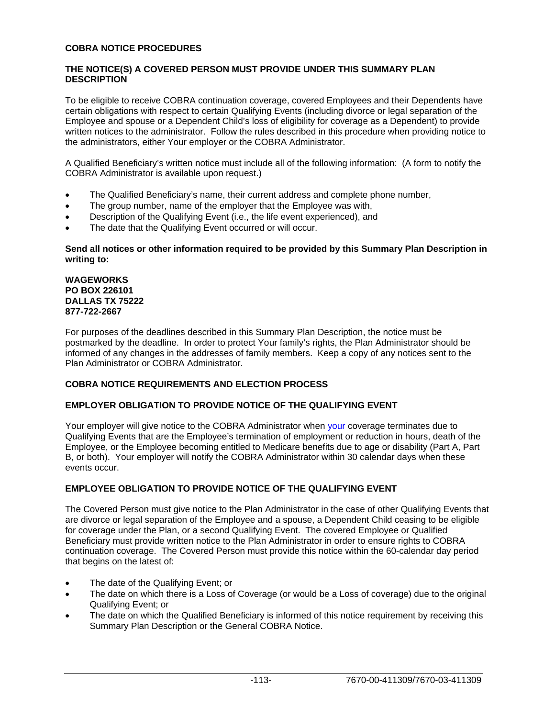## **COBRA NOTICE PROCEDURES**

## **THE NOTICE(S) A COVERED PERSON MUST PROVIDE UNDER THIS SUMMARY PLAN DESCRIPTION**

To be eligible to receive COBRA continuation coverage, covered Employees and their Dependents have certain obligations with respect to certain Qualifying Events (including divorce or legal separation of the Employee and spouse or a Dependent Child's loss of eligibility for coverage as a Dependent) to provide written notices to the administrator. Follow the rules described in this procedure when providing notice to the administrators, either Your employer or the COBRA Administrator.

A Qualified Beneficiary's written notice must include all of the following information: (A form to notify the COBRA Administrator is available upon request.)

- The Qualified Beneficiary's name, their current address and complete phone number,
- The group number, name of the employer that the Employee was with,
- Description of the Qualifying Event (i.e., the life event experienced), and
- The date that the Qualifying Event occurred or will occur.

### **Send all notices or other information required to be provided by this Summary Plan Description in writing to:**

#### **WAGEWORKS PO BOX 226101 DALLAS TX 75222 877-722-2667**

For purposes of the deadlines described in this Summary Plan Description, the notice must be postmarked by the deadline. In order to protect Your family's rights, the Plan Administrator should be informed of any changes in the addresses of family members. Keep a copy of any notices sent to the Plan Administrator or COBRA Administrator.

# **COBRA NOTICE REQUIREMENTS AND ELECTION PROCESS**

## **EMPLOYER OBLIGATION TO PROVIDE NOTICE OF THE QUALIFYING EVENT**

Your employer will give notice to the COBRA Administrator when your coverage terminates due to Qualifying Events that are the Employee's termination of employment or reduction in hours, death of the Employee, or the Employee becoming entitled to Medicare benefits due to age or disability (Part A, Part B, or both). Your employer will notify the COBRA Administrator within 30 calendar days when these events occur.

## **EMPLOYEE OBLIGATION TO PROVIDE NOTICE OF THE QUALIFYING EVENT**

The Covered Person must give notice to the Plan Administrator in the case of other Qualifying Events that are divorce or legal separation of the Employee and a spouse, a Dependent Child ceasing to be eligible for coverage under the Plan, or a second Qualifying Event. The covered Employee or Qualified Beneficiary must provide written notice to the Plan Administrator in order to ensure rights to COBRA continuation coverage. The Covered Person must provide this notice within the 60-calendar day period that begins on the latest of:

- The date of the Qualifying Event; or
- The date on which there is a Loss of Coverage (or would be a Loss of coverage) due to the original Qualifying Event; or
- The date on which the Qualified Beneficiary is informed of this notice requirement by receiving this Summary Plan Description or the General COBRA Notice.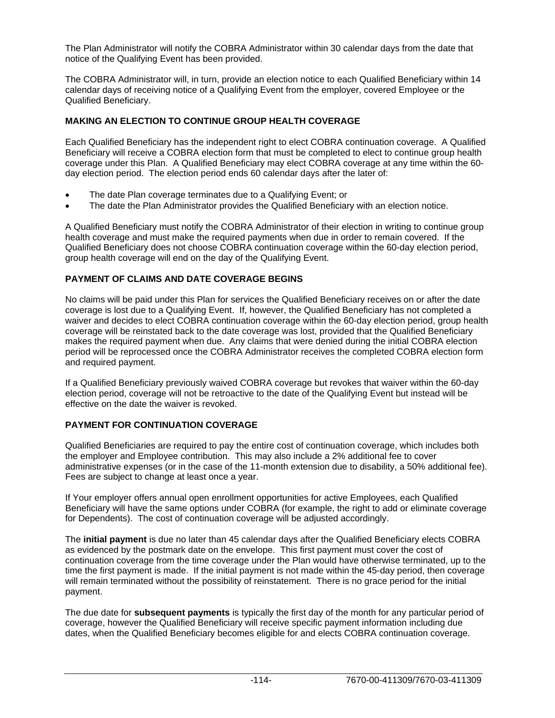The Plan Administrator will notify the COBRA Administrator within 30 calendar days from the date that notice of the Qualifying Event has been provided.

The COBRA Administrator will, in turn, provide an election notice to each Qualified Beneficiary within 14 calendar days of receiving notice of a Qualifying Event from the employer, covered Employee or the Qualified Beneficiary.

# **MAKING AN ELECTION TO CONTINUE GROUP HEALTH COVERAGE**

Each Qualified Beneficiary has the independent right to elect COBRA continuation coverage. A Qualified Beneficiary will receive a COBRA election form that must be completed to elect to continue group health coverage under this Plan. A Qualified Beneficiary may elect COBRA coverage at any time within the 60 day election period. The election period ends 60 calendar days after the later of:

- The date Plan coverage terminates due to a Qualifying Event; or
- The date the Plan Administrator provides the Qualified Beneficiary with an election notice.

A Qualified Beneficiary must notify the COBRA Administrator of their election in writing to continue group health coverage and must make the required payments when due in order to remain covered. If the Qualified Beneficiary does not choose COBRA continuation coverage within the 60-day election period, group health coverage will end on the day of the Qualifying Event.

## **PAYMENT OF CLAIMS AND DATE COVERAGE BEGINS**

No claims will be paid under this Plan for services the Qualified Beneficiary receives on or after the date coverage is lost due to a Qualifying Event. If, however, the Qualified Beneficiary has not completed a waiver and decides to elect COBRA continuation coverage within the 60-day election period, group health coverage will be reinstated back to the date coverage was lost, provided that the Qualified Beneficiary makes the required payment when due. Any claims that were denied during the initial COBRA election period will be reprocessed once the COBRA Administrator receives the completed COBRA election form and required payment.

If a Qualified Beneficiary previously waived COBRA coverage but revokes that waiver within the 60-day election period, coverage will not be retroactive to the date of the Qualifying Event but instead will be effective on the date the waiver is revoked.

## **PAYMENT FOR CONTINUATION COVERAGE**

Qualified Beneficiaries are required to pay the entire cost of continuation coverage, which includes both the employer and Employee contribution. This may also include a 2% additional fee to cover administrative expenses (or in the case of the 11-month extension due to disability, a 50% additional fee). Fees are subject to change at least once a year.

If Your employer offers annual open enrollment opportunities for active Employees, each Qualified Beneficiary will have the same options under COBRA (for example, the right to add or eliminate coverage for Dependents). The cost of continuation coverage will be adjusted accordingly.

The **initial payment** is due no later than 45 calendar days after the Qualified Beneficiary elects COBRA as evidenced by the postmark date on the envelope. This first payment must cover the cost of continuation coverage from the time coverage under the Plan would have otherwise terminated, up to the time the first payment is made. If the initial payment is not made within the 45-day period, then coverage will remain terminated without the possibility of reinstatement. There is no grace period for the initial payment.

The due date for **subsequent payments** is typically the first day of the month for any particular period of coverage, however the Qualified Beneficiary will receive specific payment information including due dates, when the Qualified Beneficiary becomes eligible for and elects COBRA continuation coverage.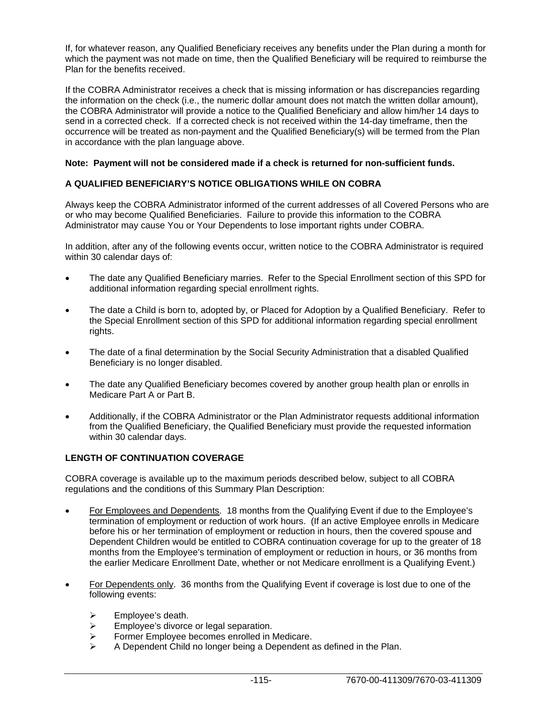If, for whatever reason, any Qualified Beneficiary receives any benefits under the Plan during a month for which the payment was not made on time, then the Qualified Beneficiary will be required to reimburse the Plan for the benefits received.

If the COBRA Administrator receives a check that is missing information or has discrepancies regarding the information on the check (i.e., the numeric dollar amount does not match the written dollar amount), the COBRA Administrator will provide a notice to the Qualified Beneficiary and allow him/her 14 days to send in a corrected check. If a corrected check is not received within the 14-day timeframe, then the occurrence will be treated as non-payment and the Qualified Beneficiary(s) will be termed from the Plan in accordance with the plan language above.

## **Note: Payment will not be considered made if a check is returned for non-sufficient funds.**

## **A QUALIFIED BENEFICIARY'S NOTICE OBLIGATIONS WHILE ON COBRA**

Always keep the COBRA Administrator informed of the current addresses of all Covered Persons who are or who may become Qualified Beneficiaries. Failure to provide this information to the COBRA Administrator may cause You or Your Dependents to lose important rights under COBRA.

In addition, after any of the following events occur, written notice to the COBRA Administrator is required within 30 calendar days of:

- The date any Qualified Beneficiary marries. Refer to the Special Enrollment section of this SPD for additional information regarding special enrollment rights.
- The date a Child is born to, adopted by, or Placed for Adoption by a Qualified Beneficiary. Refer to the Special Enrollment section of this SPD for additional information regarding special enrollment rights.
- The date of a final determination by the Social Security Administration that a disabled Qualified Beneficiary is no longer disabled.
- The date any Qualified Beneficiary becomes covered by another group health plan or enrolls in Medicare Part A or Part B.
- Additionally, if the COBRA Administrator or the Plan Administrator requests additional information from the Qualified Beneficiary, the Qualified Beneficiary must provide the requested information within 30 calendar days.

#### **LENGTH OF CONTINUATION COVERAGE**

COBRA coverage is available up to the maximum periods described below, subject to all COBRA regulations and the conditions of this Summary Plan Description:

- For Employees and Dependents. 18 months from the Qualifying Event if due to the Employee's termination of employment or reduction of work hours. (If an active Employee enrolls in Medicare before his or her termination of employment or reduction in hours, then the covered spouse and Dependent Children would be entitled to COBRA continuation coverage for up to the greater of 18 months from the Employee's termination of employment or reduction in hours, or 36 months from the earlier Medicare Enrollment Date, whether or not Medicare enrollment is a Qualifying Event.)
- For Dependents only. 36 months from the Qualifying Event if coverage is lost due to one of the following events:
	- $\triangleright$  Employee's death.
	- $\triangleright$  Employee's divorce or legal separation.
	- **EXECUTE:** Former Employee becomes enrolled in Medicare.
	- A Dependent Child no longer being a Dependent as defined in the Plan.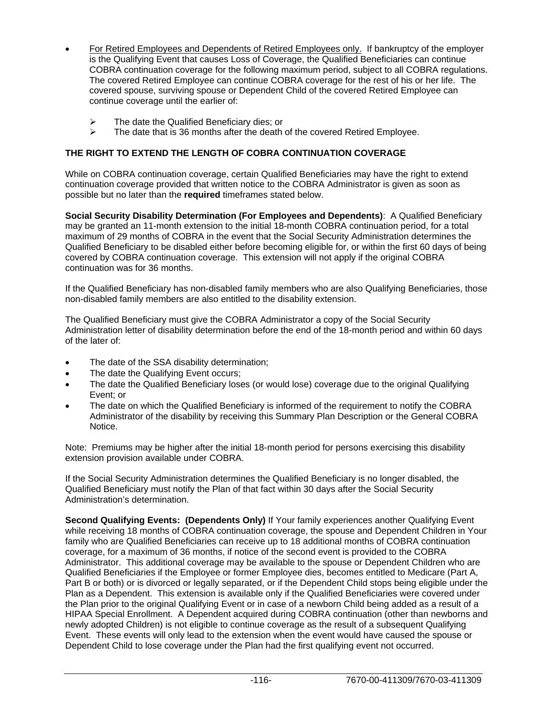- For Retired Employees and Dependents of Retired Employees only. If bankruptcy of the employer is the Qualifying Event that causes Loss of Coverage, the Qualified Beneficiaries can continue COBRA continuation coverage for the following maximum period, subject to all COBRA regulations. The covered Retired Employee can continue COBRA coverage for the rest of his or her life. The covered spouse, surviving spouse or Dependent Child of the covered Retired Employee can continue coverage until the earlier of:
	- $\triangleright$  The date the Qualified Beneficiary dies; or
	- $\triangleright$  The date that is 36 months after the death of the covered Retired Employee.

# **THE RIGHT TO EXTEND THE LENGTH OF COBRA CONTINUATION COVERAGE**

While on COBRA continuation coverage, certain Qualified Beneficiaries may have the right to extend continuation coverage provided that written notice to the COBRA Administrator is given as soon as possible but no later than the **required** timeframes stated below.

**Social Security Disability Determination (For Employees and Dependents)**: A Qualified Beneficiary may be granted an 11-month extension to the initial 18-month COBRA continuation period, for a total maximum of 29 months of COBRA in the event that the Social Security Administration determines the Qualified Beneficiary to be disabled either before becoming eligible for, or within the first 60 days of being covered by COBRA continuation coverage. This extension will not apply if the original COBRA continuation was for 36 months.

If the Qualified Beneficiary has non-disabled family members who are also Qualifying Beneficiaries, those non-disabled family members are also entitled to the disability extension.

The Qualified Beneficiary must give the COBRA Administrator a copy of the Social Security Administration letter of disability determination before the end of the 18-month period and within 60 days of the later of:

- The date of the SSA disability determination;
- The date the Qualifying Event occurs;
- The date the Qualified Beneficiary loses (or would lose) coverage due to the original Qualifying Event; or
- The date on which the Qualified Beneficiary is informed of the requirement to notify the COBRA Administrator of the disability by receiving this Summary Plan Description or the General COBRA Notice.

Note: Premiums may be higher after the initial 18-month period for persons exercising this disability extension provision available under COBRA.

If the Social Security Administration determines the Qualified Beneficiary is no longer disabled, the Qualified Beneficiary must notify the Plan of that fact within 30 days after the Social Security Administration's determination.

**Second Qualifying Events: (Dependents Only)** If Your family experiences another Qualifying Event while receiving 18 months of COBRA continuation coverage, the spouse and Dependent Children in Your family who are Qualified Beneficiaries can receive up to 18 additional months of COBRA continuation coverage, for a maximum of 36 months, if notice of the second event is provided to the COBRA Administrator. This additional coverage may be available to the spouse or Dependent Children who are Qualified Beneficiaries if the Employee or former Employee dies, becomes entitled to Medicare (Part A, Part B or both) or is divorced or legally separated, or if the Dependent Child stops being eligible under the Plan as a Dependent. This extension is available only if the Qualified Beneficiaries were covered under the Plan prior to the original Qualifying Event or in case of a newborn Child being added as a result of a HIPAA Special Enrollment. A Dependent acquired during COBRA continuation (other than newborns and newly adopted Children) is not eligible to continue coverage as the result of a subsequent Qualifying Event. These events will only lead to the extension when the event would have caused the spouse or Dependent Child to lose coverage under the Plan had the first qualifying event not occurred.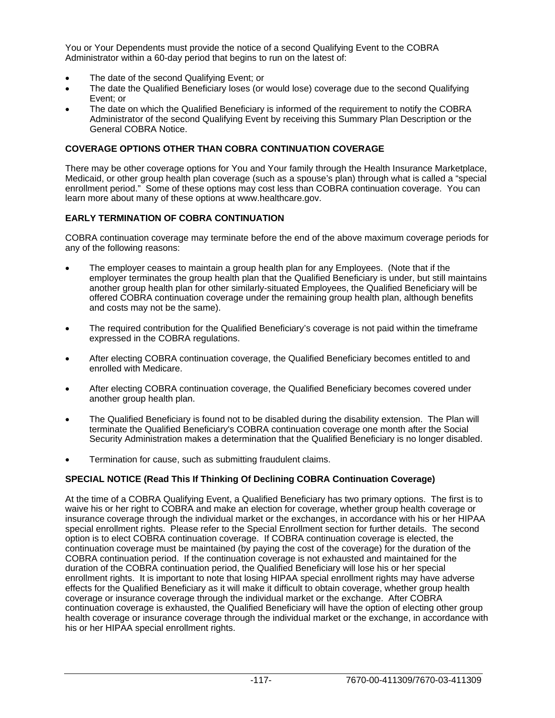You or Your Dependents must provide the notice of a second Qualifying Event to the COBRA Administrator within a 60-day period that begins to run on the latest of:

- The date of the second Qualifying Event; or
- The date the Qualified Beneficiary loses (or would lose) coverage due to the second Qualifying Event; or
- The date on which the Qualified Beneficiary is informed of the requirement to notify the COBRA Administrator of the second Qualifying Event by receiving this Summary Plan Description or the General COBRA Notice.

# **COVERAGE OPTIONS OTHER THAN COBRA CONTINUATION COVERAGE**

There may be other coverage options for You and Your family through the Health Insurance Marketplace, Medicaid, or other group health plan coverage (such as a spouse's plan) through what is called a "special enrollment period." Some of these options may cost less than COBRA continuation coverage. You can learn more about many of these options at www.healthcare.gov.

# **EARLY TERMINATION OF COBRA CONTINUATION**

COBRA continuation coverage may terminate before the end of the above maximum coverage periods for any of the following reasons:

- The employer ceases to maintain a group health plan for any Employees. (Note that if the employer terminates the group health plan that the Qualified Beneficiary is under, but still maintains another group health plan for other similarly-situated Employees, the Qualified Beneficiary will be offered COBRA continuation coverage under the remaining group health plan, although benefits and costs may not be the same).
- The required contribution for the Qualified Beneficiary's coverage is not paid within the timeframe expressed in the COBRA regulations.
- After electing COBRA continuation coverage, the Qualified Beneficiary becomes entitled to and enrolled with Medicare.
- After electing COBRA continuation coverage, the Qualified Beneficiary becomes covered under another group health plan.
- The Qualified Beneficiary is found not to be disabled during the disability extension. The Plan will terminate the Qualified Beneficiary's COBRA continuation coverage one month after the Social Security Administration makes a determination that the Qualified Beneficiary is no longer disabled.
- Termination for cause, such as submitting fraudulent claims.

# **SPECIAL NOTICE (Read This If Thinking Of Declining COBRA Continuation Coverage)**

At the time of a COBRA Qualifying Event, a Qualified Beneficiary has two primary options. The first is to waive his or her right to COBRA and make an election for coverage, whether group health coverage or insurance coverage through the individual market or the exchanges, in accordance with his or her HIPAA special enrollment rights. Please refer to the Special Enrollment section for further details. The second option is to elect COBRA continuation coverage. If COBRA continuation coverage is elected, the continuation coverage must be maintained (by paying the cost of the coverage) for the duration of the COBRA continuation period. If the continuation coverage is not exhausted and maintained for the duration of the COBRA continuation period, the Qualified Beneficiary will lose his or her special enrollment rights. It is important to note that losing HIPAA special enrollment rights may have adverse effects for the Qualified Beneficiary as it will make it difficult to obtain coverage, whether group health coverage or insurance coverage through the individual market or the exchange. After COBRA continuation coverage is exhausted, the Qualified Beneficiary will have the option of electing other group health coverage or insurance coverage through the individual market or the exchange, in accordance with his or her HIPAA special enrollment rights.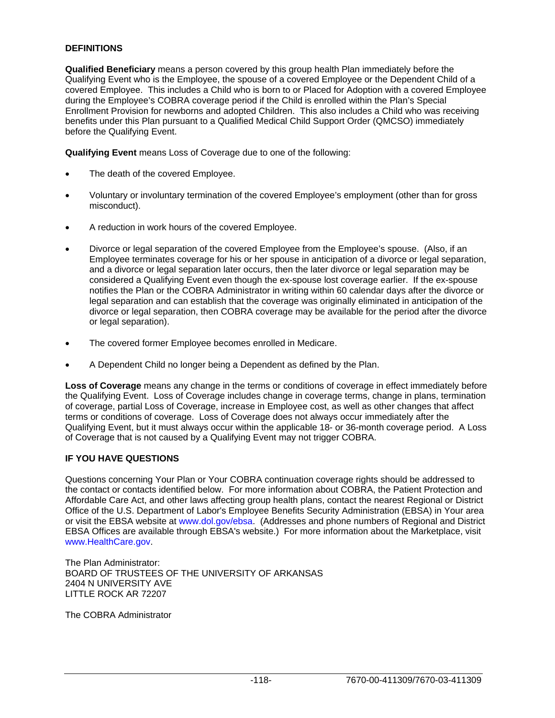## **DEFINITIONS**

**Qualified Beneficiary** means a person covered by this group health Plan immediately before the Qualifying Event who is the Employee, the spouse of a covered Employee or the Dependent Child of a covered Employee. This includes a Child who is born to or Placed for Adoption with a covered Employee during the Employee's COBRA coverage period if the Child is enrolled within the Plan's Special Enrollment Provision for newborns and adopted Children. This also includes a Child who was receiving benefits under this Plan pursuant to a Qualified Medical Child Support Order (QMCSO) immediately before the Qualifying Event.

**Qualifying Event** means Loss of Coverage due to one of the following:

- The death of the covered Employee.
- Voluntary or involuntary termination of the covered Employee's employment (other than for gross misconduct).
- A reduction in work hours of the covered Employee.
- Divorce or legal separation of the covered Employee from the Employee's spouse. (Also, if an Employee terminates coverage for his or her spouse in anticipation of a divorce or legal separation, and a divorce or legal separation later occurs, then the later divorce or legal separation may be considered a Qualifying Event even though the ex-spouse lost coverage earlier. If the ex-spouse notifies the Plan or the COBRA Administrator in writing within 60 calendar days after the divorce or legal separation and can establish that the coverage was originally eliminated in anticipation of the divorce or legal separation, then COBRA coverage may be available for the period after the divorce or legal separation).
- The covered former Employee becomes enrolled in Medicare.
- A Dependent Child no longer being a Dependent as defined by the Plan.

**Loss of Coverage** means any change in the terms or conditions of coverage in effect immediately before the Qualifying Event. Loss of Coverage includes change in coverage terms, change in plans, termination of coverage, partial Loss of Coverage, increase in Employee cost, as well as other changes that affect terms or conditions of coverage. Loss of Coverage does not always occur immediately after the Qualifying Event, but it must always occur within the applicable 18- or 36-month coverage period. A Loss of Coverage that is not caused by a Qualifying Event may not trigger COBRA.

# **IF YOU HAVE QUESTIONS**

Questions concerning Your Plan or Your COBRA continuation coverage rights should be addressed to the contact or contacts identified below. For more information about COBRA, the Patient Protection and Affordable Care Act, and other laws affecting group health plans, contact the nearest Regional or District Office of the U.S. Department of Labor's Employee Benefits Security Administration (EBSA) in Your area or visit the EBSA website at www.dol.gov/ebsa. (Addresses and phone numbers of Regional and District EBSA Offices are available through EBSA's website.) For more information about the Marketplace, visit www.HealthCare.gov.

The Plan Administrator: BOARD OF TRUSTEES OF THE UNIVERSITY OF ARKANSAS 2404 N UNIVERSITY AVE LITTLE ROCK AR 72207

The COBRA Administrator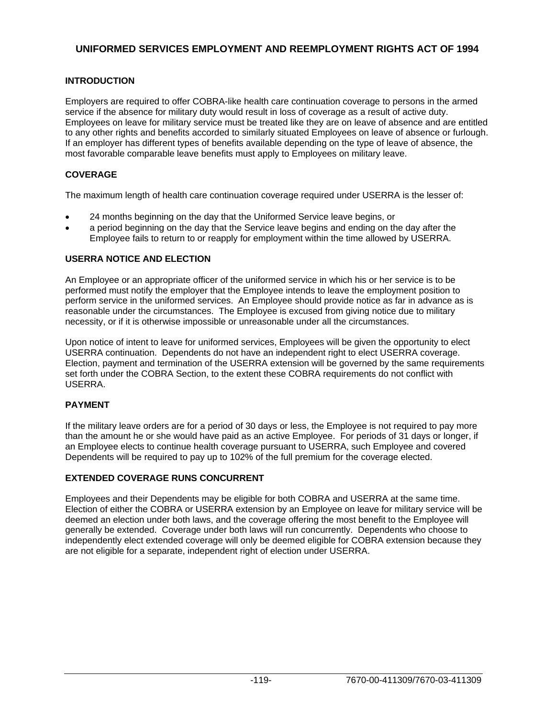# **UNIFORMED SERVICES EMPLOYMENT AND REEMPLOYMENT RIGHTS ACT OF 1994**

# **INTRODUCTION**

Employers are required to offer COBRA-like health care continuation coverage to persons in the armed service if the absence for military duty would result in loss of coverage as a result of active duty. Employees on leave for military service must be treated like they are on leave of absence and are entitled to any other rights and benefits accorded to similarly situated Employees on leave of absence or furlough. If an employer has different types of benefits available depending on the type of leave of absence, the most favorable comparable leave benefits must apply to Employees on military leave.

# **COVERAGE**

The maximum length of health care continuation coverage required under USERRA is the lesser of:

- 24 months beginning on the day that the Uniformed Service leave begins, or
- a period beginning on the day that the Service leave begins and ending on the day after the Employee fails to return to or reapply for employment within the time allowed by USERRA.

## **USERRA NOTICE AND ELECTION**

An Employee or an appropriate officer of the uniformed service in which his or her service is to be performed must notify the employer that the Employee intends to leave the employment position to perform service in the uniformed services. An Employee should provide notice as far in advance as is reasonable under the circumstances. The Employee is excused from giving notice due to military necessity, or if it is otherwise impossible or unreasonable under all the circumstances.

Upon notice of intent to leave for uniformed services, Employees will be given the opportunity to elect USERRA continuation. Dependents do not have an independent right to elect USERRA coverage. Election, payment and termination of the USERRA extension will be governed by the same requirements set forth under the COBRA Section, to the extent these COBRA requirements do not conflict with USERRA.

## **PAYMENT**

If the military leave orders are for a period of 30 days or less, the Employee is not required to pay more than the amount he or she would have paid as an active Employee. For periods of 31 days or longer, if an Employee elects to continue health coverage pursuant to USERRA, such Employee and covered Dependents will be required to pay up to 102% of the full premium for the coverage elected.

## **EXTENDED COVERAGE RUNS CONCURRENT**

Employees and their Dependents may be eligible for both COBRA and USERRA at the same time. Election of either the COBRA or USERRA extension by an Employee on leave for military service will be deemed an election under both laws, and the coverage offering the most benefit to the Employee will generally be extended. Coverage under both laws will run concurrently. Dependents who choose to independently elect extended coverage will only be deemed eligible for COBRA extension because they are not eligible for a separate, independent right of election under USERRA.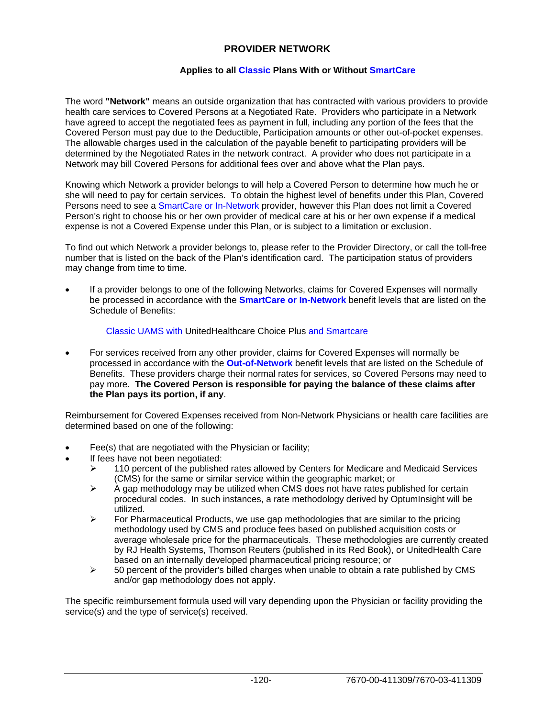# **PROVIDER NETWORK**

# **Applies to all Classic Plans With or Without SmartCare**

The word **"Network"** means an outside organization that has contracted with various providers to provide health care services to Covered Persons at a Negotiated Rate. Providers who participate in a Network have agreed to accept the negotiated fees as payment in full, including any portion of the fees that the Covered Person must pay due to the Deductible, Participation amounts or other out-of-pocket expenses. The allowable charges used in the calculation of the payable benefit to participating providers will be determined by the Negotiated Rates in the network contract. A provider who does not participate in a Network may bill Covered Persons for additional fees over and above what the Plan pays.

Knowing which Network a provider belongs to will help a Covered Person to determine how much he or she will need to pay for certain services. To obtain the highest level of benefits under this Plan, Covered Persons need to see a SmartCare or In-Network provider, however this Plan does not limit a Covered Person's right to choose his or her own provider of medical care at his or her own expense if a medical expense is not a Covered Expense under this Plan, or is subject to a limitation or exclusion.

To find out which Network a provider belongs to, please refer to the Provider Directory, or call the toll-free number that is listed on the back of the Plan's identification card. The participation status of providers may change from time to time.

 If a provider belongs to one of the following Networks, claims for Covered Expenses will normally be processed in accordance with the **SmartCare or In-Network** benefit levels that are listed on the Schedule of Benefits:

## Classic UAMS with UnitedHealthcare Choice Plus and Smartcare

 For services received from any other provider, claims for Covered Expenses will normally be processed in accordance with the **Out-of-Network** benefit levels that are listed on the Schedule of Benefits. These providers charge their normal rates for services, so Covered Persons may need to pay more. **The Covered Person is responsible for paying the balance of these claims after the Plan pays its portion, if any**.

Reimbursement for Covered Expenses received from Non-Network Physicians or health care facilities are determined based on one of the following:

- Fee(s) that are negotiated with the Physician or facility;
- If fees have not been negotiated:
	- 110 percent of the published rates allowed by Centers for Medicare and Medicaid Services (CMS) for the same or similar service within the geographic market; or
	- $\triangleright$  A gap methodology may be utilized when CMS does not have rates published for certain procedural codes. In such instances, a rate methodology derived by OptumInsight will be utilized.
	- $\triangleright$  For Pharmaceutical Products, we use gap methodologies that are similar to the pricing methodology used by CMS and produce fees based on published acquisition costs or average wholesale price for the pharmaceuticals. These methodologies are currently created by RJ Health Systems, Thomson Reuters (published in its Red Book), or UnitedHealth Care based on an internally developed pharmaceutical pricing resource; or
	- $\geq$  50 percent of the provider's billed charges when unable to obtain a rate published by CMS and/or gap methodology does not apply.

The specific reimbursement formula used will vary depending upon the Physician or facility providing the service(s) and the type of service(s) received.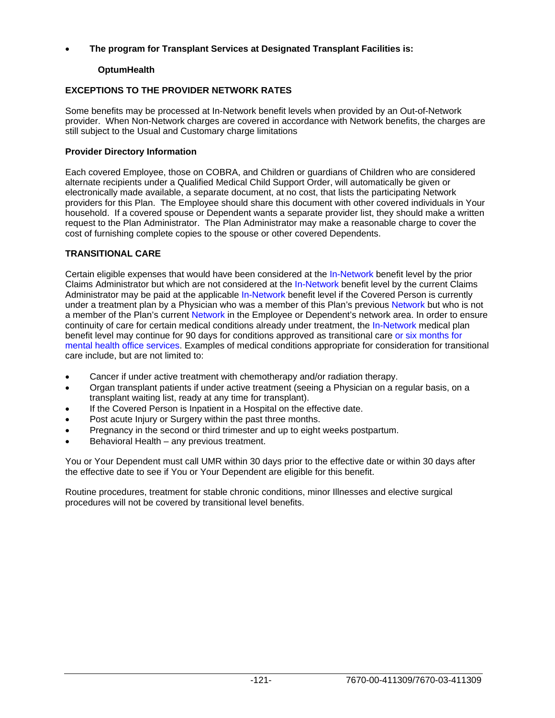# **The program for Transplant Services at Designated Transplant Facilities is:**

# **OptumHealth**

## **EXCEPTIONS TO THE PROVIDER NETWORK RATES**

Some benefits may be processed at In-Network benefit levels when provided by an Out-of-Network provider. When Non-Network charges are covered in accordance with Network benefits, the charges are still subject to the Usual and Customary charge limitations

## **Provider Directory Information**

Each covered Employee, those on COBRA, and Children or guardians of Children who are considered alternate recipients under a Qualified Medical Child Support Order, will automatically be given or electronically made available, a separate document, at no cost, that lists the participating Network providers for this Plan. The Employee should share this document with other covered individuals in Your household. If a covered spouse or Dependent wants a separate provider list, they should make a written request to the Plan Administrator. The Plan Administrator may make a reasonable charge to cover the cost of furnishing complete copies to the spouse or other covered Dependents.

# **TRANSITIONAL CARE**

Certain eligible expenses that would have been considered at the In-Network benefit level by the prior Claims Administrator but which are not considered at the In-Network benefit level by the current Claims Administrator may be paid at the applicable In-Network benefit level if the Covered Person is currently under a treatment plan by a Physician who was a member of this Plan's previous Network but who is not a member of the Plan's current Network in the Employee or Dependent's network area. In order to ensure continuity of care for certain medical conditions already under treatment, the In-Network medical plan benefit level may continue for 90 days for conditions approved as transitional care or six months for mental health office services. Examples of medical conditions appropriate for consideration for transitional care include, but are not limited to:

- Cancer if under active treatment with chemotherapy and/or radiation therapy.
- Organ transplant patients if under active treatment (seeing a Physician on a regular basis, on a transplant waiting list, ready at any time for transplant).
- If the Covered Person is Inpatient in a Hospital on the effective date.
- Post acute Injury or Surgery within the past three months.
- Pregnancy in the second or third trimester and up to eight weeks postpartum.
- Behavioral Health any previous treatment.

You or Your Dependent must call UMR within 30 days prior to the effective date or within 30 days after the effective date to see if You or Your Dependent are eligible for this benefit.

Routine procedures, treatment for stable chronic conditions, minor Illnesses and elective surgical procedures will not be covered by transitional level benefits.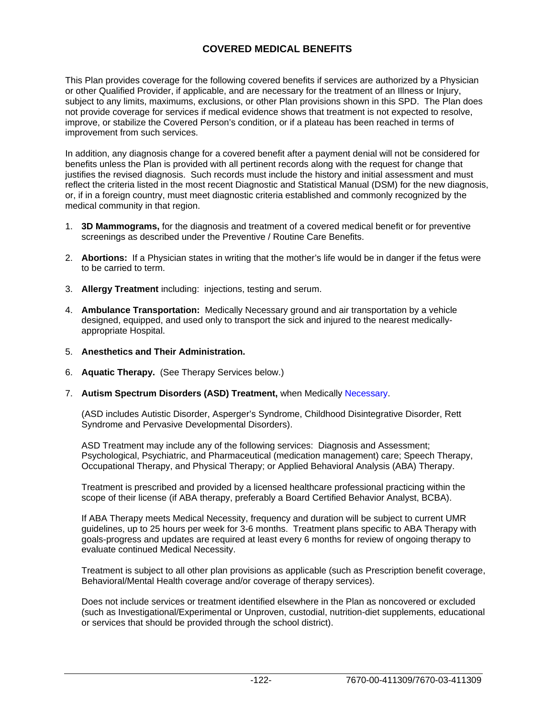# **COVERED MEDICAL BENEFITS**

This Plan provides coverage for the following covered benefits if services are authorized by a Physician or other Qualified Provider, if applicable, and are necessary for the treatment of an Illness or Injury, subject to any limits, maximums, exclusions, or other Plan provisions shown in this SPD. The Plan does not provide coverage for services if medical evidence shows that treatment is not expected to resolve, improve, or stabilize the Covered Person's condition, or if a plateau has been reached in terms of improvement from such services.

In addition, any diagnosis change for a covered benefit after a payment denial will not be considered for benefits unless the Plan is provided with all pertinent records along with the request for change that justifies the revised diagnosis. Such records must include the history and initial assessment and must reflect the criteria listed in the most recent Diagnostic and Statistical Manual (DSM) for the new diagnosis, or, if in a foreign country, must meet diagnostic criteria established and commonly recognized by the medical community in that region.

- 1. **3D Mammograms,** for the diagnosis and treatment of a covered medical benefit or for preventive screenings as described under the Preventive / Routine Care Benefits.
- 2. **Abortions:** If a Physician states in writing that the mother's life would be in danger if the fetus were to be carried to term.
- 3. **Allergy Treatment** including: injections, testing and serum.
- 4. **Ambulance Transportation:** Medically Necessary ground and air transportation by a vehicle designed, equipped, and used only to transport the sick and injured to the nearest medicallyappropriate Hospital.
- 5. **Anesthetics and Their Administration.**
- 6. **Aquatic Therapy.** (See Therapy Services below.)
- 7. **Autism Spectrum Disorders (ASD) Treatment,** when Medically Necessary.

(ASD includes Autistic Disorder, Asperger's Syndrome, Childhood Disintegrative Disorder, Rett Syndrome and Pervasive Developmental Disorders).

ASD Treatment may include any of the following services: Diagnosis and Assessment; Psychological, Psychiatric, and Pharmaceutical (medication management) care; Speech Therapy, Occupational Therapy, and Physical Therapy; or Applied Behavioral Analysis (ABA) Therapy.

Treatment is prescribed and provided by a licensed healthcare professional practicing within the scope of their license (if ABA therapy, preferably a Board Certified Behavior Analyst, BCBA).

If ABA Therapy meets Medical Necessity, frequency and duration will be subject to current UMR guidelines, up to 25 hours per week for 3-6 months. Treatment plans specific to ABA Therapy with goals-progress and updates are required at least every 6 months for review of ongoing therapy to evaluate continued Medical Necessity.

Treatment is subject to all other plan provisions as applicable (such as Prescription benefit coverage, Behavioral/Mental Health coverage and/or coverage of therapy services).

Does not include services or treatment identified elsewhere in the Plan as noncovered or excluded (such as Investigational/Experimental or Unproven, custodial, nutrition-diet supplements, educational or services that should be provided through the school district).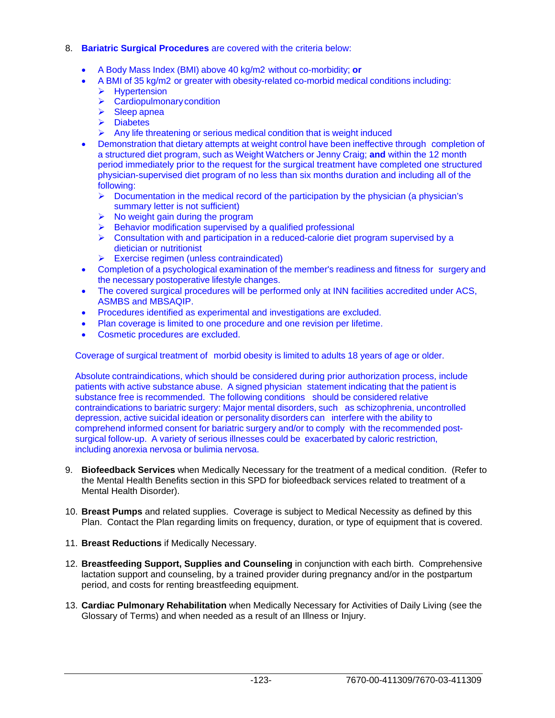## 8. **Bariatric Surgical Procedures** are covered with the criteria below:

- A Body Mass Index (BMI) above 40 kg/m2 without co-morbidity; **or**
- A BMI of 35 kg/m2 or greater with obesity-related co-morbid medical conditions including:
	- > Hypertension
	- $\triangleright$  Cardiopulmonary condition
	- $\triangleright$  Sleep apnea
	- $\triangleright$  Diabetes
	- $\triangleright$  Any life threatening or serious medical condition that is weight induced
- Demonstration that dietary attempts at weight control have been ineffective through completion of a structured diet program, such as Weight Watchers or Jenny Craig; **and** within the 12 month period immediately prior to the request for the surgical treatment have completed one structured physician-supervised diet program of no less than six months duration and including all of the following:
	- $\triangleright$  Documentation in the medical record of the participation by the physician (a physician's summary letter is not sufficient)
	- $\triangleright$  No weight gain during the program
	- $\triangleright$  Behavior modification supervised by a qualified professional
	- $\triangleright$  Consultation with and participation in a reduced-calorie diet program supervised by a dietician or nutritionist
	- $\triangleright$  Exercise regimen (unless contraindicated)
- Completion of a psychological examination of the member's readiness and fitness for surgery and the necessary postoperative lifestyle changes.
- The covered surgical procedures will be performed only at INN facilities accredited under ACS, ASMBS and MBSAQIP.
- Procedures identified as experimental and investigations are excluded.
- Plan coverage is limited to one procedure and one revision per lifetime.
- Cosmetic procedures are excluded.

Coverage of surgical treatment of morbid obesity is limited to adults 18 years of age or older.

Absolute contraindications, which should be considered during prior authorization process, include patients with active substance abuse. A signed physician statement indicating that the patient is substance free is recommended. The following conditions should be considered relative contraindications to bariatric surgery: Major mental disorders, such as schizophrenia, uncontrolled depression, active suicidal ideation or personality disorders can interfere with the ability to comprehend informed consent for bariatric surgery and/or to comply with the recommended postsurgical follow-up. A variety of serious illnesses could be exacerbated by caloric restriction, including anorexia nervosa or bulimia nervosa.

- 9. **Biofeedback Services** when Medically Necessary for the treatment of a medical condition. (Refer to the Mental Health Benefits section in this SPD for biofeedback services related to treatment of a Mental Health Disorder).
- 10. **Breast Pumps** and related supplies. Coverage is subject to Medical Necessity as defined by this Plan. Contact the Plan regarding limits on frequency, duration, or type of equipment that is covered.
- 11. **Breast Reductions** if Medically Necessary.
- 12. **Breastfeeding Support, Supplies and Counseling** in conjunction with each birth. Comprehensive lactation support and counseling, by a trained provider during pregnancy and/or in the postpartum period, and costs for renting breastfeeding equipment.
- 13. **Cardiac Pulmonary Rehabilitation** when Medically Necessary for Activities of Daily Living (see the Glossary of Terms) and when needed as a result of an Illness or Injury.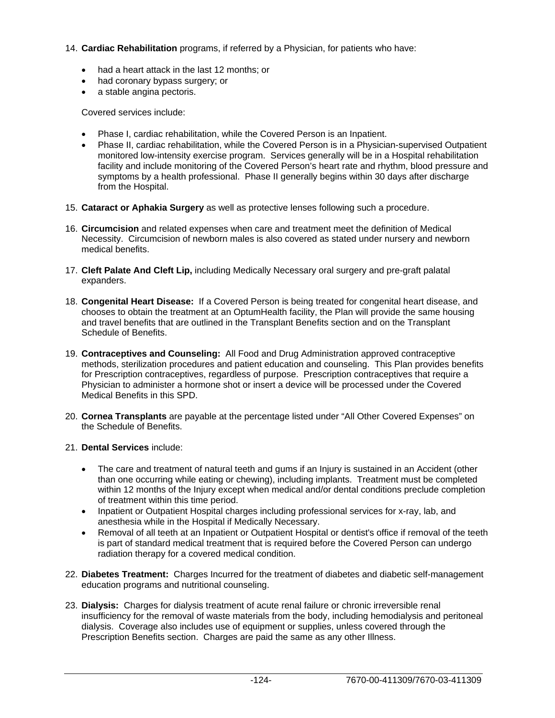# 14. **Cardiac Rehabilitation** programs, if referred by a Physician, for patients who have:

- had a heart attack in the last 12 months; or
- had coronary bypass surgery; or
- a stable angina pectoris.

Covered services include:

- Phase I, cardiac rehabilitation, while the Covered Person is an Inpatient.
- Phase II, cardiac rehabilitation, while the Covered Person is in a Physician-supervised Outpatient monitored low-intensity exercise program. Services generally will be in a Hospital rehabilitation facility and include monitoring of the Covered Person's heart rate and rhythm, blood pressure and symptoms by a health professional. Phase II generally begins within 30 days after discharge from the Hospital.
- 15. **Cataract or Aphakia Surgery** as well as protective lenses following such a procedure.
- 16. **Circumcision** and related expenses when care and treatment meet the definition of Medical Necessity. Circumcision of newborn males is also covered as stated under nursery and newborn medical benefits.
- 17. **Cleft Palate And Cleft Lip,** including Medically Necessary oral surgery and pre-graft palatal expanders.
- 18. **Congenital Heart Disease:** If a Covered Person is being treated for congenital heart disease, and chooses to obtain the treatment at an OptumHealth facility, the Plan will provide the same housing and travel benefits that are outlined in the Transplant Benefits section and on the Transplant Schedule of Benefits.
- 19. **Contraceptives and Counseling:** All Food and Drug Administration approved contraceptive methods, sterilization procedures and patient education and counseling. This Plan provides benefits for Prescription contraceptives, regardless of purpose. Prescription contraceptives that require a Physician to administer a hormone shot or insert a device will be processed under the Covered Medical Benefits in this SPD.
- 20. **Cornea Transplants** are payable at the percentage listed under "All Other Covered Expenses" on the Schedule of Benefits.
- 21. **Dental Services** include:
	- The care and treatment of natural teeth and gums if an Injury is sustained in an Accident (other than one occurring while eating or chewing), including implants. Treatment must be completed within 12 months of the Injury except when medical and/or dental conditions preclude completion of treatment within this time period.
	- Inpatient or Outpatient Hospital charges including professional services for x-ray, lab, and anesthesia while in the Hospital if Medically Necessary.
	- Removal of all teeth at an Inpatient or Outpatient Hospital or dentist's office if removal of the teeth is part of standard medical treatment that is required before the Covered Person can undergo radiation therapy for a covered medical condition.
- 22. **Diabetes Treatment:** Charges Incurred for the treatment of diabetes and diabetic self-management education programs and nutritional counseling.
- 23. **Dialysis:** Charges for dialysis treatment of acute renal failure or chronic irreversible renal insufficiency for the removal of waste materials from the body, including hemodialysis and peritoneal dialysis. Coverage also includes use of equipment or supplies, unless covered through the Prescription Benefits section. Charges are paid the same as any other Illness.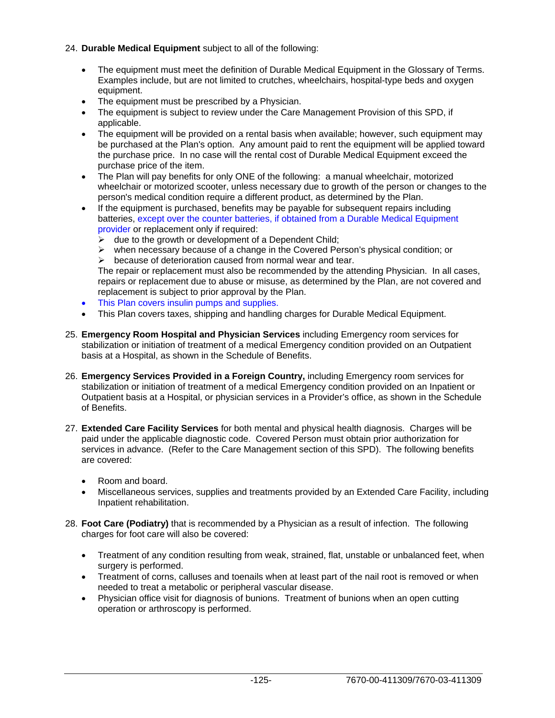# 24. **Durable Medical Equipment** subject to all of the following:

- The equipment must meet the definition of Durable Medical Equipment in the Glossary of Terms. Examples include, but are not limited to crutches, wheelchairs, hospital-type beds and oxygen equipment.
- The equipment must be prescribed by a Physician.
- The equipment is subject to review under the Care Management Provision of this SPD, if applicable.
- The equipment will be provided on a rental basis when available; however, such equipment may be purchased at the Plan's option. Any amount paid to rent the equipment will be applied toward the purchase price. In no case will the rental cost of Durable Medical Equipment exceed the purchase price of the item.
- The Plan will pay benefits for only ONE of the following: a manual wheelchair, motorized wheelchair or motorized scooter, unless necessary due to growth of the person or changes to the person's medical condition require a different product, as determined by the Plan.
- If the equipment is purchased, benefits may be payable for subsequent repairs including batteries, except over the counter batteries, if obtained from a Durable Medical Equipment provider or replacement only if required:
	- $\triangleright$  due to the growth or development of a Dependent Child;
	- $\triangleright$  when necessary because of a change in the Covered Person's physical condition; or
	- $\triangleright$  because of deterioration caused from normal wear and tear.

The repair or replacement must also be recommended by the attending Physician. In all cases, repairs or replacement due to abuse or misuse, as determined by the Plan, are not covered and replacement is subject to prior approval by the Plan.

- This Plan covers insulin pumps and supplies.
- This Plan covers taxes, shipping and handling charges for Durable Medical Equipment.
- 25. **Emergency Room Hospital and Physician Services** including Emergency room services for stabilization or initiation of treatment of a medical Emergency condition provided on an Outpatient basis at a Hospital, as shown in the Schedule of Benefits.
- 26. **Emergency Services Provided in a Foreign Country,** including Emergency room services for stabilization or initiation of treatment of a medical Emergency condition provided on an Inpatient or Outpatient basis at a Hospital, or physician services in a Provider's office, as shown in the Schedule of Benefits.
- 27. **Extended Care Facility Services** for both mental and physical health diagnosis. Charges will be paid under the applicable diagnostic code. Covered Person must obtain prior authorization for services in advance. (Refer to the Care Management section of this SPD). The following benefits are covered:
	- Room and board.
	- Miscellaneous services, supplies and treatments provided by an Extended Care Facility, including Inpatient rehabilitation.
- 28. **Foot Care (Podiatry)** that is recommended by a Physician as a result of infection. The following charges for foot care will also be covered:
	- Treatment of any condition resulting from weak, strained, flat, unstable or unbalanced feet, when surgery is performed.
	- Treatment of corns, calluses and toenails when at least part of the nail root is removed or when needed to treat a metabolic or peripheral vascular disease.
	- Physician office visit for diagnosis of bunions. Treatment of bunions when an open cutting operation or arthroscopy is performed.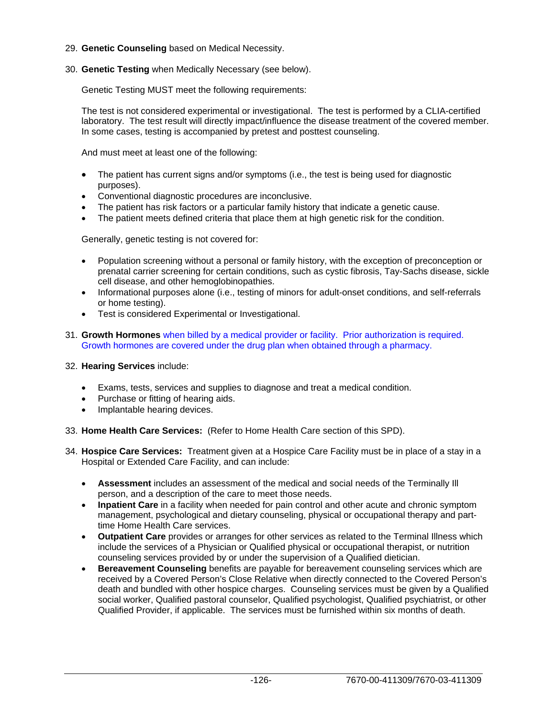## 29. **Genetic Counseling** based on Medical Necessity.

30. **Genetic Testing** when Medically Necessary (see below).

Genetic Testing MUST meet the following requirements:

The test is not considered experimental or investigational. The test is performed by a CLIA-certified laboratory. The test result will directly impact/influence the disease treatment of the covered member. In some cases, testing is accompanied by pretest and posttest counseling.

And must meet at least one of the following:

- The patient has current signs and/or symptoms (i.e., the test is being used for diagnostic purposes).
- Conventional diagnostic procedures are inconclusive.
- The patient has risk factors or a particular family history that indicate a genetic cause.
- The patient meets defined criteria that place them at high genetic risk for the condition.

Generally, genetic testing is not covered for:

- Population screening without a personal or family history, with the exception of preconception or prenatal carrier screening for certain conditions, such as cystic fibrosis, Tay-Sachs disease, sickle cell disease, and other hemoglobinopathies.
- Informational purposes alone (i.e., testing of minors for adult-onset conditions, and self-referrals or home testing).
- Test is considered Experimental or Investigational.
- 31. **Growth Hormones** when billed by a medical provider or facility. Prior authorization is required. Growth hormones are covered under the drug plan when obtained through a pharmacy.
- 32. **Hearing Services** include:
	- Exams, tests, services and supplies to diagnose and treat a medical condition.
	- Purchase or fitting of hearing aids.
	- Implantable hearing devices.
- 33. **Home Health Care Services:** (Refer to Home Health Care section of this SPD).
- 34. **Hospice Care Services:** Treatment given at a Hospice Care Facility must be in place of a stay in a Hospital or Extended Care Facility, and can include:
	- **Assessment** includes an assessment of the medical and social needs of the Terminally Ill person, and a description of the care to meet those needs.
	- **Inpatient Care** in a facility when needed for pain control and other acute and chronic symptom management, psychological and dietary counseling, physical or occupational therapy and parttime Home Health Care services.
	- **Outpatient Care** provides or arranges for other services as related to the Terminal Illness which include the services of a Physician or Qualified physical or occupational therapist, or nutrition counseling services provided by or under the supervision of a Qualified dietician.
	- **Bereavement Counseling** benefits are payable for bereavement counseling services which are received by a Covered Person's Close Relative when directly connected to the Covered Person's death and bundled with other hospice charges. Counseling services must be given by a Qualified social worker, Qualified pastoral counselor, Qualified psychologist, Qualified psychiatrist, or other Qualified Provider, if applicable. The services must be furnished within six months of death.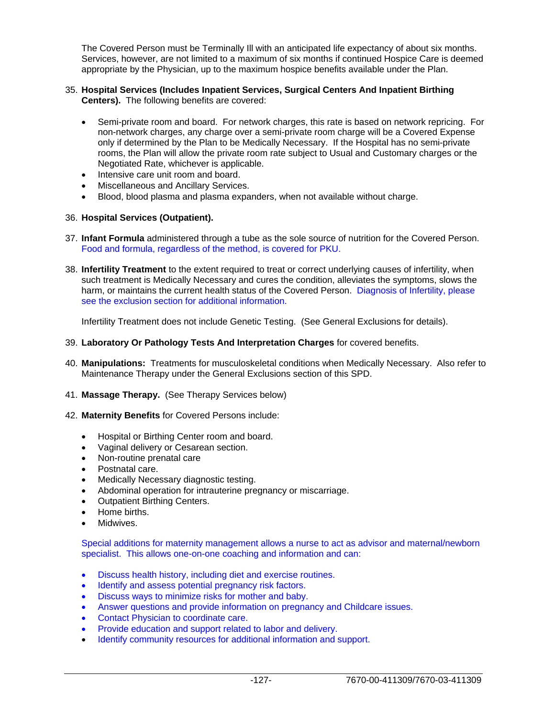The Covered Person must be Terminally Ill with an anticipated life expectancy of about six months. Services, however, are not limited to a maximum of six months if continued Hospice Care is deemed appropriate by the Physician, up to the maximum hospice benefits available under the Plan.

- 35. **Hospital Services (Includes Inpatient Services, Surgical Centers And Inpatient Birthing Centers).** The following benefits are covered:
	- Semi-private room and board. For network charges, this rate is based on network repricing. For non-network charges, any charge over a semi-private room charge will be a Covered Expense only if determined by the Plan to be Medically Necessary. If the Hospital has no semi-private rooms, the Plan will allow the private room rate subject to Usual and Customary charges or the Negotiated Rate, whichever is applicable.
	- Intensive care unit room and board.
	- Miscellaneous and Ancillary Services.
	- Blood, blood plasma and plasma expanders, when not available without charge.

### 36. **Hospital Services (Outpatient).**

- 37. **Infant Formula** administered through a tube as the sole source of nutrition for the Covered Person. Food and formula, regardless of the method, is covered for PKU.
- 38. **Infertility Treatment** to the extent required to treat or correct underlying causes of infertility, when such treatment is Medically Necessary and cures the condition, alleviates the symptoms, slows the harm, or maintains the current health status of the Covered Person. Diagnosis of Infertility, please see the exclusion section for additional information.

Infertility Treatment does not include Genetic Testing. (See General Exclusions for details).

- 39. **Laboratory Or Pathology Tests And Interpretation Charges** for covered benefits.
- 40. **Manipulations:** Treatments for musculoskeletal conditions when Medically Necessary. Also refer to Maintenance Therapy under the General Exclusions section of this SPD.
- 41. **Massage Therapy.** (See Therapy Services below)
- 42. **Maternity Benefits** for Covered Persons include:
	- Hospital or Birthing Center room and board.
	- Vaginal delivery or Cesarean section.
	- Non-routine prenatal care
	- Postnatal care.
	- Medically Necessary diagnostic testing.
	- Abdominal operation for intrauterine pregnancy or miscarriage.
	- Outpatient Birthing Centers.
	- Home births.
	- Midwives.

Special additions for maternity management allows a nurse to act as advisor and maternal/newborn specialist. This allows one-on-one coaching and information and can:

- Discuss health history, including diet and exercise routines.
- Identify and assess potential pregnancy risk factors.
- Discuss ways to minimize risks for mother and baby.
- Answer questions and provide information on pregnancy and Childcare issues.
- Contact Physician to coordinate care.
- Provide education and support related to labor and delivery.
- Identify community resources for additional information and support.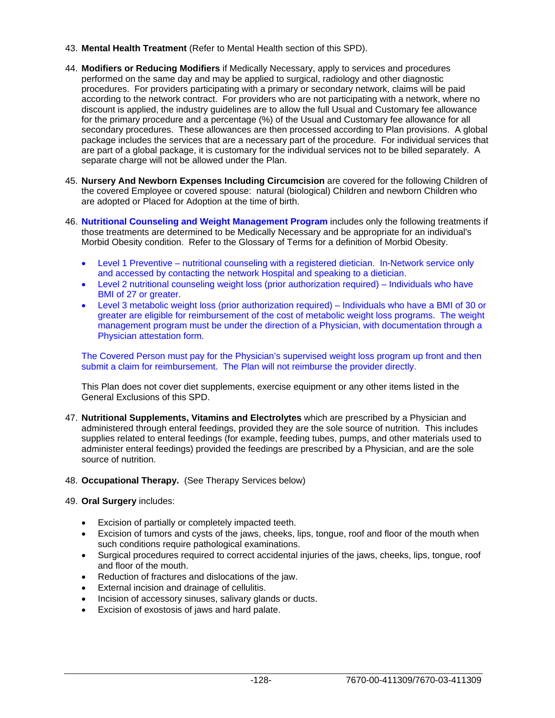- 43. **Mental Health Treatment** (Refer to Mental Health section of this SPD).
- 44. **Modifiers or Reducing Modifiers** if Medically Necessary, apply to services and procedures performed on the same day and may be applied to surgical, radiology and other diagnostic procedures. For providers participating with a primary or secondary network, claims will be paid according to the network contract. For providers who are not participating with a network, where no discount is applied, the industry guidelines are to allow the full Usual and Customary fee allowance for the primary procedure and a percentage (%) of the Usual and Customary fee allowance for all secondary procedures. These allowances are then processed according to Plan provisions. A global package includes the services that are a necessary part of the procedure. For individual services that are part of a global package, it is customary for the individual services not to be billed separately. A separate charge will not be allowed under the Plan.
- 45. **Nursery And Newborn Expenses Including Circumcision** are covered for the following Children of the covered Employee or covered spouse: natural (biological) Children and newborn Children who are adopted or Placed for Adoption at the time of birth.
- 46. **Nutritional Counseling and Weight Management Program** includes only the following treatments if those treatments are determined to be Medically Necessary and be appropriate for an individual's Morbid Obesity condition. Refer to the Glossary of Terms for a definition of Morbid Obesity.
	- Level 1 Preventive nutritional counseling with a registered dietician. In-Network service only and accessed by contacting the network Hospital and speaking to a dietician.
	- Level 2 nutritional counseling weight loss (prior authorization required) Individuals who have BMI of 27 or greater.
	- Level 3 metabolic weight loss (prior authorization required) Individuals who have a BMI of 30 or greater are eligible for reimbursement of the cost of metabolic weight loss programs. The weight management program must be under the direction of a Physician, with documentation through a Physician attestation form.

The Covered Person must pay for the Physician's supervised weight loss program up front and then submit a claim for reimbursement. The Plan will not reimburse the provider directly.

This Plan does not cover diet supplements, exercise equipment or any other items listed in the General Exclusions of this SPD.

- 47. **Nutritional Supplements, Vitamins and Electrolytes** which are prescribed by a Physician and administered through enteral feedings, provided they are the sole source of nutrition. This includes supplies related to enteral feedings (for example, feeding tubes, pumps, and other materials used to administer enteral feedings) provided the feedings are prescribed by a Physician, and are the sole source of nutrition.
- 48. **Occupational Therapy.** (See Therapy Services below)
- 49. **Oral Surgery** includes:
	- Excision of partially or completely impacted teeth.
	- Excision of tumors and cysts of the jaws, cheeks, lips, tongue, roof and floor of the mouth when such conditions require pathological examinations.
	- Surgical procedures required to correct accidental injuries of the jaws, cheeks, lips, tongue, roof and floor of the mouth.
	- Reduction of fractures and dislocations of the jaw.
	- External incision and drainage of cellulitis.
	- Incision of accessory sinuses, salivary glands or ducts.
	- Excision of exostosis of jaws and hard palate.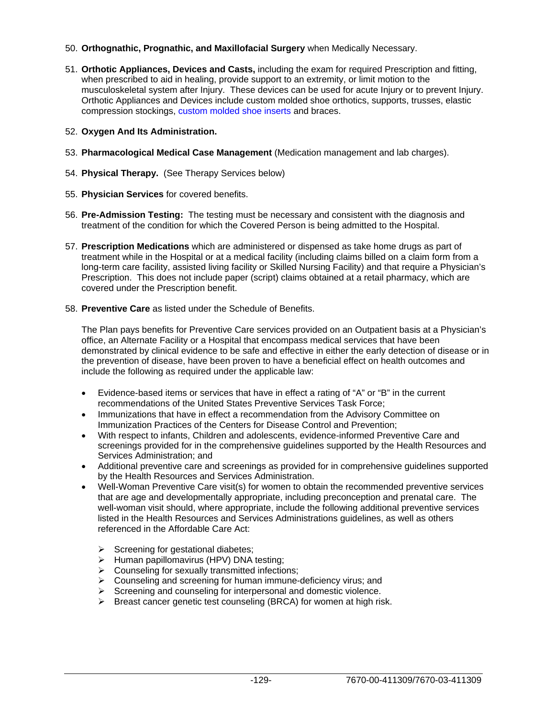# 50. **Orthognathic, Prognathic, and Maxillofacial Surgery** when Medically Necessary.

51. **Orthotic Appliances, Devices and Casts,** including the exam for required Prescription and fitting, when prescribed to aid in healing, provide support to an extremity, or limit motion to the musculoskeletal system after Injury. These devices can be used for acute Injury or to prevent Injury. Orthotic Appliances and Devices include custom molded shoe orthotics, supports, trusses, elastic compression stockings, custom molded shoe inserts and braces.

## 52. **Oxygen And Its Administration.**

- 53. **Pharmacological Medical Case Management** (Medication management and lab charges).
- 54. **Physical Therapy.** (See Therapy Services below)
- 55. **Physician Services** for covered benefits.
- 56. **Pre-Admission Testing:** The testing must be necessary and consistent with the diagnosis and treatment of the condition for which the Covered Person is being admitted to the Hospital.
- 57. **Prescription Medications** which are administered or dispensed as take home drugs as part of treatment while in the Hospital or at a medical facility (including claims billed on a claim form from a long-term care facility, assisted living facility or Skilled Nursing Facility) and that require a Physician's Prescription. This does not include paper (script) claims obtained at a retail pharmacy, which are covered under the Prescription benefit.
- 58. **Preventive Care** as listed under the Schedule of Benefits.

The Plan pays benefits for Preventive Care services provided on an Outpatient basis at a Physician's office, an Alternate Facility or a Hospital that encompass medical services that have been demonstrated by clinical evidence to be safe and effective in either the early detection of disease or in the prevention of disease, have been proven to have a beneficial effect on health outcomes and include the following as required under the applicable law:

- Evidence-based items or services that have in effect a rating of "A" or "B" in the current recommendations of the United States Preventive Services Task Force;
- Immunizations that have in effect a recommendation from the Advisory Committee on Immunization Practices of the Centers for Disease Control and Prevention;
- With respect to infants, Children and adolescents, evidence-informed Preventive Care and screenings provided for in the comprehensive guidelines supported by the Health Resources and Services Administration; and
- Additional preventive care and screenings as provided for in comprehensive guidelines supported by the Health Resources and Services Administration.
- Well-Woman Preventive Care visit(s) for women to obtain the recommended preventive services that are age and developmentally appropriate, including preconception and prenatal care. The well-woman visit should, where appropriate, include the following additional preventive services listed in the Health Resources and Services Administrations guidelines, as well as others referenced in the Affordable Care Act:
	- $\triangleright$  Screening for gestational diabetes;
	- $\triangleright$  Human papillomavirus (HPV) DNA testing;
	- $\triangleright$  Counseling for sexually transmitted infections;
	- $\triangleright$  Counseling and screening for human immune-deficiency virus; and
	- $\triangleright$  Screening and counseling for interpersonal and domestic violence.
	- $\triangleright$  Breast cancer genetic test counseling (BRCA) for women at high risk.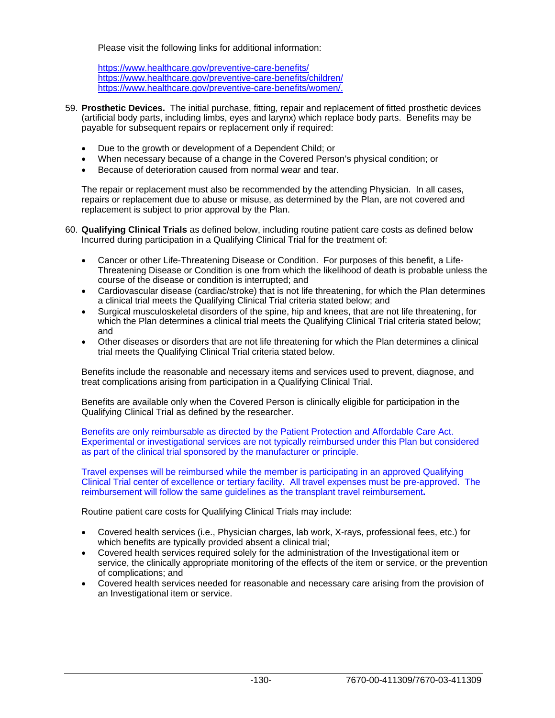Please visit the following links for additional information:

https://www.healthcare.gov/preventive-care-benefits/ https://www.healthcare.gov/preventive-care-benefits/children/ https://www.healthcare.gov/preventive-care-benefits/women/.

- 59. **Prosthetic Devices.** The initial purchase, fitting, repair and replacement of fitted prosthetic devices (artificial body parts, including limbs, eyes and larynx) which replace body parts. Benefits may be payable for subsequent repairs or replacement only if required:
	- Due to the growth or development of a Dependent Child; or
	- When necessary because of a change in the Covered Person's physical condition; or
	- Because of deterioration caused from normal wear and tear.

The repair or replacement must also be recommended by the attending Physician. In all cases, repairs or replacement due to abuse or misuse, as determined by the Plan, are not covered and replacement is subject to prior approval by the Plan.

- 60. **Qualifying Clinical Trials** as defined below, including routine patient care costs as defined below Incurred during participation in a Qualifying Clinical Trial for the treatment of:
	- Cancer or other Life-Threatening Disease or Condition. For purposes of this benefit, a Life-Threatening Disease or Condition is one from which the likelihood of death is probable unless the course of the disease or condition is interrupted; and
	- Cardiovascular disease (cardiac/stroke) that is not life threatening, for which the Plan determines a clinical trial meets the Qualifying Clinical Trial criteria stated below; and
	- Surgical musculoskeletal disorders of the spine, hip and knees, that are not life threatening, for which the Plan determines a clinical trial meets the Qualifying Clinical Trial criteria stated below; and
	- Other diseases or disorders that are not life threatening for which the Plan determines a clinical trial meets the Qualifying Clinical Trial criteria stated below.

Benefits include the reasonable and necessary items and services used to prevent, diagnose, and treat complications arising from participation in a Qualifying Clinical Trial.

Benefits are available only when the Covered Person is clinically eligible for participation in the Qualifying Clinical Trial as defined by the researcher.

Benefits are only reimbursable as directed by the Patient Protection and Affordable Care Act. Experimental or investigational services are not typically reimbursed under this Plan but considered as part of the clinical trial sponsored by the manufacturer or principle.

Travel expenses will be reimbursed while the member is participating in an approved Qualifying Clinical Trial center of excellence or tertiary facility. All travel expenses must be pre-approved. The reimbursement will follow the same guidelines as the transplant travel reimbursement**.**

Routine patient care costs for Qualifying Clinical Trials may include:

- Covered health services (i.e., Physician charges, lab work, X-rays, professional fees, etc.) for which benefits are typically provided absent a clinical trial;
- Covered health services required solely for the administration of the Investigational item or service, the clinically appropriate monitoring of the effects of the item or service, or the prevention of complications; and
- Covered health services needed for reasonable and necessary care arising from the provision of an Investigational item or service.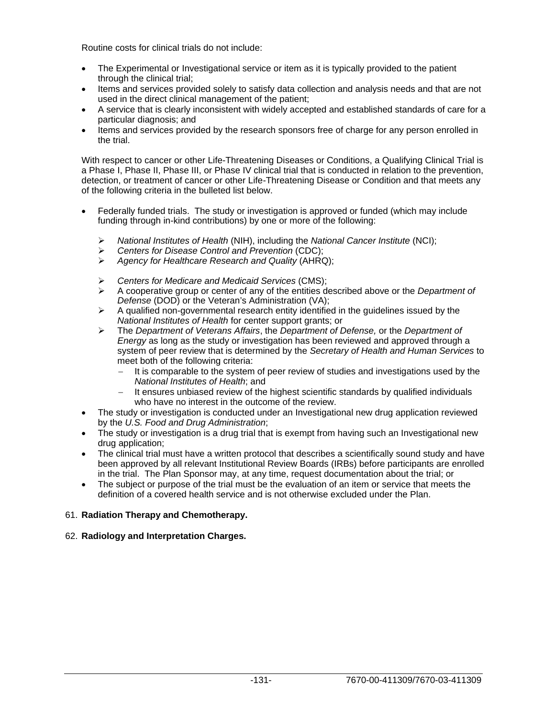Routine costs for clinical trials do not include:

- The Experimental or Investigational service or item as it is typically provided to the patient through the clinical trial;
- Items and services provided solely to satisfy data collection and analysis needs and that are not used in the direct clinical management of the patient;
- A service that is clearly inconsistent with widely accepted and established standards of care for a particular diagnosis; and
- Items and services provided by the research sponsors free of charge for any person enrolled in the trial.

With respect to cancer or other Life-Threatening Diseases or Conditions, a Qualifying Clinical Trial is a Phase I, Phase II, Phase III, or Phase IV clinical trial that is conducted in relation to the prevention, detection, or treatment of cancer or other Life-Threatening Disease or Condition and that meets any of the following criteria in the bulleted list below.

- Federally funded trials. The study or investigation is approved or funded (which may include funding through in-kind contributions) by one or more of the following:
	- *National Institutes of Health* (NIH), including the *National Cancer Institute* (NCI);
	- *Centers for Disease Control and Prevention* (CDC);
	- *Agency for Healthcare Research and Quality* (AHRQ);
	- *Centers for Medicare and Medicaid Services* (CMS);
	- A cooperative group or center of any of the entities described above or the *Department of Defense* (DOD) or the Veteran's Administration (VA);
	- $\triangleright$  A qualified non-governmental research entity identified in the quidelines issued by the *National Institutes of Health* for center support grants; or
	- The *Department of Veterans Affairs*, the *Department of Defense,* or the *Department of Energy* as long as the study or investigation has been reviewed and approved through a system of peer review that is determined by the *Secretary of Health and Human Services* to meet both of the following criteria:
		- It is comparable to the system of peer review of studies and investigations used by the *National Institutes of Health*; and
		- It ensures unbiased review of the highest scientific standards by qualified individuals who have no interest in the outcome of the review.
- The study or investigation is conducted under an Investigational new drug application reviewed by the *U.S. Food and Drug Administration*;
- The study or investigation is a drug trial that is exempt from having such an Investigational new drug application;
- The clinical trial must have a written protocol that describes a scientifically sound study and have been approved by all relevant Institutional Review Boards (IRBs) before participants are enrolled in the trial. The Plan Sponsor may, at any time, request documentation about the trial; or
- The subject or purpose of the trial must be the evaluation of an item or service that meets the definition of a covered health service and is not otherwise excluded under the Plan.

# 61. **Radiation Therapy and Chemotherapy.**

## 62. **Radiology and Interpretation Charges.**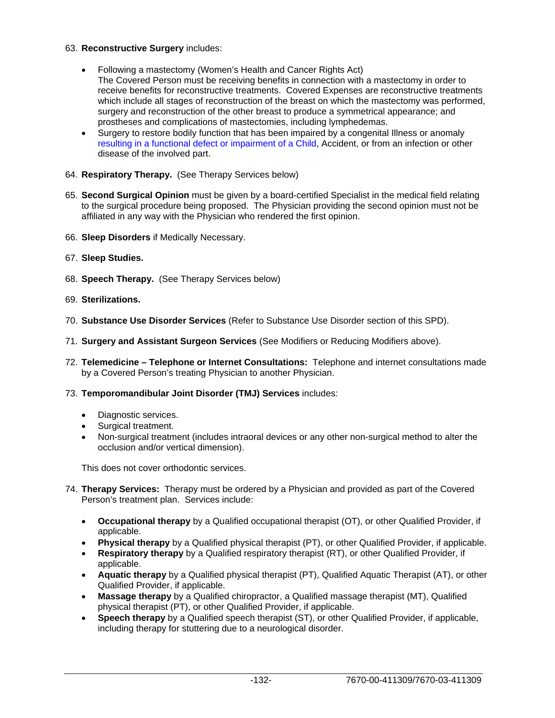## 63. **Reconstructive Surgery** includes:

- Following a mastectomy (Women's Health and Cancer Rights Act) The Covered Person must be receiving benefits in connection with a mastectomy in order to receive benefits for reconstructive treatments. Covered Expenses are reconstructive treatments which include all stages of reconstruction of the breast on which the mastectomy was performed, surgery and reconstruction of the other breast to produce a symmetrical appearance; and prostheses and complications of mastectomies, including lymphedemas.
- Surgery to restore bodily function that has been impaired by a congenital Illness or anomaly resulting in a functional defect or impairment of a Child, Accident, or from an infection or other disease of the involved part.
- 64. **Respiratory Therapy.** (See Therapy Services below)
- 65. **Second Surgical Opinion** must be given by a board-certified Specialist in the medical field relating to the surgical procedure being proposed. The Physician providing the second opinion must not be affiliated in any way with the Physician who rendered the first opinion.
- 66. **Sleep Disorders** if Medically Necessary.
- 67. **Sleep Studies.**
- 68. **Speech Therapy.** (See Therapy Services below)
- 69. **Sterilizations.**
- 70. **Substance Use Disorder Services** (Refer to Substance Use Disorder section of this SPD).
- 71. **Surgery and Assistant Surgeon Services** (See Modifiers or Reducing Modifiers above).
- 72. **Telemedicine Telephone or Internet Consultations:** Telephone and internet consultations made by a Covered Person's treating Physician to another Physician.
- 73. **Temporomandibular Joint Disorder (TMJ) Services** includes:
	- Diagnostic services.
	- Surgical treatment.
	- Non-surgical treatment (includes intraoral devices or any other non-surgical method to alter the occlusion and/or vertical dimension).

This does not cover orthodontic services.

- 74. **Therapy Services:** Therapy must be ordered by a Physician and provided as part of the Covered Person's treatment plan. Services include:
	- **Occupational therapy** by a Qualified occupational therapist (OT), or other Qualified Provider, if applicable.
	- **Physical therapy** by a Qualified physical therapist (PT), or other Qualified Provider, if applicable.
	- **Respiratory therapy** by a Qualified respiratory therapist (RT), or other Qualified Provider, if applicable.
	- **Aquatic therapy** by a Qualified physical therapist (PT), Qualified Aquatic Therapist (AT), or other Qualified Provider, if applicable.
	- **Massage therapy** by a Qualified chiropractor, a Qualified massage therapist (MT), Qualified physical therapist (PT), or other Qualified Provider, if applicable.
	- **Speech therapy** by a Qualified speech therapist (ST), or other Qualified Provider, if applicable, including therapy for stuttering due to a neurological disorder.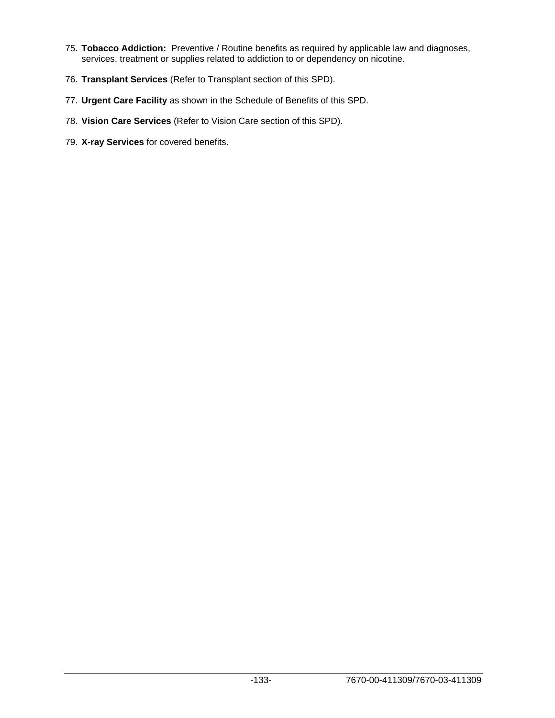- 75. **Tobacco Addiction:** Preventive / Routine benefits as required by applicable law and diagnoses, services, treatment or supplies related to addiction to or dependency on nicotine.
- 76. **Transplant Services** (Refer to Transplant section of this SPD).
- 77. **Urgent Care Facility** as shown in the Schedule of Benefits of this SPD.
- 78. **Vision Care Services** (Refer to Vision Care section of this SPD).
- 79. **X-ray Services** for covered benefits.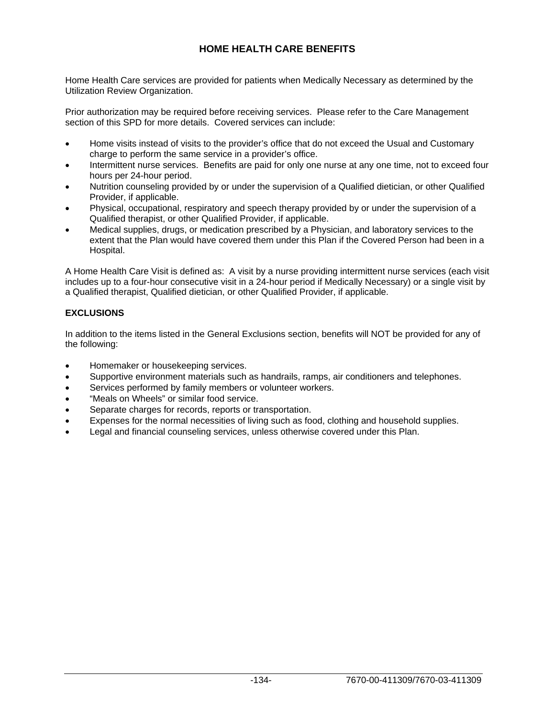# **HOME HEALTH CARE BENEFITS**

Home Health Care services are provided for patients when Medically Necessary as determined by the Utilization Review Organization.

Prior authorization may be required before receiving services. Please refer to the Care Management section of this SPD for more details. Covered services can include:

- Home visits instead of visits to the provider's office that do not exceed the Usual and Customary charge to perform the same service in a provider's office.
- Intermittent nurse services. Benefits are paid for only one nurse at any one time, not to exceed four hours per 24-hour period.
- Nutrition counseling provided by or under the supervision of a Qualified dietician, or other Qualified Provider, if applicable.
- Physical, occupational, respiratory and speech therapy provided by or under the supervision of a Qualified therapist, or other Qualified Provider, if applicable.
- Medical supplies, drugs, or medication prescribed by a Physician, and laboratory services to the extent that the Plan would have covered them under this Plan if the Covered Person had been in a Hospital.

A Home Health Care Visit is defined as: A visit by a nurse providing intermittent nurse services (each visit includes up to a four-hour consecutive visit in a 24-hour period if Medically Necessary) or a single visit by a Qualified therapist, Qualified dietician, or other Qualified Provider, if applicable.

# **EXCLUSIONS**

In addition to the items listed in the General Exclusions section, benefits will NOT be provided for any of the following:

- Homemaker or housekeeping services.
- Supportive environment materials such as handrails, ramps, air conditioners and telephones.
- Services performed by family members or volunteer workers.
- "Meals on Wheels" or similar food service.
- Separate charges for records, reports or transportation.
- Expenses for the normal necessities of living such as food, clothing and household supplies.
- Legal and financial counseling services, unless otherwise covered under this Plan.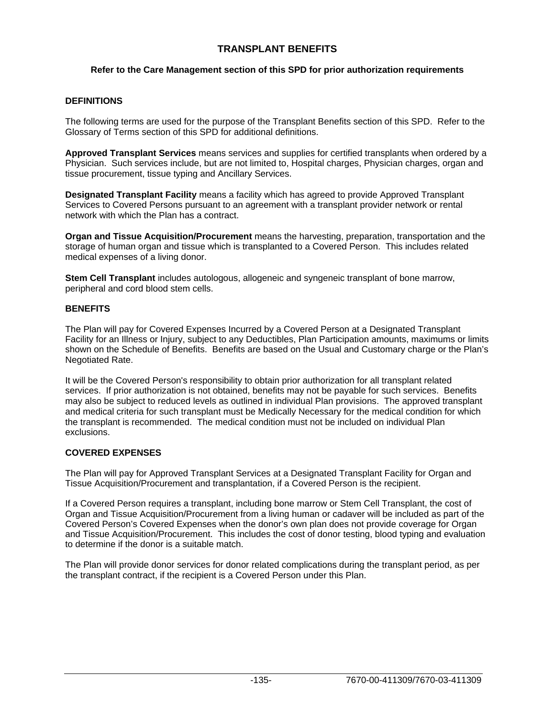# **TRANSPLANT BENEFITS**

# **Refer to the Care Management section of this SPD for prior authorization requirements**

## **DEFINITIONS**

The following terms are used for the purpose of the Transplant Benefits section of this SPD. Refer to the Glossary of Terms section of this SPD for additional definitions.

**Approved Transplant Services** means services and supplies for certified transplants when ordered by a Physician. Such services include, but are not limited to, Hospital charges, Physician charges, organ and tissue procurement, tissue typing and Ancillary Services.

**Designated Transplant Facility** means a facility which has agreed to provide Approved Transplant Services to Covered Persons pursuant to an agreement with a transplant provider network or rental network with which the Plan has a contract.

**Organ and Tissue Acquisition/Procurement** means the harvesting, preparation, transportation and the storage of human organ and tissue which is transplanted to a Covered Person. This includes related medical expenses of a living donor.

**Stem Cell Transplant** includes autologous, allogeneic and syngeneic transplant of bone marrow, peripheral and cord blood stem cells.

## **BENEFITS**

The Plan will pay for Covered Expenses Incurred by a Covered Person at a Designated Transplant Facility for an Illness or Injury, subject to any Deductibles, Plan Participation amounts, maximums or limits shown on the Schedule of Benefits. Benefits are based on the Usual and Customary charge or the Plan's Negotiated Rate.

It will be the Covered Person's responsibility to obtain prior authorization for all transplant related services. If prior authorization is not obtained, benefits may not be payable for such services. Benefits may also be subject to reduced levels as outlined in individual Plan provisions. The approved transplant and medical criteria for such transplant must be Medically Necessary for the medical condition for which the transplant is recommended. The medical condition must not be included on individual Plan exclusions.

## **COVERED EXPENSES**

The Plan will pay for Approved Transplant Services at a Designated Transplant Facility for Organ and Tissue Acquisition/Procurement and transplantation, if a Covered Person is the recipient.

If a Covered Person requires a transplant, including bone marrow or Stem Cell Transplant, the cost of Organ and Tissue Acquisition/Procurement from a living human or cadaver will be included as part of the Covered Person's Covered Expenses when the donor's own plan does not provide coverage for Organ and Tissue Acquisition/Procurement. This includes the cost of donor testing, blood typing and evaluation to determine if the donor is a suitable match.

The Plan will provide donor services for donor related complications during the transplant period, as per the transplant contract, if the recipient is a Covered Person under this Plan.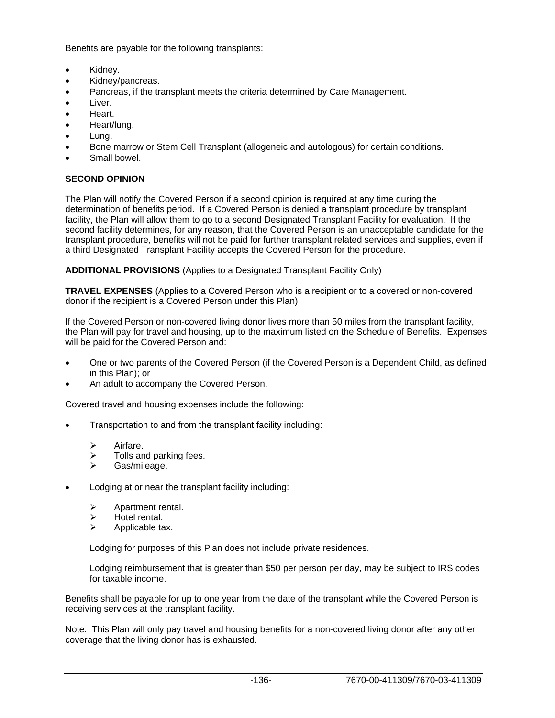Benefits are payable for the following transplants:

- Kidney.
- Kidney/pancreas.
- Pancreas, if the transplant meets the criteria determined by Care Management.
- Liver.
- Heart.
- Heart/lung.
- Lung.
- Bone marrow or Stem Cell Transplant (allogeneic and autologous) for certain conditions.
- Small bowel.

# **SECOND OPINION**

The Plan will notify the Covered Person if a second opinion is required at any time during the determination of benefits period. If a Covered Person is denied a transplant procedure by transplant facility, the Plan will allow them to go to a second Designated Transplant Facility for evaluation. If the second facility determines, for any reason, that the Covered Person is an unacceptable candidate for the transplant procedure, benefits will not be paid for further transplant related services and supplies, even if a third Designated Transplant Facility accepts the Covered Person for the procedure.

**ADDITIONAL PROVISIONS** (Applies to a Designated Transplant Facility Only)

**TRAVEL EXPENSES** (Applies to a Covered Person who is a recipient or to a covered or non-covered donor if the recipient is a Covered Person under this Plan)

If the Covered Person or non-covered living donor lives more than 50 miles from the transplant facility, the Plan will pay for travel and housing, up to the maximum listed on the Schedule of Benefits. Expenses will be paid for the Covered Person and:

- One or two parents of the Covered Person (if the Covered Person is a Dependent Child, as defined in this Plan); or
- An adult to accompany the Covered Person.

Covered travel and housing expenses include the following:

- Transportation to and from the transplant facility including:
	- $\triangleright$  Airfare.
	- $\triangleright$  Tolls and parking fees.
	- $\triangleright$  Gas/mileage.
- Lodging at or near the transplant facility including:
	- $\triangleright$  Apartment rental.
	- $\triangleright$  Hotel rental.
	- $\triangleright$  Applicable tax.

Lodging for purposes of this Plan does not include private residences.

Lodging reimbursement that is greater than \$50 per person per day, may be subject to IRS codes for taxable income.

Benefits shall be payable for up to one year from the date of the transplant while the Covered Person is receiving services at the transplant facility.

Note: This Plan will only pay travel and housing benefits for a non-covered living donor after any other coverage that the living donor has is exhausted.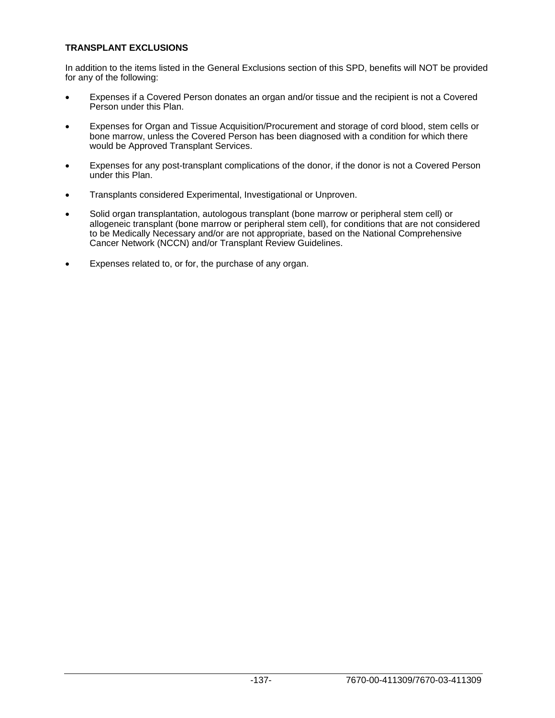# **TRANSPLANT EXCLUSIONS**

In addition to the items listed in the General Exclusions section of this SPD, benefits will NOT be provided for any of the following:

- Expenses if a Covered Person donates an organ and/or tissue and the recipient is not a Covered Person under this Plan.
- Expenses for Organ and Tissue Acquisition/Procurement and storage of cord blood, stem cells or bone marrow, unless the Covered Person has been diagnosed with a condition for which there would be Approved Transplant Services.
- Expenses for any post-transplant complications of the donor, if the donor is not a Covered Person under this Plan.
- Transplants considered Experimental, Investigational or Unproven.
- Solid organ transplantation, autologous transplant (bone marrow or peripheral stem cell) or allogeneic transplant (bone marrow or peripheral stem cell), for conditions that are not considered to be Medically Necessary and/or are not appropriate, based on the National Comprehensive Cancer Network (NCCN) and/or Transplant Review Guidelines.
- Expenses related to, or for, the purchase of any organ.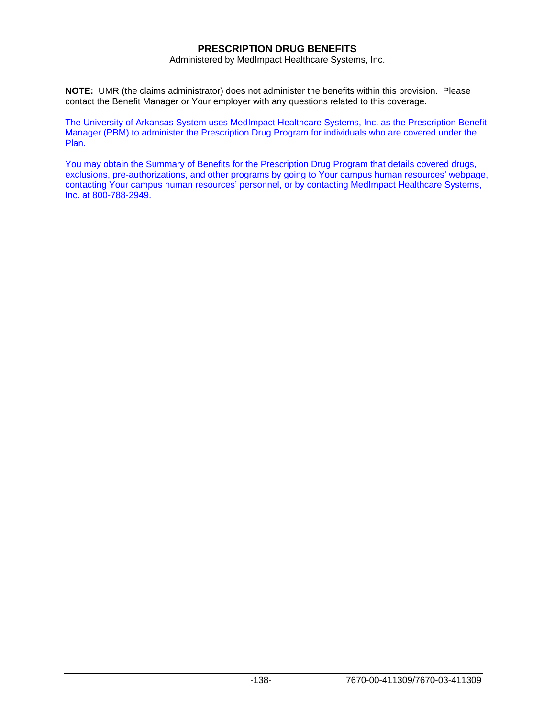# **PRESCRIPTION DRUG BENEFITS**

Administered by MedImpact Healthcare Systems, Inc.

**NOTE:** UMR (the claims administrator) does not administer the benefits within this provision. Please contact the Benefit Manager or Your employer with any questions related to this coverage.

The University of Arkansas System uses MedImpact Healthcare Systems, Inc. as the Prescription Benefit Manager (PBM) to administer the Prescription Drug Program for individuals who are covered under the Plan.

You may obtain the Summary of Benefits for the Prescription Drug Program that details covered drugs, exclusions, pre-authorizations, and other programs by going to Your campus human resources' webpage, contacting Your campus human resources' personnel, or by contacting MedImpact Healthcare Systems, Inc. at 800-788-2949.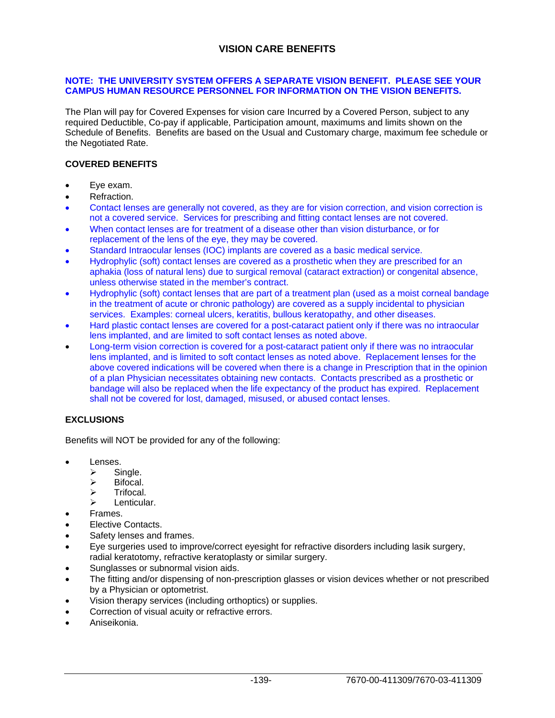# **VISION CARE BENEFITS**

### **NOTE: THE UNIVERSITY SYSTEM OFFERS A SEPARATE VISION BENEFIT. PLEASE SEE YOUR CAMPUS HUMAN RESOURCE PERSONNEL FOR INFORMATION ON THE VISION BENEFITS.**

The Plan will pay for Covered Expenses for vision care Incurred by a Covered Person, subject to any required Deductible, Co-pay if applicable, Participation amount, maximums and limits shown on the Schedule of Benefits. Benefits are based on the Usual and Customary charge, maximum fee schedule or the Negotiated Rate.

## **COVERED BENEFITS**

- Eye exam.
- Refraction.
- Contact lenses are generally not covered, as they are for vision correction, and vision correction is not a covered service. Services for prescribing and fitting contact lenses are not covered.
- When contact lenses are for treatment of a disease other than vision disturbance, or for replacement of the lens of the eye, they may be covered.
- Standard Intraocular lenses (IOC) implants are covered as a basic medical service.
- Hydrophylic (soft) contact lenses are covered as a prosthetic when they are prescribed for an aphakia (loss of natural lens) due to surgical removal (cataract extraction) or congenital absence, unless otherwise stated in the member's contract.
- Hydrophylic (soft) contact lenses that are part of a treatment plan (used as a moist corneal bandage in the treatment of acute or chronic pathology) are covered as a supply incidental to physician services. Examples: corneal ulcers, keratitis, bullous keratopathy, and other diseases.
- Hard plastic contact lenses are covered for a post-cataract patient only if there was no intraocular lens implanted, and are limited to soft contact lenses as noted above.
- Long-term vision correction is covered for a post-cataract patient only if there was no intraocular lens implanted, and is limited to soft contact lenses as noted above. Replacement lenses for the above covered indications will be covered when there is a change in Prescription that in the opinion of a plan Physician necessitates obtaining new contacts. Contacts prescribed as a prosthetic or bandage will also be replaced when the life expectancy of the product has expired. Replacement shall not be covered for lost, damaged, misused, or abused contact lenses.

## **EXCLUSIONS**

Benefits will NOT be provided for any of the following:

- Lenses.
	- $\triangleright$  Single.
	- $\triangleright$  Bifocal.
	- $\triangleright$  Trifocal.
	- > Lenticular.
- Frames.
- Elective Contacts.
- Safety lenses and frames.
- Eye surgeries used to improve/correct eyesight for refractive disorders including lasik surgery, radial keratotomy, refractive keratoplasty or similar surgery.
- Sunglasses or subnormal vision aids.
- The fitting and/or dispensing of non-prescription glasses or vision devices whether or not prescribed by a Physician or optometrist.
- Vision therapy services (including orthoptics) or supplies.
- Correction of visual acuity or refractive errors.
- Aniseikonia.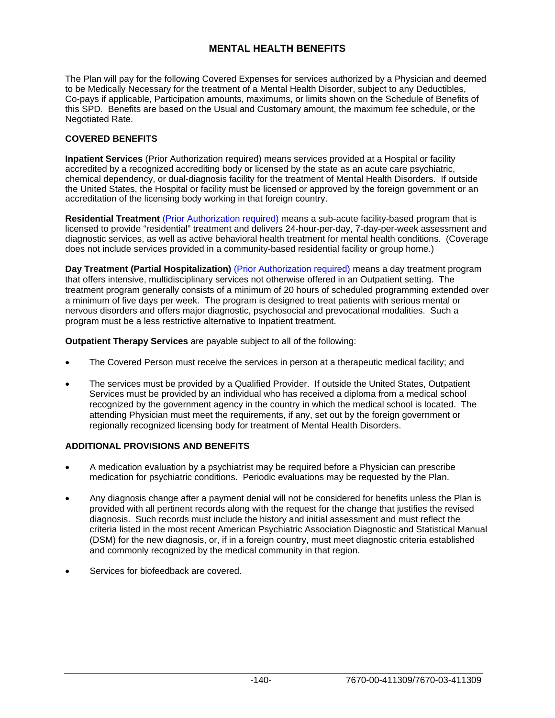# **MENTAL HEALTH BENEFITS**

The Plan will pay for the following Covered Expenses for services authorized by a Physician and deemed to be Medically Necessary for the treatment of a Mental Health Disorder, subject to any Deductibles, Co-pays if applicable, Participation amounts, maximums, or limits shown on the Schedule of Benefits of this SPD. Benefits are based on the Usual and Customary amount, the maximum fee schedule, or the Negotiated Rate.

## **COVERED BENEFITS**

**Inpatient Services** (Prior Authorization required) means services provided at a Hospital or facility accredited by a recognized accrediting body or licensed by the state as an acute care psychiatric, chemical dependency, or dual-diagnosis facility for the treatment of Mental Health Disorders. If outside the United States, the Hospital or facility must be licensed or approved by the foreign government or an accreditation of the licensing body working in that foreign country.

**Residential Treatment** (Prior Authorization required) means a sub-acute facility-based program that is licensed to provide "residential" treatment and delivers 24-hour-per-day, 7-day-per-week assessment and diagnostic services, as well as active behavioral health treatment for mental health conditions. (Coverage does not include services provided in a community-based residential facility or group home.)

**Day Treatment (Partial Hospitalization)** (Prior Authorization required) means a day treatment program that offers intensive, multidisciplinary services not otherwise offered in an Outpatient setting. The treatment program generally consists of a minimum of 20 hours of scheduled programming extended over a minimum of five days per week. The program is designed to treat patients with serious mental or nervous disorders and offers major diagnostic, psychosocial and prevocational modalities. Such a program must be a less restrictive alternative to Inpatient treatment.

**Outpatient Therapy Services** are payable subject to all of the following:

- The Covered Person must receive the services in person at a therapeutic medical facility; and
- The services must be provided by a Qualified Provider. If outside the United States, Outpatient Services must be provided by an individual who has received a diploma from a medical school recognized by the government agency in the country in which the medical school is located. The attending Physician must meet the requirements, if any, set out by the foreign government or regionally recognized licensing body for treatment of Mental Health Disorders.

## **ADDITIONAL PROVISIONS AND BENEFITS**

- A medication evaluation by a psychiatrist may be required before a Physician can prescribe medication for psychiatric conditions. Periodic evaluations may be requested by the Plan.
- Any diagnosis change after a payment denial will not be considered for benefits unless the Plan is provided with all pertinent records along with the request for the change that justifies the revised diagnosis. Such records must include the history and initial assessment and must reflect the criteria listed in the most recent American Psychiatric Association Diagnostic and Statistical Manual (DSM) for the new diagnosis, or, if in a foreign country, must meet diagnostic criteria established and commonly recognized by the medical community in that region.
- Services for biofeedback are covered.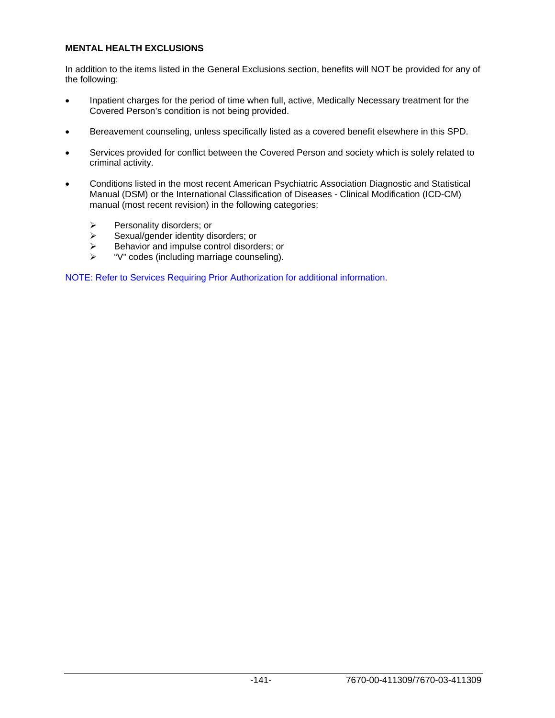## **MENTAL HEALTH EXCLUSIONS**

In addition to the items listed in the General Exclusions section, benefits will NOT be provided for any of the following:

- Inpatient charges for the period of time when full, active, Medically Necessary treatment for the Covered Person's condition is not being provided.
- Bereavement counseling, unless specifically listed as a covered benefit elsewhere in this SPD.
- Services provided for conflict between the Covered Person and society which is solely related to criminal activity.
- Conditions listed in the most recent American Psychiatric Association Diagnostic and Statistical Manual (DSM) or the International Classification of Diseases - Clinical Modification (ICD-CM) manual (most recent revision) in the following categories:
	- $\triangleright$  Personality disorders; or
	- $\triangleright$  Sexual/gender identity disorders; or
	- $\triangleright$  Behavior and impulse control disorders; or
	- > "V" codes (including marriage counseling).

NOTE: Refer to Services Requiring Prior Authorization for additional information.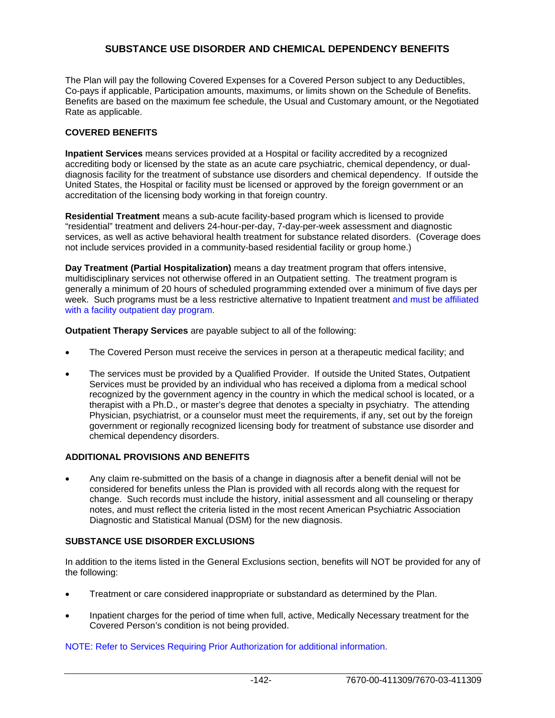# **SUBSTANCE USE DISORDER AND CHEMICAL DEPENDENCY BENEFITS**

The Plan will pay the following Covered Expenses for a Covered Person subject to any Deductibles, Co-pays if applicable, Participation amounts, maximums, or limits shown on the Schedule of Benefits. Benefits are based on the maximum fee schedule, the Usual and Customary amount, or the Negotiated Rate as applicable.

#### **COVERED BENEFITS**

**Inpatient Services** means services provided at a Hospital or facility accredited by a recognized accrediting body or licensed by the state as an acute care psychiatric, chemical dependency, or dualdiagnosis facility for the treatment of substance use disorders and chemical dependency. If outside the United States, the Hospital or facility must be licensed or approved by the foreign government or an accreditation of the licensing body working in that foreign country.

**Residential Treatment** means a sub-acute facility-based program which is licensed to provide "residential" treatment and delivers 24-hour-per-day, 7-day-per-week assessment and diagnostic services, as well as active behavioral health treatment for substance related disorders. (Coverage does not include services provided in a community-based residential facility or group home.)

**Day Treatment (Partial Hospitalization)** means a day treatment program that offers intensive, multidisciplinary services not otherwise offered in an Outpatient setting. The treatment program is generally a minimum of 20 hours of scheduled programming extended over a minimum of five days per week. Such programs must be a less restrictive alternative to Inpatient treatment and must be affiliated with a facility outpatient day program.

**Outpatient Therapy Services** are payable subject to all of the following:

- The Covered Person must receive the services in person at a therapeutic medical facility; and
- The services must be provided by a Qualified Provider. If outside the United States, Outpatient Services must be provided by an individual who has received a diploma from a medical school recognized by the government agency in the country in which the medical school is located, or a therapist with a Ph.D., or master's degree that denotes a specialty in psychiatry. The attending Physician, psychiatrist, or a counselor must meet the requirements, if any, set out by the foreign government or regionally recognized licensing body for treatment of substance use disorder and chemical dependency disorders.

#### **ADDITIONAL PROVISIONS AND BENEFITS**

 Any claim re-submitted on the basis of a change in diagnosis after a benefit denial will not be considered for benefits unless the Plan is provided with all records along with the request for change. Such records must include the history, initial assessment and all counseling or therapy notes, and must reflect the criteria listed in the most recent American Psychiatric Association Diagnostic and Statistical Manual (DSM) for the new diagnosis.

#### **SUBSTANCE USE DISORDER EXCLUSIONS**

In addition to the items listed in the General Exclusions section, benefits will NOT be provided for any of the following:

- Treatment or care considered inappropriate or substandard as determined by the Plan.
- Inpatient charges for the period of time when full, active, Medically Necessary treatment for the Covered Person's condition is not being provided.

NOTE: Refer to Services Requiring Prior Authorization for additional information.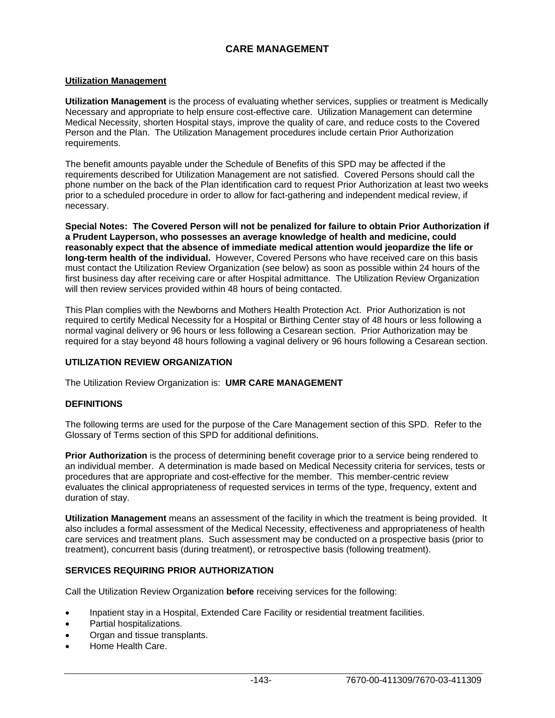# **CARE MANAGEMENT**

## **Utilization Management**

**Utilization Management** is the process of evaluating whether services, supplies or treatment is Medically Necessary and appropriate to help ensure cost-effective care. Utilization Management can determine Medical Necessity, shorten Hospital stays, improve the quality of care, and reduce costs to the Covered Person and the Plan. The Utilization Management procedures include certain Prior Authorization requirements.

The benefit amounts payable under the Schedule of Benefits of this SPD may be affected if the requirements described for Utilization Management are not satisfied. Covered Persons should call the phone number on the back of the Plan identification card to request Prior Authorization at least two weeks prior to a scheduled procedure in order to allow for fact-gathering and independent medical review, if necessary.

**Special Notes: The Covered Person will not be penalized for failure to obtain Prior Authorization if a Prudent Layperson, who possesses an average knowledge of health and medicine, could reasonably expect that the absence of immediate medical attention would jeopardize the life or long-term health of the individual.** However, Covered Persons who have received care on this basis must contact the Utilization Review Organization (see below) as soon as possible within 24 hours of the first business day after receiving care or after Hospital admittance. The Utilization Review Organization will then review services provided within 48 hours of being contacted.

This Plan complies with the Newborns and Mothers Health Protection Act. Prior Authorization is not required to certify Medical Necessity for a Hospital or Birthing Center stay of 48 hours or less following a normal vaginal delivery or 96 hours or less following a Cesarean section. Prior Authorization may be required for a stay beyond 48 hours following a vaginal delivery or 96 hours following a Cesarean section.

#### **UTILIZATION REVIEW ORGANIZATION**

The Utilization Review Organization is: **UMR CARE MANAGEMENT**

#### **DEFINITIONS**

The following terms are used for the purpose of the Care Management section of this SPD. Refer to the Glossary of Terms section of this SPD for additional definitions.

**Prior Authorization** is the process of determining benefit coverage prior to a service being rendered to an individual member. A determination is made based on Medical Necessity criteria for services, tests or procedures that are appropriate and cost-effective for the member. This member-centric review evaluates the clinical appropriateness of requested services in terms of the type, frequency, extent and duration of stay.

**Utilization Management** means an assessment of the facility in which the treatment is being provided. It also includes a formal assessment of the Medical Necessity, effectiveness and appropriateness of health care services and treatment plans. Such assessment may be conducted on a prospective basis (prior to treatment), concurrent basis (during treatment), or retrospective basis (following treatment).

#### **SERVICES REQUIRING PRIOR AUTHORIZATION**

Call the Utilization Review Organization **before** receiving services for the following:

- Inpatient stay in a Hospital, Extended Care Facility or residential treatment facilities.
- Partial hospitalizations.
- Organ and tissue transplants.
- Home Health Care.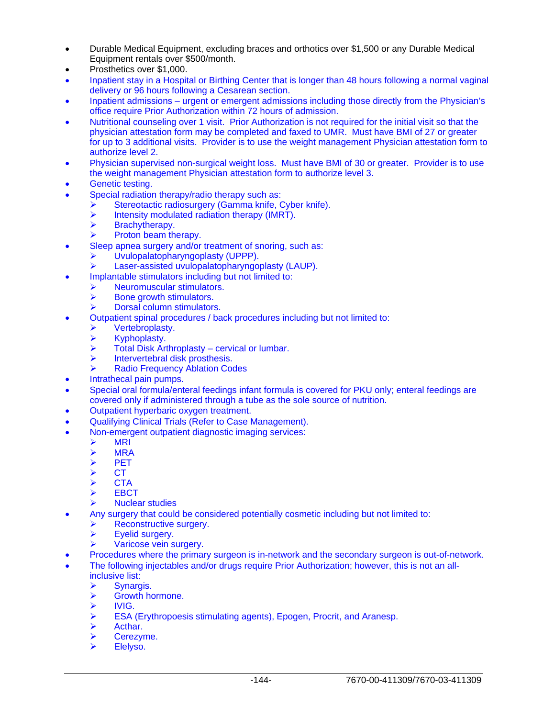- Durable Medical Equipment, excluding braces and orthotics over \$1,500 or any Durable Medical Equipment rentals over \$500/month.
- Prosthetics over \$1,000.
- Inpatient stay in a Hospital or Birthing Center that is longer than 48 hours following a normal vaginal delivery or 96 hours following a Cesarean section.
- Inpatient admissions urgent or emergent admissions including those directly from the Physician's office require Prior Authorization within 72 hours of admission.
- Nutritional counseling over 1 visit. Prior Authorization is not required for the initial visit so that the physician attestation form may be completed and faxed to UMR. Must have BMI of 27 or greater for up to 3 additional visits. Provider is to use the weight management Physician attestation form to authorize level 2.
- Physician supervised non-surgical weight loss. Must have BMI of 30 or greater. Provider is to use the weight management Physician attestation form to authorize level 3.
- Genetic testing.
- Special radiation therapy/radio therapy such as:
	- $\triangleright$  Stereotactic radiosurgery (Gamma knife, Cyber knife).
	- $\triangleright$  Intensity modulated radiation therapy (IMRT).
	- Brachytherapy.
	- Proton beam therapy.
- Sleep apnea surgery and/or treatment of snoring, such as:
	- Uvulopalatopharyngoplasty (UPPP).
	- Laser-assisted uvulopalatopharyngoplasty (LAUP).
- Implantable stimulators including but not limited to:
	- Neuromuscular stimulators.
	- Bone growth stimulators.
	- Dorsal column stimulators.
- Outpatient spinal procedures / back procedures including but not limited to:
	- $\triangleright$  Vertebroplasty.
	- $\triangleright$  Kyphoplasty.
	- $\triangleright$  Total Disk Arthroplasty cervical or lumbar.
	- Intervertebral disk prosthesis.
	- Radio Frequency Ablation Codes
- Intrathecal pain pumps.
- Special oral formula/enteral feedings infant formula is covered for PKU only; enteral feedings are covered only if administered through a tube as the sole source of nutrition.
- Outpatient hyperbaric oxygen treatment.
- Qualifying Clinical Trials (Refer to Case Management).
- Non-emergent outpatient diagnostic imaging services:
	- $\triangleright$  MRI
		- $\triangleright$  MRA
		- $\triangleright$  PET
		- $\triangleright$  CT
		- $\triangleright$  CTA
		- **EBCT**
		- Nuclear studies
- Any surgery that could be considered potentially cosmetic including but not limited to:
	- $\triangleright$  Reconstructive surgery.
	- $\triangleright$  Eyelid surgery.
	- Varicose vein surgery.
- Procedures where the primary surgeon is in-network and the secondary surgeon is out-of-network.
- The following injectables and/or drugs require Prior Authorization; however, this is not an allinclusive list:
	- **▶ Synargis.**
	- Growth hormone.
	- $\triangleright$  IVIG.
	- ESA (Erythropoesis stimulating agents), Epogen, Procrit, and Aranesp.
	- Acthar.
	- Cerezyme.
	- Elelyso.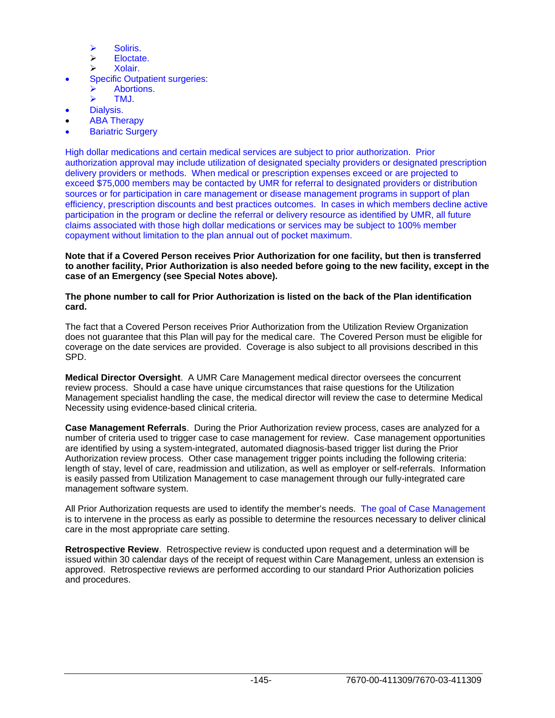- Soliris.
- > Eloctate.
- $\triangleright$  Xolair.
- Specific Outpatient surgeries:
	- Abortions.
	- TMJ.
- Dialysis.
- ABA Therapy
- **Bariatric Surgery**

High dollar medications and certain medical services are subject to prior authorization. Prior authorization approval may include utilization of designated specialty providers or designated prescription delivery providers or methods. When medical or prescription expenses exceed or are projected to exceed \$75,000 members may be contacted by UMR for referral to designated providers or distribution sources or for participation in care management or disease management programs in support of plan efficiency, prescription discounts and best practices outcomes. In cases in which members decline active participation in the program or decline the referral or delivery resource as identified by UMR, all future claims associated with those high dollar medications or services may be subject to 100% member copayment without limitation to the plan annual out of pocket maximum.

**Note that if a Covered Person receives Prior Authorization for one facility, but then is transferred to another facility, Prior Authorization is also needed before going to the new facility, except in the case of an Emergency (see Special Notes above).** 

#### **The phone number to call for Prior Authorization is listed on the back of the Plan identification card.**

The fact that a Covered Person receives Prior Authorization from the Utilization Review Organization does not guarantee that this Plan will pay for the medical care. The Covered Person must be eligible for coverage on the date services are provided. Coverage is also subject to all provisions described in this SPD.

**Medical Director Oversight**. A UMR Care Management medical director oversees the concurrent review process. Should a case have unique circumstances that raise questions for the Utilization Management specialist handling the case, the medical director will review the case to determine Medical Necessity using evidence-based clinical criteria.

**Case Management Referrals**. During the Prior Authorization review process, cases are analyzed for a number of criteria used to trigger case to case management for review. Case management opportunities are identified by using a system-integrated, automated diagnosis-based trigger list during the Prior Authorization review process. Other case management trigger points including the following criteria: length of stay, level of care, readmission and utilization, as well as employer or self-referrals. Information is easily passed from Utilization Management to case management through our fully-integrated care management software system.

All Prior Authorization requests are used to identify the member's needs. The goal of Case Management is to intervene in the process as early as possible to determine the resources necessary to deliver clinical care in the most appropriate care setting.

**Retrospective Review**. Retrospective review is conducted upon request and a determination will be issued within 30 calendar days of the receipt of request within Care Management, unless an extension is approved. Retrospective reviews are performed according to our standard Prior Authorization policies and procedures.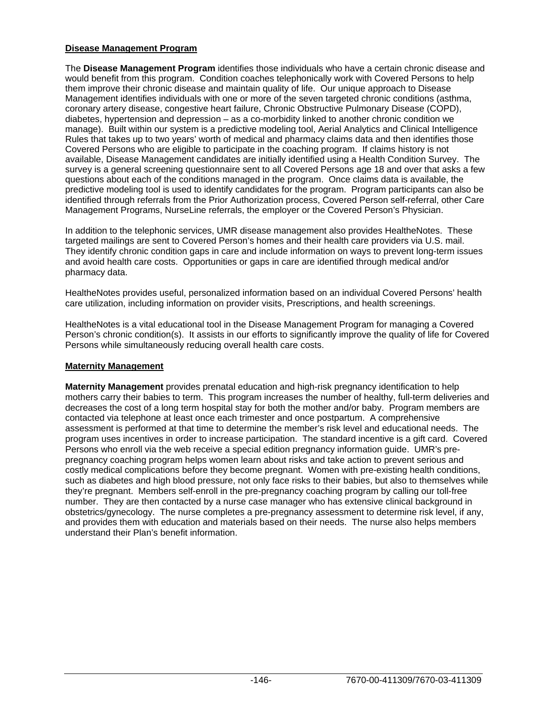# **Disease Management Program**

The **Disease Management Program** identifies those individuals who have a certain chronic disease and would benefit from this program. Condition coaches telephonically work with Covered Persons to help them improve their chronic disease and maintain quality of life. Our unique approach to Disease Management identifies individuals with one or more of the seven targeted chronic conditions (asthma, coronary artery disease, congestive heart failure, Chronic Obstructive Pulmonary Disease (COPD), diabetes, hypertension and depression – as a co-morbidity linked to another chronic condition we manage). Built within our system is a predictive modeling tool, Aerial Analytics and Clinical Intelligence Rules that takes up to two years' worth of medical and pharmacy claims data and then identifies those Covered Persons who are eligible to participate in the coaching program. If claims history is not available, Disease Management candidates are initially identified using a Health Condition Survey. The survey is a general screening questionnaire sent to all Covered Persons age 18 and over that asks a few questions about each of the conditions managed in the program. Once claims data is available, the predictive modeling tool is used to identify candidates for the program. Program participants can also be identified through referrals from the Prior Authorization process, Covered Person self-referral, other Care Management Programs, NurseLine referrals, the employer or the Covered Person's Physician.

In addition to the telephonic services, UMR disease management also provides HealtheNotes. These targeted mailings are sent to Covered Person's homes and their health care providers via U.S. mail. They identify chronic condition gaps in care and include information on ways to prevent long-term issues and avoid health care costs. Opportunities or gaps in care are identified through medical and/or pharmacy data.

HealtheNotes provides useful, personalized information based on an individual Covered Persons' health care utilization, including information on provider visits, Prescriptions, and health screenings.

HealtheNotes is a vital educational tool in the Disease Management Program for managing a Covered Person's chronic condition(s). It assists in our efforts to significantly improve the quality of life for Covered Persons while simultaneously reducing overall health care costs.

#### **Maternity Management**

**Maternity Management** provides prenatal education and high-risk pregnancy identification to help mothers carry their babies to term. This program increases the number of healthy, full-term deliveries and decreases the cost of a long term hospital stay for both the mother and/or baby. Program members are contacted via telephone at least once each trimester and once postpartum. A comprehensive assessment is performed at that time to determine the member's risk level and educational needs. The program uses incentives in order to increase participation. The standard incentive is a gift card. Covered Persons who enroll via the web receive a special edition pregnancy information guide. UMR's prepregnancy coaching program helps women learn about risks and take action to prevent serious and costly medical complications before they become pregnant. Women with pre-existing health conditions, such as diabetes and high blood pressure, not only face risks to their babies, but also to themselves while they're pregnant. Members self-enroll in the pre-pregnancy coaching program by calling our toll-free number. They are then contacted by a nurse case manager who has extensive clinical background in obstetrics/gynecology. The nurse completes a pre-pregnancy assessment to determine risk level, if any, and provides them with education and materials based on their needs. The nurse also helps members understand their Plan's benefit information.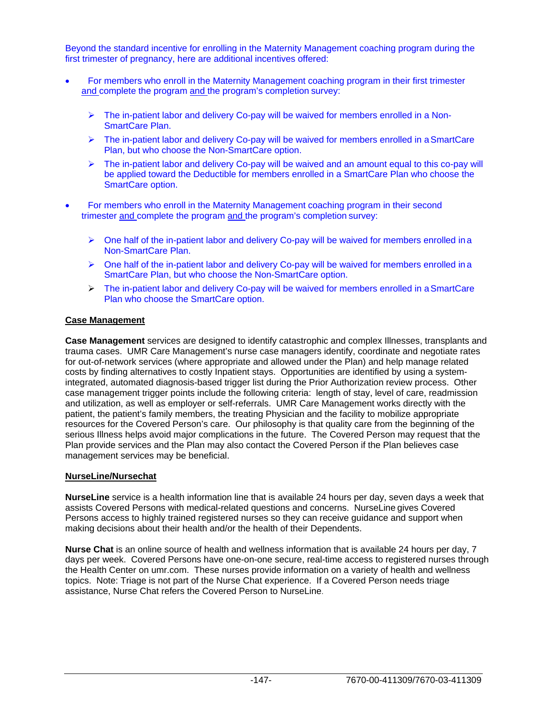Beyond the standard incentive for enrolling in the Maternity Management coaching program during the first trimester of pregnancy, here are additional incentives offered:

- For members who enroll in the Maternity Management coaching program in their first trimester and complete the program and the program's completion survey:
	- $\triangleright$  The in-patient labor and delivery Co-pay will be waived for members enrolled in a Non-SmartCare Plan.
	- ▶ The in-patient labor and delivery Co-pay will be waived for members enrolled in a SmartCare Plan, but who choose the Non-SmartCare option.
	- $\triangleright$  The in-patient labor and delivery Co-pay will be waived and an amount equal to this co-pay will be applied toward the Deductible for members enrolled in a SmartCare Plan who choose the SmartCare option.
- For members who enroll in the Maternity Management coaching program in their second trimester and complete the program and the program's completion survey:
	- $\triangleright$  One half of the in-patient labor and delivery Co-pay will be waived for members enrolled in a Non-SmartCare Plan.
	- $\triangleright$  One half of the in-patient labor and delivery Co-pay will be waived for members enrolled in a SmartCare Plan, but who choose the Non-SmartCare option.
	- $\triangleright$  The in-patient labor and delivery Co-pay will be waived for members enrolled in a SmartCare Plan who choose the SmartCare option.

#### **Case Management**

**Case Management** services are designed to identify catastrophic and complex Illnesses, transplants and trauma cases. UMR Care Management's nurse case managers identify, coordinate and negotiate rates for out-of-network services (where appropriate and allowed under the Plan) and help manage related costs by finding alternatives to costly Inpatient stays. Opportunities are identified by using a systemintegrated, automated diagnosis-based trigger list during the Prior Authorization review process. Other case management trigger points include the following criteria: length of stay, level of care, readmission and utilization, as well as employer or self-referrals. UMR Care Management works directly with the patient, the patient's family members, the treating Physician and the facility to mobilize appropriate resources for the Covered Person's care. Our philosophy is that quality care from the beginning of the serious Illness helps avoid major complications in the future. The Covered Person may request that the Plan provide services and the Plan may also contact the Covered Person if the Plan believes case management services may be beneficial.

#### **NurseLine/Nursechat**

**NurseLine** service is a health information line that is available 24 hours per day, seven days a week that assists Covered Persons with medical-related questions and concerns. NurseLine gives Covered Persons access to highly trained registered nurses so they can receive guidance and support when making decisions about their health and/or the health of their Dependents.

**Nurse Chat** is an online source of health and wellness information that is available 24 hours per day, 7 days per week. Covered Persons have one-on-one secure, real-time access to registered nurses through the Health Center on umr.com. These nurses provide information on a variety of health and wellness topics. Note: Triage is not part of the Nurse Chat experience. If a Covered Person needs triage assistance, Nurse Chat refers the Covered Person to NurseLine.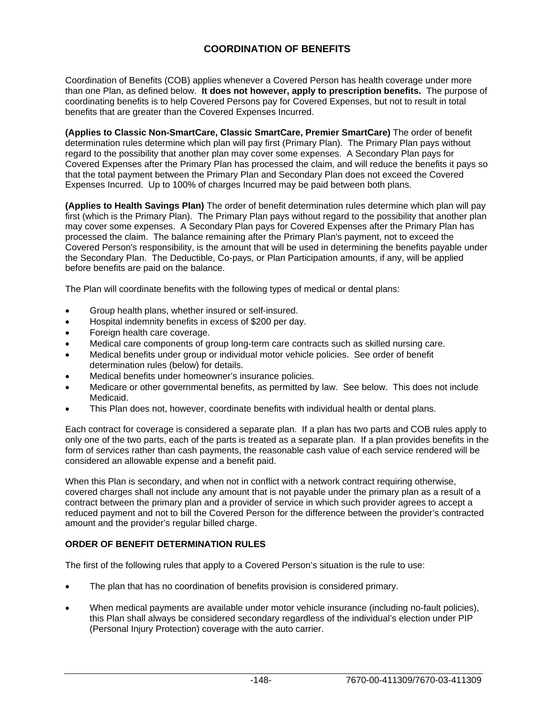# **COORDINATION OF BENEFITS**

Coordination of Benefits (COB) applies whenever a Covered Person has health coverage under more than one Plan, as defined below. **It does not however, apply to prescription benefits.** The purpose of coordinating benefits is to help Covered Persons pay for Covered Expenses, but not to result in total benefits that are greater than the Covered Expenses Incurred.

**(Applies to Classic Non-SmartCare, Classic SmartCare, Premier SmartCare)** The order of benefit determination rules determine which plan will pay first (Primary Plan). The Primary Plan pays without regard to the possibility that another plan may cover some expenses. A Secondary Plan pays for Covered Expenses after the Primary Plan has processed the claim, and will reduce the benefits it pays so that the total payment between the Primary Plan and Secondary Plan does not exceed the Covered Expenses Incurred. Up to 100% of charges Incurred may be paid between both plans.

**(Applies to Health Savings Plan)** The order of benefit determination rules determine which plan will pay first (which is the Primary Plan). The Primary Plan pays without regard to the possibility that another plan may cover some expenses. A Secondary Plan pays for Covered Expenses after the Primary Plan has processed the claim. The balance remaining after the Primary Plan's payment, not to exceed the Covered Person's responsibility, is the amount that will be used in determining the benefits payable under the Secondary Plan. The Deductible, Co-pays, or Plan Participation amounts, if any, will be applied before benefits are paid on the balance.

The Plan will coordinate benefits with the following types of medical or dental plans:

- Group health plans, whether insured or self-insured.
- Hospital indemnity benefits in excess of \$200 per day.
- Foreign health care coverage.
- Medical care components of group long-term care contracts such as skilled nursing care.
- Medical benefits under group or individual motor vehicle policies. See order of benefit determination rules (below) for details.
- Medical benefits under homeowner's insurance policies.
- Medicare or other governmental benefits, as permitted by law. See below. This does not include Medicaid.
- This Plan does not, however, coordinate benefits with individual health or dental plans.

Each contract for coverage is considered a separate plan. If a plan has two parts and COB rules apply to only one of the two parts, each of the parts is treated as a separate plan. If a plan provides benefits in the form of services rather than cash payments, the reasonable cash value of each service rendered will be considered an allowable expense and a benefit paid.

When this Plan is secondary, and when not in conflict with a network contract requiring otherwise, covered charges shall not include any amount that is not payable under the primary plan as a result of a contract between the primary plan and a provider of service in which such provider agrees to accept a reduced payment and not to bill the Covered Person for the difference between the provider's contracted amount and the provider's regular billed charge.

#### **ORDER OF BENEFIT DETERMINATION RULES**

The first of the following rules that apply to a Covered Person's situation is the rule to use:

- The plan that has no coordination of benefits provision is considered primary.
- When medical payments are available under motor vehicle insurance (including no-fault policies), this Plan shall always be considered secondary regardless of the individual's election under PIP (Personal Injury Protection) coverage with the auto carrier.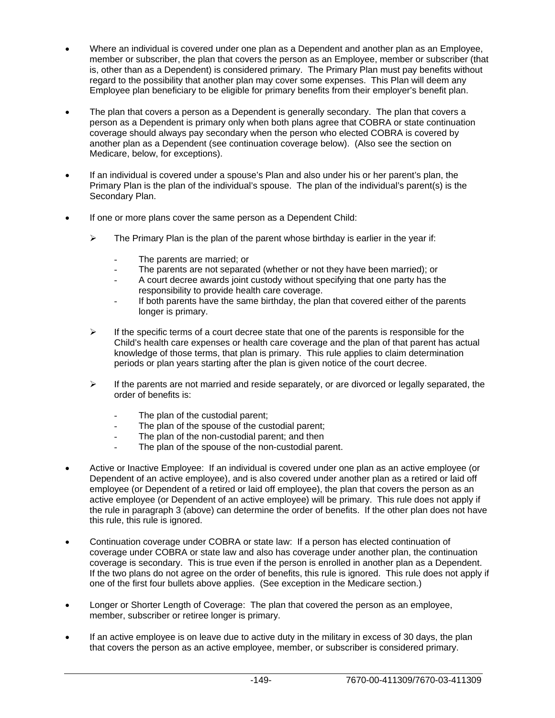- Where an individual is covered under one plan as a Dependent and another plan as an Employee, member or subscriber, the plan that covers the person as an Employee, member or subscriber (that is, other than as a Dependent) is considered primary. The Primary Plan must pay benefits without regard to the possibility that another plan may cover some expenses. This Plan will deem any Employee plan beneficiary to be eligible for primary benefits from their employer's benefit plan.
- The plan that covers a person as a Dependent is generally secondary. The plan that covers a person as a Dependent is primary only when both plans agree that COBRA or state continuation coverage should always pay secondary when the person who elected COBRA is covered by another plan as a Dependent (see continuation coverage below). (Also see the section on Medicare, below, for exceptions).
- If an individual is covered under a spouse's Plan and also under his or her parent's plan, the Primary Plan is the plan of the individual's spouse. The plan of the individual's parent(s) is the Secondary Plan.
- If one or more plans cover the same person as a Dependent Child:
	- $\triangleright$  The Primary Plan is the plan of the parent whose birthday is earlier in the year if:
		- The parents are married; or
		- The parents are not separated (whether or not they have been married); or
		- A court decree awards joint custody without specifying that one party has the responsibility to provide health care coverage.
		- If both parents have the same birthday, the plan that covered either of the parents longer is primary.
	- $\triangleright$  If the specific terms of a court decree state that one of the parents is responsible for the Child's health care expenses or health care coverage and the plan of that parent has actual knowledge of those terms, that plan is primary. This rule applies to claim determination periods or plan years starting after the plan is given notice of the court decree.
	- $\triangleright$  If the parents are not married and reside separately, or are divorced or legally separated, the order of benefits is:
		- The plan of the custodial parent:
		- The plan of the spouse of the custodial parent:
		- The plan of the non-custodial parent; and then
		- The plan of the spouse of the non-custodial parent.
- Active or Inactive Employee: If an individual is covered under one plan as an active employee (or Dependent of an active employee), and is also covered under another plan as a retired or laid off employee (or Dependent of a retired or laid off employee), the plan that covers the person as an active employee (or Dependent of an active employee) will be primary. This rule does not apply if the rule in paragraph 3 (above) can determine the order of benefits. If the other plan does not have this rule, this rule is ignored.
- Continuation coverage under COBRA or state law: If a person has elected continuation of coverage under COBRA or state law and also has coverage under another plan, the continuation coverage is secondary. This is true even if the person is enrolled in another plan as a Dependent. If the two plans do not agree on the order of benefits, this rule is ignored. This rule does not apply if one of the first four bullets above applies. (See exception in the Medicare section.)
- Longer or Shorter Length of Coverage: The plan that covered the person as an employee, member, subscriber or retiree longer is primary.
- If an active employee is on leave due to active duty in the military in excess of 30 days, the plan that covers the person as an active employee, member, or subscriber is considered primary.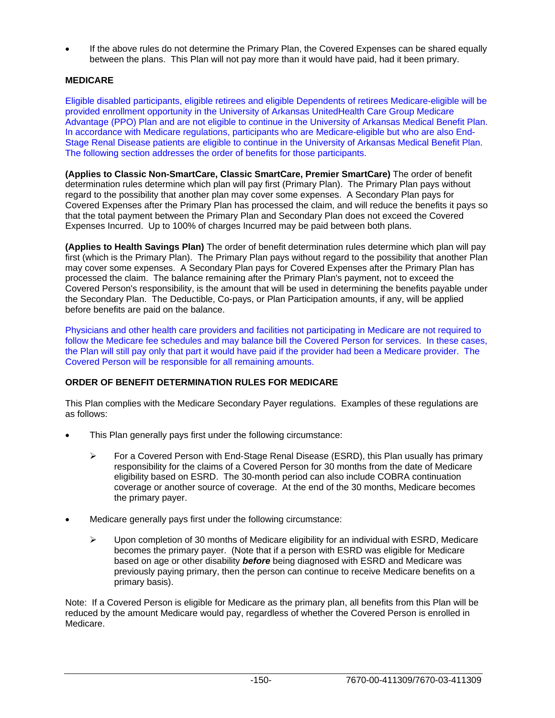If the above rules do not determine the Primary Plan, the Covered Expenses can be shared equally between the plans. This Plan will not pay more than it would have paid, had it been primary.

# **MEDICARE**

Eligible disabled participants, eligible retirees and eligible Dependents of retirees Medicare-eligible will be provided enrollment opportunity in the University of Arkansas UnitedHealth Care Group Medicare Advantage (PPO) Plan and are not eligible to continue in the University of Arkansas Medical Benefit Plan. In accordance with Medicare regulations, participants who are Medicare-eligible but who are also End-Stage Renal Disease patients are eligible to continue in the University of Arkansas Medical Benefit Plan. The following section addresses the order of benefits for those participants.

**(Applies to Classic Non-SmartCare, Classic SmartCare, Premier SmartCare)** The order of benefit determination rules determine which plan will pay first (Primary Plan). The Primary Plan pays without regard to the possibility that another plan may cover some expenses. A Secondary Plan pays for Covered Expenses after the Primary Plan has processed the claim, and will reduce the benefits it pays so that the total payment between the Primary Plan and Secondary Plan does not exceed the Covered Expenses Incurred. Up to 100% of charges Incurred may be paid between both plans.

**(Applies to Health Savings Plan)** The order of benefit determination rules determine which plan will pay first (which is the Primary Plan). The Primary Plan pays without regard to the possibility that another Plan may cover some expenses. A Secondary Plan pays for Covered Expenses after the Primary Plan has processed the claim. The balance remaining after the Primary Plan's payment, not to exceed the Covered Person's responsibility, is the amount that will be used in determining the benefits payable under the Secondary Plan. The Deductible, Co-pays, or Plan Participation amounts, if any, will be applied before benefits are paid on the balance.

Physicians and other health care providers and facilities not participating in Medicare are not required to follow the Medicare fee schedules and may balance bill the Covered Person for services. In these cases, the Plan will still pay only that part it would have paid if the provider had been a Medicare provider. The Covered Person will be responsible for all remaining amounts.

#### **ORDER OF BENEFIT DETERMINATION RULES FOR MEDICARE**

This Plan complies with the Medicare Secondary Payer regulations. Examples of these regulations are as follows:

- This Plan generally pays first under the following circumstance:
	- $\triangleright$  For a Covered Person with End-Stage Renal Disease (ESRD), this Plan usually has primary responsibility for the claims of a Covered Person for 30 months from the date of Medicare eligibility based on ESRD. The 30-month period can also include COBRA continuation coverage or another source of coverage. At the end of the 30 months, Medicare becomes the primary payer.
- Medicare generally pays first under the following circumstance:
	- $\triangleright$  Upon completion of 30 months of Medicare eligibility for an individual with ESRD, Medicare becomes the primary payer. (Note that if a person with ESRD was eligible for Medicare based on age or other disability *before* being diagnosed with ESRD and Medicare was previously paying primary, then the person can continue to receive Medicare benefits on a primary basis).

Note: If a Covered Person is eligible for Medicare as the primary plan, all benefits from this Plan will be reduced by the amount Medicare would pay, regardless of whether the Covered Person is enrolled in Medicare.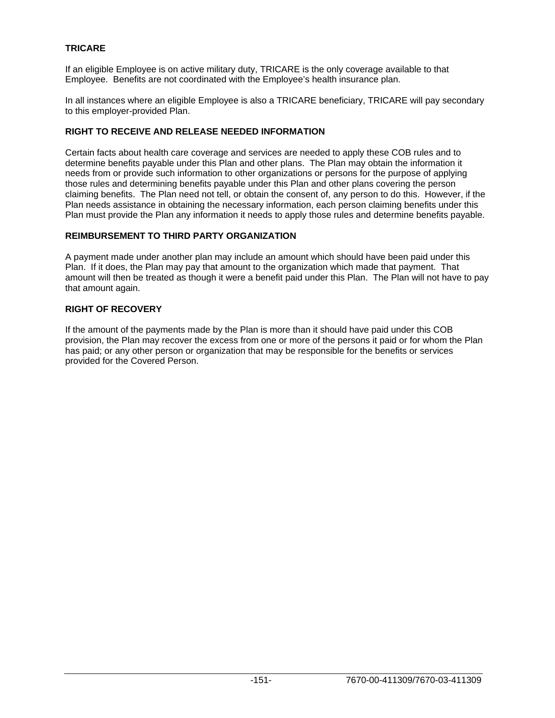# **TRICARE**

If an eligible Employee is on active military duty, TRICARE is the only coverage available to that Employee. Benefits are not coordinated with the Employee's health insurance plan.

In all instances where an eligible Employee is also a TRICARE beneficiary, TRICARE will pay secondary to this employer-provided Plan.

# **RIGHT TO RECEIVE AND RELEASE NEEDED INFORMATION**

Certain facts about health care coverage and services are needed to apply these COB rules and to determine benefits payable under this Plan and other plans. The Plan may obtain the information it needs from or provide such information to other organizations or persons for the purpose of applying those rules and determining benefits payable under this Plan and other plans covering the person claiming benefits. The Plan need not tell, or obtain the consent of, any person to do this. However, if the Plan needs assistance in obtaining the necessary information, each person claiming benefits under this Plan must provide the Plan any information it needs to apply those rules and determine benefits payable.

#### **REIMBURSEMENT TO THIRD PARTY ORGANIZATION**

A payment made under another plan may include an amount which should have been paid under this Plan. If it does, the Plan may pay that amount to the organization which made that payment. That amount will then be treated as though it were a benefit paid under this Plan. The Plan will not have to pay that amount again.

#### **RIGHT OF RECOVERY**

If the amount of the payments made by the Plan is more than it should have paid under this COB provision, the Plan may recover the excess from one or more of the persons it paid or for whom the Plan has paid; or any other person or organization that may be responsible for the benefits or services provided for the Covered Person.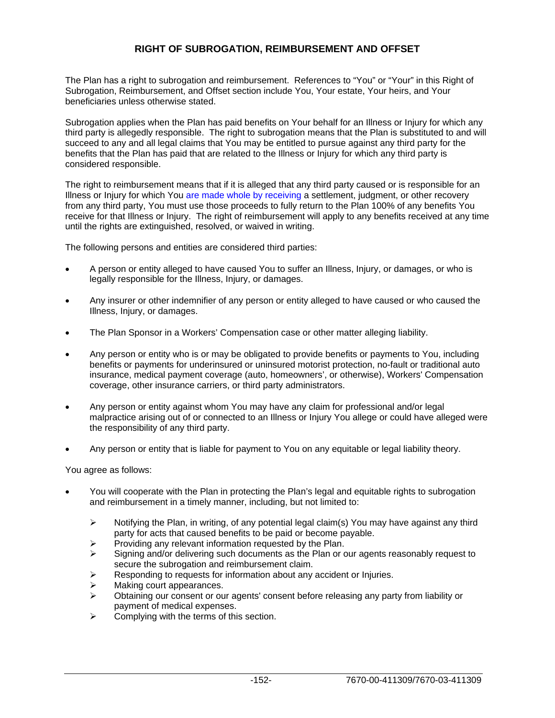# **RIGHT OF SUBROGATION, REIMBURSEMENT AND OFFSET**

The Plan has a right to subrogation and reimbursement. References to "You" or "Your" in this Right of Subrogation, Reimbursement, and Offset section include You, Your estate, Your heirs, and Your beneficiaries unless otherwise stated.

Subrogation applies when the Plan has paid benefits on Your behalf for an Illness or Injury for which any third party is allegedly responsible. The right to subrogation means that the Plan is substituted to and will succeed to any and all legal claims that You may be entitled to pursue against any third party for the benefits that the Plan has paid that are related to the Illness or Injury for which any third party is considered responsible.

The right to reimbursement means that if it is alleged that any third party caused or is responsible for an Illness or Injury for which You are made whole by receiving a settlement, judgment, or other recovery from any third party, You must use those proceeds to fully return to the Plan 100% of any benefits You receive for that Illness or Injury. The right of reimbursement will apply to any benefits received at any time until the rights are extinguished, resolved, or waived in writing.

The following persons and entities are considered third parties:

- A person or entity alleged to have caused You to suffer an Illness, Injury, or damages, or who is legally responsible for the Illness, Injury, or damages.
- Any insurer or other indemnifier of any person or entity alleged to have caused or who caused the Illness, Injury, or damages.
- The Plan Sponsor in a Workers' Compensation case or other matter alleging liability.
- Any person or entity who is or may be obligated to provide benefits or payments to You, including benefits or payments for underinsured or uninsured motorist protection, no-fault or traditional auto insurance, medical payment coverage (auto, homeowners', or otherwise), Workers' Compensation coverage, other insurance carriers, or third party administrators.
- Any person or entity against whom You may have any claim for professional and/or legal malpractice arising out of or connected to an Illness or Injury You allege or could have alleged were the responsibility of any third party.
- Any person or entity that is liable for payment to You on any equitable or legal liability theory.

You agree as follows:

- You will cooperate with the Plan in protecting the Plan's legal and equitable rights to subrogation and reimbursement in a timely manner, including, but not limited to:
	- $\triangleright$  Notifying the Plan, in writing, of any potential legal claim(s) You may have against any third party for acts that caused benefits to be paid or become payable.
	- Providing any relevant information requested by the Plan.
	- $\triangleright$  Signing and/or delivering such documents as the Plan or our agents reasonably request to secure the subrogation and reimbursement claim.
	- Responding to requests for information about any accident or Injuries.
	- Making court appearances.
	- $\triangleright$  Obtaining our consent or our agents' consent before releasing any party from liability or payment of medical expenses.
	- Complying with the terms of this section.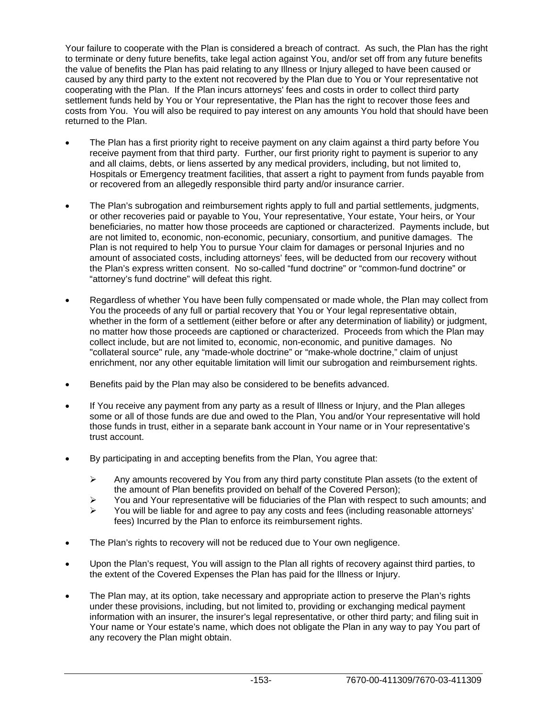Your failure to cooperate with the Plan is considered a breach of contract. As such, the Plan has the right to terminate or deny future benefits, take legal action against You, and/or set off from any future benefits the value of benefits the Plan has paid relating to any Illness or Injury alleged to have been caused or caused by any third party to the extent not recovered by the Plan due to You or Your representative not cooperating with the Plan. If the Plan incurs attorneys' fees and costs in order to collect third party settlement funds held by You or Your representative, the Plan has the right to recover those fees and costs from You. You will also be required to pay interest on any amounts You hold that should have been returned to the Plan.

- The Plan has a first priority right to receive payment on any claim against a third party before You receive payment from that third party. Further, our first priority right to payment is superior to any and all claims, debts, or liens asserted by any medical providers, including, but not limited to, Hospitals or Emergency treatment facilities, that assert a right to payment from funds payable from or recovered from an allegedly responsible third party and/or insurance carrier.
- The Plan's subrogation and reimbursement rights apply to full and partial settlements, judgments, or other recoveries paid or payable to You, Your representative, Your estate, Your heirs, or Your beneficiaries, no matter how those proceeds are captioned or characterized. Payments include, but are not limited to, economic, non-economic, pecuniary, consortium, and punitive damages. The Plan is not required to help You to pursue Your claim for damages or personal Injuries and no amount of associated costs, including attorneys' fees, will be deducted from our recovery without the Plan's express written consent. No so-called "fund doctrine" or "common-fund doctrine" or "attorney's fund doctrine" will defeat this right.
- Regardless of whether You have been fully compensated or made whole, the Plan may collect from You the proceeds of any full or partial recovery that You or Your legal representative obtain, whether in the form of a settlement (either before or after any determination of liability) or judgment, no matter how those proceeds are captioned or characterized. Proceeds from which the Plan may collect include, but are not limited to, economic, non-economic, and punitive damages. No "collateral source" rule, any "made-whole doctrine" or "make-whole doctrine," claim of unjust enrichment, nor any other equitable limitation will limit our subrogation and reimbursement rights.
- Benefits paid by the Plan may also be considered to be benefits advanced.
- If You receive any payment from any party as a result of Illness or Injury, and the Plan alleges some or all of those funds are due and owed to the Plan, You and/or Your representative will hold those funds in trust, either in a separate bank account in Your name or in Your representative's trust account.
- By participating in and accepting benefits from the Plan, You agree that:
	- $\triangleright$  Any amounts recovered by You from any third party constitute Plan assets (to the extent of the amount of Plan benefits provided on behalf of the Covered Person);
	- $\triangleright$  You and Your representative will be fiduciaries of the Plan with respect to such amounts; and
	- $\triangleright$  You will be liable for and agree to pay any costs and fees (including reasonable attorneys' fees) Incurred by the Plan to enforce its reimbursement rights.
- The Plan's rights to recovery will not be reduced due to Your own negligence.
- Upon the Plan's request, You will assign to the Plan all rights of recovery against third parties, to the extent of the Covered Expenses the Plan has paid for the Illness or Injury.
- The Plan may, at its option, take necessary and appropriate action to preserve the Plan's rights under these provisions, including, but not limited to, providing or exchanging medical payment information with an insurer, the insurer's legal representative, or other third party; and filing suit in Your name or Your estate's name, which does not obligate the Plan in any way to pay You part of any recovery the Plan might obtain.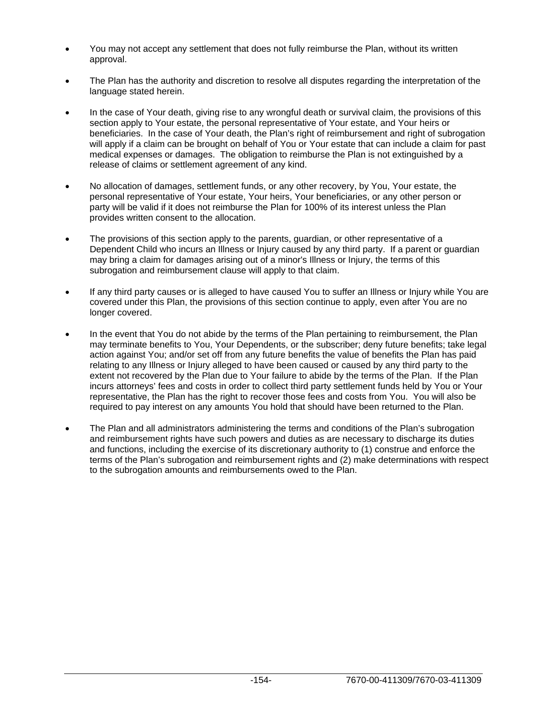- You may not accept any settlement that does not fully reimburse the Plan, without its written approval.
- The Plan has the authority and discretion to resolve all disputes regarding the interpretation of the language stated herein.
- In the case of Your death, giving rise to any wrongful death or survival claim, the provisions of this section apply to Your estate, the personal representative of Your estate, and Your heirs or beneficiaries. In the case of Your death, the Plan's right of reimbursement and right of subrogation will apply if a claim can be brought on behalf of You or Your estate that can include a claim for past medical expenses or damages. The obligation to reimburse the Plan is not extinguished by a release of claims or settlement agreement of any kind.
- No allocation of damages, settlement funds, or any other recovery, by You, Your estate, the personal representative of Your estate, Your heirs, Your beneficiaries, or any other person or party will be valid if it does not reimburse the Plan for 100% of its interest unless the Plan provides written consent to the allocation.
- The provisions of this section apply to the parents, guardian, or other representative of a Dependent Child who incurs an Illness or Injury caused by any third party. If a parent or guardian may bring a claim for damages arising out of a minor's Illness or Injury, the terms of this subrogation and reimbursement clause will apply to that claim.
- If any third party causes or is alleged to have caused You to suffer an Illness or Injury while You are covered under this Plan, the provisions of this section continue to apply, even after You are no longer covered.
- In the event that You do not abide by the terms of the Plan pertaining to reimbursement, the Plan may terminate benefits to You, Your Dependents, or the subscriber; deny future benefits; take legal action against You; and/or set off from any future benefits the value of benefits the Plan has paid relating to any Illness or Injury alleged to have been caused or caused by any third party to the extent not recovered by the Plan due to Your failure to abide by the terms of the Plan. If the Plan incurs attorneys' fees and costs in order to collect third party settlement funds held by You or Your representative, the Plan has the right to recover those fees and costs from You. You will also be required to pay interest on any amounts You hold that should have been returned to the Plan.
- The Plan and all administrators administering the terms and conditions of the Plan's subrogation and reimbursement rights have such powers and duties as are necessary to discharge its duties and functions, including the exercise of its discretionary authority to (1) construe and enforce the terms of the Plan's subrogation and reimbursement rights and (2) make determinations with respect to the subrogation amounts and reimbursements owed to the Plan.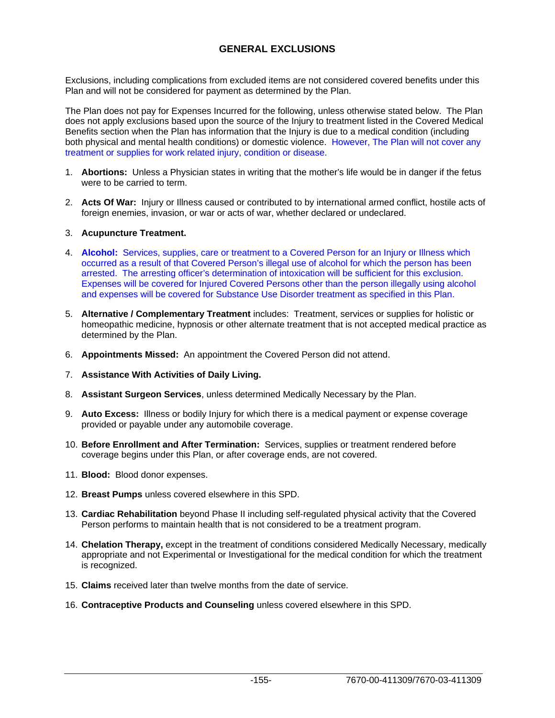# **GENERAL EXCLUSIONS**

Exclusions, including complications from excluded items are not considered covered benefits under this Plan and will not be considered for payment as determined by the Plan.

The Plan does not pay for Expenses Incurred for the following, unless otherwise stated below. The Plan does not apply exclusions based upon the source of the Injury to treatment listed in the Covered Medical Benefits section when the Plan has information that the Injury is due to a medical condition (including both physical and mental health conditions) or domestic violence. However, The Plan will not cover any treatment or supplies for work related injury, condition or disease.

- 1. **Abortions:** Unless a Physician states in writing that the mother's life would be in danger if the fetus were to be carried to term.
- 2. **Acts Of War:** Injury or Illness caused or contributed to by international armed conflict, hostile acts of foreign enemies, invasion, or war or acts of war, whether declared or undeclared.

#### 3. **Acupuncture Treatment.**

- 4. **Alcohol:** Services, supplies, care or treatment to a Covered Person for an Injury or Illness which occurred as a result of that Covered Person's illegal use of alcohol for which the person has been arrested. The arresting officer's determination of intoxication will be sufficient for this exclusion. Expenses will be covered for Injured Covered Persons other than the person illegally using alcohol and expenses will be covered for Substance Use Disorder treatment as specified in this Plan.
- 5. **Alternative / Complementary Treatment** includes: Treatment, services or supplies for holistic or homeopathic medicine, hypnosis or other alternate treatment that is not accepted medical practice as determined by the Plan.
- 6. **Appointments Missed:** An appointment the Covered Person did not attend.
- 7. **Assistance With Activities of Daily Living.**
- 8. **Assistant Surgeon Services**, unless determined Medically Necessary by the Plan.
- 9. **Auto Excess:** Illness or bodily Injury for which there is a medical payment or expense coverage provided or payable under any automobile coverage.
- 10. **Before Enrollment and After Termination:** Services, supplies or treatment rendered before coverage begins under this Plan, or after coverage ends, are not covered.
- 11. **Blood:** Blood donor expenses.
- 12. **Breast Pumps** unless covered elsewhere in this SPD.
- 13. **Cardiac Rehabilitation** beyond Phase II including self-regulated physical activity that the Covered Person performs to maintain health that is not considered to be a treatment program.
- 14. **Chelation Therapy,** except in the treatment of conditions considered Medically Necessary, medically appropriate and not Experimental or Investigational for the medical condition for which the treatment is recognized.
- 15. **Claims** received later than twelve months from the date of service.
- 16. **Contraceptive Products and Counseling** unless covered elsewhere in this SPD.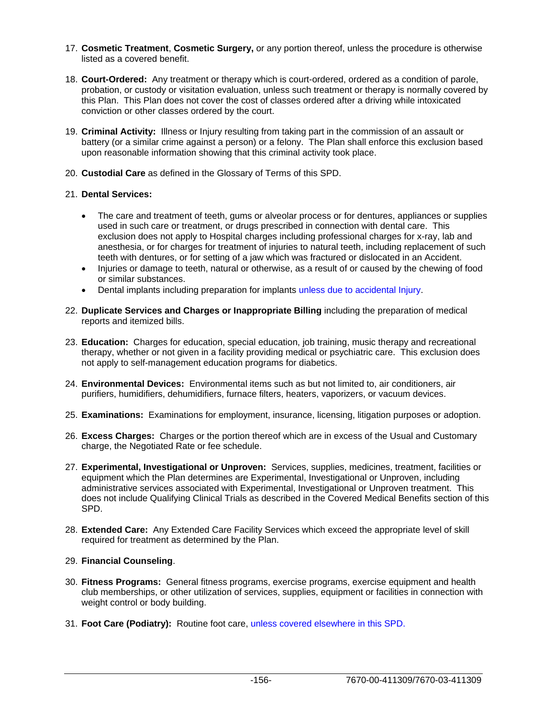- 17. **Cosmetic Treatment**, **Cosmetic Surgery,** or any portion thereof, unless the procedure is otherwise listed as a covered benefit.
- 18. **Court-Ordered:** Any treatment or therapy which is court-ordered, ordered as a condition of parole, probation, or custody or visitation evaluation, unless such treatment or therapy is normally covered by this Plan. This Plan does not cover the cost of classes ordered after a driving while intoxicated conviction or other classes ordered by the court.
- 19. **Criminal Activity:** Illness or Injury resulting from taking part in the commission of an assault or battery (or a similar crime against a person) or a felony. The Plan shall enforce this exclusion based upon reasonable information showing that this criminal activity took place.
- 20. **Custodial Care** as defined in the Glossary of Terms of this SPD.

## 21. **Dental Services:**

- The care and treatment of teeth, gums or alveolar process or for dentures, appliances or supplies used in such care or treatment, or drugs prescribed in connection with dental care. This exclusion does not apply to Hospital charges including professional charges for x-ray, lab and anesthesia, or for charges for treatment of injuries to natural teeth, including replacement of such teeth with dentures, or for setting of a jaw which was fractured or dislocated in an Accident.
- Injuries or damage to teeth, natural or otherwise, as a result of or caused by the chewing of food or similar substances.
- Dental implants including preparation for implants unless due to accidental Injury.
- 22. **Duplicate Services and Charges or Inappropriate Billing** including the preparation of medical reports and itemized bills.
- 23. **Education:** Charges for education, special education, job training, music therapy and recreational therapy, whether or not given in a facility providing medical or psychiatric care. This exclusion does not apply to self-management education programs for diabetics.
- 24. **Environmental Devices:** Environmental items such as but not limited to, air conditioners, air purifiers, humidifiers, dehumidifiers, furnace filters, heaters, vaporizers, or vacuum devices.
- 25. **Examinations:** Examinations for employment, insurance, licensing, litigation purposes or adoption.
- 26. **Excess Charges:** Charges or the portion thereof which are in excess of the Usual and Customary charge, the Negotiated Rate or fee schedule.
- 27. **Experimental, Investigational or Unproven:** Services, supplies, medicines, treatment, facilities or equipment which the Plan determines are Experimental, Investigational or Unproven, including administrative services associated with Experimental, Investigational or Unproven treatment. This does not include Qualifying Clinical Trials as described in the Covered Medical Benefits section of this SPD.
- 28. **Extended Care:** Any Extended Care Facility Services which exceed the appropriate level of skill required for treatment as determined by the Plan.

#### 29. **Financial Counseling**.

- 30. **Fitness Programs:** General fitness programs, exercise programs, exercise equipment and health club memberships, or other utilization of services, supplies, equipment or facilities in connection with weight control or body building.
- 31. **Foot Care (Podiatry):** Routine foot care, unless covered elsewhere in this SPD.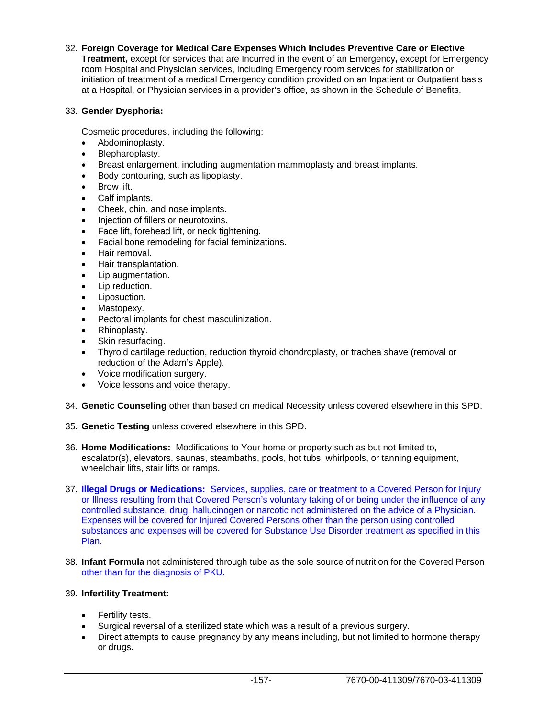32. **Foreign Coverage for Medical Care Expenses Which Includes Preventive Care or Elective Treatment,** except for services that are Incurred in the event of an Emergency**,** except for Emergency room Hospital and Physician services, including Emergency room services for stabilization or initiation of treatment of a medical Emergency condition provided on an Inpatient or Outpatient basis at a Hospital, or Physician services in a provider's office, as shown in the Schedule of Benefits.

## 33. **Gender Dysphoria:**

Cosmetic procedures, including the following:

- Abdominoplasty.
- Blepharoplasty.
- Breast enlargement, including augmentation mammoplasty and breast implants.
- Body contouring, such as lipoplasty.
- Brow lift.
- Calf implants.
- Cheek, chin, and nose implants.
- Injection of fillers or neurotoxins.
- Face lift, forehead lift, or neck tightening.
- Facial bone remodeling for facial feminizations.
- Hair removal.
- Hair transplantation.
- Lip augmentation.
- Lip reduction.
- Liposuction.
- Mastopexy.
- Pectoral implants for chest masculinization.
- Rhinoplasty.
- Skin resurfacing.
- Thyroid cartilage reduction, reduction thyroid chondroplasty, or trachea shave (removal or reduction of the Adam's Apple).
- Voice modification surgery.
- Voice lessons and voice therapy.
- 34. **Genetic Counseling** other than based on medical Necessity unless covered elsewhere in this SPD.
- 35. **Genetic Testing** unless covered elsewhere in this SPD.
- 36. **Home Modifications:** Modifications to Your home or property such as but not limited to, escalator(s), elevators, saunas, steambaths, pools, hot tubs, whirlpools, or tanning equipment, wheelchair lifts, stair lifts or ramps.
- 37. **Illegal Drugs or Medications:** Services, supplies, care or treatment to a Covered Person for Injury or Illness resulting from that Covered Person's voluntary taking of or being under the influence of any controlled substance, drug, hallucinogen or narcotic not administered on the advice of a Physician. Expenses will be covered for Injured Covered Persons other than the person using controlled substances and expenses will be covered for Substance Use Disorder treatment as specified in this Plan.
- 38. **Infant Formula** not administered through tube as the sole source of nutrition for the Covered Person other than for the diagnosis of PKU.

#### 39. **Infertility Treatment:**

- Fertility tests.
- Surgical reversal of a sterilized state which was a result of a previous surgery.
- Direct attempts to cause pregnancy by any means including, but not limited to hormone therapy or drugs.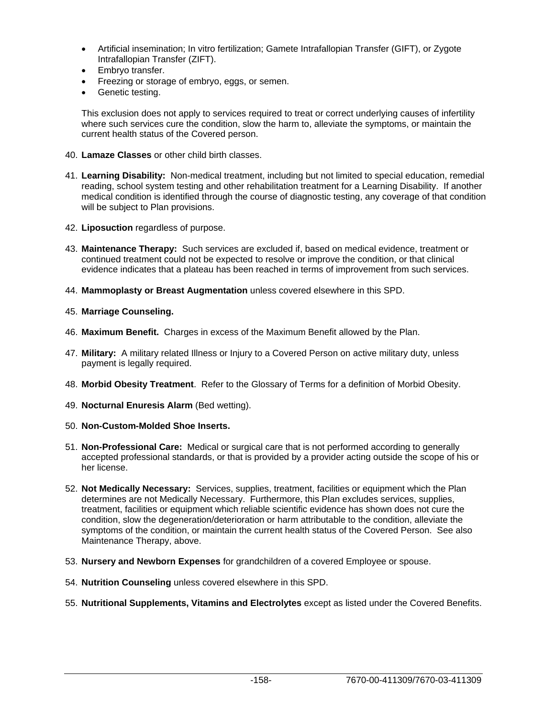- Artificial insemination; In vitro fertilization; Gamete Intrafallopian Transfer (GIFT), or Zygote Intrafallopian Transfer (ZIFT).
- **Embryo transfer.**
- Freezing or storage of embryo, eggs, or semen.
- Genetic testing.

This exclusion does not apply to services required to treat or correct underlying causes of infertility where such services cure the condition, slow the harm to, alleviate the symptoms, or maintain the current health status of the Covered person.

- 40. **Lamaze Classes** or other child birth classes.
- 41. **Learning Disability:** Non-medical treatment, including but not limited to special education, remedial reading, school system testing and other rehabilitation treatment for a Learning Disability. If another medical condition is identified through the course of diagnostic testing, any coverage of that condition will be subject to Plan provisions.
- 42. **Liposuction** regardless of purpose.
- 43. **Maintenance Therapy:** Such services are excluded if, based on medical evidence, treatment or continued treatment could not be expected to resolve or improve the condition, or that clinical evidence indicates that a plateau has been reached in terms of improvement from such services.
- 44. **Mammoplasty or Breast Augmentation** unless covered elsewhere in this SPD.

#### 45. **Marriage Counseling.**

- 46. **Maximum Benefit.** Charges in excess of the Maximum Benefit allowed by the Plan.
- 47. **Military:** A military related Illness or Injury to a Covered Person on active military duty, unless payment is legally required.
- 48. **Morbid Obesity Treatment**. Refer to the Glossary of Terms for a definition of Morbid Obesity.
- 49. **Nocturnal Enuresis Alarm** (Bed wetting).
- 50. **Non-Custom-Molded Shoe Inserts.**
- 51. **Non-Professional Care:** Medical or surgical care that is not performed according to generally accepted professional standards, or that is provided by a provider acting outside the scope of his or her license.
- 52. **Not Medically Necessary:** Services, supplies, treatment, facilities or equipment which the Plan determines are not Medically Necessary. Furthermore, this Plan excludes services, supplies, treatment, facilities or equipment which reliable scientific evidence has shown does not cure the condition, slow the degeneration/deterioration or harm attributable to the condition, alleviate the symptoms of the condition, or maintain the current health status of the Covered Person. See also Maintenance Therapy, above.
- 53. **Nursery and Newborn Expenses** for grandchildren of a covered Employee or spouse.
- 54. **Nutrition Counseling** unless covered elsewhere in this SPD.
- 55. **Nutritional Supplements, Vitamins and Electrolytes** except as listed under the Covered Benefits.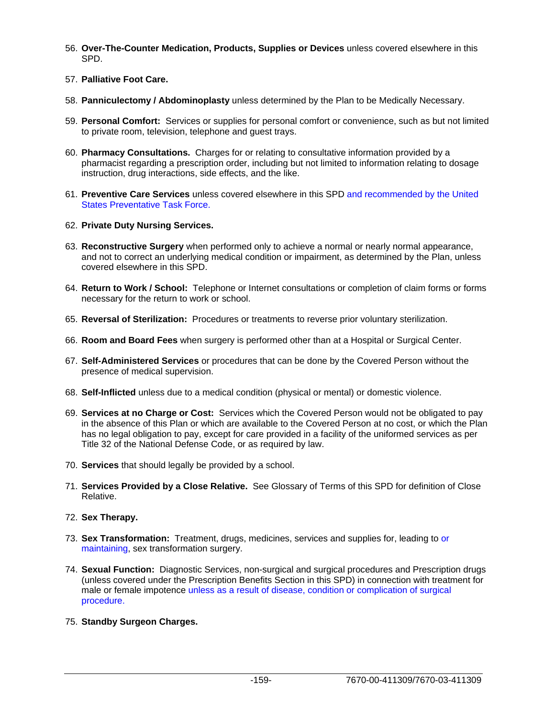- 56. **Over-The-Counter Medication, Products, Supplies or Devices** unless covered elsewhere in this SPD.
- 57. **Palliative Foot Care.**
- 58. **Panniculectomy / Abdominoplasty** unless determined by the Plan to be Medically Necessary.
- 59. **Personal Comfort:** Services or supplies for personal comfort or convenience, such as but not limited to private room, television, telephone and guest trays.
- 60. **Pharmacy Consultations.** Charges for or relating to consultative information provided by a pharmacist regarding a prescription order, including but not limited to information relating to dosage instruction, drug interactions, side effects, and the like.
- 61. **Preventive Care Services** unless covered elsewhere in this SPD and recommended by the United States Preventative Task Force.
- 62. **Private Duty Nursing Services.**
- 63. **Reconstructive Surgery** when performed only to achieve a normal or nearly normal appearance, and not to correct an underlying medical condition or impairment, as determined by the Plan, unless covered elsewhere in this SPD.
- 64. **Return to Work / School:** Telephone or Internet consultations or completion of claim forms or forms necessary for the return to work or school.
- 65. **Reversal of Sterilization:** Procedures or treatments to reverse prior voluntary sterilization.
- 66. **Room and Board Fees** when surgery is performed other than at a Hospital or Surgical Center.
- 67. **Self-Administered Services** or procedures that can be done by the Covered Person without the presence of medical supervision.
- 68. **Self-Inflicted** unless due to a medical condition (physical or mental) or domestic violence.
- 69. **Services at no Charge or Cost:** Services which the Covered Person would not be obligated to pay in the absence of this Plan or which are available to the Covered Person at no cost, or which the Plan has no legal obligation to pay, except for care provided in a facility of the uniformed services as per Title 32 of the National Defense Code, or as required by law.
- 70. **Services** that should legally be provided by a school.
- 71. **Services Provided by a Close Relative.** See Glossary of Terms of this SPD for definition of Close Relative.
- 72. **Sex Therapy.**
- 73. **Sex Transformation:** Treatment, drugs, medicines, services and supplies for, leading to or maintaining, sex transformation surgery.
- 74. **Sexual Function:** Diagnostic Services, non-surgical and surgical procedures and Prescription drugs (unless covered under the Prescription Benefits Section in this SPD) in connection with treatment for male or female impotence unless as a result of disease, condition or complication of surgical procedure.
- 75. **Standby Surgeon Charges.**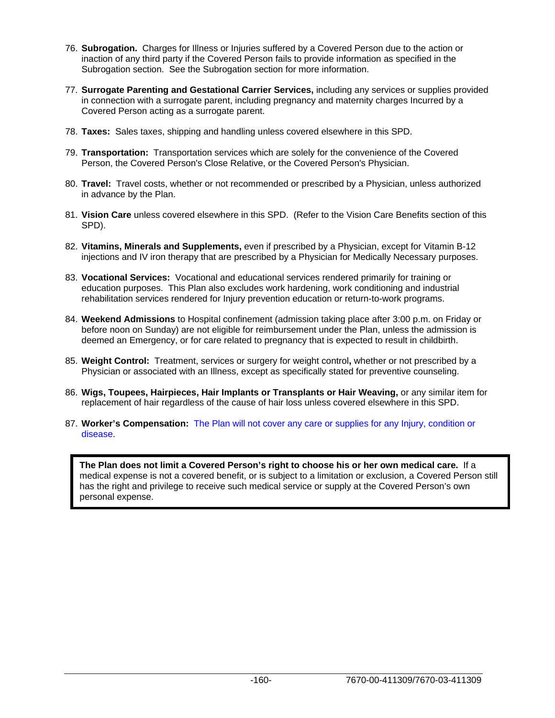- 76. **Subrogation.** Charges for Illness or Injuries suffered by a Covered Person due to the action or inaction of any third party if the Covered Person fails to provide information as specified in the Subrogation section. See the Subrogation section for more information.
- 77. **Surrogate Parenting and Gestational Carrier Services,** including any services or supplies provided in connection with a surrogate parent, including pregnancy and maternity charges Incurred by a Covered Person acting as a surrogate parent.
- 78. **Taxes:** Sales taxes, shipping and handling unless covered elsewhere in this SPD.
- 79. **Transportation:** Transportation services which are solely for the convenience of the Covered Person, the Covered Person's Close Relative, or the Covered Person's Physician.
- 80. **Travel:** Travel costs, whether or not recommended or prescribed by a Physician, unless authorized in advance by the Plan.
- 81. **Vision Care** unless covered elsewhere in this SPD. (Refer to the Vision Care Benefits section of this SPD).
- 82. **Vitamins, Minerals and Supplements,** even if prescribed by a Physician, except for Vitamin B-12 injections and IV iron therapy that are prescribed by a Physician for Medically Necessary purposes.
- 83. **Vocational Services:** Vocational and educational services rendered primarily for training or education purposes. This Plan also excludes work hardening, work conditioning and industrial rehabilitation services rendered for Injury prevention education or return-to-work programs.
- 84. **Weekend Admissions** to Hospital confinement (admission taking place after 3:00 p.m. on Friday or before noon on Sunday) are not eligible for reimbursement under the Plan, unless the admission is deemed an Emergency, or for care related to pregnancy that is expected to result in childbirth.
- 85. **Weight Control:** Treatment, services or surgery for weight control**,** whether or not prescribed by a Physician or associated with an Illness, except as specifically stated for preventive counseling.
- 86. **Wigs, Toupees, Hairpieces, Hair Implants or Transplants or Hair Weaving,** or any similar item for replacement of hair regardless of the cause of hair loss unless covered elsewhere in this SPD.
- 87. **Worker's Compensation:** The Plan will not cover any care or supplies for any Injury, condition or disease.

**The Plan does not limit a Covered Person's right to choose his or her own medical care.** If a medical expense is not a covered benefit, or is subject to a limitation or exclusion, a Covered Person still has the right and privilege to receive such medical service or supply at the Covered Person's own personal expense.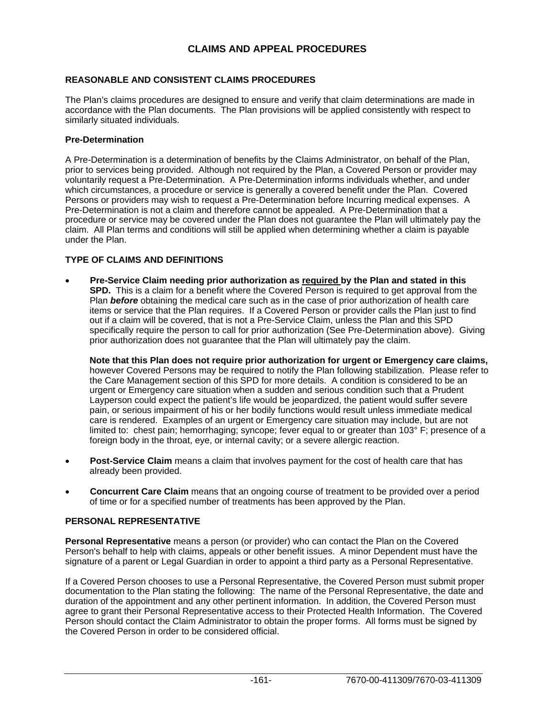# **CLAIMS AND APPEAL PROCEDURES**

## **REASONABLE AND CONSISTENT CLAIMS PROCEDURES**

The Plan's claims procedures are designed to ensure and verify that claim determinations are made in accordance with the Plan documents. The Plan provisions will be applied consistently with respect to similarly situated individuals.

#### **Pre-Determination**

A Pre-Determination is a determination of benefits by the Claims Administrator, on behalf of the Plan, prior to services being provided. Although not required by the Plan, a Covered Person or provider may voluntarily request a Pre-Determination. A Pre-Determination informs individuals whether, and under which circumstances, a procedure or service is generally a covered benefit under the Plan. Covered Persons or providers may wish to request a Pre-Determination before Incurring medical expenses. A Pre-Determination is not a claim and therefore cannot be appealed. A Pre-Determination that a procedure or service may be covered under the Plan does not guarantee the Plan will ultimately pay the claim. All Plan terms and conditions will still be applied when determining whether a claim is payable under the Plan.

#### **TYPE OF CLAIMS AND DEFINITIONS**

 **Pre-Service Claim needing prior authorization as required by the Plan and stated in this SPD.** This is a claim for a benefit where the Covered Person is required to get approval from the Plan *before* obtaining the medical care such as in the case of prior authorization of health care items or service that the Plan requires. If a Covered Person or provider calls the Plan just to find out if a claim will be covered, that is not a Pre-Service Claim, unless the Plan and this SPD specifically require the person to call for prior authorization (See Pre-Determination above). Giving prior authorization does not guarantee that the Plan will ultimately pay the claim.

**Note that this Plan does not require prior authorization for urgent or Emergency care claims,**  however Covered Persons may be required to notify the Plan following stabilization. Please refer to the Care Management section of this SPD for more details. A condition is considered to be an urgent or Emergency care situation when a sudden and serious condition such that a Prudent Layperson could expect the patient's life would be jeopardized, the patient would suffer severe pain, or serious impairment of his or her bodily functions would result unless immediate medical care is rendered. Examples of an urgent or Emergency care situation may include, but are not limited to: chest pain; hemorrhaging; syncope; fever equal to or greater than 103° F; presence of a foreign body in the throat, eye, or internal cavity; or a severe allergic reaction.

- **Post-Service Claim** means a claim that involves payment for the cost of health care that has already been provided.
- **Concurrent Care Claim** means that an ongoing course of treatment to be provided over a period of time or for a specified number of treatments has been approved by the Plan.

#### **PERSONAL REPRESENTATIVE**

**Personal Representative** means a person (or provider) who can contact the Plan on the Covered Person's behalf to help with claims, appeals or other benefit issues. A minor Dependent must have the signature of a parent or Legal Guardian in order to appoint a third party as a Personal Representative.

If a Covered Person chooses to use a Personal Representative, the Covered Person must submit proper documentation to the Plan stating the following: The name of the Personal Representative, the date and duration of the appointment and any other pertinent information. In addition, the Covered Person must agree to grant their Personal Representative access to their Protected Health Information. The Covered Person should contact the Claim Administrator to obtain the proper forms. All forms must be signed by the Covered Person in order to be considered official.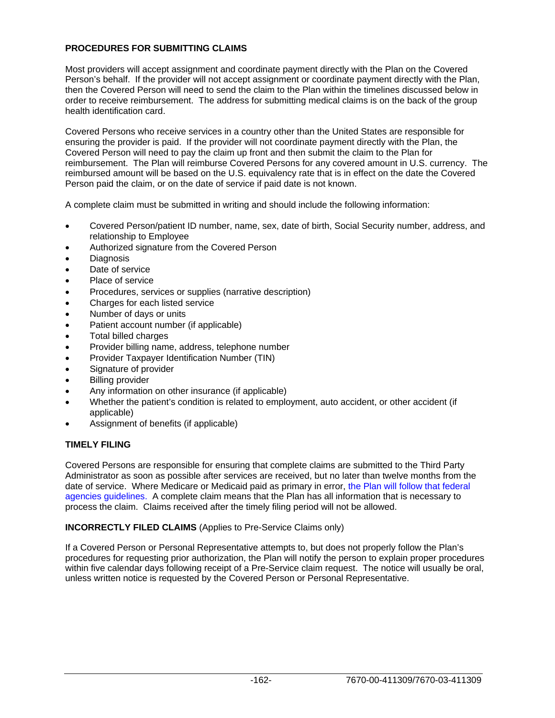## **PROCEDURES FOR SUBMITTING CLAIMS**

Most providers will accept assignment and coordinate payment directly with the Plan on the Covered Person's behalf. If the provider will not accept assignment or coordinate payment directly with the Plan, then the Covered Person will need to send the claim to the Plan within the timelines discussed below in order to receive reimbursement. The address for submitting medical claims is on the back of the group health identification card.

Covered Persons who receive services in a country other than the United States are responsible for ensuring the provider is paid. If the provider will not coordinate payment directly with the Plan, the Covered Person will need to pay the claim up front and then submit the claim to the Plan for reimbursement. The Plan will reimburse Covered Persons for any covered amount in U.S. currency. The reimbursed amount will be based on the U.S. equivalency rate that is in effect on the date the Covered Person paid the claim, or on the date of service if paid date is not known.

A complete claim must be submitted in writing and should include the following information:

- Covered Person/patient ID number, name, sex, date of birth, Social Security number, address, and relationship to Employee
- Authorized signature from the Covered Person
- **Diagnosis**
- Date of service
- Place of service
- Procedures, services or supplies (narrative description)
- Charges for each listed service
- Number of days or units
- Patient account number (if applicable)
- Total billed charges
- Provider billing name, address, telephone number
- Provider Taxpayer Identification Number (TIN)
- Signature of provider
- Billing provider
- Any information on other insurance (if applicable)
- Whether the patient's condition is related to employment, auto accident, or other accident (if applicable)
- Assignment of benefits (if applicable)

# **TIMELY FILING**

Covered Persons are responsible for ensuring that complete claims are submitted to the Third Party Administrator as soon as possible after services are received, but no later than twelve months from the date of service. Where Medicare or Medicaid paid as primary in error, the Plan will follow that federal agencies guidelines. A complete claim means that the Plan has all information that is necessary to process the claim. Claims received after the timely filing period will not be allowed.

#### **INCORRECTLY FILED CLAIMS** (Applies to Pre-Service Claims only)

If a Covered Person or Personal Representative attempts to, but does not properly follow the Plan's procedures for requesting prior authorization, the Plan will notify the person to explain proper procedures within five calendar days following receipt of a Pre-Service claim request. The notice will usually be oral, unless written notice is requested by the Covered Person or Personal Representative.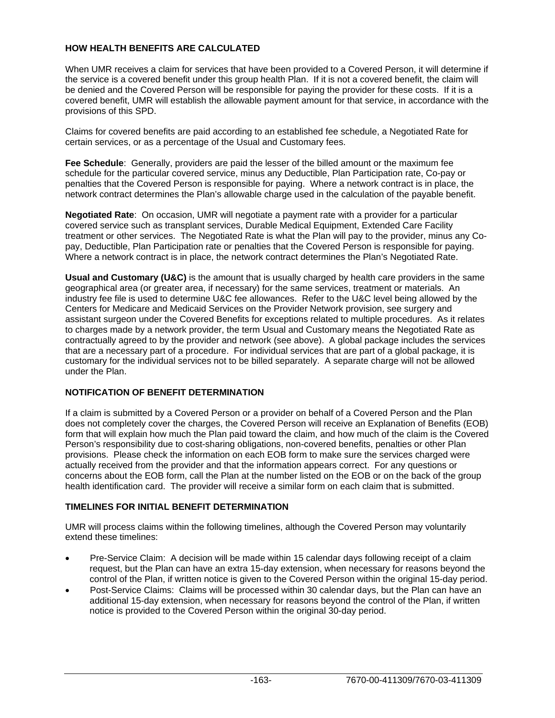## **HOW HEALTH BENEFITS ARE CALCULATED**

When UMR receives a claim for services that have been provided to a Covered Person, it will determine if the service is a covered benefit under this group health Plan. If it is not a covered benefit, the claim will be denied and the Covered Person will be responsible for paying the provider for these costs. If it is a covered benefit, UMR will establish the allowable payment amount for that service, in accordance with the provisions of this SPD.

Claims for covered benefits are paid according to an established fee schedule, a Negotiated Rate for certain services, or as a percentage of the Usual and Customary fees.

**Fee Schedule**: Generally, providers are paid the lesser of the billed amount or the maximum fee schedule for the particular covered service, minus any Deductible, Plan Participation rate, Co-pay or penalties that the Covered Person is responsible for paying. Where a network contract is in place, the network contract determines the Plan's allowable charge used in the calculation of the payable benefit.

**Negotiated Rate**: On occasion, UMR will negotiate a payment rate with a provider for a particular covered service such as transplant services, Durable Medical Equipment, Extended Care Facility treatment or other services. The Negotiated Rate is what the Plan will pay to the provider, minus any Copay, Deductible, Plan Participation rate or penalties that the Covered Person is responsible for paying. Where a network contract is in place, the network contract determines the Plan's Negotiated Rate.

**Usual and Customary (U&C)** is the amount that is usually charged by health care providers in the same geographical area (or greater area, if necessary) for the same services, treatment or materials. An industry fee file is used to determine U&C fee allowances. Refer to the U&C level being allowed by the Centers for Medicare and Medicaid Services on the Provider Network provision, see surgery and assistant surgeon under the Covered Benefits for exceptions related to multiple procedures. As it relates to charges made by a network provider, the term Usual and Customary means the Negotiated Rate as contractually agreed to by the provider and network (see above). A global package includes the services that are a necessary part of a procedure. For individual services that are part of a global package, it is customary for the individual services not to be billed separately. A separate charge will not be allowed under the Plan.

#### **NOTIFICATION OF BENEFIT DETERMINATION**

If a claim is submitted by a Covered Person or a provider on behalf of a Covered Person and the Plan does not completely cover the charges, the Covered Person will receive an Explanation of Benefits (EOB) form that will explain how much the Plan paid toward the claim, and how much of the claim is the Covered Person's responsibility due to cost-sharing obligations, non-covered benefits, penalties or other Plan provisions. Please check the information on each EOB form to make sure the services charged were actually received from the provider and that the information appears correct. For any questions or concerns about the EOB form, call the Plan at the number listed on the EOB or on the back of the group health identification card. The provider will receive a similar form on each claim that is submitted.

#### **TIMELINES FOR INITIAL BENEFIT DETERMINATION**

UMR will process claims within the following timelines, although the Covered Person may voluntarily extend these timelines:

- Pre-Service Claim: A decision will be made within 15 calendar days following receipt of a claim request, but the Plan can have an extra 15-day extension, when necessary for reasons beyond the control of the Plan, if written notice is given to the Covered Person within the original 15-day period.
- Post-Service Claims: Claims will be processed within 30 calendar days, but the Plan can have an additional 15-day extension, when necessary for reasons beyond the control of the Plan, if written notice is provided to the Covered Person within the original 30-day period.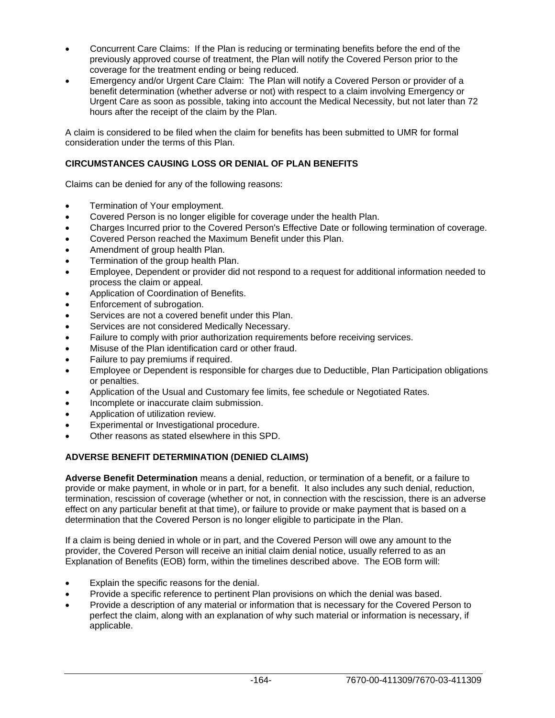- Concurrent Care Claims: If the Plan is reducing or terminating benefits before the end of the previously approved course of treatment, the Plan will notify the Covered Person prior to the coverage for the treatment ending or being reduced.
- Emergency and/or Urgent Care Claim: The Plan will notify a Covered Person or provider of a benefit determination (whether adverse or not) with respect to a claim involving Emergency or Urgent Care as soon as possible, taking into account the Medical Necessity, but not later than 72 hours after the receipt of the claim by the Plan.

A claim is considered to be filed when the claim for benefits has been submitted to UMR for formal consideration under the terms of this Plan.

# **CIRCUMSTANCES CAUSING LOSS OR DENIAL OF PLAN BENEFITS**

Claims can be denied for any of the following reasons:

- Termination of Your employment.
- Covered Person is no longer eligible for coverage under the health Plan.
- Charges Incurred prior to the Covered Person's Effective Date or following termination of coverage.
- Covered Person reached the Maximum Benefit under this Plan.
- Amendment of group health Plan.
- Termination of the group health Plan.
- Employee, Dependent or provider did not respond to a request for additional information needed to process the claim or appeal.
- Application of Coordination of Benefits.
- Enforcement of subrogation.
- Services are not a covered benefit under this Plan.
- Services are not considered Medically Necessary.
- Failure to comply with prior authorization requirements before receiving services.
- Misuse of the Plan identification card or other fraud.
- Failure to pay premiums if required.
- Employee or Dependent is responsible for charges due to Deductible, Plan Participation obligations or penalties.
- Application of the Usual and Customary fee limits, fee schedule or Negotiated Rates.
- Incomplete or inaccurate claim submission.
- Application of utilization review.
- Experimental or Investigational procedure.
- Other reasons as stated elsewhere in this SPD.

#### **ADVERSE BENEFIT DETERMINATION (DENIED CLAIMS)**

**Adverse Benefit Determination** means a denial, reduction, or termination of a benefit, or a failure to provide or make payment, in whole or in part, for a benefit. It also includes any such denial, reduction, termination, rescission of coverage (whether or not, in connection with the rescission, there is an adverse effect on any particular benefit at that time), or failure to provide or make payment that is based on a determination that the Covered Person is no longer eligible to participate in the Plan.

If a claim is being denied in whole or in part, and the Covered Person will owe any amount to the provider, the Covered Person will receive an initial claim denial notice, usually referred to as an Explanation of Benefits (EOB) form, within the timelines described above. The EOB form will:

- Explain the specific reasons for the denial.
- Provide a specific reference to pertinent Plan provisions on which the denial was based.
- Provide a description of any material or information that is necessary for the Covered Person to perfect the claim, along with an explanation of why such material or information is necessary, if applicable.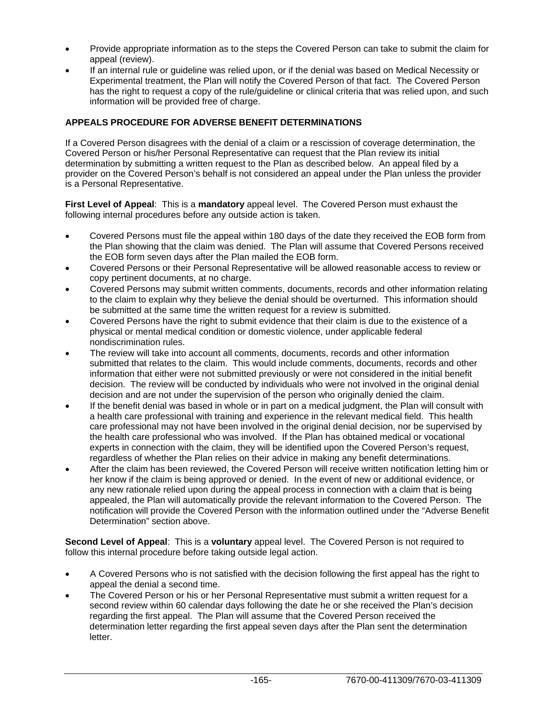- Provide appropriate information as to the steps the Covered Person can take to submit the claim for appeal (review).
- If an internal rule or guideline was relied upon, or if the denial was based on Medical Necessity or Experimental treatment, the Plan will notify the Covered Person of that fact. The Covered Person has the right to request a copy of the rule/guideline or clinical criteria that was relied upon, and such information will be provided free of charge.

# **APPEALS PROCEDURE FOR ADVERSE BENEFIT DETERMINATIONS**

If a Covered Person disagrees with the denial of a claim or a rescission of coverage determination, the Covered Person or his/her Personal Representative can request that the Plan review its initial determination by submitting a written request to the Plan as described below. An appeal filed by a provider on the Covered Person's behalf is not considered an appeal under the Plan unless the provider is a Personal Representative.

**First Level of Appeal**: This is a **mandatory** appeal level. The Covered Person must exhaust the following internal procedures before any outside action is taken.

- Covered Persons must file the appeal within 180 days of the date they received the EOB form from the Plan showing that the claim was denied. The Plan will assume that Covered Persons received the EOB form seven days after the Plan mailed the EOB form.
- Covered Persons or their Personal Representative will be allowed reasonable access to review or copy pertinent documents, at no charge.
- Covered Persons may submit written comments, documents, records and other information relating to the claim to explain why they believe the denial should be overturned. This information should be submitted at the same time the written request for a review is submitted.
- Covered Persons have the right to submit evidence that their claim is due to the existence of a physical or mental medical condition or domestic violence, under applicable federal nondiscrimination rules.
- The review will take into account all comments, documents, records and other information submitted that relates to the claim. This would include comments, documents, records and other information that either were not submitted previously or were not considered in the initial benefit decision. The review will be conducted by individuals who were not involved in the original denial decision and are not under the supervision of the person who originally denied the claim.
- If the benefit denial was based in whole or in part on a medical judgment, the Plan will consult with a health care professional with training and experience in the relevant medical field. This health care professional may not have been involved in the original denial decision, nor be supervised by the health care professional who was involved. If the Plan has obtained medical or vocational experts in connection with the claim, they will be identified upon the Covered Person's request, regardless of whether the Plan relies on their advice in making any benefit determinations.
- After the claim has been reviewed, the Covered Person will receive written notification letting him or her know if the claim is being approved or denied. In the event of new or additional evidence, or any new rationale relied upon during the appeal process in connection with a claim that is being appealed, the Plan will automatically provide the relevant information to the Covered Person. The notification will provide the Covered Person with the information outlined under the "Adverse Benefit Determination" section above.

**Second Level of Appeal**: This is a **voluntary** appeal level. The Covered Person is not required to follow this internal procedure before taking outside legal action.

- A Covered Persons who is not satisfied with the decision following the first appeal has the right to appeal the denial a second time.
- The Covered Person or his or her Personal Representative must submit a written request for a second review within 60 calendar days following the date he or she received the Plan's decision regarding the first appeal. The Plan will assume that the Covered Person received the determination letter regarding the first appeal seven days after the Plan sent the determination letter.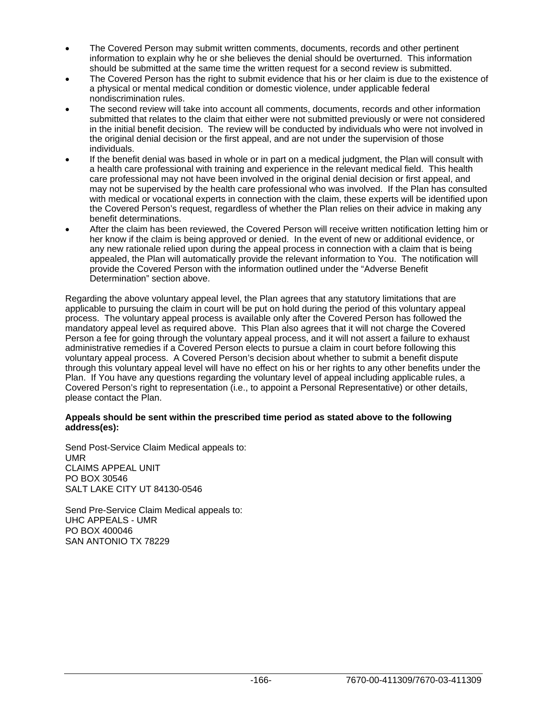- The Covered Person may submit written comments, documents, records and other pertinent information to explain why he or she believes the denial should be overturned. This information should be submitted at the same time the written request for a second review is submitted.
- The Covered Person has the right to submit evidence that his or her claim is due to the existence of a physical or mental medical condition or domestic violence, under applicable federal nondiscrimination rules.
- The second review will take into account all comments, documents, records and other information submitted that relates to the claim that either were not submitted previously or were not considered in the initial benefit decision. The review will be conducted by individuals who were not involved in the original denial decision or the first appeal, and are not under the supervision of those individuals.
- If the benefit denial was based in whole or in part on a medical judgment, the Plan will consult with a health care professional with training and experience in the relevant medical field. This health care professional may not have been involved in the original denial decision or first appeal, and may not be supervised by the health care professional who was involved. If the Plan has consulted with medical or vocational experts in connection with the claim, these experts will be identified upon the Covered Person's request, regardless of whether the Plan relies on their advice in making any benefit determinations.
- After the claim has been reviewed, the Covered Person will receive written notification letting him or her know if the claim is being approved or denied. In the event of new or additional evidence, or any new rationale relied upon during the appeal process in connection with a claim that is being appealed, the Plan will automatically provide the relevant information to You. The notification will provide the Covered Person with the information outlined under the "Adverse Benefit Determination" section above.

Regarding the above voluntary appeal level, the Plan agrees that any statutory limitations that are applicable to pursuing the claim in court will be put on hold during the period of this voluntary appeal process. The voluntary appeal process is available only after the Covered Person has followed the mandatory appeal level as required above. This Plan also agrees that it will not charge the Covered Person a fee for going through the voluntary appeal process, and it will not assert a failure to exhaust administrative remedies if a Covered Person elects to pursue a claim in court before following this voluntary appeal process. A Covered Person's decision about whether to submit a benefit dispute through this voluntary appeal level will have no effect on his or her rights to any other benefits under the Plan. If You have any questions regarding the voluntary level of appeal including applicable rules, a Covered Person's right to representation (i.e., to appoint a Personal Representative) or other details, please contact the Plan.

#### **Appeals should be sent within the prescribed time period as stated above to the following address(es):**

Send Post-Service Claim Medical appeals to: UMR CLAIMS APPEAL UNIT PO BOX 30546 SALT LAKE CITY UT 84130-0546

Send Pre-Service Claim Medical appeals to: UHC APPEALS - UMR PO BOX 400046 SAN ANTONIO TX 78229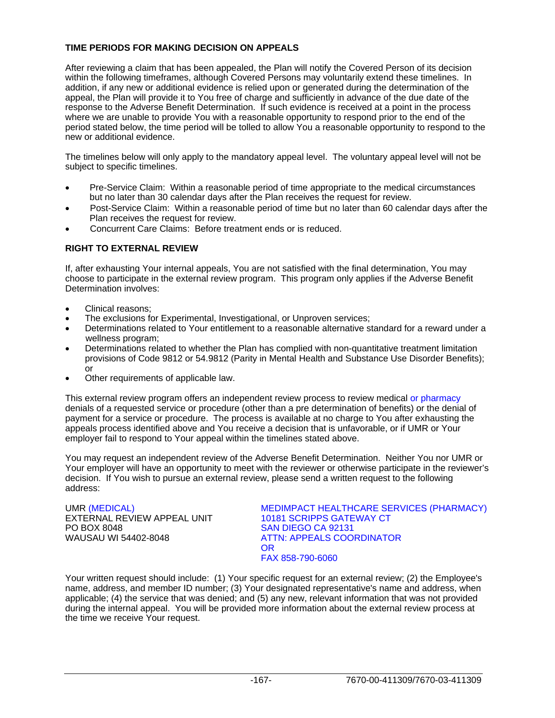# **TIME PERIODS FOR MAKING DECISION ON APPEALS**

After reviewing a claim that has been appealed, the Plan will notify the Covered Person of its decision within the following timeframes, although Covered Persons may voluntarily extend these timelines. In addition, if any new or additional evidence is relied upon or generated during the determination of the appeal, the Plan will provide it to You free of charge and sufficiently in advance of the due date of the response to the Adverse Benefit Determination. If such evidence is received at a point in the process where we are unable to provide You with a reasonable opportunity to respond prior to the end of the period stated below, the time period will be tolled to allow You a reasonable opportunity to respond to the new or additional evidence.

The timelines below will only apply to the mandatory appeal level. The voluntary appeal level will not be subject to specific timelines.

- Pre-Service Claim: Within a reasonable period of time appropriate to the medical circumstances but no later than 30 calendar days after the Plan receives the request for review.
- Post-Service Claim: Within a reasonable period of time but no later than 60 calendar days after the Plan receives the request for review.
- Concurrent Care Claims: Before treatment ends or is reduced.

#### **RIGHT TO EXTERNAL REVIEW**

If, after exhausting Your internal appeals, You are not satisfied with the final determination, You may choose to participate in the external review program. This program only applies if the Adverse Benefit Determination involves:

- Clinical reasons;
- The exclusions for Experimental, Investigational, or Unproven services;
- Determinations related to Your entitlement to a reasonable alternative standard for a reward under a wellness program;
- Determinations related to whether the Plan has complied with non-quantitative treatment limitation provisions of Code 9812 or 54.9812 (Parity in Mental Health and Substance Use Disorder Benefits); or
- Other requirements of applicable law.

This external review program offers an independent review process to review medical or pharmacy denials of a requested service or procedure (other than a pre determination of benefits) or the denial of payment for a service or procedure. The process is available at no charge to You after exhausting the appeals process identified above and You receive a decision that is unfavorable, or if UMR or Your employer fail to respond to Your appeal within the timelines stated above.

You may request an independent review of the Adverse Benefit Determination. Neither You nor UMR or Your employer will have an opportunity to meet with the reviewer or otherwise participate in the reviewer's decision. If You wish to pursue an external review, please send a written request to the following address:

# EXTERNAL REVIEW APPEAL UNIT<br>PO BOX 8048 PO BOX 8048 SAN DIEGO CA 92131<br>WAUSAU WI 54402-8048 SAN BATTN: APPEALS COO **OR OR**

UMR (MEDICAL)<br>EXTERNAL REVIEW APPEAL UNIT 10181 SCRIPPS GATEWAY CT ATTN: APPEALS COORDINATOR FAX 858-790-6060

Your written request should include: (1) Your specific request for an external review; (2) the Employee's name, address, and member ID number; (3) Your designated representative's name and address, when applicable; (4) the service that was denied; and (5) any new, relevant information that was not provided during the internal appeal. You will be provided more information about the external review process at the time we receive Your request.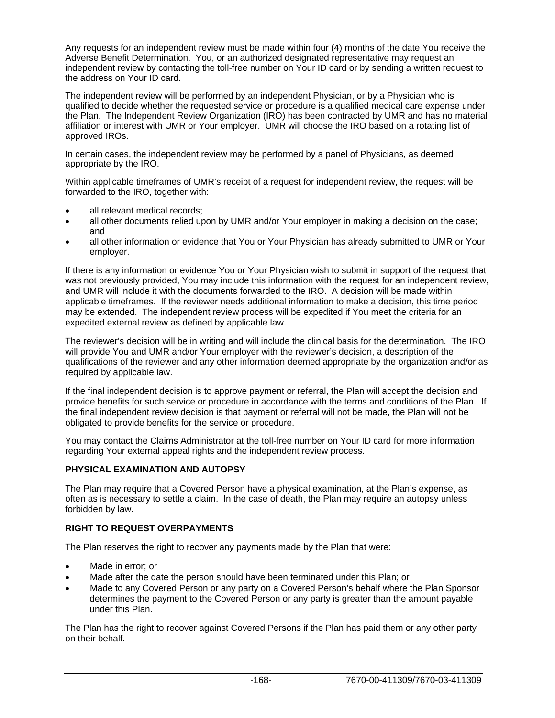Any requests for an independent review must be made within four (4) months of the date You receive the Adverse Benefit Determination. You, or an authorized designated representative may request an independent review by contacting the toll-free number on Your ID card or by sending a written request to the address on Your ID card.

The independent review will be performed by an independent Physician, or by a Physician who is qualified to decide whether the requested service or procedure is a qualified medical care expense under the Plan. The Independent Review Organization (IRO) has been contracted by UMR and has no material affiliation or interest with UMR or Your employer. UMR will choose the IRO based on a rotating list of approved IROs.

In certain cases, the independent review may be performed by a panel of Physicians, as deemed appropriate by the IRO.

Within applicable timeframes of UMR's receipt of a request for independent review, the request will be forwarded to the IRO, together with:

- all relevant medical records;
- all other documents relied upon by UMR and/or Your employer in making a decision on the case; and
- all other information or evidence that You or Your Physician has already submitted to UMR or Your employer.

If there is any information or evidence You or Your Physician wish to submit in support of the request that was not previously provided, You may include this information with the request for an independent review, and UMR will include it with the documents forwarded to the IRO. A decision will be made within applicable timeframes. If the reviewer needs additional information to make a decision, this time period may be extended. The independent review process will be expedited if You meet the criteria for an expedited external review as defined by applicable law.

The reviewer's decision will be in writing and will include the clinical basis for the determination. The IRO will provide You and UMR and/or Your employer with the reviewer's decision, a description of the qualifications of the reviewer and any other information deemed appropriate by the organization and/or as required by applicable law.

If the final independent decision is to approve payment or referral, the Plan will accept the decision and provide benefits for such service or procedure in accordance with the terms and conditions of the Plan. If the final independent review decision is that payment or referral will not be made, the Plan will not be obligated to provide benefits for the service or procedure.

You may contact the Claims Administrator at the toll-free number on Your ID card for more information regarding Your external appeal rights and the independent review process.

#### **PHYSICAL EXAMINATION AND AUTOPSY**

The Plan may require that a Covered Person have a physical examination, at the Plan's expense, as often as is necessary to settle a claim. In the case of death, the Plan may require an autopsy unless forbidden by law.

#### **RIGHT TO REQUEST OVERPAYMENTS**

The Plan reserves the right to recover any payments made by the Plan that were:

- Made in error; or
- Made after the date the person should have been terminated under this Plan; or
- Made to any Covered Person or any party on a Covered Person's behalf where the Plan Sponsor determines the payment to the Covered Person or any party is greater than the amount payable under this Plan.

The Plan has the right to recover against Covered Persons if the Plan has paid them or any other party on their behalf.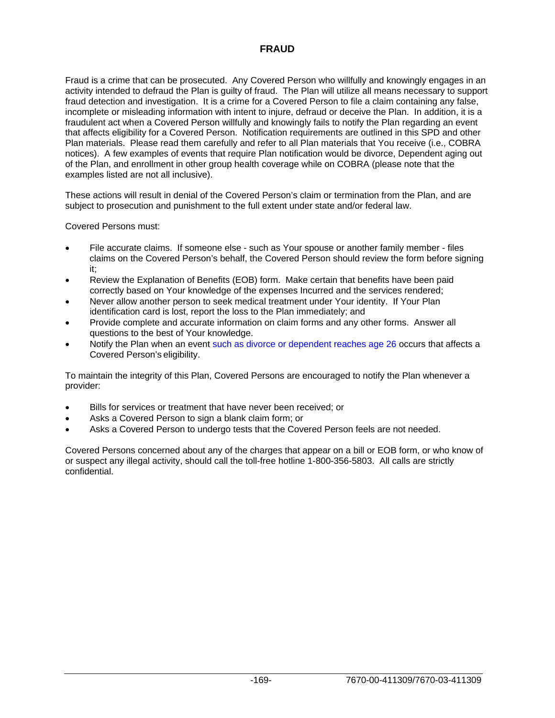# **FRAUD**

Fraud is a crime that can be prosecuted. Any Covered Person who willfully and knowingly engages in an activity intended to defraud the Plan is guilty of fraud. The Plan will utilize all means necessary to support fraud detection and investigation. It is a crime for a Covered Person to file a claim containing any false, incomplete or misleading information with intent to injure, defraud or deceive the Plan. In addition, it is a fraudulent act when a Covered Person willfully and knowingly fails to notify the Plan regarding an event that affects eligibility for a Covered Person. Notification requirements are outlined in this SPD and other Plan materials. Please read them carefully and refer to all Plan materials that You receive (i.e., COBRA notices). A few examples of events that require Plan notification would be divorce, Dependent aging out of the Plan, and enrollment in other group health coverage while on COBRA (please note that the examples listed are not all inclusive).

These actions will result in denial of the Covered Person's claim or termination from the Plan, and are subject to prosecution and punishment to the full extent under state and/or federal law.

Covered Persons must:

- File accurate claims. If someone else such as Your spouse or another family member files claims on the Covered Person's behalf, the Covered Person should review the form before signing it;
- Review the Explanation of Benefits (EOB) form. Make certain that benefits have been paid correctly based on Your knowledge of the expenses Incurred and the services rendered;
- Never allow another person to seek medical treatment under Your identity. If Your Plan identification card is lost, report the loss to the Plan immediately; and
- Provide complete and accurate information on claim forms and any other forms. Answer all questions to the best of Your knowledge.
- Notify the Plan when an event such as divorce or dependent reaches age 26 occurs that affects a Covered Person's eligibility.

To maintain the integrity of this Plan, Covered Persons are encouraged to notify the Plan whenever a provider:

- Bills for services or treatment that have never been received; or
- Asks a Covered Person to sign a blank claim form; or
- Asks a Covered Person to undergo tests that the Covered Person feels are not needed.

Covered Persons concerned about any of the charges that appear on a bill or EOB form, or who know of or suspect any illegal activity, should call the toll-free hotline 1-800-356-5803. All calls are strictly confidential.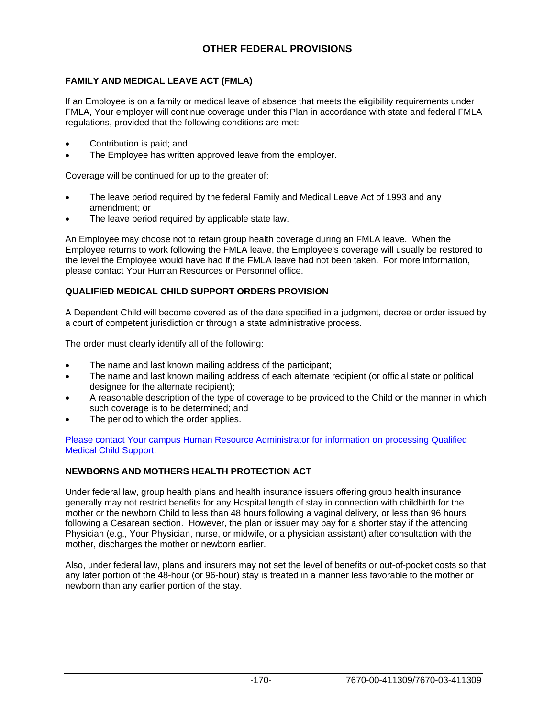# **OTHER FEDERAL PROVISIONS**

# **FAMILY AND MEDICAL LEAVE ACT (FMLA)**

If an Employee is on a family or medical leave of absence that meets the eligibility requirements under FMLA, Your employer will continue coverage under this Plan in accordance with state and federal FMLA regulations, provided that the following conditions are met:

- Contribution is paid; and
- The Employee has written approved leave from the employer.

Coverage will be continued for up to the greater of:

- The leave period required by the federal Family and Medical Leave Act of 1993 and any amendment; or
- The leave period required by applicable state law.

An Employee may choose not to retain group health coverage during an FMLA leave. When the Employee returns to work following the FMLA leave, the Employee's coverage will usually be restored to the level the Employee would have had if the FMLA leave had not been taken. For more information, please contact Your Human Resources or Personnel office.

## **QUALIFIED MEDICAL CHILD SUPPORT ORDERS PROVISION**

A Dependent Child will become covered as of the date specified in a judgment, decree or order issued by a court of competent jurisdiction or through a state administrative process.

The order must clearly identify all of the following:

- The name and last known mailing address of the participant;
- The name and last known mailing address of each alternate recipient (or official state or political designee for the alternate recipient);
- A reasonable description of the type of coverage to be provided to the Child or the manner in which such coverage is to be determined; and
- The period to which the order applies.

Please contact Your campus Human Resource Administrator for information on processing Qualified Medical Child Support.

#### **NEWBORNS AND MOTHERS HEALTH PROTECTION ACT**

Under federal law, group health plans and health insurance issuers offering group health insurance generally may not restrict benefits for any Hospital length of stay in connection with childbirth for the mother or the newborn Child to less than 48 hours following a vaginal delivery, or less than 96 hours following a Cesarean section. However, the plan or issuer may pay for a shorter stay if the attending Physician (e.g., Your Physician, nurse, or midwife, or a physician assistant) after consultation with the mother, discharges the mother or newborn earlier.

Also, under federal law, plans and insurers may not set the level of benefits or out-of-pocket costs so that any later portion of the 48-hour (or 96-hour) stay is treated in a manner less favorable to the mother or newborn than any earlier portion of the stay.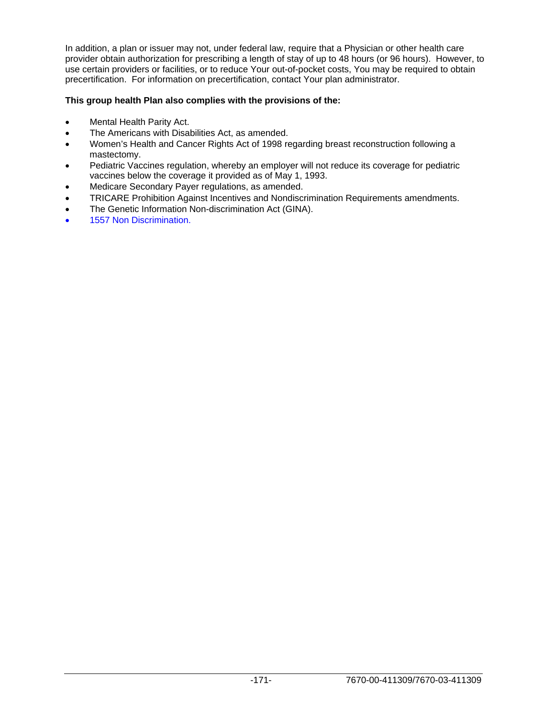In addition, a plan or issuer may not, under federal law, require that a Physician or other health care provider obtain authorization for prescribing a length of stay of up to 48 hours (or 96 hours). However, to use certain providers or facilities, or to reduce Your out-of-pocket costs, You may be required to obtain precertification. For information on precertification, contact Your plan administrator.

# **This group health Plan also complies with the provisions of the:**

- Mental Health Parity Act.
- The Americans with Disabilities Act, as amended.
- Women's Health and Cancer Rights Act of 1998 regarding breast reconstruction following a mastectomy.
- Pediatric Vaccines regulation, whereby an employer will not reduce its coverage for pediatric vaccines below the coverage it provided as of May 1, 1993.
- Medicare Secondary Payer regulations, as amended.
- TRICARE Prohibition Against Incentives and Nondiscrimination Requirements amendments.
- The Genetic Information Non-discrimination Act (GINA).
- 1557 Non Discrimination.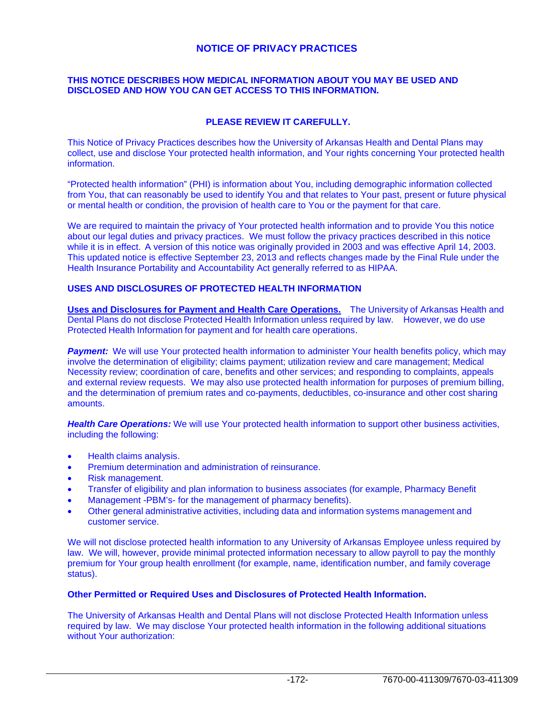# **NOTICE OF PRIVACY PRACTICES**

#### **THIS NOTICE DESCRIBES HOW MEDICAL INFORMATION ABOUT YOU MAY BE USED AND DISCLOSED AND HOW YOU CAN GET ACCESS TO THIS INFORMATION.**

## **PLEASE REVIEW IT CAREFULLY.**

This Notice of Privacy Practices describes how the University of Arkansas Health and Dental Plans may collect, use and disclose Your protected health information, and Your rights concerning Your protected health information.

"Protected health information" (PHI) is information about You, including demographic information collected from You, that can reasonably be used to identify You and that relates to Your past, present or future physical or mental health or condition, the provision of health care to You or the payment for that care.

We are required to maintain the privacy of Your protected health information and to provide You this notice about our legal duties and privacy practices. We must follow the privacy practices described in this notice while it is in effect. A version of this notice was originally provided in 2003 and was effective April 14, 2003. This updated notice is effective September 23, 2013 and reflects changes made by the Final Rule under the Health Insurance Portability and Accountability Act generally referred to as HIPAA.

#### **USES AND DISCLOSURES OF PROTECTED HEALTH INFORMATION**

**Uses and Disclosures for Payment and Health Care Operations.** The University of Arkansas Health and Dental Plans do not disclose Protected Health Information unless required by law. However, we do use Protected Health Information for payment and for health care operations.

**Payment:** We will use Your protected health information to administer Your health benefits policy, which may involve the determination of eligibility; claims payment; utilization review and care management; Medical Necessity review; coordination of care, benefits and other services; and responding to complaints, appeals and external review requests. We may also use protected health information for purposes of premium billing, and the determination of premium rates and co-payments, deductibles, co-insurance and other cost sharing amounts.

*Health Care Operations:* We will use Your protected health information to support other business activities, including the following:

- Health claims analysis.
- Premium determination and administration of reinsurance.
- Risk management.
- Transfer of eligibility and plan information to business associates (for example, Pharmacy Benefit
- Management -PBM's- for the management of pharmacy benefits).
- Other general administrative activities, including data and information systems management and customer service.

We will not disclose protected health information to any University of Arkansas Employee unless required by law. We will, however, provide minimal protected information necessary to allow payroll to pay the monthly premium for Your group health enrollment (for example, name, identification number, and family coverage status).

#### **Other Permitted or Required Uses and Disclosures of Protected Health Information.**

The University of Arkansas Health and Dental Plans will not disclose Protected Health Information unless required by law. We may disclose Your protected health information in the following additional situations without Your authorization: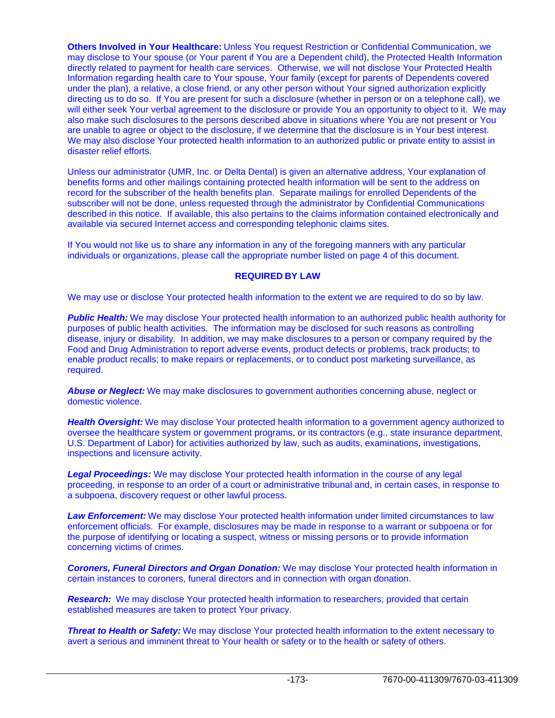**Others Involved in Your Healthcare:** Unless You request Restriction or Confidential Communication, we may disclose to Your spouse (or Your parent if You are a Dependent child), the Protected Health Information directly related to payment for health care services. Otherwise, we will not disclose Your Protected Health Information regarding health care to Your spouse, Your family (except for parents of Dependents covered under the plan), a relative, a close friend, or any other person without Your signed authorization explicitly directing us to do so. If You are present for such a disclosure (whether in person or on a telephone call), we will either seek Your verbal agreement to the disclosure or provide You an opportunity to object to it. We may also make such disclosures to the persons described above in situations where You are not present or You are unable to agree or object to the disclosure, if we determine that the disclosure is in Your best interest. We may also disclose Your protected health information to an authorized public or private entity to assist in disaster relief efforts.

Unless our administrator (UMR, Inc. or Delta Dental) is given an alternative address, Your explanation of benefits forms and other mailings containing protected health information will be sent to the address on record for the subscriber of the health benefits plan. Separate mailings for enrolled Dependents of the subscriber will not be done, unless requested through the administrator by Confidential Communications described in this notice. If available, this also pertains to the claims information contained electronically and available via secured Internet access and corresponding telephonic claims sites.

If You would not like us to share any information in any of the foregoing manners with any particular individuals or organizations, please call the appropriate number listed on page 4 of this document.

#### **REQUIRED BY LAW**

We may use or disclose Your protected health information to the extent we are required to do so by law.

*Public Health:* We may disclose Your protected health information to an authorized public health authority for purposes of public health activities. The information may be disclosed for such reasons as controlling disease, injury or disability. In addition, we may make disclosures to a person or company required by the Food and Drug Administration to report adverse events, product defects or problems, track products; to enable product recalls; to make repairs or replacements, or to conduct post marketing surveillance, as required.

*Abuse or Neglect:* We may make disclosures to government authorities concerning abuse, neglect or domestic violence.

**Health Oversight:** We may disclose Your protected health information to a government agency authorized to oversee the healthcare system or government programs, or its contractors (e.g., state insurance department, U.S. Department of Labor) for activities authorized by law, such as audits, examinations, investigations, inspections and licensure activity.

*Legal Proceedings:* We may disclose Your protected health information in the course of any legal proceeding, in response to an order of a court or administrative tribunal and, in certain cases, in response to a subpoena, discovery request or other lawful process.

**Law Enforcement:** We may disclose Your protected health information under limited circumstances to law enforcement officials. For example, disclosures may be made in response to a warrant or subpoena or for the purpose of identifying or locating a suspect, witness or missing persons or to provide information concerning victims of crimes.

*Coroners, Funeral Directors and Organ Donation:* We may disclose Your protected health information in certain instances to coroners, funeral directors and in connection with organ donation.

**Research:** We may disclose Your protected health information to researchers, provided that certain established measures are taken to protect Your privacy.

**Threat to Health or Safety:** We may disclose Your protected health information to the extent necessary to avert a serious and imminent threat to Your health or safety or to the health or safety of others.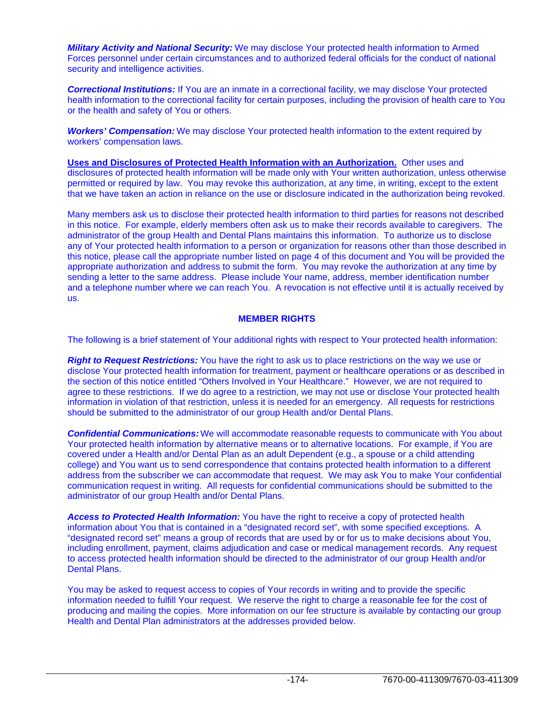*Military Activity and National Security:* We may disclose Your protected health information to Armed Forces personnel under certain circumstances and to authorized federal officials for the conduct of national security and intelligence activities.

*Correctional Institutions:* If You are an inmate in a correctional facility, we may disclose Your protected health information to the correctional facility for certain purposes, including the provision of health care to You or the health and safety of You or others.

*Workers' Compensation:* We may disclose Your protected health information to the extent required by workers' compensation laws.

**Uses and Disclosures of Protected Health Information with an Authorization.** Other uses and disclosures of protected health information will be made only with Your written authorization, unless otherwise permitted or required by law. You may revoke this authorization, at any time, in writing, except to the extent that we have taken an action in reliance on the use or disclosure indicated in the authorization being revoked.

Many members ask us to disclose their protected health information to third parties for reasons not described in this notice. For example, elderly members often ask us to make their records available to caregivers. The administrator of the group Health and Dental Plans maintains this information. To authorize us to disclose any of Your protected health information to a person or organization for reasons other than those described in this notice, please call the appropriate number listed on page 4 of this document and You will be provided the appropriate authorization and address to submit the form. You may revoke the authorization at any time by sending a letter to the same address. Please include Your name, address, member identification number and a telephone number where we can reach You. A revocation is not effective until it is actually received by us.

# **MEMBER RIGHTS**

The following is a brief statement of Your additional rights with respect to Your protected health information:

*Right to Request Restrictions:* You have the right to ask us to place restrictions on the way we use or disclose Your protected health information for treatment, payment or healthcare operations or as described in the section of this notice entitled "Others Involved in Your Healthcare." However, we are not required to agree to these restrictions. If we do agree to a restriction, we may not use or disclose Your protected health information in violation of that restriction, unless it is needed for an emergency. All requests for restrictions should be submitted to the administrator of our group Health and/or Dental Plans.

*Confidential Communications:* We will accommodate reasonable requests to communicate with You about Your protected health information by alternative means or to alternative locations. For example, if You are covered under a Health and/or Dental Plan as an adult Dependent (e.g., a spouse or a child attending college) and You want us to send correspondence that contains protected health information to a different address from the subscriber we can accommodate that request. We may ask You to make Your confidential communication request in writing. All requests for confidential communications should be submitted to the administrator of our group Health and/or Dental Plans.

*Access to Protected Health Information:* You have the right to receive a copy of protected health information about You that is contained in a "designated record set", with some specified exceptions. A "designated record set" means a group of records that are used by or for us to make decisions about You, including enrollment, payment, claims adjudication and case or medical management records. Any request to access protected health information should be directed to the administrator of our group Health and/or Dental Plans.

You may be asked to request access to copies of Your records in writing and to provide the specific information needed to fulfill Your request. We reserve the right to charge a reasonable fee for the cost of producing and mailing the copies. More information on our fee structure is available by contacting our group Health and Dental Plan administrators at the addresses provided below.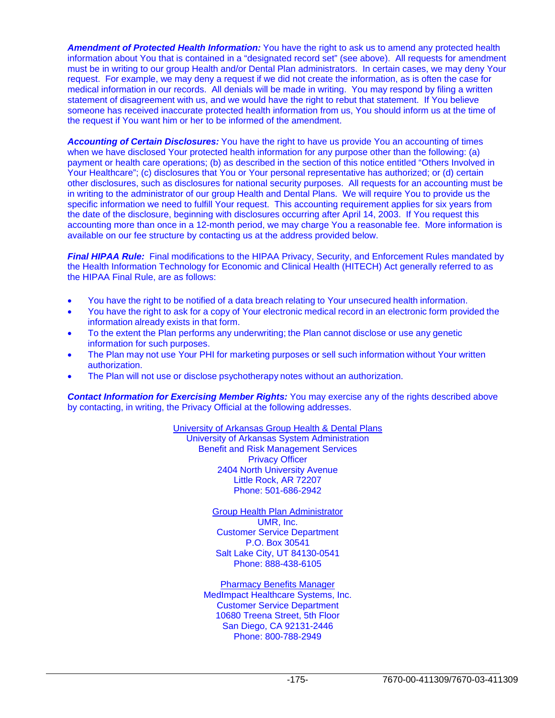*Amendment of Protected Health Information:* You have the right to ask us to amend any protected health information about You that is contained in a "designated record set" (see above). All requests for amendment must be in writing to our group Health and/or Dental Plan administrators. In certain cases, we may deny Your request. For example, we may deny a request if we did not create the information, as is often the case for medical information in our records. All denials will be made in writing. You may respond by filing a written statement of disagreement with us, and we would have the right to rebut that statement. If You believe someone has received inaccurate protected health information from us, You should inform us at the time of the request if You want him or her to be informed of the amendment.

*Accounting of Certain Disclosures:* You have the right to have us provide You an accounting of times when we have disclosed Your protected health information for any purpose other than the following: (a) payment or health care operations; (b) as described in the section of this notice entitled "Others Involved in Your Healthcare"; (c) disclosures that You or Your personal representative has authorized; or (d) certain other disclosures, such as disclosures for national security purposes. All requests for an accounting must be in writing to the administrator of our group Health and Dental Plans. We will require You to provide us the specific information we need to fulfill Your request. This accounting requirement applies for six years from the date of the disclosure, beginning with disclosures occurring after April 14, 2003. If You request this accounting more than once in a 12-month period, we may charge You a reasonable fee. More information is available on our fee structure by contacting us at the address provided below.

*Final HIPAA Rule:* Final modifications to the HIPAA Privacy, Security, and Enforcement Rules mandated by the Health Information Technology for Economic and Clinical Health (HITECH) Act generally referred to as the HIPAA Final Rule, are as follows:

- You have the right to be notified of a data breach relating to Your unsecured health information.
- You have the right to ask for a copy of Your electronic medical record in an electronic form provided the information already exists in that form.
- To the extent the Plan performs any underwriting; the Plan cannot disclose or use any genetic information for such purposes.
- The Plan may not use Your PHI for marketing purposes or sell such information without Your written authorization.
- The Plan will not use or disclose psychotherapy notes without an authorization.

**Contact Information for Exercising Member Rights:** You may exercise any of the rights described above by contacting, in writing, the Privacy Official at the following addresses.

> University of Arkansas Group Health & Dental Plans University of Arkansas System Administration Benefit and Risk Management Services Privacy Officer 2404 North University Avenue Little Rock, AR 72207 Phone: 501-686-2942

> > Group Health Plan Administrator UMR, Inc. Customer Service Department P.O. Box 30541 Salt Lake City, UT 84130-0541 Phone: 888-438-6105

Pharmacy Benefits Manager MedImpact Healthcare Systems, Inc. Customer Service Department 10680 Treena Street, 5th Floor San Diego, CA 92131-2446 Phone: 800-788-2949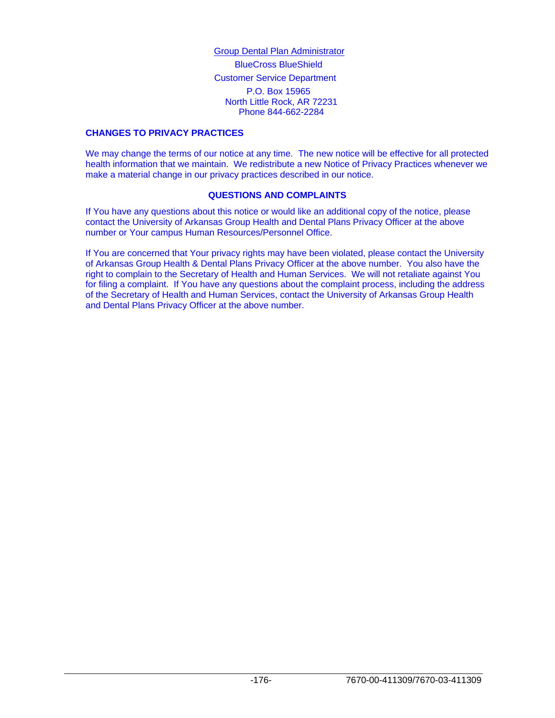Group Dental Plan Administrator BlueCross BlueShield Customer Service Department P.O. Box 15965 North Little Rock, AR 72231 Phone 844-662-2284

# **CHANGES TO PRIVACY PRACTICES**

We may change the terms of our notice at any time. The new notice will be effective for all protected health information that we maintain. We redistribute a new Notice of Privacy Practices whenever we make a material change in our privacy practices described in our notice.

#### **QUESTIONS AND COMPLAINTS**

If You have any questions about this notice or would like an additional copy of the notice, please contact the University of Arkansas Group Health and Dental Plans Privacy Officer at the above number or Your campus Human Resources/Personnel Office.

If You are concerned that Your privacy rights may have been violated, please contact the University of Arkansas Group Health & Dental Plans Privacy Officer at the above number. You also have the right to complain to the Secretary of Health and Human Services. We will not retaliate against You for filing a complaint. If You have any questions about the complaint process, including the address of the Secretary of Health and Human Services, contact the University of Arkansas Group Health and Dental Plans Privacy Officer at the above number.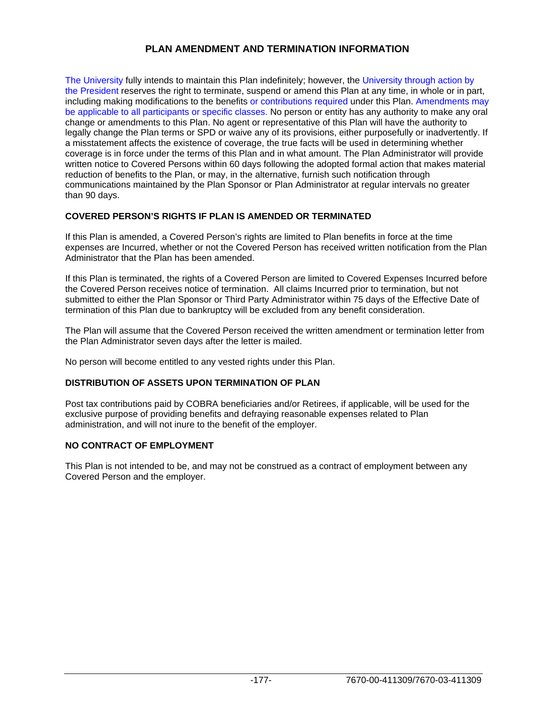# **PLAN AMENDMENT AND TERMINATION INFORMATION**

The University fully intends to maintain this Plan indefinitely; however, the University through action by the President reserves the right to terminate, suspend or amend this Plan at any time, in whole or in part, including making modifications to the benefits or contributions required under this Plan. Amendments may be applicable to all participants or specific classes. No person or entity has any authority to make any oral change or amendments to this Plan. No agent or representative of this Plan will have the authority to legally change the Plan terms or SPD or waive any of its provisions, either purposefully or inadvertently. If a misstatement affects the existence of coverage, the true facts will be used in determining whether coverage is in force under the terms of this Plan and in what amount. The Plan Administrator will provide written notice to Covered Persons within 60 days following the adopted formal action that makes material reduction of benefits to the Plan, or may, in the alternative, furnish such notification through communications maintained by the Plan Sponsor or Plan Administrator at regular intervals no greater than 90 days.

# **COVERED PERSON'S RIGHTS IF PLAN IS AMENDED OR TERMINATED**

If this Plan is amended, a Covered Person's rights are limited to Plan benefits in force at the time expenses are Incurred, whether or not the Covered Person has received written notification from the Plan Administrator that the Plan has been amended.

If this Plan is terminated, the rights of a Covered Person are limited to Covered Expenses Incurred before the Covered Person receives notice of termination. All claims Incurred prior to termination, but not submitted to either the Plan Sponsor or Third Party Administrator within 75 days of the Effective Date of termination of this Plan due to bankruptcy will be excluded from any benefit consideration.

The Plan will assume that the Covered Person received the written amendment or termination letter from the Plan Administrator seven days after the letter is mailed.

No person will become entitled to any vested rights under this Plan.

# **DISTRIBUTION OF ASSETS UPON TERMINATION OF PLAN**

Post tax contributions paid by COBRA beneficiaries and/or Retirees, if applicable, will be used for the exclusive purpose of providing benefits and defraying reasonable expenses related to Plan administration, and will not inure to the benefit of the employer.

# **NO CONTRACT OF EMPLOYMENT**

This Plan is not intended to be, and may not be construed as a contract of employment between any Covered Person and the employer.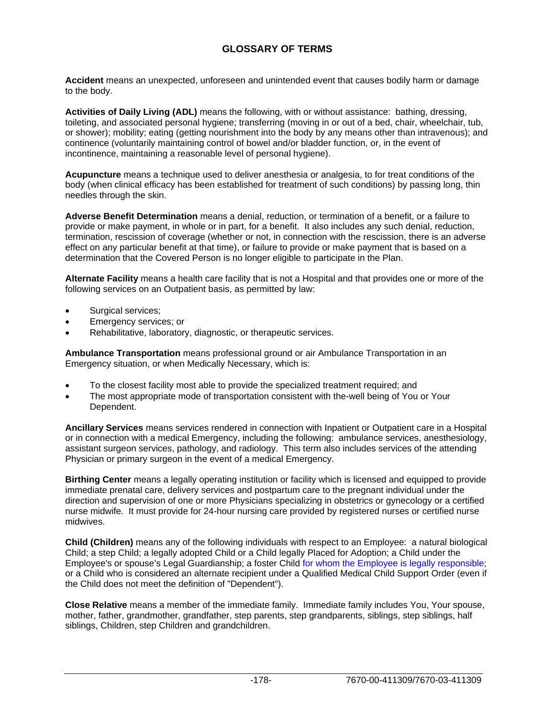# **GLOSSARY OF TERMS**

**Accident** means an unexpected, unforeseen and unintended event that causes bodily harm or damage to the body.

**Activities of Daily Living (ADL)** means the following, with or without assistance: bathing, dressing, toileting, and associated personal hygiene; transferring (moving in or out of a bed, chair, wheelchair, tub, or shower); mobility; eating (getting nourishment into the body by any means other than intravenous); and continence (voluntarily maintaining control of bowel and/or bladder function, or, in the event of incontinence, maintaining a reasonable level of personal hygiene).

**Acupuncture** means a technique used to deliver anesthesia or analgesia, to for treat conditions of the body (when clinical efficacy has been established for treatment of such conditions) by passing long, thin needles through the skin.

**Adverse Benefit Determination** means a denial, reduction, or termination of a benefit, or a failure to provide or make payment, in whole or in part, for a benefit. It also includes any such denial, reduction, termination, rescission of coverage (whether or not, in connection with the rescission, there is an adverse effect on any particular benefit at that time), or failure to provide or make payment that is based on a determination that the Covered Person is no longer eligible to participate in the Plan.

**Alternate Facility** means a health care facility that is not a Hospital and that provides one or more of the following services on an Outpatient basis, as permitted by law:

- Surgical services;
- **Emergency services; or**
- Rehabilitative, laboratory, diagnostic, or therapeutic services.

**Ambulance Transportation** means professional ground or air Ambulance Transportation in an Emergency situation, or when Medically Necessary, which is:

- To the closest facility most able to provide the specialized treatment required; and
- The most appropriate mode of transportation consistent with the-well being of You or Your Dependent.

**Ancillary Services** means services rendered in connection with Inpatient or Outpatient care in a Hospital or in connection with a medical Emergency, including the following: ambulance services, anesthesiology, assistant surgeon services, pathology, and radiology. This term also includes services of the attending Physician or primary surgeon in the event of a medical Emergency.

**Birthing Center** means a legally operating institution or facility which is licensed and equipped to provide immediate prenatal care, delivery services and postpartum care to the pregnant individual under the direction and supervision of one or more Physicians specializing in obstetrics or gynecology or a certified nurse midwife. It must provide for 24-hour nursing care provided by registered nurses or certified nurse midwives.

**Child (Children)** means any of the following individuals with respect to an Employee: a natural biological Child; a step Child; a legally adopted Child or a Child legally Placed for Adoption; a Child under the Employee's or spouse's Legal Guardianship; a foster Child for whom the Employee is legally responsible; or a Child who is considered an alternate recipient under a Qualified Medical Child Support Order (even if the Child does not meet the definition of "Dependent").

**Close Relative** means a member of the immediate family. Immediate family includes You, Your spouse, mother, father, grandmother, grandfather, step parents, step grandparents, siblings, step siblings, half siblings, Children, step Children and grandchildren.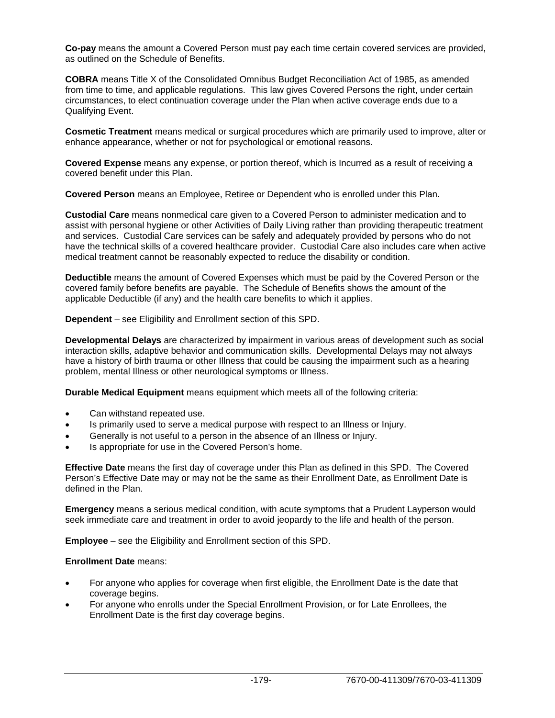**Co-pay** means the amount a Covered Person must pay each time certain covered services are provided, as outlined on the Schedule of Benefits.

**COBRA** means Title X of the Consolidated Omnibus Budget Reconciliation Act of 1985, as amended from time to time, and applicable regulations. This law gives Covered Persons the right, under certain circumstances, to elect continuation coverage under the Plan when active coverage ends due to a Qualifying Event.

**Cosmetic Treatment** means medical or surgical procedures which are primarily used to improve, alter or enhance appearance, whether or not for psychological or emotional reasons.

**Covered Expense** means any expense, or portion thereof, which is Incurred as a result of receiving a covered benefit under this Plan.

**Covered Person** means an Employee, Retiree or Dependent who is enrolled under this Plan.

**Custodial Care** means nonmedical care given to a Covered Person to administer medication and to assist with personal hygiene or other Activities of Daily Living rather than providing therapeutic treatment and services. Custodial Care services can be safely and adequately provided by persons who do not have the technical skills of a covered healthcare provider. Custodial Care also includes care when active medical treatment cannot be reasonably expected to reduce the disability or condition.

**Deductible** means the amount of Covered Expenses which must be paid by the Covered Person or the covered family before benefits are payable. The Schedule of Benefits shows the amount of the applicable Deductible (if any) and the health care benefits to which it applies.

**Dependent** – see Eligibility and Enrollment section of this SPD.

**Developmental Delays** are characterized by impairment in various areas of development such as social interaction skills, adaptive behavior and communication skills. Developmental Delays may not always have a history of birth trauma or other Illness that could be causing the impairment such as a hearing problem, mental Illness or other neurological symptoms or Illness.

**Durable Medical Equipment** means equipment which meets all of the following criteria:

- Can withstand repeated use.
- Is primarily used to serve a medical purpose with respect to an Illness or Injury.
- Generally is not useful to a person in the absence of an Illness or Injury.
- Is appropriate for use in the Covered Person's home.

**Effective Date** means the first day of coverage under this Plan as defined in this SPD. The Covered Person's Effective Date may or may not be the same as their Enrollment Date, as Enrollment Date is defined in the Plan.

**Emergency** means a serious medical condition, with acute symptoms that a Prudent Layperson would seek immediate care and treatment in order to avoid jeopardy to the life and health of the person.

**Employee** – see the Eligibility and Enrollment section of this SPD.

#### **Enrollment Date** means:

- For anyone who applies for coverage when first eligible, the Enrollment Date is the date that coverage begins.
- For anyone who enrolls under the Special Enrollment Provision, or for Late Enrollees, the Enrollment Date is the first day coverage begins.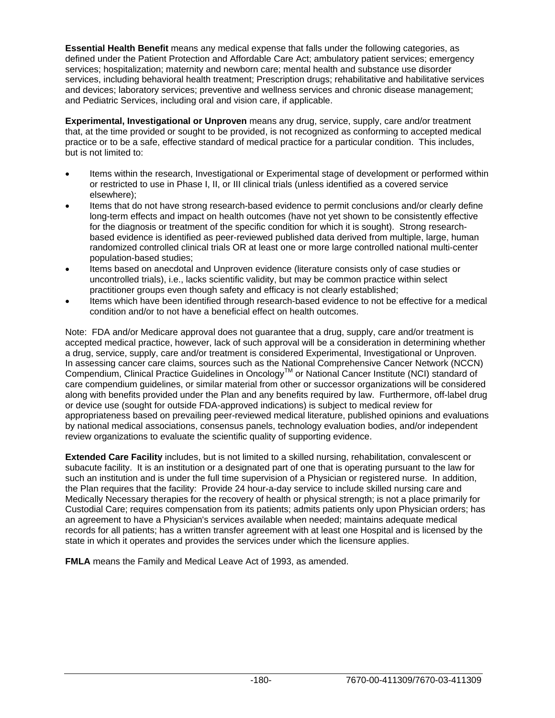**Essential Health Benefit** means any medical expense that falls under the following categories, as defined under the Patient Protection and Affordable Care Act; ambulatory patient services; emergency services; hospitalization; maternity and newborn care; mental health and substance use disorder services, including behavioral health treatment; Prescription drugs; rehabilitative and habilitative services and devices; laboratory services; preventive and wellness services and chronic disease management; and Pediatric Services, including oral and vision care, if applicable.

**Experimental, Investigational or Unproven** means any drug, service, supply, care and/or treatment that, at the time provided or sought to be provided, is not recognized as conforming to accepted medical practice or to be a safe, effective standard of medical practice for a particular condition. This includes, but is not limited to:

- Items within the research, Investigational or Experimental stage of development or performed within or restricted to use in Phase I, II, or III clinical trials (unless identified as a covered service elsewhere);
- Items that do not have strong research-based evidence to permit conclusions and/or clearly define long-term effects and impact on health outcomes (have not yet shown to be consistently effective for the diagnosis or treatment of the specific condition for which it is sought). Strong researchbased evidence is identified as peer-reviewed published data derived from multiple, large, human randomized controlled clinical trials OR at least one or more large controlled national multi-center population-based studies;
- Items based on anecdotal and Unproven evidence (literature consists only of case studies or uncontrolled trials), i.e., lacks scientific validity, but may be common practice within select practitioner groups even though safety and efficacy is not clearly established;
- Items which have been identified through research-based evidence to not be effective for a medical condition and/or to not have a beneficial effect on health outcomes.

Note: FDA and/or Medicare approval does not guarantee that a drug, supply, care and/or treatment is accepted medical practice, however, lack of such approval will be a consideration in determining whether a drug, service, supply, care and/or treatment is considered Experimental, Investigational or Unproven. In assessing cancer care claims, sources such as the National Comprehensive Cancer Network (NCCN) The accessing sancer sanctice Guidelines in Oncology™ or National Cancer Institute (NCI) standard of Compendium, Clinical Practice Guidelines in Oncology™ or National Cancer Institute (NCI) standard of care compendium guidelines, or similar material from other or successor organizations will be considered along with benefits provided under the Plan and any benefits required by law. Furthermore, off-label drug or device use (sought for outside FDA-approved indications) is subject to medical review for appropriateness based on prevailing peer-reviewed medical literature, published opinions and evaluations by national medical associations, consensus panels, technology evaluation bodies, and/or independent review organizations to evaluate the scientific quality of supporting evidence.

**Extended Care Facility** includes, but is not limited to a skilled nursing, rehabilitation, convalescent or subacute facility. It is an institution or a designated part of one that is operating pursuant to the law for such an institution and is under the full time supervision of a Physician or registered nurse. In addition, the Plan requires that the facility: Provide 24 hour-a-day service to include skilled nursing care and Medically Necessary therapies for the recovery of health or physical strength; is not a place primarily for Custodial Care; requires compensation from its patients; admits patients only upon Physician orders; has an agreement to have a Physician's services available when needed; maintains adequate medical records for all patients; has a written transfer agreement with at least one Hospital and is licensed by the state in which it operates and provides the services under which the licensure applies.

**FMLA** means the Family and Medical Leave Act of 1993, as amended.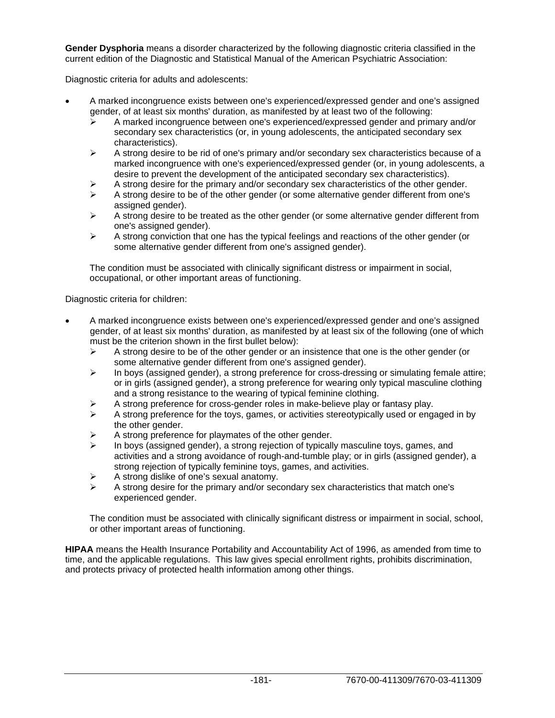**Gender Dysphoria** means a disorder characterized by the following diagnostic criteria classified in the current edition of the Diagnostic and Statistical Manual of the American Psychiatric Association:

Diagnostic criteria for adults and adolescents:

- A marked incongruence exists between one's experienced/expressed gender and one's assigned gender, of at least six months' duration, as manifested by at least two of the following:
	- A marked incongruence between one's experienced/expressed gender and primary and/or secondary sex characteristics (or, in young adolescents, the anticipated secondary sex characteristics).
	- $\triangleright$  A strong desire to be rid of one's primary and/or secondary sex characteristics because of a marked incongruence with one's experienced/expressed gender (or, in young adolescents, a desire to prevent the development of the anticipated secondary sex characteristics).
	- A strong desire for the primary and/or secondary sex characteristics of the other gender.
	- $\triangleright$  A strong desire to be of the other gender (or some alternative gender different from one's assigned gender).
	- A strong desire to be treated as the other gender (or some alternative gender different from one's assigned gender).
	- $\triangleright$  A strong conviction that one has the typical feelings and reactions of the other gender (or some alternative gender different from one's assigned gender).

The condition must be associated with clinically significant distress or impairment in social, occupational, or other important areas of functioning.

Diagnostic criteria for children:

- A marked incongruence exists between one's experienced/expressed gender and one's assigned gender, of at least six months' duration, as manifested by at least six of the following (one of which must be the criterion shown in the first bullet below):
	- $\triangleright$  A strong desire to be of the other gender or an insistence that one is the other gender (or some alternative gender different from one's assigned gender).
	- $\triangleright$  In boys (assigned gender), a strong preference for cross-dressing or simulating female attire; or in girls (assigned gender), a strong preference for wearing only typical masculine clothing and a strong resistance to the wearing of typical feminine clothing.
	- A strong preference for cross-gender roles in make-believe play or fantasy play.
	- A strong preference for the toys, games, or activities stereotypically used or engaged in by the other gender.
	- A strong preference for playmates of the other gender.
	- In boys (assigned gender), a strong rejection of typically masculine toys, games, and activities and a strong avoidance of rough-and-tumble play; or in girls (assigned gender), a strong rejection of typically feminine toys, games, and activities.
	- $\triangleright$  A strong dislike of one's sexual anatomy.
	- A strong desire for the primary and/or secondary sex characteristics that match one's experienced gender.

The condition must be associated with clinically significant distress or impairment in social, school, or other important areas of functioning.

**HIPAA** means the Health Insurance Portability and Accountability Act of 1996, as amended from time to time, and the applicable regulations. This law gives special enrollment rights, prohibits discrimination, and protects privacy of protected health information among other things.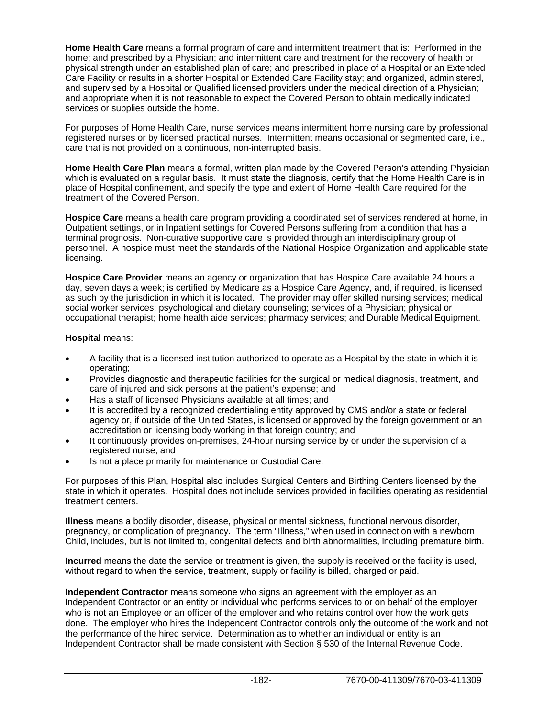**Home Health Care** means a formal program of care and intermittent treatment that is: Performed in the home; and prescribed by a Physician; and intermittent care and treatment for the recovery of health or physical strength under an established plan of care; and prescribed in place of a Hospital or an Extended Care Facility or results in a shorter Hospital or Extended Care Facility stay; and organized, administered, and supervised by a Hospital or Qualified licensed providers under the medical direction of a Physician; and appropriate when it is not reasonable to expect the Covered Person to obtain medically indicated services or supplies outside the home.

For purposes of Home Health Care, nurse services means intermittent home nursing care by professional registered nurses or by licensed practical nurses. Intermittent means occasional or segmented care, i.e., care that is not provided on a continuous, non-interrupted basis.

**Home Health Care Plan** means a formal, written plan made by the Covered Person's attending Physician which is evaluated on a regular basis. It must state the diagnosis, certify that the Home Health Care is in place of Hospital confinement, and specify the type and extent of Home Health Care required for the treatment of the Covered Person.

**Hospice Care** means a health care program providing a coordinated set of services rendered at home, in Outpatient settings, or in Inpatient settings for Covered Persons suffering from a condition that has a terminal prognosis. Non-curative supportive care is provided through an interdisciplinary group of personnel. A hospice must meet the standards of the National Hospice Organization and applicable state licensing.

**Hospice Care Provider** means an agency or organization that has Hospice Care available 24 hours a day, seven days a week; is certified by Medicare as a Hospice Care Agency, and, if required, is licensed as such by the jurisdiction in which it is located. The provider may offer skilled nursing services; medical social worker services; psychological and dietary counseling; services of a Physician; physical or occupational therapist; home health aide services; pharmacy services; and Durable Medical Equipment.

### **Hospital** means:

- A facility that is a licensed institution authorized to operate as a Hospital by the state in which it is operating;
- Provides diagnostic and therapeutic facilities for the surgical or medical diagnosis, treatment, and care of injured and sick persons at the patient's expense; and
- Has a staff of licensed Physicians available at all times; and
- It is accredited by a recognized credentialing entity approved by CMS and/or a state or federal agency or, if outside of the United States, is licensed or approved by the foreign government or an accreditation or licensing body working in that foreign country; and
- It continuously provides on-premises, 24-hour nursing service by or under the supervision of a registered nurse; and
- Is not a place primarily for maintenance or Custodial Care.

For purposes of this Plan, Hospital also includes Surgical Centers and Birthing Centers licensed by the state in which it operates. Hospital does not include services provided in facilities operating as residential treatment centers.

**Illness** means a bodily disorder, disease, physical or mental sickness, functional nervous disorder, pregnancy, or complication of pregnancy. The term "Illness," when used in connection with a newborn Child, includes, but is not limited to, congenital defects and birth abnormalities, including premature birth.

**Incurred** means the date the service or treatment is given, the supply is received or the facility is used, without regard to when the service, treatment, supply or facility is billed, charged or paid.

**Independent Contractor** means someone who signs an agreement with the employer as an Independent Contractor or an entity or individual who performs services to or on behalf of the employer who is not an Employee or an officer of the employer and who retains control over how the work gets done. The employer who hires the Independent Contractor controls only the outcome of the work and not the performance of the hired service. Determination as to whether an individual or entity is an Independent Contractor shall be made consistent with Section § 530 of the Internal Revenue Code.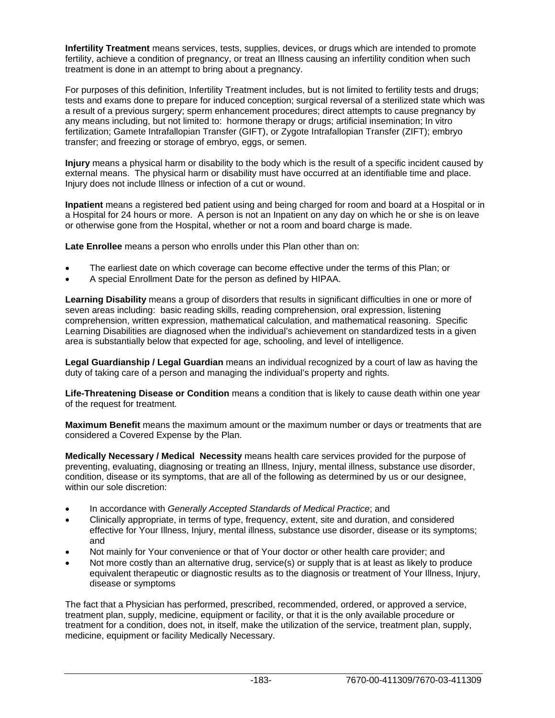**Infertility Treatment** means services, tests, supplies, devices, or drugs which are intended to promote fertility, achieve a condition of pregnancy, or treat an Illness causing an infertility condition when such treatment is done in an attempt to bring about a pregnancy.

For purposes of this definition, Infertility Treatment includes, but is not limited to fertility tests and drugs; tests and exams done to prepare for induced conception; surgical reversal of a sterilized state which was a result of a previous surgery; sperm enhancement procedures; direct attempts to cause pregnancy by any means including, but not limited to: hormone therapy or drugs; artificial insemination; In vitro fertilization; Gamete Intrafallopian Transfer (GIFT), or Zygote Intrafallopian Transfer (ZIFT); embryo transfer; and freezing or storage of embryo, eggs, or semen.

**Injury** means a physical harm or disability to the body which is the result of a specific incident caused by external means. The physical harm or disability must have occurred at an identifiable time and place. Injury does not include Illness or infection of a cut or wound.

**Inpatient** means a registered bed patient using and being charged for room and board at a Hospital or in a Hospital for 24 hours or more. A person is not an Inpatient on any day on which he or she is on leave or otherwise gone from the Hospital, whether or not a room and board charge is made.

**Late Enrollee** means a person who enrolls under this Plan other than on:

- The earliest date on which coverage can become effective under the terms of this Plan; or
- A special Enrollment Date for the person as defined by HIPAA.

**Learning Disability** means a group of disorders that results in significant difficulties in one or more of seven areas including: basic reading skills, reading comprehension, oral expression, listening comprehension, written expression, mathematical calculation, and mathematical reasoning. Specific Learning Disabilities are diagnosed when the individual's achievement on standardized tests in a given area is substantially below that expected for age, schooling, and level of intelligence.

**Legal Guardianship / Legal Guardian** means an individual recognized by a court of law as having the duty of taking care of a person and managing the individual's property and rights.

**Life-Threatening Disease or Condition** means a condition that is likely to cause death within one year of the request for treatment.

**Maximum Benefit** means the maximum amount or the maximum number or days or treatments that are considered a Covered Expense by the Plan.

**Medically Necessary / Medical Necessity** means health care services provided for the purpose of preventing, evaluating, diagnosing or treating an Illness, Injury, mental illness, substance use disorder, condition, disease or its symptoms, that are all of the following as determined by us or our designee, within our sole discretion:

- In accordance with *Generally Accepted Standards of Medical Practice*; and
- Clinically appropriate, in terms of type, frequency, extent, site and duration, and considered effective for Your Illness, Injury, mental illness, substance use disorder, disease or its symptoms; and
- Not mainly for Your convenience or that of Your doctor or other health care provider; and
- Not more costly than an alternative drug, service(s) or supply that is at least as likely to produce equivalent therapeutic or diagnostic results as to the diagnosis or treatment of Your Illness, Injury, disease or symptoms

The fact that a Physician has performed, prescribed, recommended, ordered, or approved a service, treatment plan, supply, medicine, equipment or facility, or that it is the only available procedure or treatment for a condition, does not, in itself, make the utilization of the service, treatment plan, supply, medicine, equipment or facility Medically Necessary.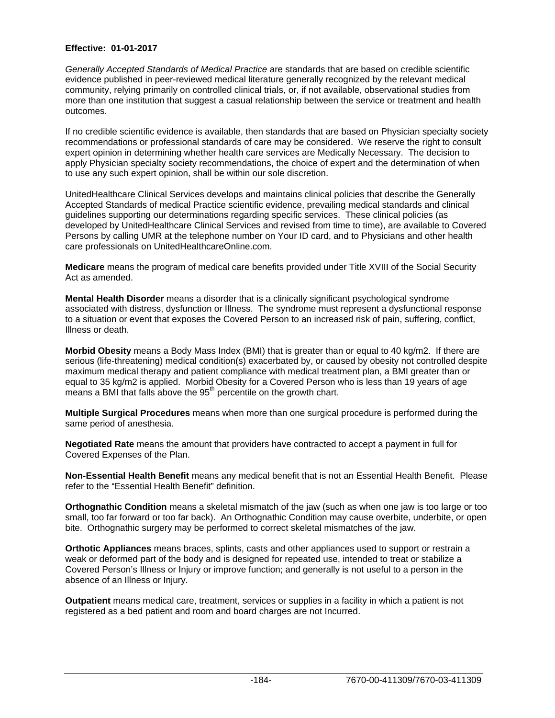#### **Effective: 01-01-2017**

*Generally Accepted Standards of Medical Practice* are standards that are based on credible scientific evidence published in peer-reviewed medical literature generally recognized by the relevant medical community, relying primarily on controlled clinical trials, or, if not available, observational studies from more than one institution that suggest a casual relationship between the service or treatment and health outcomes.

If no credible scientific evidence is available, then standards that are based on Physician specialty society recommendations or professional standards of care may be considered. We reserve the right to consult expert opinion in determining whether health care services are Medically Necessary. The decision to apply Physician specialty society recommendations, the choice of expert and the determination of when to use any such expert opinion, shall be within our sole discretion.

UnitedHealthcare Clinical Services develops and maintains clinical policies that describe the Generally Accepted Standards of medical Practice scientific evidence, prevailing medical standards and clinical guidelines supporting our determinations regarding specific services. These clinical policies (as developed by UnitedHealthcare Clinical Services and revised from time to time), are available to Covered Persons by calling UMR at the telephone number on Your ID card, and to Physicians and other health care professionals on UnitedHealthcareOnline.com.

**Medicare** means the program of medical care benefits provided under Title XVIII of the Social Security Act as amended.

**Mental Health Disorder** means a disorder that is a clinically significant psychological syndrome associated with distress, dysfunction or Illness. The syndrome must represent a dysfunctional response to a situation or event that exposes the Covered Person to an increased risk of pain, suffering, conflict, Illness or death.

**Morbid Obesity** means a Body Mass Index (BMI) that is greater than or equal to 40 kg/m2. If there are serious (life-threatening) medical condition(s) exacerbated by, or caused by obesity not controlled despite maximum medical therapy and patient compliance with medical treatment plan, a BMI greater than or equal to 35 kg/m2 is applied. Morbid Obesity for a Covered Person who is less than 19 years of age means a BMI that falls above the 95<sup>th</sup> percentile on the growth chart.

**Multiple Surgical Procedures** means when more than one surgical procedure is performed during the same period of anesthesia.

**Negotiated Rate** means the amount that providers have contracted to accept a payment in full for Covered Expenses of the Plan.

**Non-Essential Health Benefit** means any medical benefit that is not an Essential Health Benefit. Please refer to the "Essential Health Benefit" definition.

**Orthognathic Condition** means a skeletal mismatch of the jaw (such as when one jaw is too large or too small, too far forward or too far back). An Orthognathic Condition may cause overbite, underbite, or open bite. Orthognathic surgery may be performed to correct skeletal mismatches of the jaw.

**Orthotic Appliances** means braces, splints, casts and other appliances used to support or restrain a weak or deformed part of the body and is designed for repeated use, intended to treat or stabilize a Covered Person's Illness or Injury or improve function; and generally is not useful to a person in the absence of an Illness or Injury.

**Outpatient** means medical care, treatment, services or supplies in a facility in which a patient is not registered as a bed patient and room and board charges are not Incurred.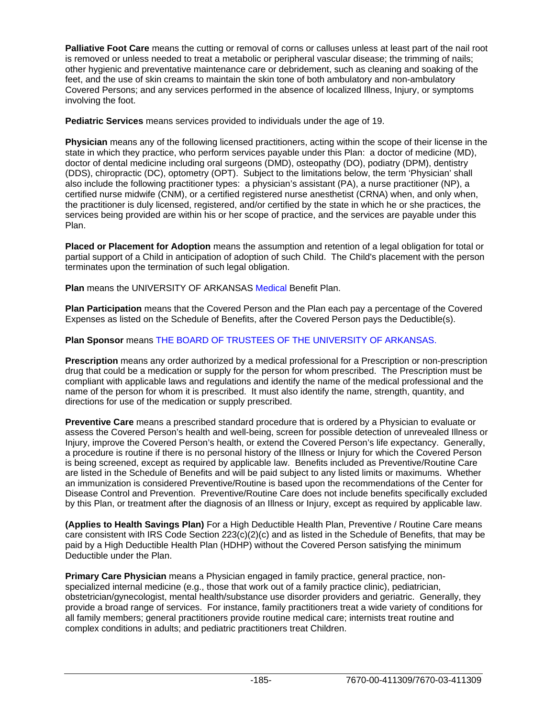**Palliative Foot Care** means the cutting or removal of corns or calluses unless at least part of the nail root is removed or unless needed to treat a metabolic or peripheral vascular disease; the trimming of nails; other hygienic and preventative maintenance care or debridement, such as cleaning and soaking of the feet, and the use of skin creams to maintain the skin tone of both ambulatory and non-ambulatory Covered Persons; and any services performed in the absence of localized Illness, Injury, or symptoms involving the foot.

**Pediatric Services** means services provided to individuals under the age of 19.

**Physician** means any of the following licensed practitioners, acting within the scope of their license in the state in which they practice, who perform services payable under this Plan: a doctor of medicine (MD), doctor of dental medicine including oral surgeons (DMD), osteopathy (DO), podiatry (DPM), dentistry (DDS), chiropractic (DC), optometry (OPT). Subject to the limitations below, the term 'Physician' shall also include the following practitioner types: a physician's assistant (PA), a nurse practitioner (NP), a certified nurse midwife (CNM), or a certified registered nurse anesthetist (CRNA) when, and only when, the practitioner is duly licensed, registered, and/or certified by the state in which he or she practices, the services being provided are within his or her scope of practice, and the services are payable under this Plan.

**Placed or Placement for Adoption** means the assumption and retention of a legal obligation for total or partial support of a Child in anticipation of adoption of such Child. The Child's placement with the person terminates upon the termination of such legal obligation.

**Plan** means the UNIVERSITY OF ARKANSAS Medical Benefit Plan.

**Plan Participation** means that the Covered Person and the Plan each pay a percentage of the Covered Expenses as listed on the Schedule of Benefits, after the Covered Person pays the Deductible(s).

## **Plan Sponsor** means THE BOARD OF TRUSTEES OF THE UNIVERSITY OF ARKANSAS.

**Prescription** means any order authorized by a medical professional for a Prescription or non-prescription drug that could be a medication or supply for the person for whom prescribed. The Prescription must be compliant with applicable laws and regulations and identify the name of the medical professional and the name of the person for whom it is prescribed. It must also identify the name, strength, quantity, and directions for use of the medication or supply prescribed.

**Preventive Care** means a prescribed standard procedure that is ordered by a Physician to evaluate or assess the Covered Person's health and well-being, screen for possible detection of unrevealed Illness or Injury, improve the Covered Person's health, or extend the Covered Person's life expectancy. Generally, a procedure is routine if there is no personal history of the Illness or Injury for which the Covered Person is being screened, except as required by applicable law. Benefits included as Preventive/Routine Care are listed in the Schedule of Benefits and will be paid subject to any listed limits or maximums. Whether an immunization is considered Preventive/Routine is based upon the recommendations of the Center for Disease Control and Prevention. Preventive/Routine Care does not include benefits specifically excluded by this Plan, or treatment after the diagnosis of an Illness or Injury, except as required by applicable law.

**(Applies to Health Savings Plan)** For a High Deductible Health Plan, Preventive / Routine Care means care consistent with IRS Code Section 223(c)(2)(c) and as listed in the Schedule of Benefits, that may be paid by a High Deductible Health Plan (HDHP) without the Covered Person satisfying the minimum Deductible under the Plan.

**Primary Care Physician** means a Physician engaged in family practice, general practice, nonspecialized internal medicine (e.g., those that work out of a family practice clinic), pediatrician, obstetrician/gynecologist, mental health/substance use disorder providers and geriatric. Generally, they provide a broad range of services. For instance, family practitioners treat a wide variety of conditions for all family members; general practitioners provide routine medical care; internists treat routine and complex conditions in adults; and pediatric practitioners treat Children.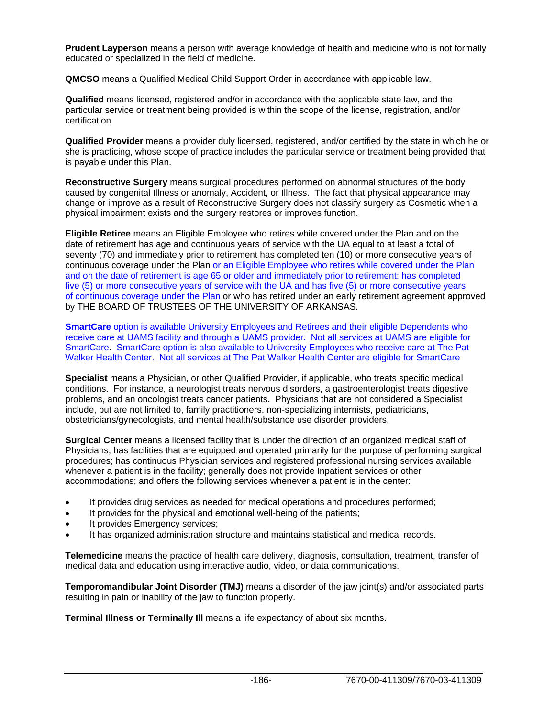**Prudent Layperson** means a person with average knowledge of health and medicine who is not formally educated or specialized in the field of medicine.

**QMCSO** means a Qualified Medical Child Support Order in accordance with applicable law.

**Qualified** means licensed, registered and/or in accordance with the applicable state law, and the particular service or treatment being provided is within the scope of the license, registration, and/or certification.

**Qualified Provider** means a provider duly licensed, registered, and/or certified by the state in which he or she is practicing, whose scope of practice includes the particular service or treatment being provided that is payable under this Plan.

**Reconstructive Surgery** means surgical procedures performed on abnormal structures of the body caused by congenital Illness or anomaly, Accident, or Illness. The fact that physical appearance may change or improve as a result of Reconstructive Surgery does not classify surgery as Cosmetic when a physical impairment exists and the surgery restores or improves function.

**Eligible Retiree** means an Eligible Employee who retires while covered under the Plan and on the date of retirement has age and continuous years of service with the UA equal to at least a total of seventy (70) and immediately prior to retirement has completed ten (10) or more consecutive years of continuous coverage under the Plan or an Eligible Employee who retires while covered under the Plan and on the date of retirement is age 65 or older and immediately prior to retirement: has completed five (5) or more consecutive years of service with the UA and has five (5) or more consecutive years of continuous coverage under the Plan or who has retired under an early retirement agreement approved by THE BOARD OF TRUSTEES OF THE UNIVERSITY OF ARKANSAS.

**SmartCare** option is available University Employees and Retirees and their eligible Dependents who receive care at UAMS facility and through a UAMS provider. Not all services at UAMS are eligible for SmartCare. SmartCare option is also available to University Employees who receive care at The Pat Walker Health Center. Not all services at The Pat Walker Health Center are eligible for SmartCare

**Specialist** means a Physician, or other Qualified Provider, if applicable, who treats specific medical conditions. For instance, a neurologist treats nervous disorders, a gastroenterologist treats digestive problems, and an oncologist treats cancer patients. Physicians that are not considered a Specialist include, but are not limited to, family practitioners, non-specializing internists, pediatricians, obstetricians/gynecologists, and mental health/substance use disorder providers.

**Surgical Center** means a licensed facility that is under the direction of an organized medical staff of Physicians; has facilities that are equipped and operated primarily for the purpose of performing surgical procedures; has continuous Physician services and registered professional nursing services available whenever a patient is in the facility; generally does not provide Inpatient services or other accommodations; and offers the following services whenever a patient is in the center:

- It provides drug services as needed for medical operations and procedures performed;
- It provides for the physical and emotional well-being of the patients;
- It provides Emergency services;
- It has organized administration structure and maintains statistical and medical records.

**Telemedicine** means the practice of health care delivery, diagnosis, consultation, treatment, transfer of medical data and education using interactive audio, video, or data communications.

**Temporomandibular Joint Disorder (TMJ)** means a disorder of the jaw joint(s) and/or associated parts resulting in pain or inability of the jaw to function properly.

**Terminal Illness or Terminally Ill** means a life expectancy of about six months.